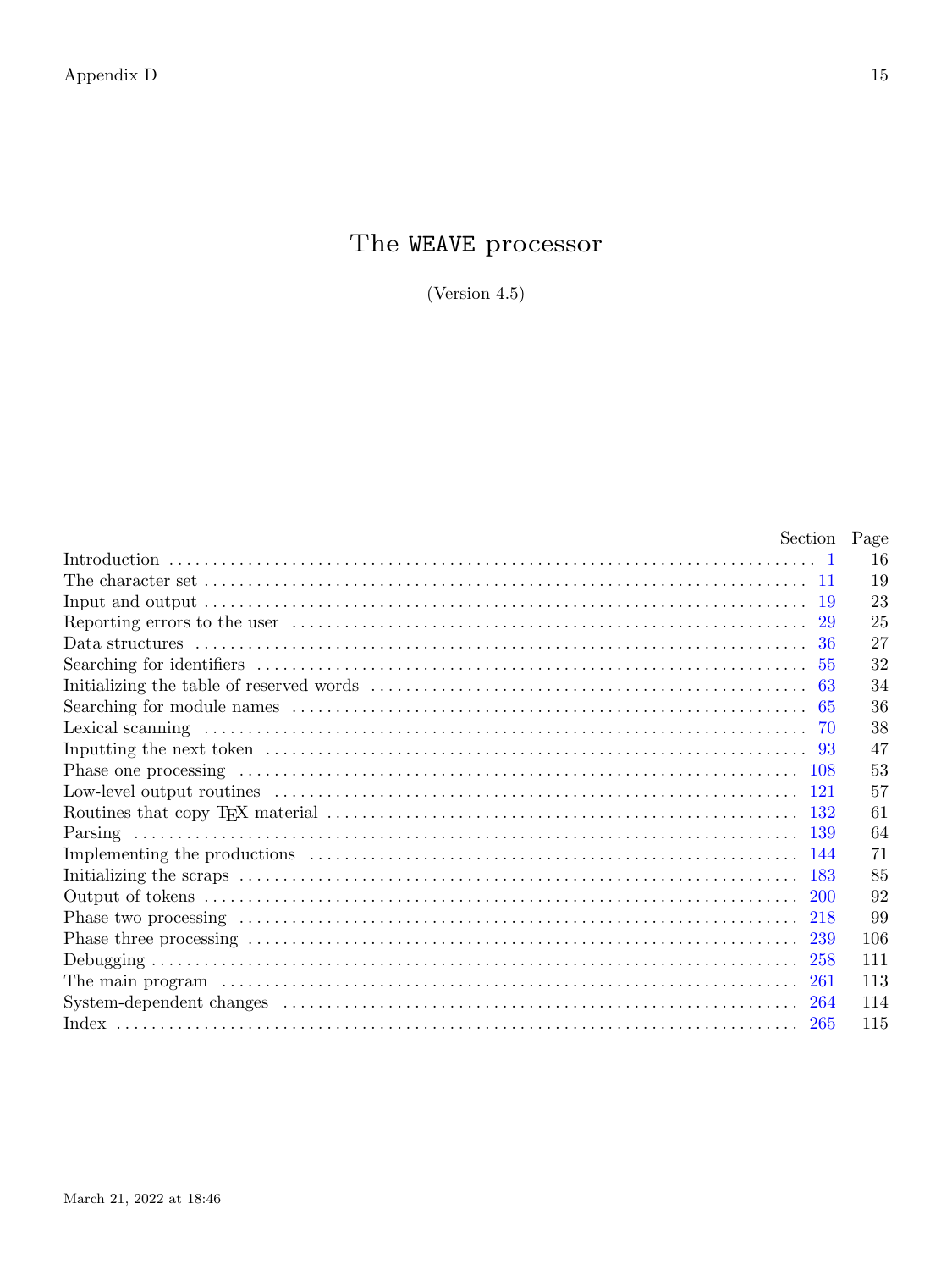## The WEAVE processor

(Version  $4.5$ )

| Section Page |     |
|--------------|-----|
|              | 16  |
|              | 19  |
|              | 23  |
|              | 25  |
|              | 27  |
|              | 32  |
|              | 34  |
|              | 36  |
| -70          | 38  |
|              | 47  |
|              | 53  |
|              | 57  |
|              | 61  |
|              | 64  |
|              | 71  |
| -183         | 85  |
|              | 92  |
| 218          | 99  |
|              | 106 |
| 258          | 111 |
| 261          | 113 |
| 264          | 114 |
| 265          | 115 |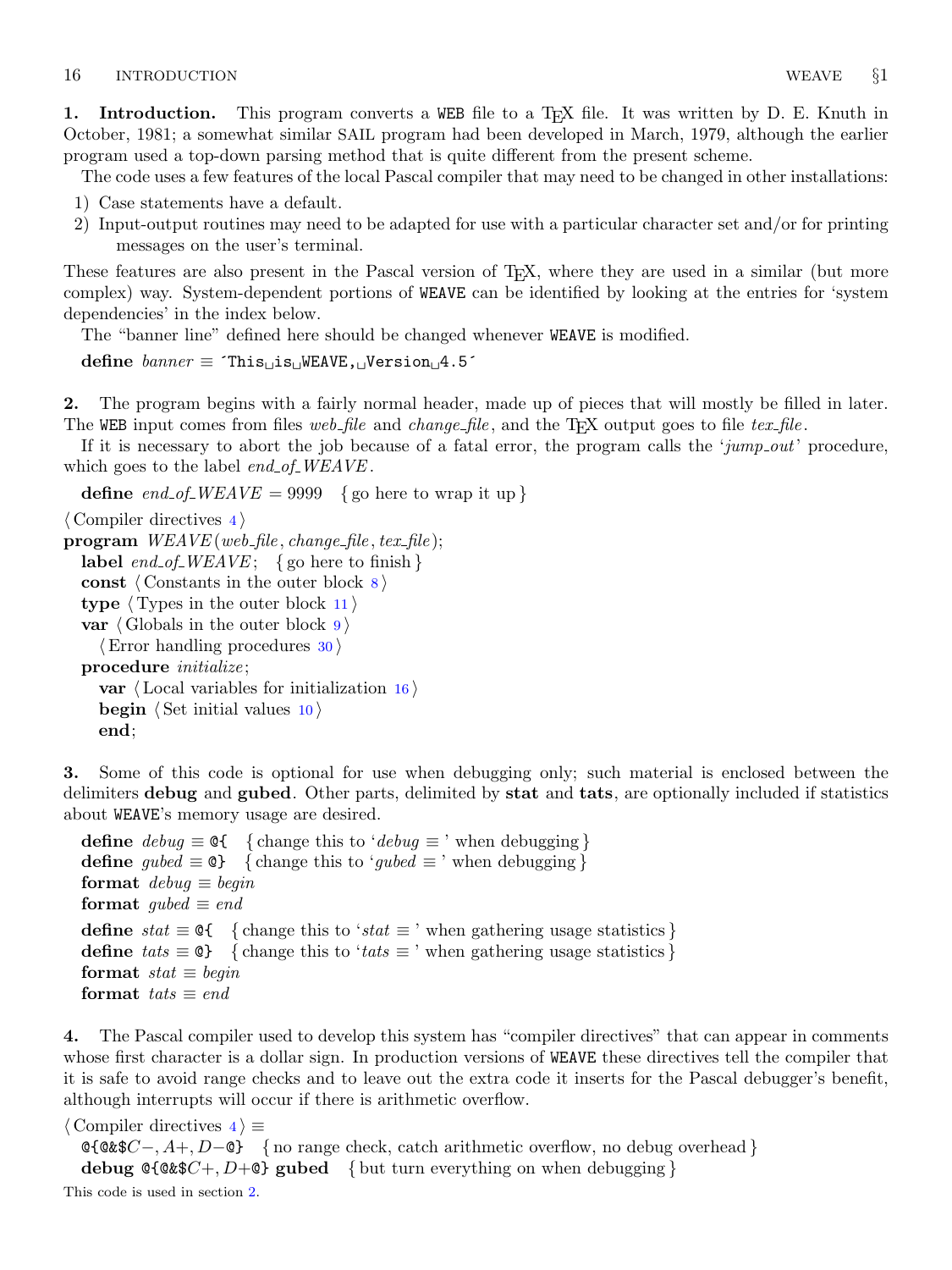<span id="page-1-0"></span>1. Introduction. This program converts a WEB file to a T<sub>E</sub>X file. It was written by D. E. Knuth in October, 1981; a somewhat similar SAIL program had been developed in March, 1979, although the earlier program used a top-down parsing method that is quite different from the present scheme.

The code uses a few features of the local Pascal compiler that may need to be changed in other installations:

- 1) Case statements have a default.
- 2) Input-output routines may need to be adapted for use with a particular character set and/or for printing messages on the user's terminal.

These features are also present in the Pascal version of TEX, where they are used in a similar (but more complex) way. System-dependent portions of WEAVE can be identified by looking at the entries for 'system dependencies' in the index below.

The "banner line" defined here should be changed whenever WEAVE is modified.

define  $banner \equiv$  ^This  $\exists$ is  $W$ EAVE,  $\exists$ Version  $\exists$ 4.5^

2. The program begins with a fairly normal header, made up of pieces that will mostly be filled in later. The WEB input comes from files web file and change file, and the T<sub>E</sub>X output goes to file tex file.

If it is necessary to abort the job because of a fatal error, the program calls the 'jump out' procedure, which goes to the label  $end_{of\_WEAVE}$ .

define end of WEAVE = 9999 { go here to wrap it up }

```
\langle Compiler directives 4 \rangle
```

```
program WEAVE (web_file, change_file, text_file);label end_of_WEAVE; { go here to finish }
 const \langle Constants in the outer block \langletype \langle11\ranglevar \langle9\rangle\langle30 \rangleprocedure initialize;
   var \langle16\ranglebegin \langle10 \rangle
```

```
end;
```
3. Some of this code is optional for use when debugging only; such material is enclosed between the delimiters debug and gubed. Other parts, delimited by stat and tats, are optionally included if statistics about WEAVE's memory usage are desired.

define  $\text{debug} \equiv \mathbf{Q} \{$  {change this to ' $\text{debug} \equiv$ ' when debugging } **define** gubed  $\equiv \text{Q}$  { change this to 'gubed  $\equiv$  ' when debugging } format  $debuq \equiv begin$ format *qubed*  $\equiv end$ define  $stat \equiv \mathcal{Q} \{$  {change this to ' $stat \equiv$ ' when gathering usage statistics } define tats  $\equiv \mathbb{Q}$  { change this to 'tats  $\equiv$ ' when gathering usage statistics } format  $stat \equiv begin$ format tats  $\equiv end$ 

4. The Pascal compiler used to develop this system has "compiler directives" that can appear in comments whose first character is a dollar sign. In production versions of WEAVE these directives tell the compiler that it is safe to avoid range checks and to leave out the extra code it inserts for the Pascal debugger's benefit, although interrupts will occur if there is arithmetic overflow.

 $\langle$  Compiler directives  $\langle 4 \rangle \equiv$  $\text{Q}$ { $\text{Q}$ &\$ $C-, A+, D-\text{Q}$ } { no range check, catch arithmetic overflow, no debug overhead } debug @{@&\$C+, D+@} gubed { but turn everything on when debugging } This code is used in section 2.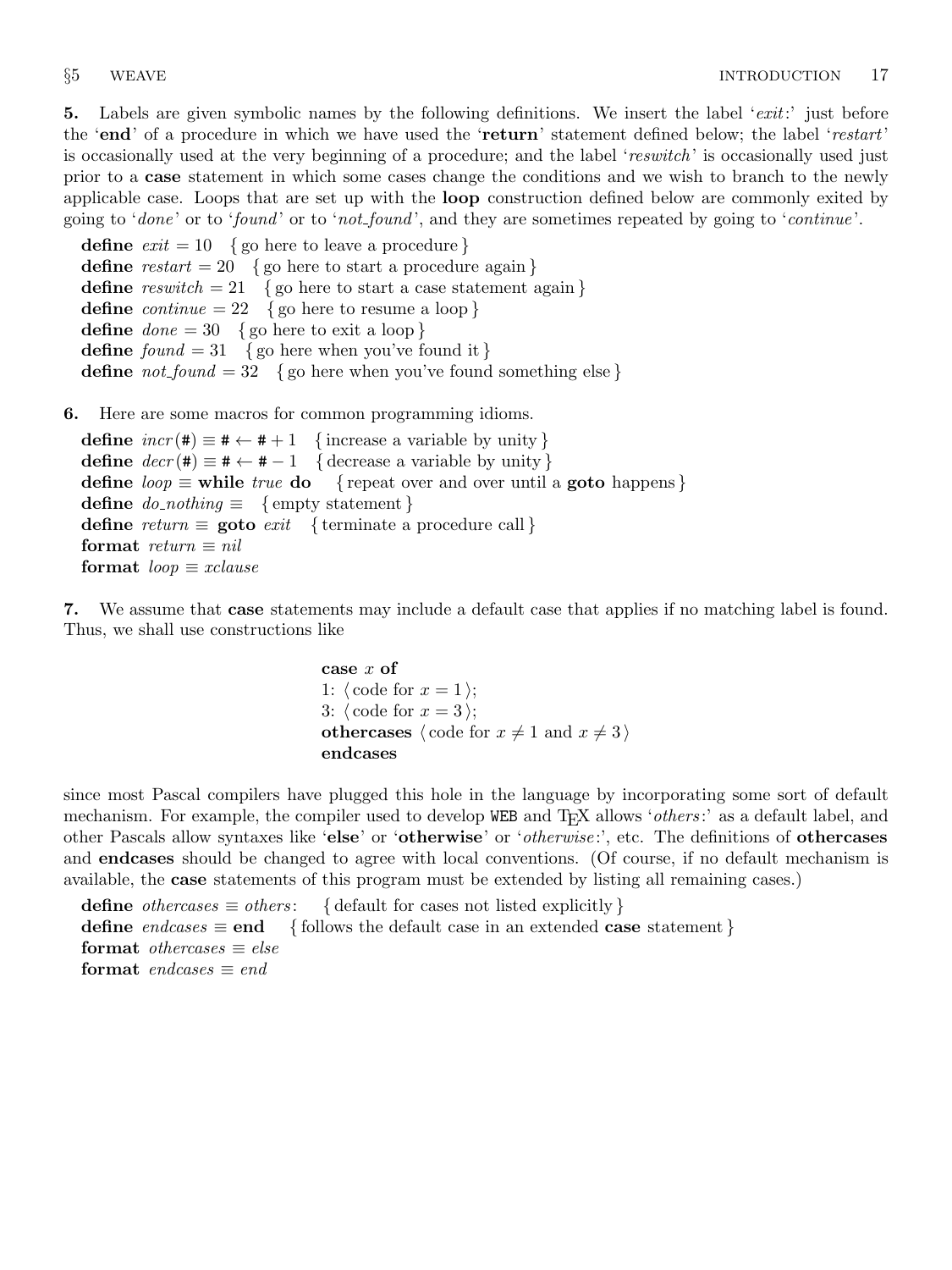5. Labels are given symbolic names by the following definitions. We insert the label 'exit:' just before the 'end' of a procedure in which we have used the 'return' statement defined below; the label 'restart' is occasionally used at the very beginning of a procedure; and the label 'reswitch' is occasionally used just prior to a case statement in which some cases change the conditions and we wish to branch to the newly applicable case. Loops that are set up with the loop construction defined below are commonly exited by going to 'done' or to 'found' or to 'not-found', and they are sometimes repeated by going to 'continue'.

**define**  $exit = 10$  { go here to leave a procedure } **define**  $\text{restart} = 20$  { go here to start a procedure again } define  $resultch = 21$  {go here to start a case statement again} define *continue* = 22 { go here to resume a loop } define  $done = 30 \{$ go here to exit a loop } define  $found = 31$  {go here when you've found it } define  $not\_found = 32$  {go here when you've found something else}

## 6. Here are some macros for common programming idioms.

define  $incr(\texttt{\#}) \equiv \texttt{\#} \leftarrow \texttt{\#} + 1$  {increase a variable by unity} define  $decr(\texttt{#}) \equiv \texttt{#} \leftarrow \texttt{#} - 1$  { decrease a variable by unity } define  $loop \equiv$  while true do { repeat over and over until a goto happens} define  $do\_nothing \equiv \{$  empty statement  $\}$ define return  $\equiv$  goto exit { terminate a procedure call } format  $return \equiv nil$ format  $loop \equiv x clause$ 

7. We assume that case statements may include a default case that applies if no matching label is found. Thus, we shall use constructions like

```
case x of
1: \langle \text{code for } x = 1 \rangle;3: \langle \text{code for } x = 3 \rangle;othercases \langle \text{code for } x \neq 1 \text{ and } x \neq 3 \rangleendcases
```
since most Pascal compilers have plugged this hole in the language by incorporating some sort of default mechanism. For example, the compiler used to develop WEB and T<sub>F</sub>X allows '*others*:' as a default label, and other Pascals allow syntaxes like 'else' or 'otherwise' or '*otherwise*:', etc. The definitions of **othercases** and endcases should be changed to agree with local conventions. (Of course, if no default mechanism is available, the case statements of this program must be extended by listing all remaining cases.)

define *othercases*  $\equiv$  *others*: { default for cases not listed explicitly } define endcases  $\equiv$  end { follows the default case in an extended case statement } format *othercases*  $\equiv$  *else* format endcases  $\equiv$  end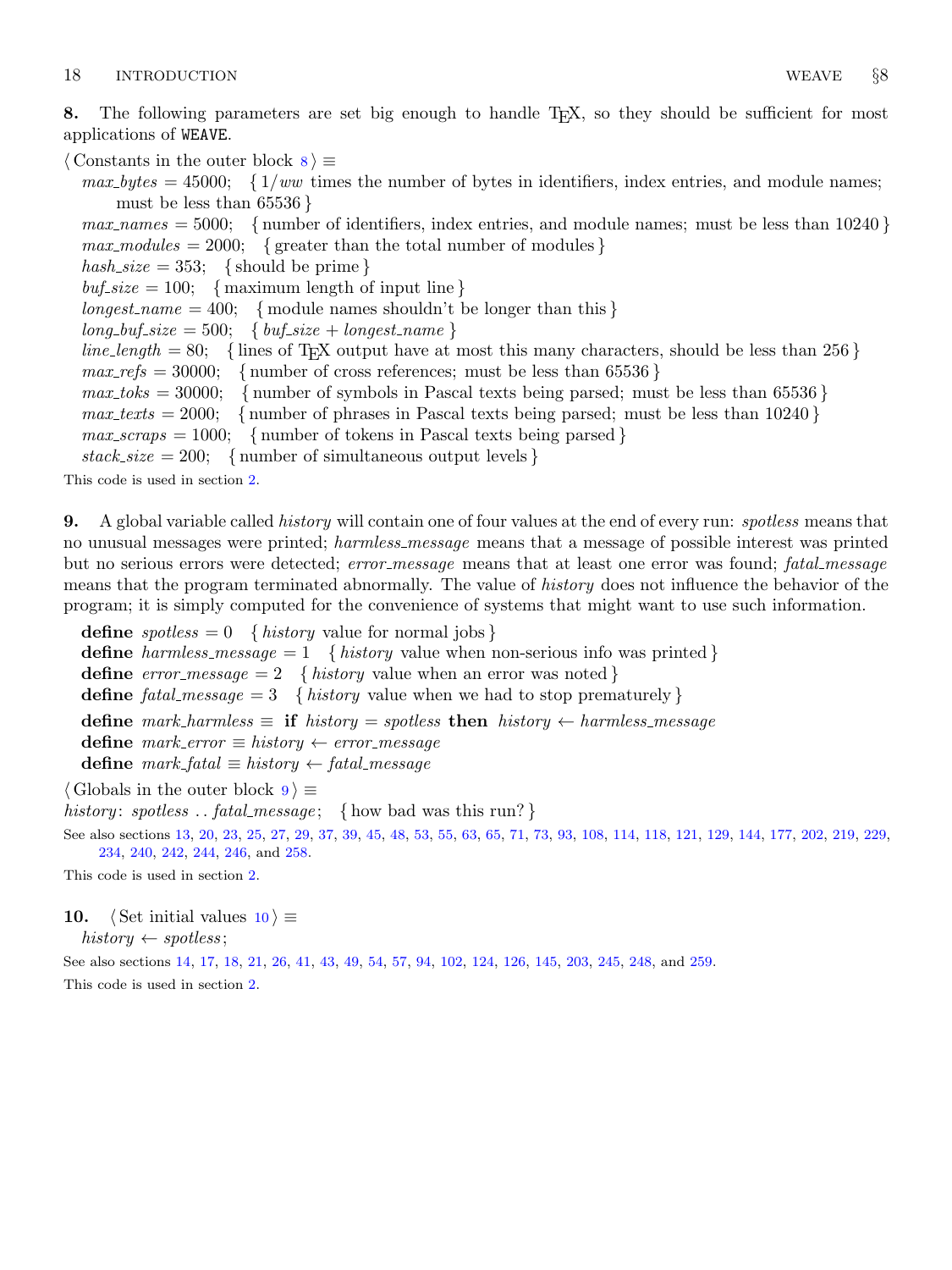<span id="page-3-0"></span>8. The following parameters are set big enough to handle T<sub>E</sub>X, so they should be sufficient for most applications of WEAVE.

 $\langle$  Constants in the outer block  $\langle$  \ender \) =

 $max\_bytes = 45000; \{1/ww \text{ times the number of bytes in identifiers, index entries, and module names; }$ must be less than  $65536$  }

 $max\_names = 5000;$  { number of identifiers, index entries, and module names; must be less than 10240 }  $max_{s}$  modules = 2000; { greater than the total number of modules } hash\_size = 353; { should be prime }  $\text{buf\_size} = 100;$  { maximum length of input line } longest\_name = 400; { module names shouldn't be longer than this }  $long_buf\_size = 500; \{buf\_size + longest\_name\}$  $line_length = 80;$  { lines of T<sub>EX</sub> output have at most this many characters, should be less than 256 }  $max\_refs = 30000;$  { number of cross references; must be less than 65536 }  $max\_toks = 30000;$  { number of symbols in Pascal texts being parsed; must be less than 65536 }  $max\_tests = 2000;$  {number of phrases in Pascal texts being parsed; must be less than 10240 }  $max\_scraps = 1000;$  { number of tokens in Pascal texts being parsed }  $stack\_size = 200; \{ number of simultaneous output levels \}$ 

This code is used in section [2](#page-1-0).

9. A global variable called *history* will contain one of four values at the end of every run: *spotless* means that no unusual messages were printed; harmless message means that a message of possible interest was printed but no serious errors were detected; error\_message means that at least one error was found; fatal\_message means that the program terminated abnormally. The value of *history* does not influence the behavior of the program; it is simply computed for the convenience of systems that might want to use such information.

**define**  $spotless = 0$  { history value for normal jobs } define harmless message  $= 1$  { history value when non-serious info was printed } define  $error\_message = 2 \{ history \ value \ when an error was \ noted\}$ define fatal message = 3 { history value when we had to stop prematurely } define mark\_harmless  $\equiv$  if history  $=$  spotless then history  $\leftarrow$  harmless\_message define  $mark_error \equiv history \leftarrow error\_message$ define  $mark\_fatal \equiv history \leftarrow fatal\_message$ 

 $\langle$  Globals in the outer block  $9 \rangle \equiv$ 

history: spotless ... fatal\_message; { how bad was this run?}

See also sections [13,](#page-5-0) [20](#page-8-0), [23,](#page-8-0) [25](#page-8-0), [27](#page-9-0), [29,](#page-10-0) [37](#page-12-0), [39,](#page-12-0) [45](#page-14-0), [48,](#page-14-0) [53](#page-16-0), [55,](#page-17-0) [63,](#page-19-0) [65](#page-21-0), [71,](#page-23-0) [73](#page-23-0), [93,](#page-32-0) [108,](#page-38-0) [114](#page-40-0), [118](#page-41-0), [121,](#page-42-0) [129,](#page-44-0) [144,](#page-56-0) [177](#page-67-0), [202](#page-77-0), [219,](#page-84-0) [229,](#page-87-0) [234,](#page-88-0) [240,](#page-91-0) [242](#page-91-0), [244](#page-92-0), [246](#page-92-0), and [258](#page-96-0).

This code is used in section [2](#page-1-0).

## 10.  $\langle$  Set initial values 10  $\rangle \equiv$

 $history \leftarrow spotless;$ 

See also sections [14](#page-6-0), [17,](#page-7-0) [18](#page-7-0), [21](#page-8-0), [26,](#page-9-0) [41](#page-12-0), [43,](#page-13-0) [49,](#page-14-0) [54](#page-16-0), [57,](#page-17-0) [94,](#page-32-0) [102](#page-35-0), [124](#page-43-0), [126](#page-43-0), [145](#page-56-0), [203,](#page-77-0) [245,](#page-92-0) [248,](#page-93-0) and [259](#page-96-0).

This code is used in section [2](#page-1-0).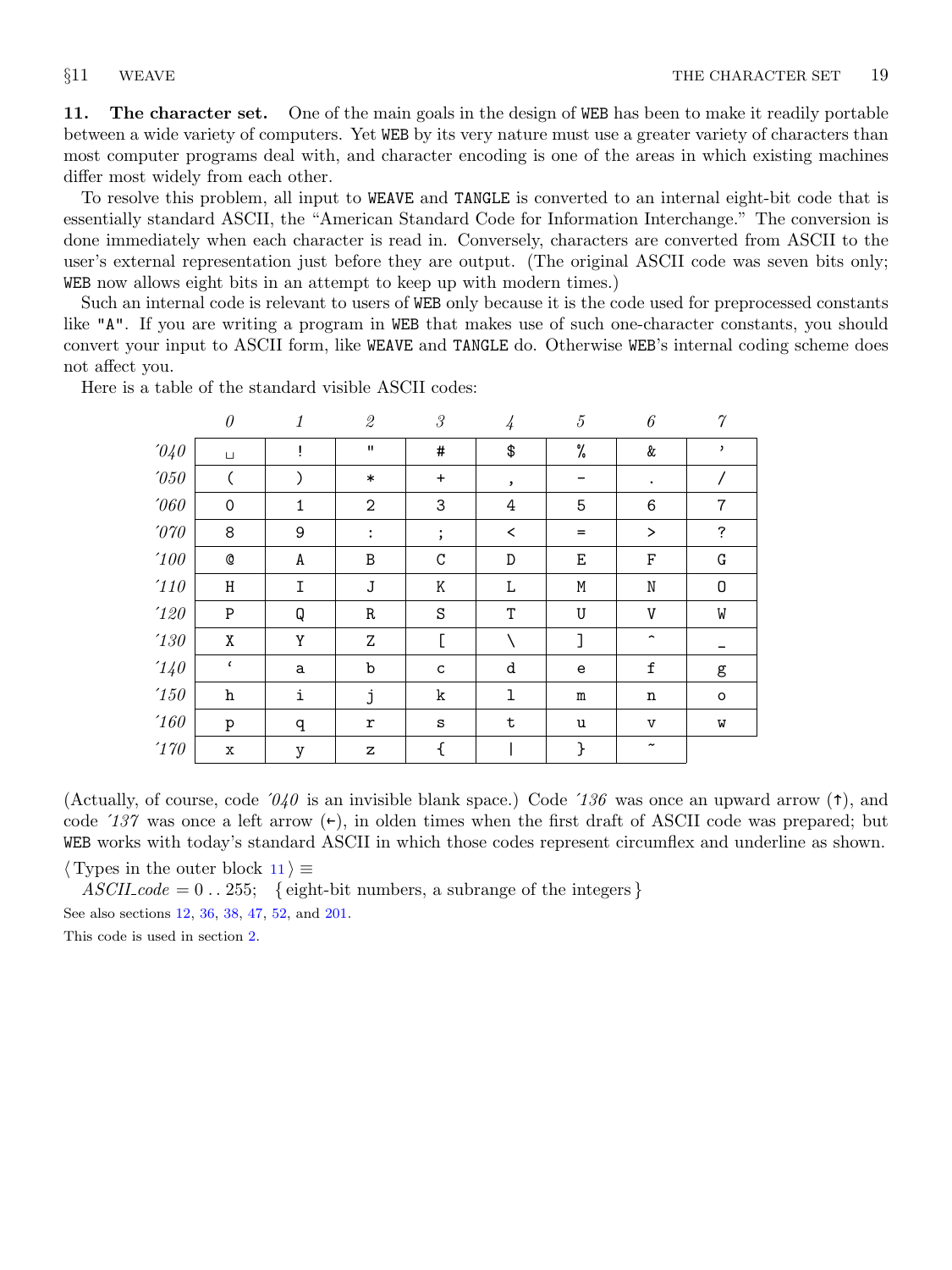<span id="page-4-0"></span>11. The character set. One of the main goals in the design of WEB has been to make it readily portable between a wide variety of computers. Yet WEB by its very nature must use a greater variety of characters than most computer programs deal with, and character encoding is one of the areas in which existing machines differ most widely from each other.

To resolve this problem, all input to WEAVE and TANGLE is converted to an internal eight-bit code that is essentially standard ASCII, the "American Standard Code for Information Interchange." The conversion is done immediately when each character is read in. Conversely, characters are converted from ASCII to the user's external representation just before they are output. (The original ASCII code was seven bits only; WEB now allows eight bits in an attempt to keep up with modern times.)

Such an internal code is relevant to users of WEB only because it is the code used for preprocessed constants like "A". If you are writing a program in WEB that makes use of such one-character constants, you should convert your input to ASCII form, like WEAVE and TANGLE do. Otherwise WEB's internal coding scheme does not affect you.

|                       | $\theta$      | 1 | $\it 2$        | 3            | $\overline{4}$ | 5         | 6                     | $\gamma$       |
|-----------------------|---------------|---|----------------|--------------|----------------|-----------|-----------------------|----------------|
| $\partial\mathcal{U}$ | $\sqcup$      | Ţ | $\mathbf H$    | #            | \$             | %         | &                     | ,              |
| $^\prime\!050$        |               | ⟩ | $\ast$         | $\ddot{}$    | ,              |           | $\bullet$             |                |
| $^\prime\!060$        | 0             | 1 | $\overline{2}$ | 3            | 4              | 5         | 6                     | $\overline{7}$ |
| $\it 070$             | 8             | 9 | $\ddot{\cdot}$ | $\vdots$     | $\,<$          | $=$       | >                     | ?              |
| $^\prime\!100$        | $\mathbb{Q}$  | A | B              | C            | D              | Ε         | F                     | G              |
| $^\prime\!110$        | Η             | I | $\bf J$        | Κ            | Г              | M         | $\rm N$               | 0              |
| $^\prime\!120$        | P             | Q | R              | S            | T              | U         | V                     | W              |
| $^\prime\!130$        | X             | Y | Z              | C            |                | J         | $\hat{\phantom{a}}$   |                |
| 140                   | $\pmb{\zeta}$ | a | b              | $\mathsf{C}$ | d              | e         | $\mathtt f$           | g              |
| $^\prime\!150$        | h             | i | j              | k            | $\mathbf{I}$   | ${\tt m}$ | $\mathbf n$           | $\circ$        |
| '160                  | p             | q | r              | S            | $\mathbf t$    | u         | $\mathbf{v}$          | W              |
| $^\prime 170$         | $\mathbf x$   | у | z              | €            |                | }         | $\tilde{\phantom{a}}$ |                |

Here is a table of the standard visible ASCII codes:

(Actually, of course, code  $\partial \mathcal{U}$  is an invisible blank space.) Code  $\partial \mathcal{U}$  was once an upward arrow ( $\uparrow$ ), and code  $137$  was once a left arrow  $(\epsilon)$ , in olden times when the first draft of ASCII code was prepared; but WEB works with today's standard ASCII in which those codes represent circumflex and underline as shown.

 $\langle$  Types in the outer block 11  $\rangle \equiv$ 

 $ASCII\_code = 0$ ...255; { eight-bit numbers, a subrange of the integers } See also sections [12](#page-5-0), [36,](#page-12-0) [38](#page-12-0), [47](#page-14-0), [52,](#page-15-0) and [201](#page-77-0).

This code is used in section [2](#page-1-0).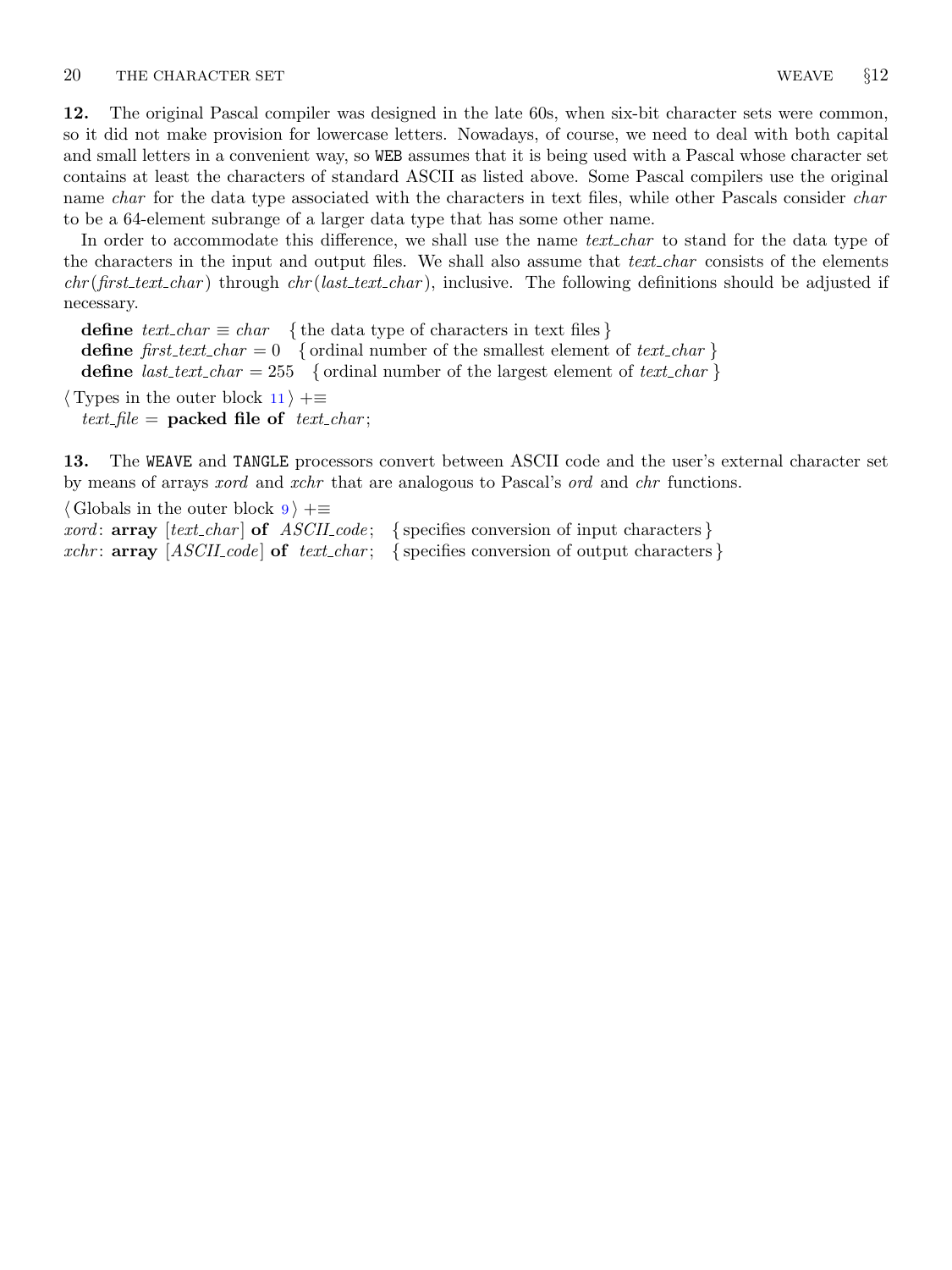<span id="page-5-0"></span>12. The original Pascal compiler was designed in the late 60s, when six-bit character sets were common, so it did not make provision for lowercase letters. Nowadays, of course, we need to deal with both capital and small letters in a convenient way, so WEB assumes that it is being used with a Pascal whose character set contains at least the characters of standard ASCII as listed above. Some Pascal compilers use the original name *char* for the data type associated with the characters in text files, while other Pascals consider *char* to be a 64-element subrange of a larger data type that has some other name.

In order to accommodate this difference, we shall use the name *text\_char* to stand for the data type of the characters in the input and output files. We shall also assume that *text\_char* consists of the elements  $chr(first.text\_char)$  through  $chr(last.text\_char)$ , inclusive. The following definitions should be adjusted if necessary.

define  $text\_char \equiv char$  { the data type of characters in text files } define first text char = 0 { ordinal number of the smallest element of text char } define *last\_text\_char* = 255 { ordinal number of the largest element of *text\_char* }  $\langle$  Types in the outer block [11](#page-4-0)  $\rangle$  + $\equiv$ 

text\_file = packed file of text\_char;

13. The WEAVE and TANGLE processors convert between ASCII code and the user's external character set by means of arrays *xord* and *xchr* that are analogous to Pascal's *ord* and *chr* functions.

| $\langle$ Globals in the outer block $9$ $\rangle + \equiv$ |                                                                                                         |
|-------------------------------------------------------------|---------------------------------------------------------------------------------------------------------|
|                                                             | <i>xord</i> : <b>array</b> [text_char] <b>of</b> ASCII_code; {specifies conversion of input characters} |
|                                                             | xchr: $array [ASCII_code]$ of $text{\_}$ ; {specifies conversion of output characters}                  |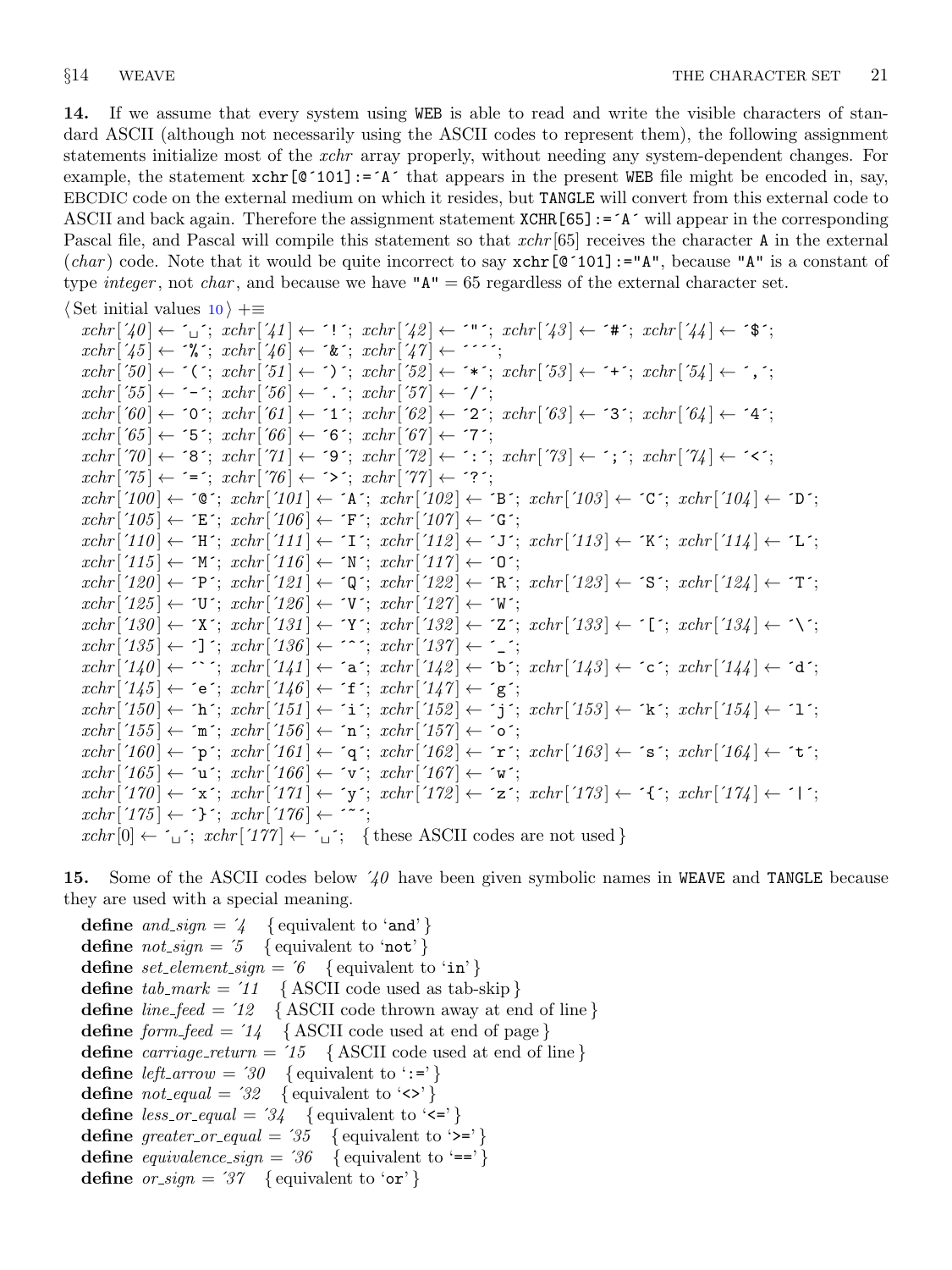<span id="page-6-0"></span>14. If we assume that every system using WEB is able to read and write the visible characters of standard ASCII (although not necessarily using the ASCII codes to represent them), the following assignment statements initialize most of the *xchr* array properly, without needing any system-dependent changes. For example, the statement  $\text{xchr}[\mathbb{Q}^{\dagger}101]:=\mathbb{A}^{\dagger}$  that appears in the present WEB file might be encoded in, say, EBCDIC code on the external medium on which it resides, but TANGLE will convert from this external code to ASCII and back again. Therefore the assignment statement XCHR[65]:=´A´ will appear in the corresponding Pascal file, and Pascal will compile this statement so that  $xchr[65]$  receives the character A in the external (char) code. Note that it would be quite incorrect to say  $xchr[@'101]:= "A",$  because "A" is a constant of type *integer*, not *char*, and because we have " $A'' = 65$  regardless of the external character set.

$$
\langle
$$
 Set initial values 10  $\rangle$  +

 $xchr\left[\left\{40\right\}\leftarrow\left\{1\right\}; xchr\left[\left\{41\right\}\leftarrow\left\{1\right\}; xchr\left[\left\{42\right\}\leftarrow\left\{1\right\}; xchr\left[\left\{43\right\}\leftarrow\left\{1\right\}; xchr\left[\left\{44\right\}\right\}\leftarrow\left\{1\right\}\right\}\right]$  $xchr['45] \leftarrow \sqrt[k]{\cdot}$ ;  $xchr['46] \leftarrow \sqrt[k]{\cdot}$ ;  $xchr['47] \leftarrow \cdots$ ;  $xchr[50] \leftarrow \checkmark$ ;  $xchr[51] \leftarrow \checkmark$ ;  $xchr[52] \leftarrow \checkmark$ ;  $xchr[53] \leftarrow \checkmark$ ;  $xchr[54] \leftarrow \checkmark$ ;  $xchr['55] \leftarrow -$ ;  $xchr['56] \leftarrow$ ;  $xchr['57] \leftarrow$ ;  $'$ ;  $xchr[60] \leftarrow 0$ ';  $xchr[61] \leftarrow 1$ ';  $xchr[62] \leftarrow 2$ ';  $xchr[63] \leftarrow 3$ ';  $xchr[64] \leftarrow 4$ ';  $xchr['65] \leftarrow 5$ ;  $xchr['66] \leftarrow 6$ ;  $xchr['67] \leftarrow 7$ ;  $xchr[70] \leftarrow$  '8';  $xchr[71] \leftarrow$  '9';  $xchr[72] \leftarrow$  ':';  $xchr[73] \leftarrow$ '; ';  $xchr[74] \leftarrow$ '';  $xchr['75] \leftarrow \{^1; xchr['76] \leftarrow^1; xchr['77] \leftarrow^1; xchr['77]$  $xchr['100] \leftarrow$   $\infty$ ;  $xchr['101] \leftarrow$   $\infty$ ;  $xchr['102] \leftarrow \infty$ ;  $xchr['103] \leftarrow \infty$ ;  $xchr['104] \leftarrow \infty$ ;  $xchr['105] \leftarrow \text{`E'}; xchr['106] \leftarrow \text{`F'}; xchr['107] \leftarrow \text{`G'};$  $xchr['110] \leftarrow \text{`H'}; xchr['111] \leftarrow \text{`I'}; xchr['112] \leftarrow \text{`J'}; xchr['113] \leftarrow \text{`K'}; xchr['114] \leftarrow \text{`L'};$  $xchr['115] \leftarrow \gamma'$ ;  $xchr['116] \leftarrow \gamma'$ ;  $xchr['117] \leftarrow \gamma'$ ;  $xchr[120] \leftarrow \text{`P'}; xchr[121] \leftarrow \text{`Q'}; xchr[122] \leftarrow \text{`R'}; xchr[123] \leftarrow \text{`S'}; xchr[124] \leftarrow \text{`T'};$  $xchr['125] \leftarrow \text{`U'}$ ;  $xchr['126] \leftarrow \text{`V'}$ ;  $xchr['127] \leftarrow \text{`W'}$ ;  $xchr['130] \leftarrow \text{`X'}; xchr['131] \leftarrow \text{`Y'}; xchr['132] \leftarrow \text{`Z'}; xchr['133] \leftarrow \text{`C'}; xchr['134] \leftarrow \text{`V'};$  $xchr['135] \leftarrow$  '];  $xchr['136] \leftarrow$  '^';  $xchr['137] \leftarrow$  '\_';  $xchr[140] \leftarrow \cdots$ ;  $xchr[141] \leftarrow a$ ;  $xchr[142] \leftarrow b$ ;  $xchr[143] \leftarrow c$ ;  $xchr[144] \leftarrow d$ ;  $xchr['145] \leftarrow \text{`e'}; xchr['146] \leftarrow \text{`f'}; xchr['147] \leftarrow \text{`g'};$  $xchr['150] \leftarrow \text{`h'}; xchr['151] \leftarrow \text{`i'}; xchr['152] \leftarrow \text{`j'}; xchr['153] \leftarrow \text{`k'}; xchr['154] \leftarrow \text{`1'};$  $xchr['155] \leftarrow \text{`m'}; xchr['156] \leftarrow \text{`n'}; xchr['157] \leftarrow \text{`o'};$  $xchr[160] \leftarrow \text{`p'}; xchr[161] \leftarrow \text{`q'}; xchr[162] \leftarrow \text{`r'}; xchr[163] \leftarrow \text{`s'}; xchr[164] \leftarrow \text{`t'};$  $xchr['165] \leftarrow \text{`u'}; xchr['166] \leftarrow \text{`v'}; xchr['167] \leftarrow \text{`w'};$  $xchr['170] \leftarrow x$ ;  $xchr['171] \leftarrow y$ ;  $xchr['172] \leftarrow z$ ;  $xchr['173] \leftarrow \{x; xchr['174] \leftarrow 1$ ;  $xchr['175] \leftarrow {\text{```}}; xchr['176] \leftarrow {\text{````}};$  $xchr[0] \leftarrow \iota : xchr[177] \leftarrow \iota :$  {these ASCII codes are not used}

15. Some of the ASCII codes below  $40$  have been given symbolic names in WEAVE and TANGLE because they are used with a special meaning.

define and  $sign = 4$  { equivalent to 'and' } **define**  $not\_sign = 5 \{$  equivalent to 'not'  $\}$ define set element sign =  $6 \{$  equivalent to 'in' } define  $tab\_mark = 11$  { ASCII code used as tab-skip } define *line\_feed* =  $12$  { ASCII code thrown away at end of line } define  $form\_feed = 74$  { ASCII code used at end of page } define carriage\_return =  $'15$  {ASCII code used at end of line} define left\_arrow = '30 { equivalent to ':='} define  $not\text{-}equal = 32$  { equivalent to '<>' } define  $less\_or\_equal = 34$  { equivalent to ' $\leq$ '} define greater\_or\_equal = '35 { equivalent to '>='} define equivalence sign =  $36 \{$  equivalent to '==' } define  $\text{or}\,\text{-}\text{sign} = 37$  { equivalent to 'or' }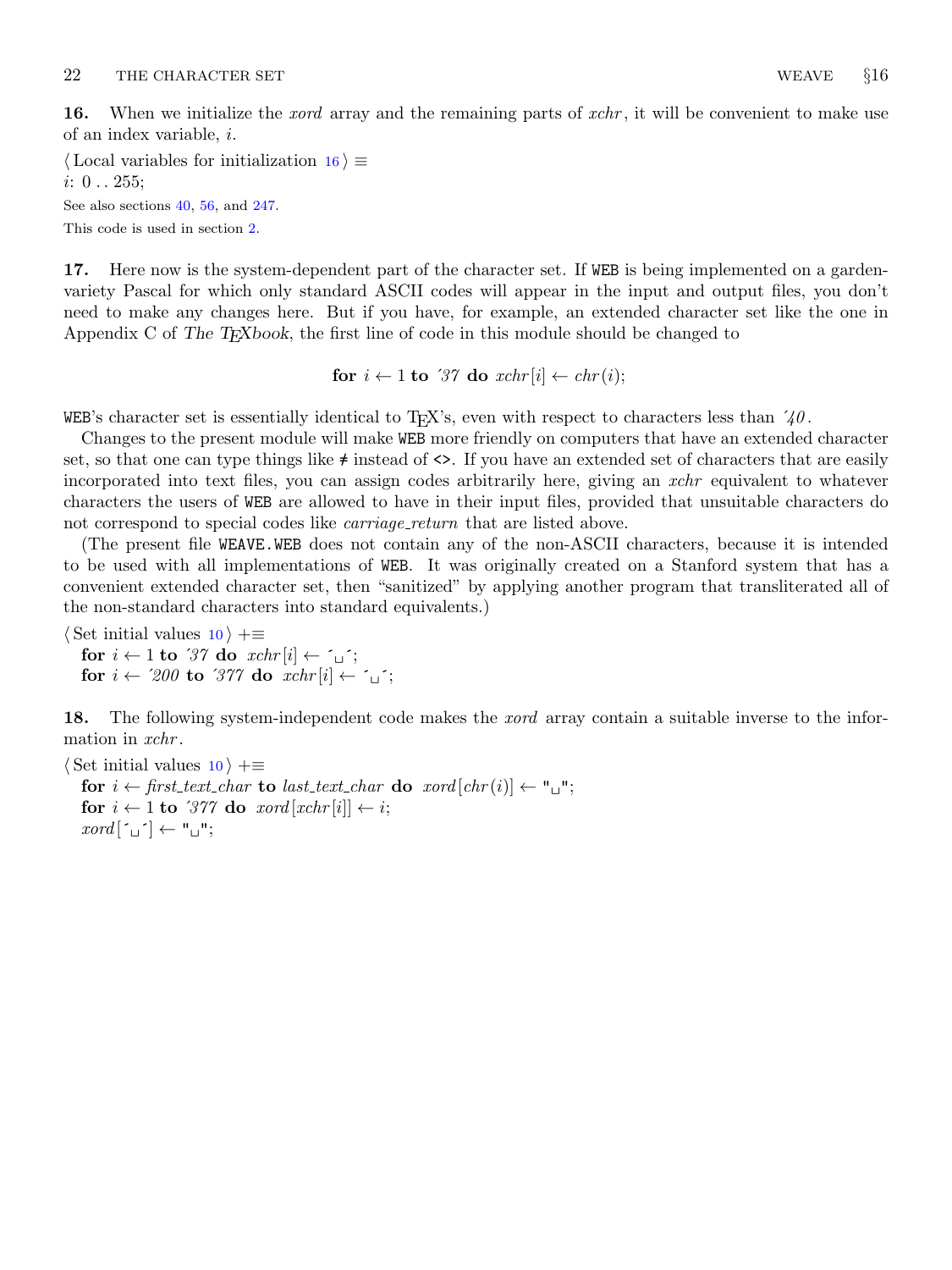<span id="page-7-0"></span>16. When we initialize the *xord* array and the remaining parts of *xchr*, it will be convenient to make use of an index variable, i.

 $\langle$  Local variables for initialization 16 $\rangle \equiv$  $i: 0 \ldots 255;$ See also sections [40](#page-12-0), [56,](#page-17-0) and [247](#page-92-0).

This code is used in section [2](#page-1-0).

17. Here now is the system-dependent part of the character set. If WEB is being implemented on a gardenvariety Pascal for which only standard ASCII codes will appear in the input and output files, you don't need to make any changes here. But if you have, for example, an extended character set like the one in Appendix C of The T<sub>E</sub>Xbook, the first line of code in this module should be changed to

for  $i \leftarrow 1$  to '37 do  $xchr[i] \leftarrow chr(i);$ 

WEB's character set is essentially identical to T<sub>E</sub>X's, even with respect to characters less than  $40$ .

Changes to the present module will make WEB more friendly on computers that have an extended character set, so that one can type things like  $\neq$  instead of  $\lt\gt$ . If you have an extended set of characters that are easily incorporated into text files, you can assign codes arbitrarily here, giving an xchr equivalent to whatever characters the users of WEB are allowed to have in their input files, provided that unsuitable characters do not correspond to special codes like *carriage\_return* that are listed above.

(The present file WEAVE.WEB does not contain any of the non-ASCII characters, because it is intended to be used with all implementations of WEB. It was originally created on a Stanford system that has a convenient extended character set, then "sanitized" by applying another program that transliterated all of the non-standard characters into standard equivalents.)

 $\langle$  Set initial values [10](#page-3-0)  $\rangle$  +≡ for  $i \leftarrow 1$  to '37 do  $xchr[i] \leftarrow \gamma$ ; for  $i \leftarrow 200$  to '377 do  $xchr[i] \leftarrow \gamma$ ;

18. The following system-independent code makes the *xord* array contain a suitable inverse to the information in *xchr*.

 $\langle$  Set initial values [10](#page-3-0)  $\rangle$  +≡ for  $i \leftarrow$  first\_text\_char to last\_text\_char do xord  $[chr(i)] \leftarrow "\sqcup"$ ; for  $i \leftarrow 1$  to '377 do xord  $[xchr[i]] \leftarrow i$ ;  $\mathit{zord}[\ulcorner\!\sqcup\!\urcorner] \leftarrow "\sqcup"$ ;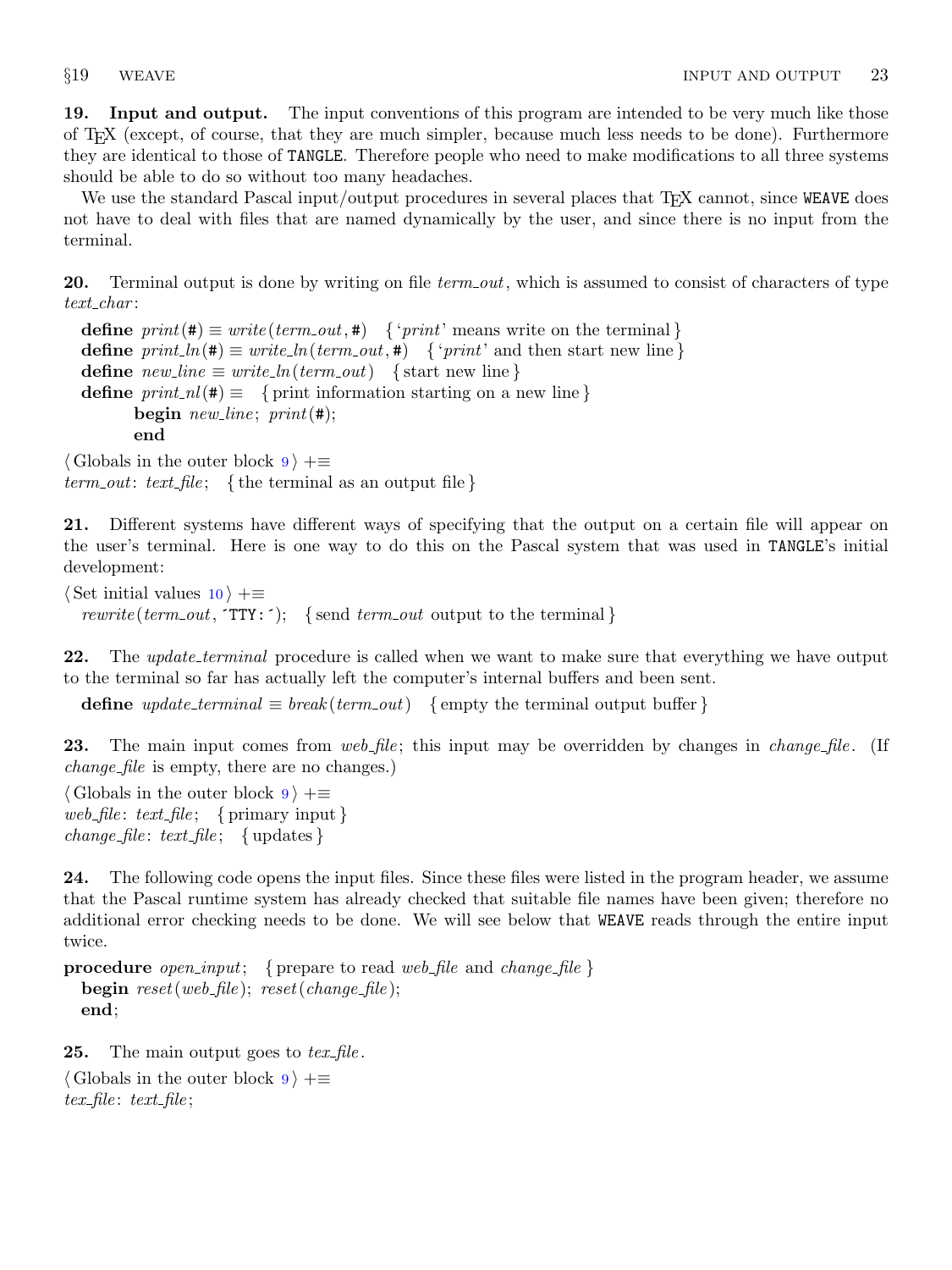<span id="page-8-0"></span>19. Input and output. The input conventions of this program are intended to be very much like those of TEX (except, of course, that they are much simpler, because much less needs to be done). Furthermore they are identical to those of TANGLE. Therefore people who need to make modifications to all three systems should be able to do so without too many headaches.

We use the standard Pascal input/output procedures in several places that TFX cannot, since WEAVE does not have to deal with files that are named dynamically by the user, and since there is no input from the terminal.

**20.** Terminal output is done by writing on file term out, which is assumed to consist of characters of type  $text_{.char}$ :

**define**  $print(\textbf{\#}) \equiv write(term\_out, \textbf{\#})$  { '*print*' means write on the terminal } **define**  $print\_ln(\texttt{\#}) \equiv write\_ln(term\_out, \texttt{\#})$  { 'print' and then start new line } define  $new\_line \equiv write\_ln(term\_out)$  { start new line } define  $print\_nl(\#) \equiv \{$  print information starting on a new line } begin new line;  $print(\#);$ end

 $\langle$  Globals in the outer block [9](#page-3-0)  $\rangle$  +=  $term\_out: text_{file};$  {the terminal as an output file}

21. Different systems have different ways of specifying that the output on a certain file will appear on the user's terminal. Here is one way to do this on the Pascal system that was used in TANGLE's initial development:

 $\langle$  Set initial values [10](#page-3-0)  $\rangle$  +≡ rewrite (term\_out,  $TTY:$ ); {send term\_out output to the terminal}

22. The update\_terminal procedure is called when we want to make sure that everything we have output to the terminal so far has actually left the computer's internal buffers and been sent.

define  $update\_terminal \equiv break(term.out)$  {empty the terminal output buffer }

23. The main input comes from web file; this input may be overridden by changes in *change* file. (If change file is empty, there are no changes.)

 $\langle$  Globals in the outer block  $9$   $\rangle$  +≡ web file: text file; { primary input }  $change$ -file: text-file; { updates }

24. The following code opens the input files. Since these files were listed in the program header, we assume that the Pascal runtime system has already checked that suitable file names have been given; therefore no additional error checking needs to be done. We will see below that WEAVE reads through the entire input twice.

```
procedure open_input; { prepare to read web_file and change_file }
  begin reset(web_file); reset(change_file);
  end;
```
**25.** The main output goes to  $text\_file$ .

 $\langle$  Globals in the outer block [9](#page-3-0)  $\rangle$  + $\equiv$  $text_{file}: text_{file}:$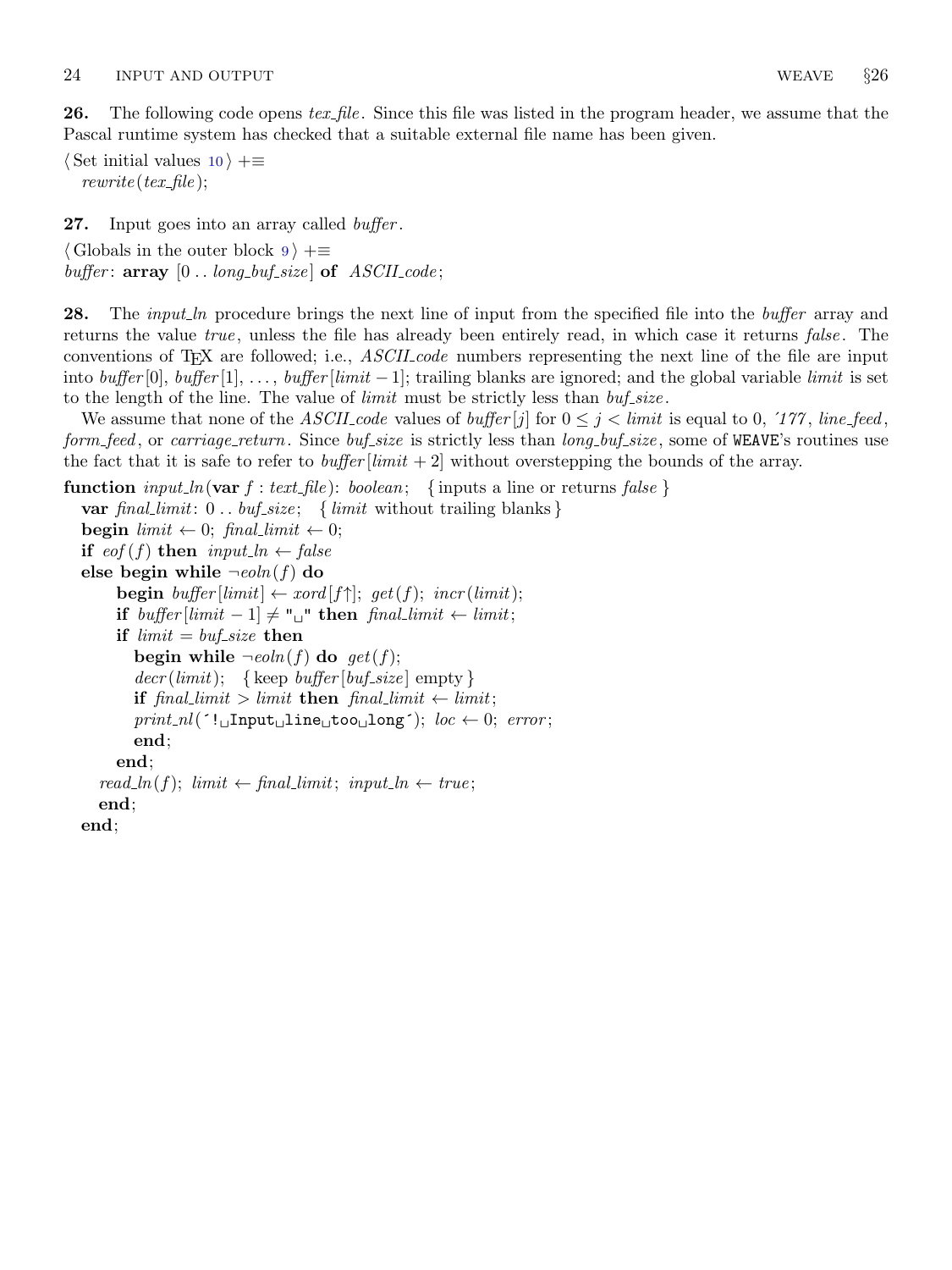<span id="page-9-0"></span>**26.** The following code opens tex-file. Since this file was listed in the program header, we assume that the Pascal runtime system has checked that a suitable external file name has been given.

 $\langle$  Set initial values [10](#page-3-0)  $\rangle$  +≡  $rewrite(text$ ;

27. Input goes into an array called *buffer*.

 $\langle$  Globals in the outer block  $9 \rangle + \equiv$  $9 \rangle + \equiv$ buffer:  $array [0..long_buf_size]$  of  $ASCII_code;$ 

28. The *input ln* procedure brings the next line of input from the specified file into the *buffer* array and returns the value true, unless the file has already been entirely read, in which case it returns false. The conventions of T<sub>E</sub>X are followed; i.e., *ASCII code* numbers representing the next line of the file are input into  $buffer[0], buffer[1], ..., buffer[limit -1]$ ; trailing blanks are ignored; and the global variable limit is set to the length of the line. The value of *limit* must be strictly less than  $buf\_size$ .

We assume that none of the ASCII code values of buffer  $|j|$  for  $0 \leq j \leq l$  imit is equal to 0, '177, line feed, form feed, or carriage return. Since buf size is strictly less than long buf size, some of WEAVE's routines use the fact that it is safe to refer to *buffer*  $\lim_{x \to a} t + 2$  without overstepping the bounds of the array.

```
function input ln(var f : text file): boolean; { inputs a line or returns false }
  var final limit: 0.. buf size; { limit without trailing blanks}
  begin limit \leftarrow 0; final limit \leftarrow 0;
  if \operatorname{cof}(f) then input_ln \leftarrow false
  else begin while \neg \text{e} \text{o} \ln(f) do
        begin buffer \left[limit\right] \leftarrow x \text{ord}[f\uparrow]; get(f); incr(limit);
        if buffer |limit - 1| \neq "\sqcup" then final_limit ← limit;
        if limit = but\_size then
           begin while \negeoln(f) do get(f);
           decr (limit); {keep buffer [buf_size] empty }
           if final limit > limit then final limit \leftarrow limit;
           print\_nl(': Input line too long'); loc \leftarrow 0; error;
           end;
        end;
     read\_ln(f); limit \leftarrow final\_limit; input ln \leftarrow true;end;
  end;
```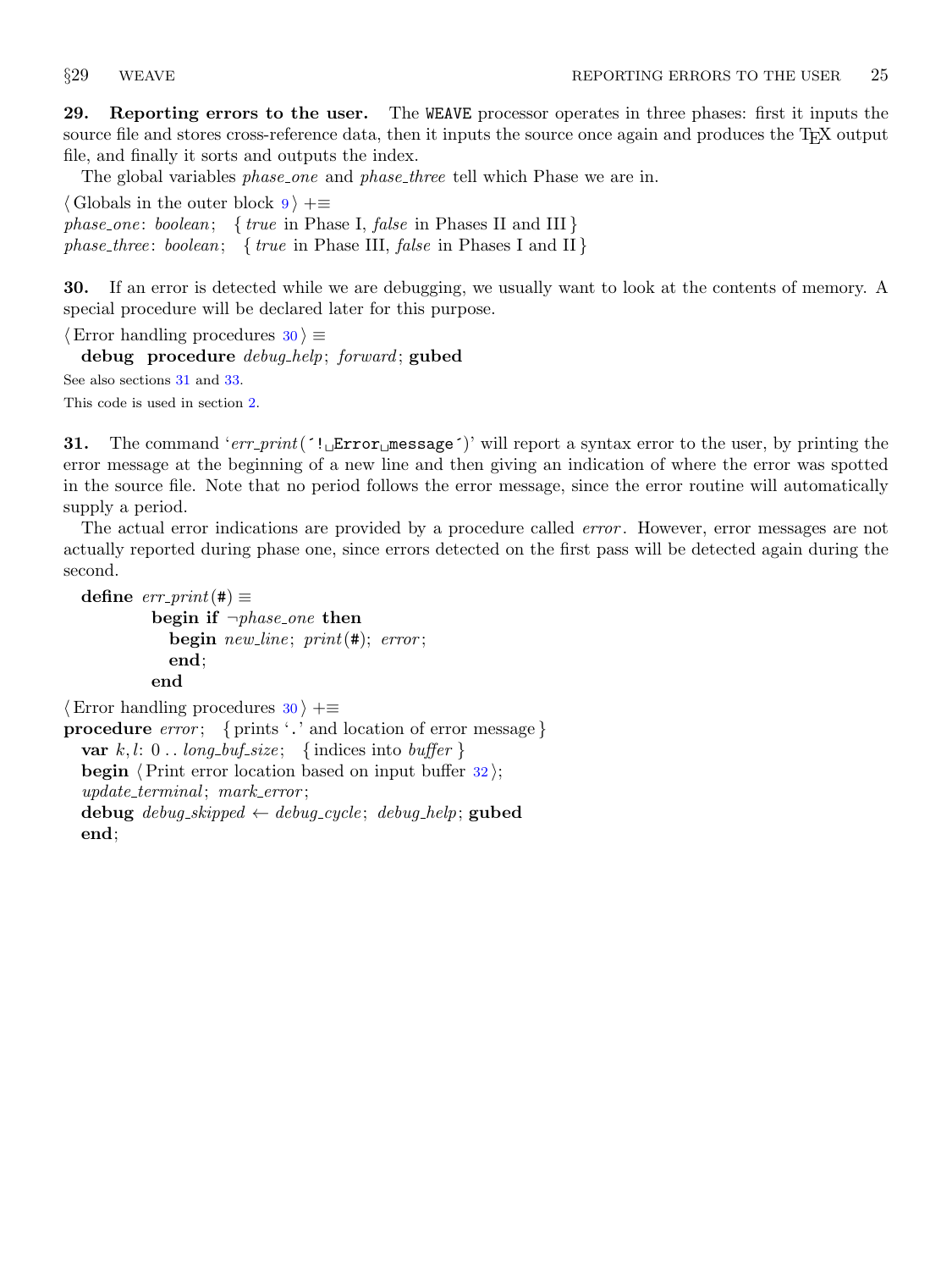<span id="page-10-0"></span>29. Reporting errors to the user. The WEAVE processor operates in three phases: first it inputs the source file and stores cross-reference data, then it inputs the source once again and produces the T<sub>EX</sub> output file, and finally it sorts and outputs the index.

The global variables *phase\_one* and *phase\_three* tell which Phase we are in.

 $\langle$  Globals in the outer block [9](#page-3-0)  $\rangle$  +≡ phase\_one: boolean; { true in Phase I, false in Phases II and III} phase\_three: boolean; { true in Phase III, false in Phases I and II}

30. If an error is detected while we are debugging, we usually want to look at the contents of memory. A special procedure will be declared later for this purpose.

```
\langle Error handling procedures 30 \rangle \equivdebug procedure debug_help; forward; gubed
See also sections 31 and 33.
This code is used in section 2.
```
**31.** The command 'err-print( $'! \text{LError}_{\text{m}}$ essage')' will report a syntax error to the user, by printing the error message at the beginning of a new line and then giving an indication of where the error was spotted in the source file. Note that no period follows the error message, since the error routine will automatically supply a period.

The actual error indications are provided by a procedure called *error*. However, error messages are not actually reported during phase one, since errors detected on the first pass will be detected again during the second.

```
define err\_print(#) \equivbegin if \neg phase\_\none then
            begin new\_line; print(\#); error;
            end;
          end
```

```
\langle Error handling procedures 30 \rangle +\equivprocedure error; { prints '.' and location of error message }
  var k, l: 0... long_buf_size; {indices into buffer }
  begin \langle Print error location based on input buffer 32;
  update\_terminal; mark\_error;debug \text{debug\_skipped} \leftarrow \text{debug\_cycle}; \text{ debug\_help}; gubed
  end;
```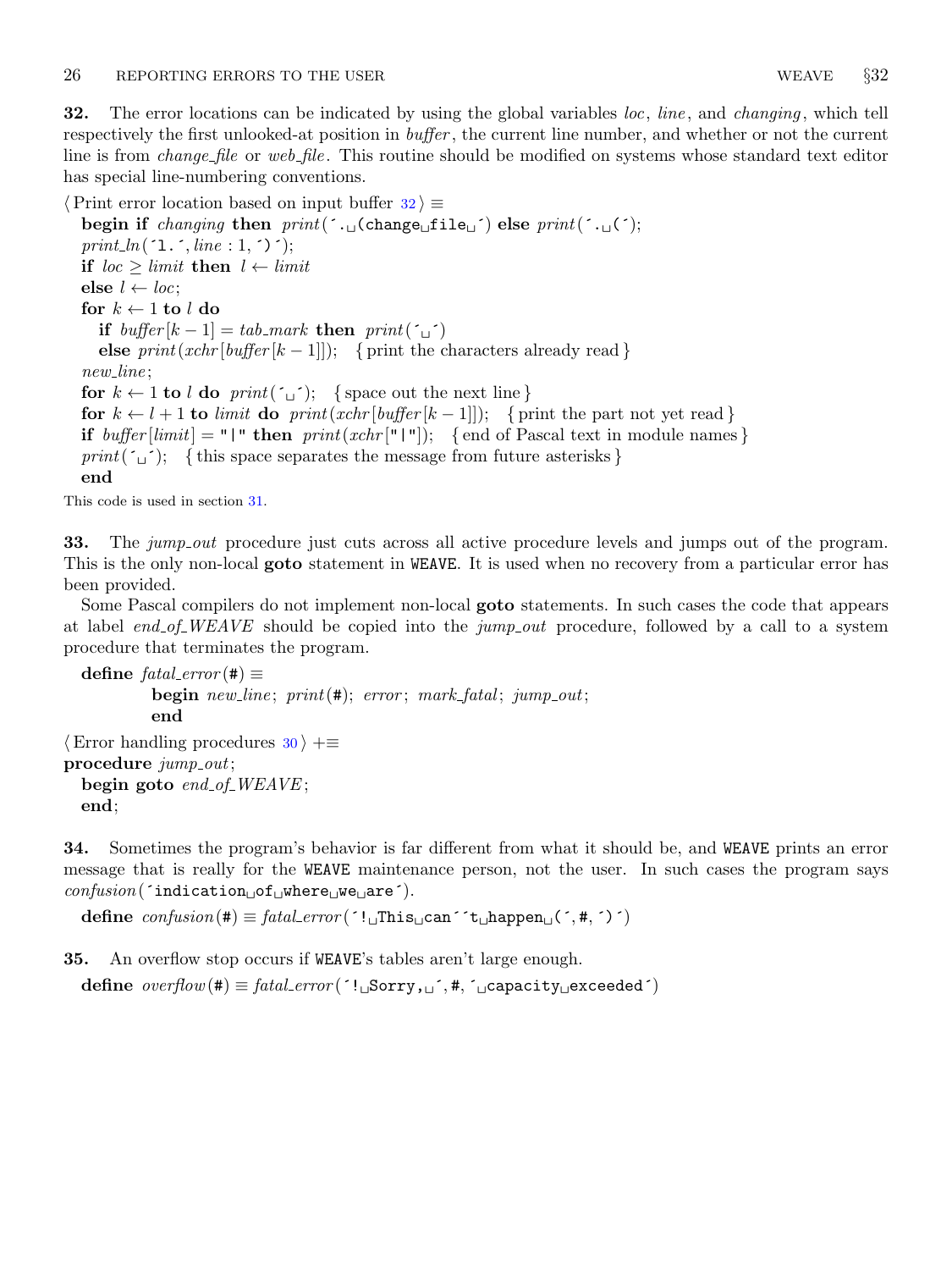<span id="page-11-0"></span>32. The error locations can be indicated by using the global variables  $loc$ , line, and changing, which tell respectively the first unlooked-at position in buffer , the current line number, and whether or not the current line is from *change-file* or web-*file*. This routine should be modified on systems whose standard text editor has special line-numbering conventions.

 $\langle$  Print error location based on input buffer  $32 \rangle \equiv$ 

begin if changing then  $print(\cdot, \text{diag}(char \text{diag}(time))$  else  $print(\cdot, \text{diag}(c))$ ;  $print\_ln($  ^1.  $\cdot$ , line : 1,  $\cdot$ ) $\cdot$ ); if  $loc \geq limit$  then  $l \leftarrow limit$ else  $l \leftarrow loc;$ for  $k \leftarrow 1$  to  $l$  do if  $buffer[k-1] = tab\_mark$  then  $print('_1')$ else  $print(xchr[buffer[k-1]]);$  { print the characters already read } new\_line; for  $k \leftarrow 1$  to l do print( $\Delta$ ); {space out the next line} for  $k \leftarrow l + 1$  to limit do print(xchr[buffer[k - 1]]); { print the part not yet read } if  $buffer[limit] = "|"$  then  $print(xchr["|"|))$ ; {end of Pascal text in module names} print( $\omega$ ); { this space separates the message from future asterisks } end

This code is used in section [31](#page-10-0).

33. The jump out procedure just cuts across all active procedure levels and jumps out of the program. This is the only non-local **goto** statement in WEAVE. It is used when no recovery from a particular error has been provided.

Some Pascal compilers do not implement non-local goto statements. In such cases the code that appears at label end of WEAVE should be copied into the jump out procedure, followed by a call to a system procedure that terminates the program.

```
define \text{fatal_error}(\#) \equivbegin new line; print(\#); error; mark fatal; jump out;
          end
\langle30 \rangle +≡
procedure jump\_out;begin goto end of WEAVE;
 end;
```
34. Sometimes the program's behavior is far different from what it should be, and WEAVE prints an error message that is really for the WEAVE maintenance person, not the user. In such cases the program says  $\mathit{confusion}(\text{'indication\_of\_where\_we\_are'})$ .

define  $confusion(\#) \equiv fatal_error('!\_IThis\_\text{can}'`t\_\text{happen}\_\text{(},\#,\`)')$ 

35. An overflow stop occurs if WEAVE's tables aren't large enough.

define  $overflow(\#) \equiv \text{fatal_error}(\{^\prime\}, \text{Sory}, \text{a}^\prime, \#, \{^\prime\}, \text{capacity}_\text{u} \text{exceeded}^\prime)$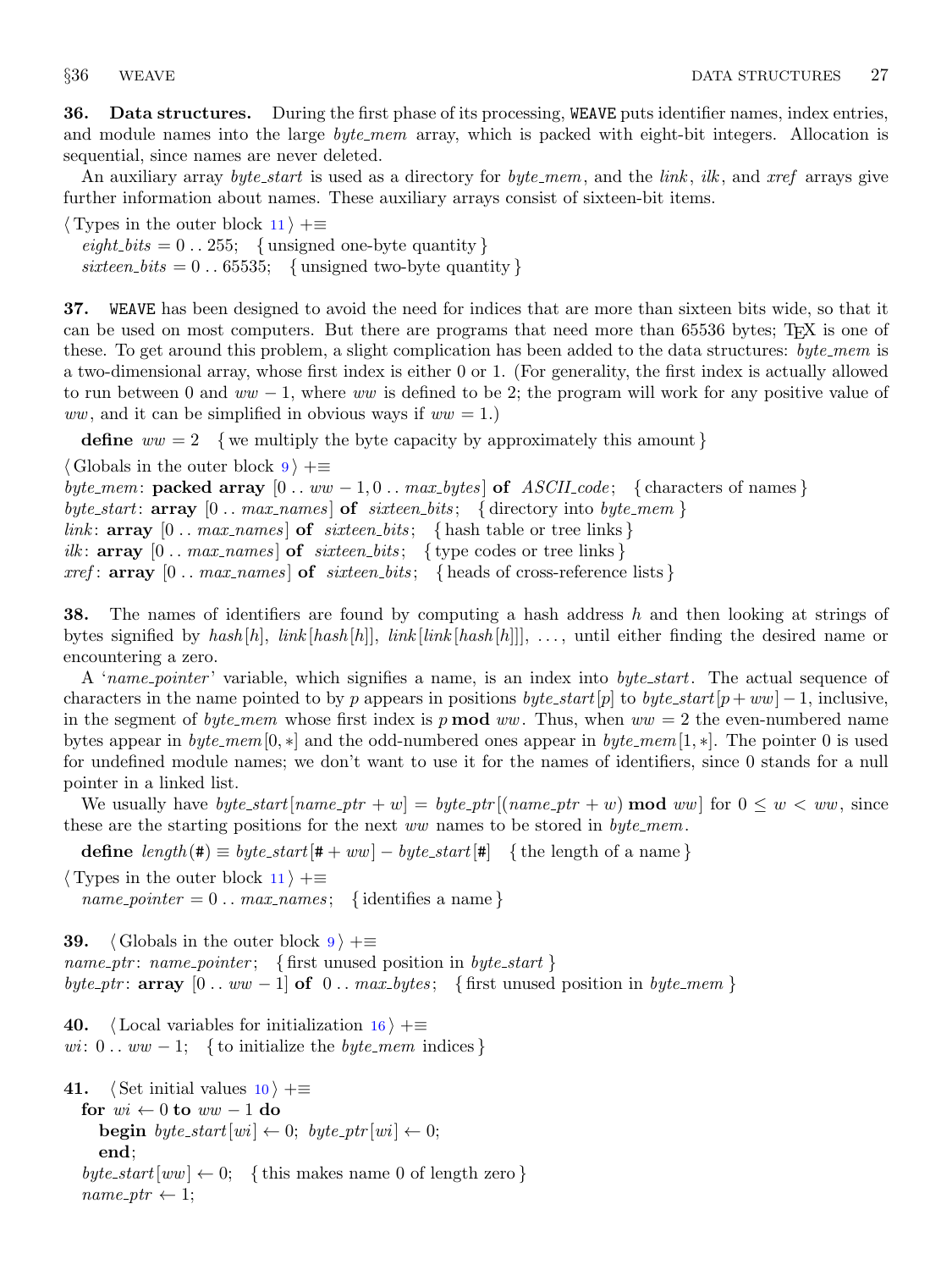<span id="page-12-0"></span>36. Data structures. During the first phase of its processing, WEAVE puts identifier names, index entries, and module names into the large *byte\_mem* array, which is packed with eight-bit integers. Allocation is sequential, since names are never deleted.

An auxiliary array byte\_start is used as a directory for byte\_mem, and the link, ilk, and xref arrays give further information about names. These auxiliary arrays consist of sixteen-bit items.

 $\langle$  Types in the outer block [11](#page-4-0)  $\rangle$  +=  $\text{eight\_bits} = 0 \dots 255; \text{ { unsigned one-byte quantity }}$ sixteen\_bits =  $0 \dots 65535$ ; {unsigned two-byte quantity}

37. WEAVE has been designed to avoid the need for indices that are more than sixteen bits wide, so that it can be used on most computers. But there are programs that need more than 65536 bytes; T<sub>E</sub>X is one of these. To get around this problem, a slight complication has been added to the data structures: byte mem is a two-dimensional array, whose first index is either 0 or 1. (For generality, the first index is actually allowed to run between 0 and  $ww - 1$ , where ww is defined to be 2; the program will work for any positive value of ww, and it can be simplified in obvious ways if  $ww = 1$ .

define  $ww = 2$  {we multiply the byte capacity by approximately this amount }

 $\langle$  Globals in the outer block [9](#page-3-0)  $\rangle$  +=

byte\_mem: packed array  $[0 \dots ww - 1, 0 \dots max_bytes]$  of ASCII\_code; {characters of names} byte\_start:  $array \t[0.3em]$  [0 . . max\_names] of sixteen\_bits; {directory into byte\_mem} link:  $array \n\{0.. \nmax\_names\}$  of sixteen bits; { hash table or tree links} ilk:  $array [0..max\_names]$  of  $s$ ixteen bits; { type codes or tree links } xref:  $array [0.. max-names]$  of sixteen bits; { heads of cross-reference lists }

**38.** The names of identifiers are found by computing a hash address h and then looking at strings of bytes signified by hash  $[h]$ , link  $[hash[h]]$ , link  $[link[hash[h]]]$ , ..., until either finding the desired name or encountering a zero.

A 'name pointer' variable, which signifies a name, is an index into byte start. The actual sequence of characters in the name pointed to by p appears in positions byte\_start[p] to byte\_start[p+ww] – 1, inclusive, in the segment of byte mem whose first index is p **mod** ww. Thus, when  $ww = 2$  the even-numbered name bytes appear in byte\_mem[0,  $*$ ] and the odd-numbered ones appear in byte\_mem[1,  $*$ ]. The pointer 0 is used for undefined module names; we don't want to use it for the names of identifiers, since 0 stands for a null pointer in a linked list.

We usually have  $byte\_start(name\_ptr + w] = byte\_ptr((name\_ptr + w) \mod ww)$  for  $0 \leq w < ww$ , since these are the starting positions for the next ww names to be stored in  $byte\_mem$ .

define  $length(\#) \equiv byte\_start[\# + ww] - byte\_start[\#]$  {the length of a name}

 $\langle$  Types in the outer block [11](#page-4-0)  $\rangle$  +≡

 $name\_ pointer = 0 \dots max\_names; \{ identities a name\}$ 

**3[9](#page-3-0).**  $\langle$  Globals in the outer block  $9 \rangle + \equiv$ name\_ptr: name\_pointer; { first unused position in byte\_start } byte\_ptr:  $array [0..ww-1]$  of  $0..max_b$  { first unused position in byte\_mem }

40. (Local variables for initialization  $16$ ) +≡ wi:  $0 \ldots ww - 1$ ; { to initialize the *byte\_mem* indices }

41.  $\langle$  Set initial values [10](#page-3-0)  $\rangle$  +≡ for  $wi \leftarrow 0$  to  $ww - 1$  do **begin** byte\_start[wi]  $\leftarrow 0$ ; byte\_ptr[wi]  $\leftarrow 0$ ; end; byte\_start  $[ww] \leftarrow 0; \{ this makes name 0 of length zero \}$  $name\_ptr \leftarrow 1;$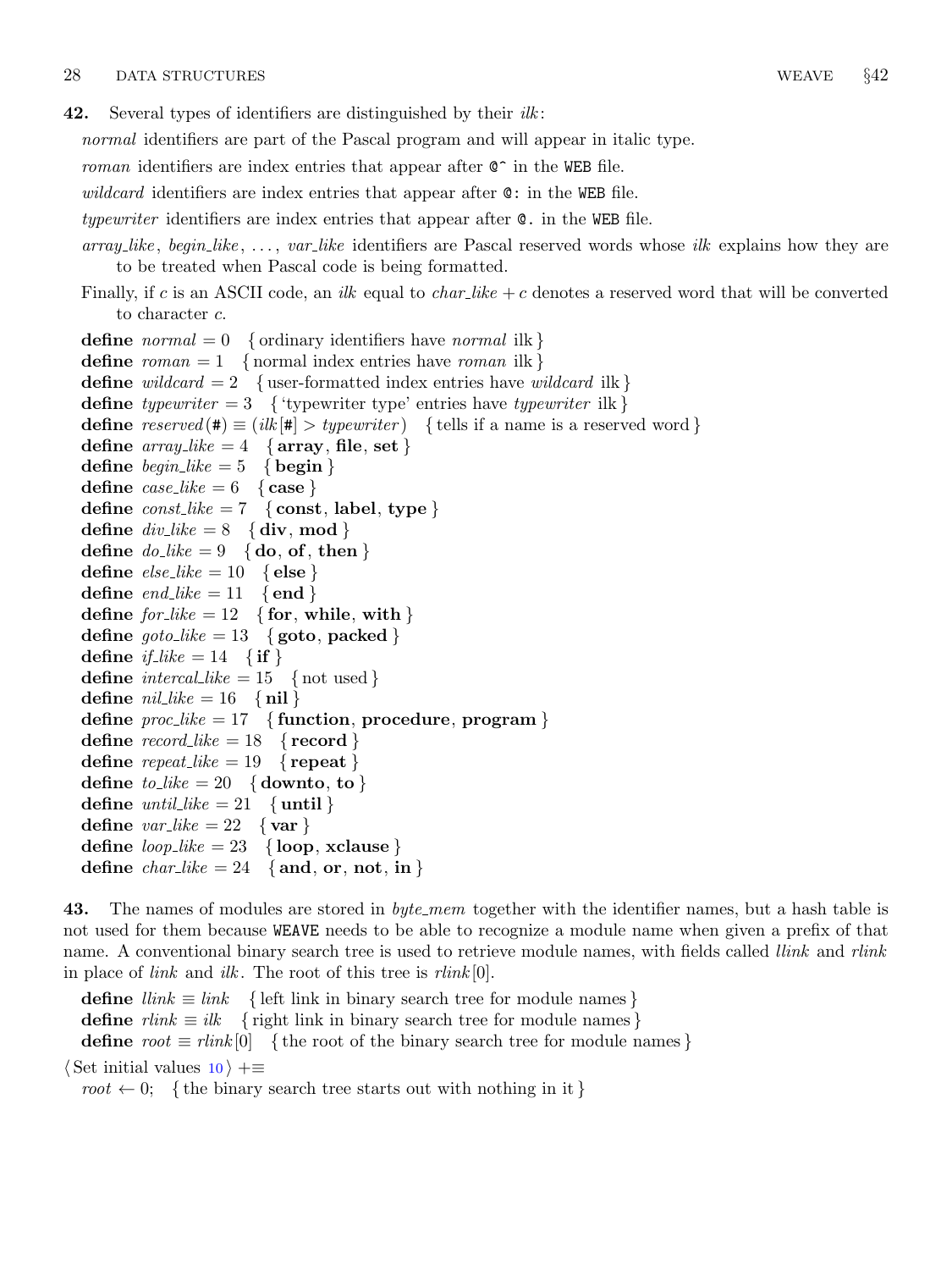<span id="page-13-0"></span>**42.** Several types of identifiers are distinguished by their  $ilk$ :

normal identifiers are part of the Pascal program and will appear in italic type.

roman identifiers are index entries that appear after  $C^{\sim}$  in the WEB file.

wildcard identifiers are index entries that appear after  $\mathbf{C}$ : in the WEB file.

typewriter identifiers are index entries that appear after @. in the WEB file.

 $array$ ,  $like$ ,  $begin, i.e.,$   $var\_like$  identifiers are Pascal reserved words whose *ilk* explains how they are to be treated when Pascal code is being formatted.

Finally, if c is an ASCII code, an *ilk* equal to  $char\_{like} + c$  denotes a reserved word that will be converted to character c.

define normal  $= 0$  { ordinary identifiers have normal ilk } define  $roman = 1$  { normal index entries have *roman* ilk } define wildcard  $= 2$  { user-formatted index entries have wildcard ilk } define typewriter = 3 { 'typewriter type' entries have typewriter ilk } **define** reserved (#)  $\equiv$  (ilk [#] > typewriter) { tells if a name is a reserved word } define  $array\_like = 4$  { $array, file, set$ } define  $begin{cases} height = 5 \\ height \end{cases}$ define  $case\_like = 6$  { case } define  $const\_like = 7$  { const, label, type } define  $div\_{like} = 8 \{ \text{div}, \text{mod} \}$ define  $do\_like = 9 \{ do, of, then \}$ define  $else\_like = 10 \{else\}$ define  $end_{like} = 11 \{end}$ define  $\text{for\_like} = 12 \quad \{\textbf{for}, \textbf{while}, \textbf{with}\}$ define  $\text{goto\_like} = 13 \{ \text{goto}, \text{packet} \}$ define  $if\_like = 14 \{if\}$ define  $\text{intercal-like} = 15$  { not used } define  $nil\_like = 16 \{nil\}$ define  $proc\_like = 17$  {function, procedure, program } define  $record\_like = 18$  {record } define  $repeat\_like = 19$  {repeat} define  $to$ -like = 20 { downto, to } define *until\_like* = 21 { until } define  $var\_like = 22 \{ var\}$ define  $loop\_like = 23$  {loop, xclause} define  $char\_like = 24$  {and, or, not, in }

43. The names of modules are stored in *byte\_mem* together with the identifier names, but a hash table is not used for them because WEAVE needs to be able to recognize a module name when given a prefix of that name. A conventional binary search tree is used to retrieve module names, with fields called *llink* and *rlink* in place of *link* and *ilk*. The root of this tree is  $\text{rlink}[0]$ .

**define**  $\text{link} \equiv \text{link}$  { left link in binary search tree for module names } **define**  $rlink \equiv ilk$  { right link in binary search tree for module names } define  $root \equiv rlink[0]$  {the root of the binary search tree for module names}  $\langle$  Set initial values [10](#page-3-0)  $\rangle$  +≡ root  $\leftarrow 0$ ; {the binary search tree starts out with nothing in it}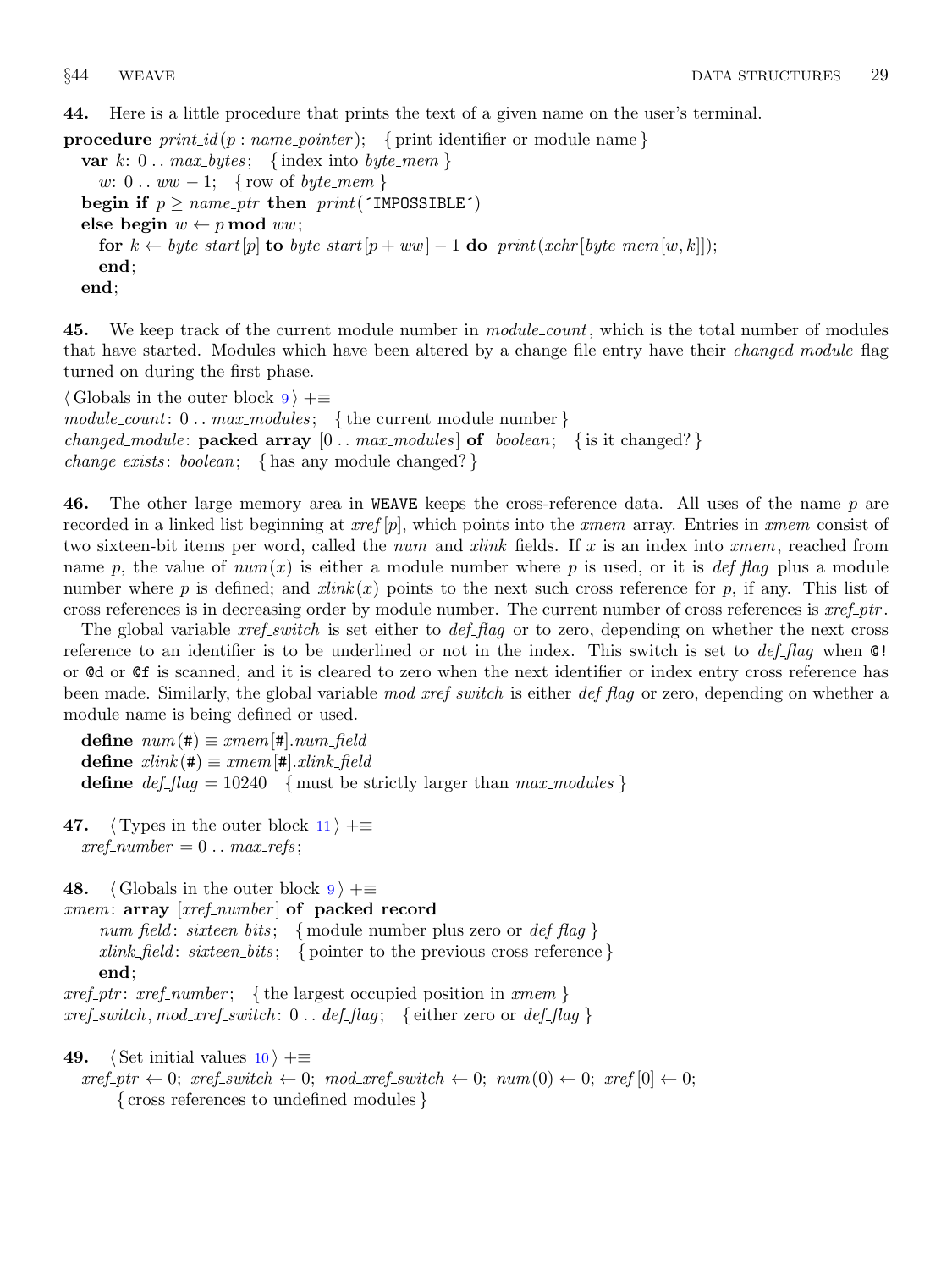<span id="page-14-0"></span>44. Here is a little procedure that prints the text of a given name on the user's terminal.

**procedure**  $print_id(p : name\_pointer);$  { print identifier or module name}

var  $k: 0$ ...  $max_b \, y \, t \in \{ \text{index into } byte\_mem \}$ w:  $0 \ldots ww - 1$ ; { row of *byte\_mem* } begin if  $p \geq name\_ptr$  then  $print('IMPOSSIBLE')$ else begin  $w \leftarrow p \mod{ww}$ ; for  $k \leftarrow byte\_start[p]$  to byte\_start $[p + ww] - 1$  do print(xchr[byte\_mem[w, k]]); end; end;

45. We keep track of the current module number in *module\_count*, which is the total number of modules that have started. Modules which have been altered by a change file entry have their *changed module* flag turned on during the first phase.

 $\langle$  Globals in the outer block  $9 \rangle + \equiv$  $9 \rangle + \equiv$  $module\_count: 0 \dots max\_modules; \{ the current module number \}$ changed module: **packed array**  $[0 \t{.} \t{max_{modules}}]$  of boolean; { is it changed?} *change\_exists: boolean*; { has any module changed?}

46. The other large memory area in WEAVE keeps the cross-reference data. All uses of the name  $p$  are recorded in a linked list beginning at  $\mathit{xref}[p]$ , which points into the  $\mathit{xmem}$  array. Entries in  $\mathit{xmem}$  consist of two sixteen-bit items per word, called the *num* and *xlink* fields. If x is an index into xmem, reached from name p, the value of  $num(x)$  is either a module number where p is used, or it is def-flag plus a module number where p is defined; and  $xlink(x)$  points to the next such cross reference for p, if any. This list of cross references is in decreasing order by module number. The current number of cross references is  $xref_{\text{p}}/tr$ .

The global variable *xref\_switch* is set either to *def\_flag* or to zero, depending on whether the next cross reference to an identifier is to be underlined or not in the index. This switch is set to  $def\_flag$  when  $\mathbb{Q}!$ or @d or @f is scanned, and it is cleared to zero when the next identifier or index entry cross reference has been made. Similarly, the global variable mod\_xref\_switch is either def\_flag or zero, depending on whether a module name is being defined or used.

define  $num(\#) \equiv xmem[\#].num-field$ define  $xlink(\textbf{\#}) \equiv xmem[\textbf{\#}].xlink\_field$ **define**  $def_{flag} = 10240$  {must be strictly larger than  $max_{modules}$ }

47.  $\langle$  Types in the outer block [11](#page-4-0)  $\rangle$  +  $xref_number = 0 \dots max_refs;$ 

48. (Globals in the outer block  $9$ ) +≡

 $xmem: array [xref_number] of packed record$  $num\_field: \: sixteen\_bits; \quad \{ \text{module number plus zero or } def\_flag \: \}$  $xlink_{\text{field}}: \text{ sixteen\_bits};$  { pointer to the previous cross reference } end;

 $xref\_ptr:~xref\_number$ ; {the largest occupied position in  $xmem$ }  $xref\_switch$ ,  $mod\_xref\_switch$ : 0...  $def\_flag$ ; { either zero or  $def\_flag$ }

49. (Set initial values  $10$ ) +≡

 $xref_ptr \leftarrow 0; xref-switch \leftarrow 0; mod_xref-switch \leftarrow 0; num(0) \leftarrow 0; xref[0] \leftarrow 0;$ { cross references to undefined modules }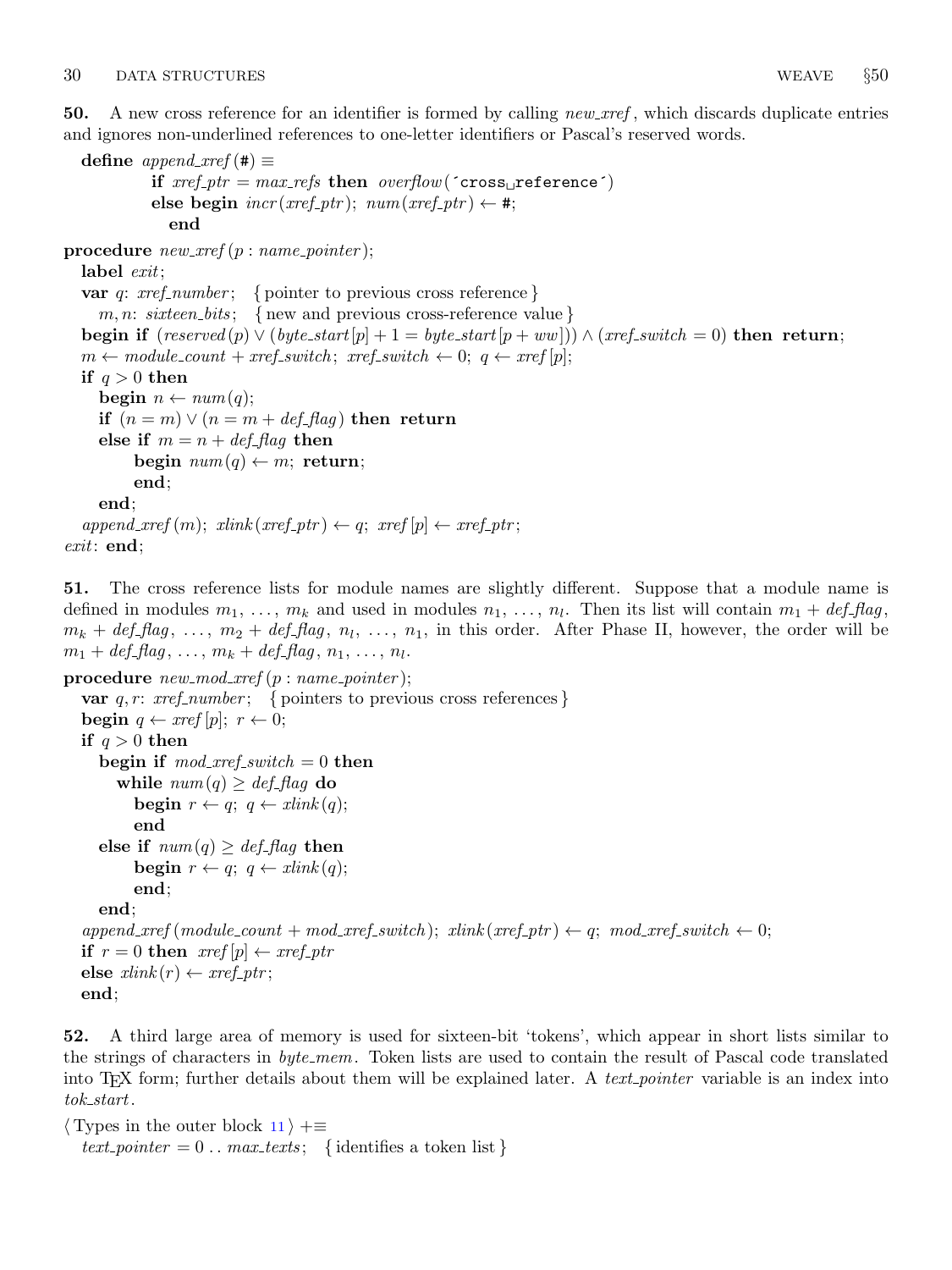<span id="page-15-0"></span>50. A new cross reference for an identifier is formed by calling  $new\_xref$ , which discards duplicate entries and ignores non-underlined references to one-letter identifiers or Pascal's reserved words.

```
define append_xref (#) \equivif xref_ptr = max_refs then overflow('cross_preference'))else begin \text{incr}(\text{xref\_ptr}); \text{ num}(\text{xref\_ptr}) \leftarrow \#;end
procedure new\_xref(p:name\_pointer);label exit;
  var q: xref_number; { pointer to previous cross reference }
     m, n: sixteen bits; { new and previous cross-reference value}
  begin if (reserved(p) \vee (byte-start[p] + 1 = byte.start[p + ww])) \wedge (xref-switch = 0) then return;
  m \leftarrow module_count + xref-switch; xref-switch \leftarrow 0; q \leftarrow xref[p];if q > 0 then
     begin n \leftarrow num(q);if (n = m) \vee (n = m + def_{\text{diag}}) then return
     else if m = n + def_{\text{diag}} then
          begin num(q) \leftarrow m; return;
          end;
     end;
  append\_xref(m); xlink(xref\_ptr) \leftarrow q; xref[p] \leftarrow xref\_ptr;exit: end;
```
51. The cross reference lists for module names are slightly different. Suppose that a module name is defined in modules  $m_1, \ldots, m_k$  and used in modules  $n_1, \ldots, n_l$ . Then its list will contain  $m_1 + \text{def\_flag},$  $m_k + def_flag, \ldots, m_2 + def_flag, n_l, \ldots, n_1$ , in this order. After Phase II, however, the order will be  $m_1 + def_{\mathit{f}} flag, \ldots, m_k + def_{\mathit{f}} flag, n_1, \ldots, n_l.$ 

```
procedure new\_mod\_xref(p:name\_pointer);var q, r: \; xref_number; \; \{ \; pointers \; to \; previous \; cross \; references \}begin q \leftarrow \text{rref}[p]; r \leftarrow 0;if q > 0 then
     begin if mod\_xref\_switch = 0 then
        while num(q) > def_{\mathcal{A}} do
            begin r \leftarrow q; q \leftarrow xlink(q);
           end
     else if num(q) \geq def_{\mathcal{A}} then
           begin r \leftarrow q; q \leftarrow xlink(q);
           end;
     end;
   append\_xref(module\_count + mod\_xref\_switch); xlink(xref\_ptr) \leftarrow q; mod\_xref\_switch \leftarrow 0;if r = 0 then \operatorname{rref}[p] \leftarrow \operatorname{rref}\_ptrelse xlink(r) \leftarrow xref\_ptr;end;
```
52. A third large area of memory is used for sixteen-bit 'tokens', which appear in short lists similar to the strings of characters in *byte\_mem*. Token lists are used to contain the result of Pascal code translated into T<sub>EX</sub> form; further details about them will be explained later. A *text-pointer* variable is an index into  $tok\_start$ .

```
\langle11 \rangle +≡
  text pointer = 0. max texts; { identifies a token list}
```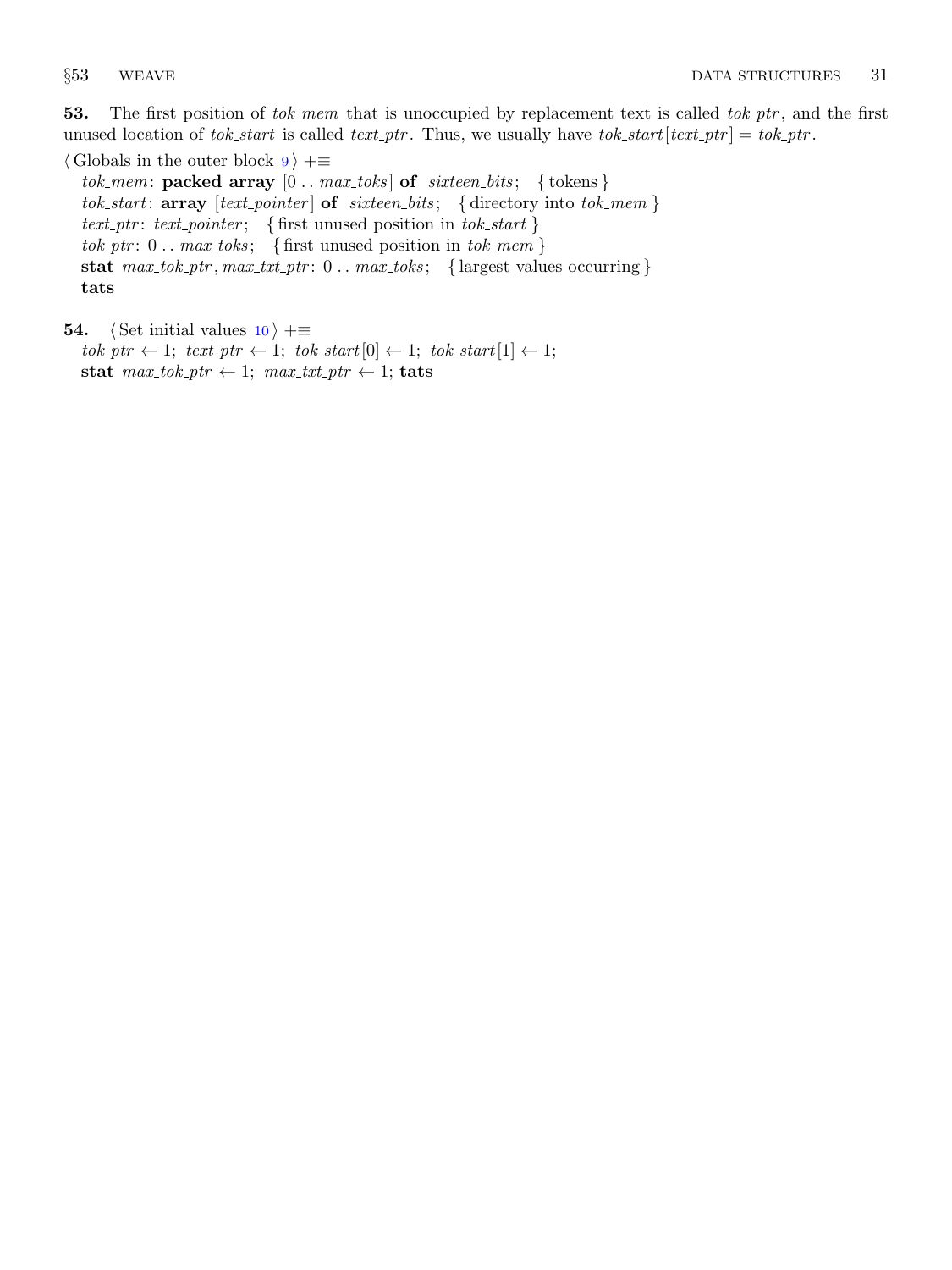<span id="page-16-0"></span>53. The first position of tok\_mem that is unoccupied by replacement text is called tok\_ptr, and the first unused location of tok start is called text ptr. Thus, we usually have tok start  $[text\_tr] = tok_prt$ .

 $\langle$  Globals in the outer block [9](#page-3-0)  $\rangle$  +≡ tok\_mem: packed array  $[0 \tldots \t{max\_toks}]$  of sixteen\_bits; {tokens} tok\_start:  $array \ [text{text-pointer}]$  of sixteen\_bits; {directory into tok\_mem} text-ptr: text-pointer; { first unused position in tok-start }  $tok\_ptr: 0...max\_toks; \{ first unused position in tok\_mem \}$ stat  $max\_tok\_ptr$ ,  $max\_txt\_ptr$ : 0... $max\_toks$ ; { largest values occurring } tats

```
54. \langle10 \rangle +≡
```

```
tok\_ptr \leftarrow 1; text\_ptr \leftarrow 1; tok\_start[0] \leftarrow 1; tok\_start[1] \leftarrow 1;stat max\_tok\_ptr \leftarrow 1; max\_txt\_ptr \leftarrow 1; tats
```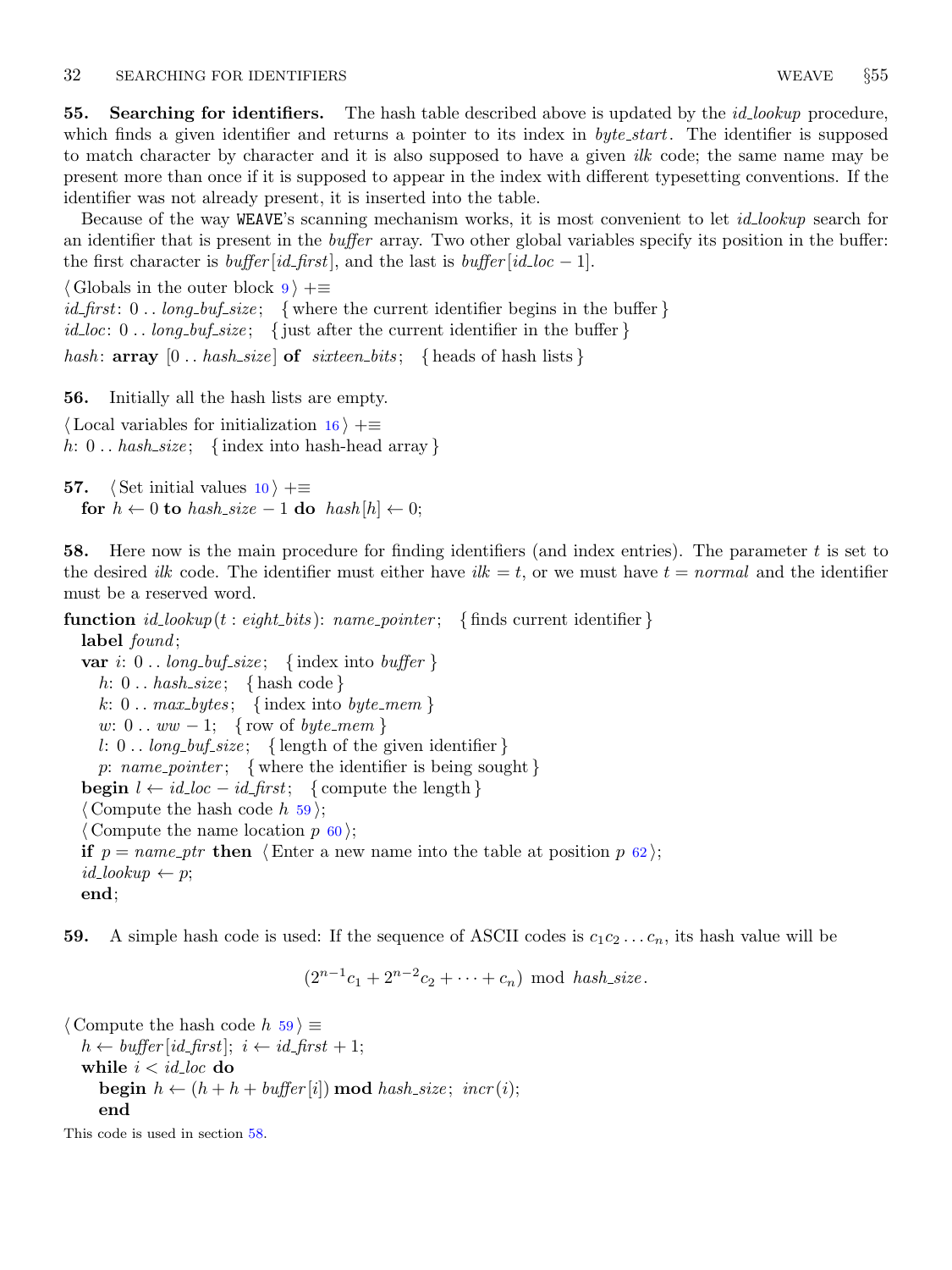<span id="page-17-0"></span>55. Searching for identifiers. The hash table described above is updated by the *id-lookup* procedure, which finds a given identifier and returns a pointer to its index in *byte\_start*. The identifier is supposed to match character by character and it is also supposed to have a given *ilk* code; the same name may be present more than once if it is supposed to appear in the index with different typesetting conventions. If the identifier was not already present, it is inserted into the table.

Because of the way WEAVE's scanning mechanism works, it is most convenient to let *id*-lookup search for an identifier that is present in the *buffer* array. Two other global variables specify its position in the buffer: the first character is *buffer*  $(id\_first]$ , and the last is *buffer*  $(id\_loc - 1]$ .

 $\langle$  Globals in the outer block  $9 \rangle + \equiv$  $9 \rangle + \equiv$ *id\_first*:  $0 \ldots \log_b{buf\_size}$ ; {where the current identifier begins in the buffer } id loc:  $0 \ldots \text{long_buf\_size}$ ; { just after the current identifier in the buffer } hash:  $array [0..hash_size]$  of  $s$ ixteen bits; { heads of hash lists }

56. Initially all the hash lists are empty.

 $\langle$  Local variables for initialization [16](#page-7-0)  $\rangle$  +≡ h: 0... hash\_size; {index into hash-head array }

57.  $\langle$  Set initial values [10](#page-3-0)  $\rangle$  +≡ for  $h \leftarrow 0$  to hash\_size  $-1$  do hash  $[h] \leftarrow 0$ ;

**58.** Here now is the main procedure for finding identifiers (and index entries). The parameter  $t$  is set to the desired *ilk* code. The identifier must either have *ilk*  $= t$ , or we must have  $t = normal$  and the identifier must be a reserved word.

**function** id\_lookup(t: eight\_bits): name\_pointer; { finds current identifier } label  $found;$ var i:  $0 \dots \text{long_buf\_size}$ ; {index into buffer }

h:  $0 \ldots hash\_size; \{ hash code\}$ k:  $0 \ldots \text{max_bytes};$  {index into byte\_mem} w:  $0 \ldots ww - 1$ ; { row of *byte\_mem* } l: 0...  $long_buf\_size$ ; { length of the given identifier } p: name\_pointer; { where the identifier is being sought } **begin**  $l \leftarrow id\_loc - id\_first;$  { compute the length }  $\langle$  Compute the hash code h 59 $\rangle$ ; (Compute the name location  $p \, \epsilon \,$ [60](#page-18-0)); if  $p = name\_ptr$  then  $\langle$  Enter a new name into the table at position p [62](#page-18-0) $\rangle$ ;  $id\_lookup \leftarrow p;$ end;

59. A simple hash code is used: If the sequence of ASCII codes is  $c_1c_2 \ldots c_n$ , its hash value will be

 $(2^{n-1}c_1 + 2^{n-2}c_2 + \cdots + c_n) \text{ mod } hash\_size.$ 

 $\langle$  Compute the hash code h 59  $\rangle \equiv$  $h \leftarrow \text{buffer} [\text{id\_first}]$ ;  $i \leftarrow \text{id\_first} + 1$ ; while  $i < i$ d loc do **begin**  $h \leftarrow (h + h + \text{buffer}[i]) \text{ mod } \text{hash\_size}; \text{incr}(i);$ end

This code is used in section 58.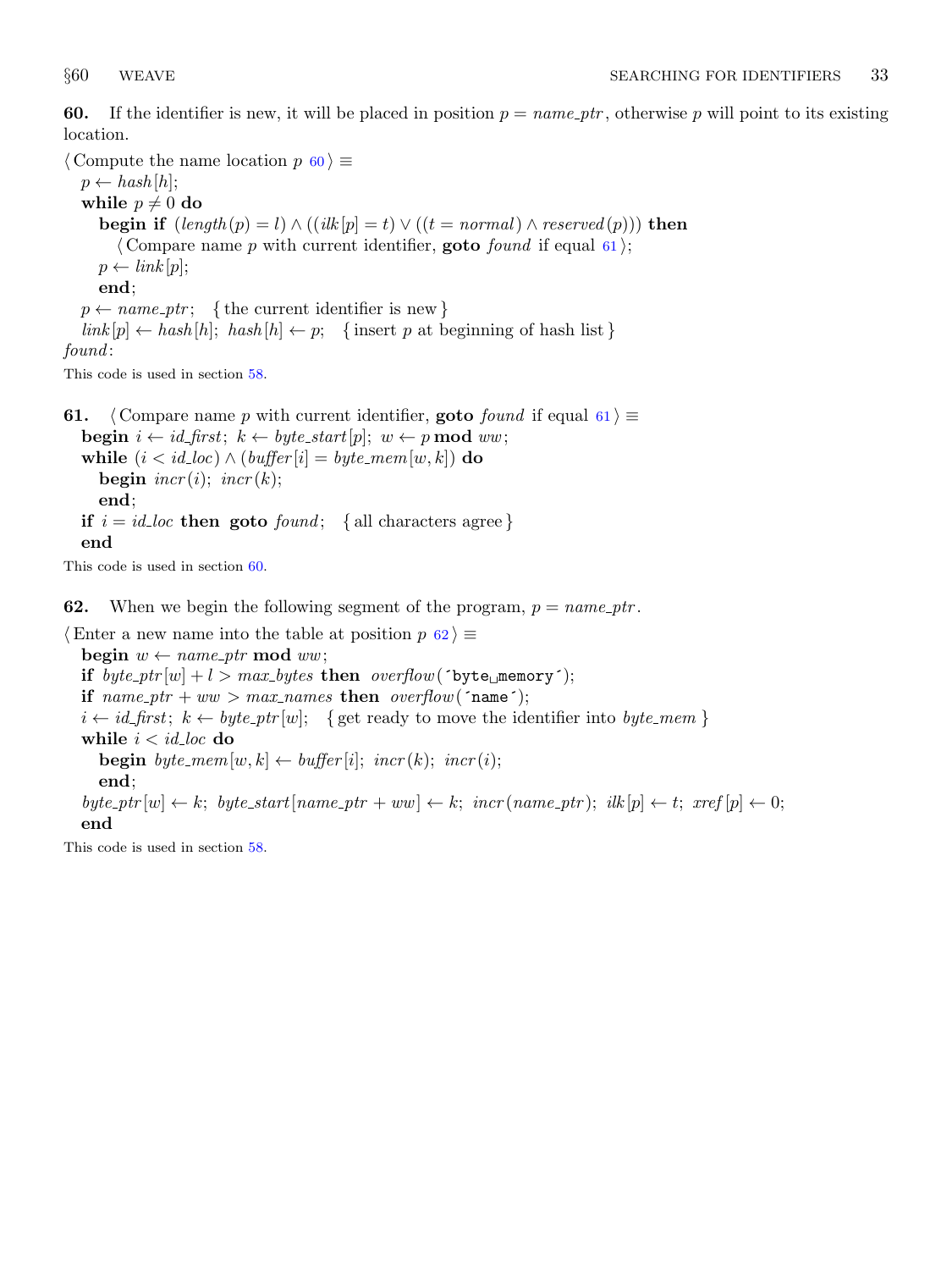<span id="page-18-0"></span>60. If the identifier is new, it will be placed in position  $p = name\_ptr$ , otherwise p will point to its existing location.

 $\langle$  Compute the name location  $p \, 60 \rangle \equiv$  $p \leftarrow hash[h];$ while  $p \neq 0$  do **begin if**  $(length(p) = l) \wedge ((ilk[p] = t) \vee ((t = normal) \wedge reserved(p)))$  then (Compare name p with current identifier, **goto** found if equal 61);  $p \leftarrow link[p];$ end;  $p \leftarrow name\_ptr; \text{ { the current identifier is new }}$  $link[p] \leftarrow hash[h]$ ;  $hash[h] \leftarrow p$ ; {insert p at beginning of hash list} found:

This code is used in section [58](#page-17-0).

**61.**  $\langle$  Compare name p with current identifier, goto *found* if equal 61  $\rangle \equiv$ **begin**  $i \leftarrow id_{\text{first}}; k \leftarrow byte_{\text{start}}[p]; w \leftarrow p \mod{ww};$ while  $(i < id\_loc) \wedge (buffer[i] = byte\_mem[w, k])$  do begin  $\text{incr}(i)$ ;  $\text{incr}(k)$ ; end; if  $i = id\_loc$  then goto  $found$ ; { all characters agree } end

This code is used in section 60.

62. When we begin the following segment of the program,  $p = name\_ptr$ .

 $\langle$  Enter a new name into the table at position p 62  $\rangle$  ≡ begin  $w \leftarrow name\_ptr \mod ww;$ if byte\_ptr[w] + l > max\_bytes then overflow('byte\_memory'); if name\_ptr + ww > max\_names then overflow('name');  $i \leftarrow id\_first; k \leftarrow byte\_ptr[w];$  {get ready to move the identifier into byte\_mem} while  $i < i d$ <sub>-loc</sub> do **begin** byte\_mem[w, k]  $\leftarrow$  buffer[i]; incr(k); incr(i); end;  $byte\_ptr[w] \leftarrow k$ ;  $byte\_start[name\_ptr + ww] \leftarrow k$ ;  $incr(name\_ptr)$ ;  $ilk[p] \leftarrow t$ ;  $xref[p] \leftarrow 0$ ; end

This code is used in section [58](#page-17-0).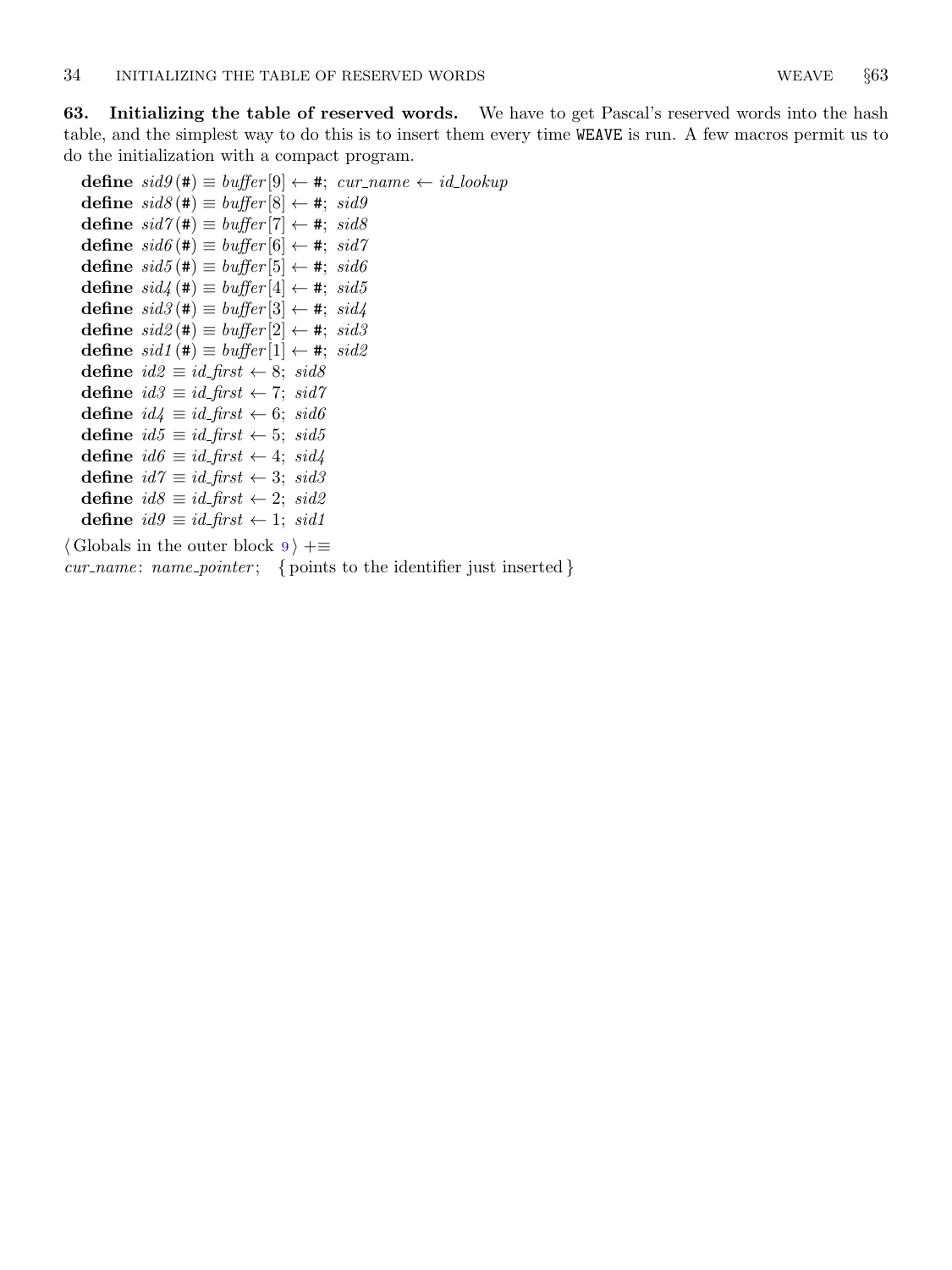<span id="page-19-0"></span>63. Initializing the table of reserved words. We have to get Pascal's reserved words into the hash table, and the simplest way to do this is to insert them every time WEAVE is run. A few macros permit us to

do the initialization with a compact program. define  $sid9(\texttt{#}) \equiv buffer[9] \leftarrow \texttt{#}; \text{ cur_name} \leftarrow id\_lookup$ define  $sid8(\texttt{#}) \equiv buffer[8] \leftarrow \texttt{#}; sid9$ define  $sid7(\texttt{#}) \equiv buffer[7] \leftarrow \texttt{#}; sid8$ define  $sid6 (\#) \equiv buffer[6] \leftarrow *, sid7$ define  $sid5 (\#) \equiv buffer[5] \leftarrow *, sid6$ define  $sid\! \#) \equiv buffer[4] \leftarrow *, \ sid5$ define  $sid3(\#) \equiv buffer[3] \leftarrow *, sid4$ define  $sid2 (\#) \equiv buffer[2] \leftarrow *, sid3$ define  $sid1 (\#) \equiv buffer[1] \leftarrow *, sid2$ define  $id2 \equiv id\_first \leftarrow 8$ ;  $sid8$ define  $id3 \equiv id$  first  $\leftarrow 7$ ; sid7 define  $id4 \equiv id\_first \leftarrow 6$ ;  $sid6$ define  $id5 \equiv id\_first \leftarrow 5$ ;  $sid5$ define  $id6 \equiv id\_first \leftarrow 4$ ;  $sid4$ define  $id7 \equiv id\_first \leftarrow 3$ ;  $sid3$ define  $id8 ≡ id_first ← 2$ ;  $sid2$ define  $id9 \equiv id\_first$  ← 1;  $sid1$ 

 $\langle$  Globals in the outer block [9](#page-3-0)  $\rangle$  +=

 $cur_name: name\_pointer; \{ points to the identifier just inserted\}$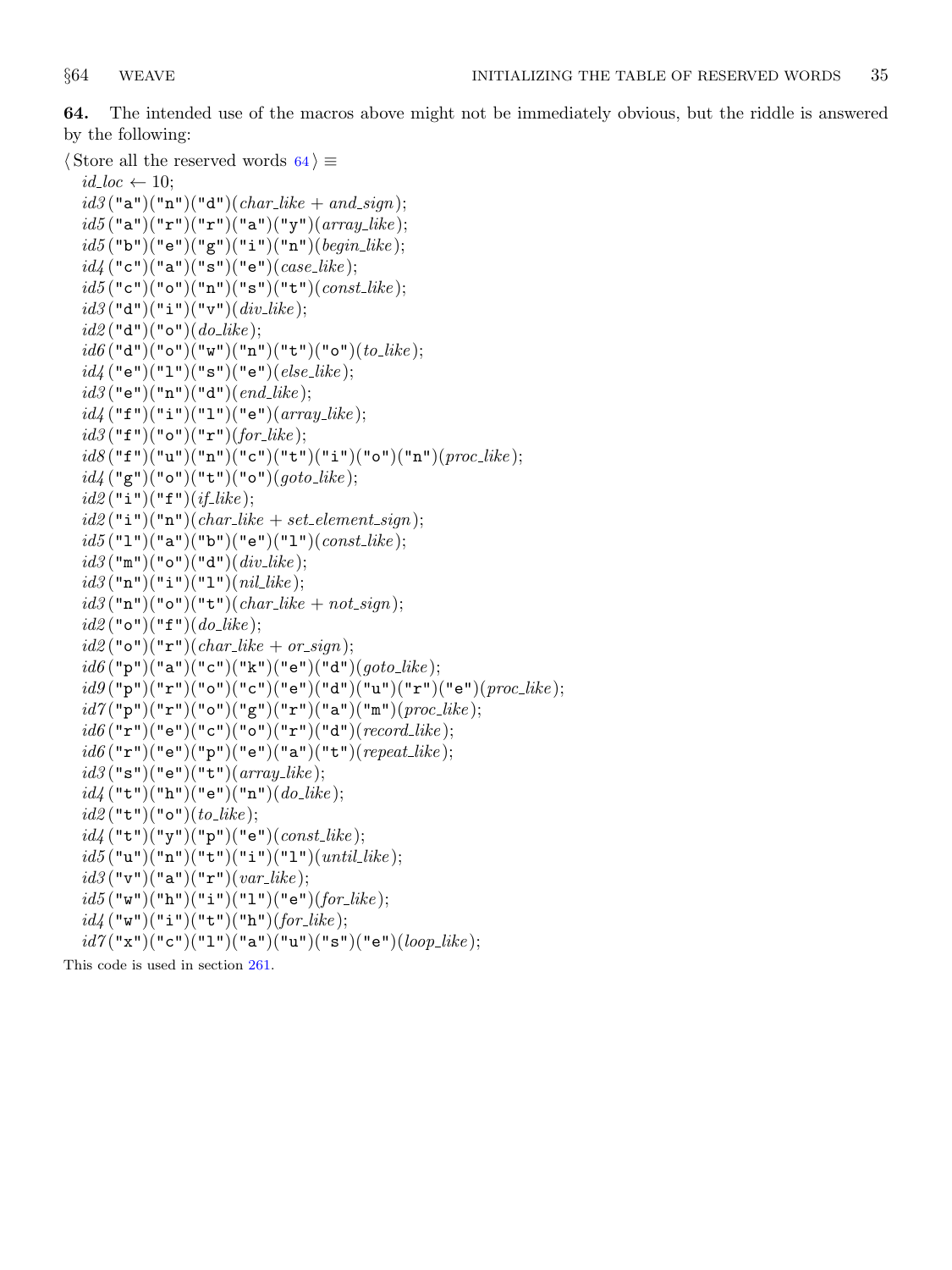64. The intended use of the macros above might not be immediately obvious, but the riddle is answered by the following:

```
\langle Store all the reserved words 64\rangle \equivid\_loc \leftarrow 10;id3 ("a")("n")("d")(char_like + and_sign);
  id5("a")("r")("r")("a")("y")(<i>array\_like</i>);id5("b")("e")("g")("i")("n")(<i>begin-like</i>);
  id_4 ("c")("a")("s")("e")(case_like);
  id5("c")("o")("n")("s")("t")(<i>const</i><sub>-like</sub>);id3 ("d")("i")("v")(div\_like);
  id2 ("d")("o")(do_like);
  id6 ("d")("o")("w")("n")("t")("o")(to")(to);
  id_4 ("e")("1")("s")("e")(else\_like);
  id3 ("e")("n")("d")(end_{like});
  id_4 ("f")("i")("1")("e")(array_like);
  id3 ("f")("o")("r")(for<sub>-</sub>like);
  id8("f")("u")("n")("c")("t")("i")("o")("n")(<i>proc_like</i>);id\mathcal{U}(\mathbf{``g''})(\mathbf{``o''})(\mathbf{``t''})(\mathbf{``o''})(goto\_like);id2 ("i")("f")(if_like);
  id2("i")("n")(char-like + set_{element\_sign});id5 ("1")("a")("b")("e")("1")(const-like);
  id3 ("m")("o")("d")(div\_like);
  id3("n")("i")("l")(nil\_like);id3("n")("o")("t")(char\_like + not\_sign);id2 ("o")("f")(do_like);
  id2 ("o")("r")(char_like + or_sign);
  id6("p")("a")("c")("k")("e")("d")({<i>goto-like</i>)};id9("p")("r")("o")("c")("e")("d")("d")("u")("r")("e")(<i>proc\_like</i>);id7("p")("r")("o")("g")("r")("a")("m")(<i>proc_like</i>);id6("r")("e")("c")("o")("r")("d")(<i>record-like</i>);id6("r")("e")("p")("e")("a")("t")(<i>repeat\_like</i>);id3 ("s")("e")("t")(array\_like);
  id_4 ("t")("h")("e")("n")(do<sub>-like</sub>);
  id2 ("t")("o")(to_like);
  id_4 ("t")("y")("p")("e")(const_like);
  id5("u")("n")("t")("i")("l")("l")(until-like);id3("v")("a")("r")(var\_like);id5("w")("h")("i")("l")("e")(for-like);id_4 ("w")("i")("t")("h")(for like);
  id7("x")("c")("1")("a")("u")("s")("e")(<i>loop\_like</i>);
```
This code is used in section [261.](#page-98-0)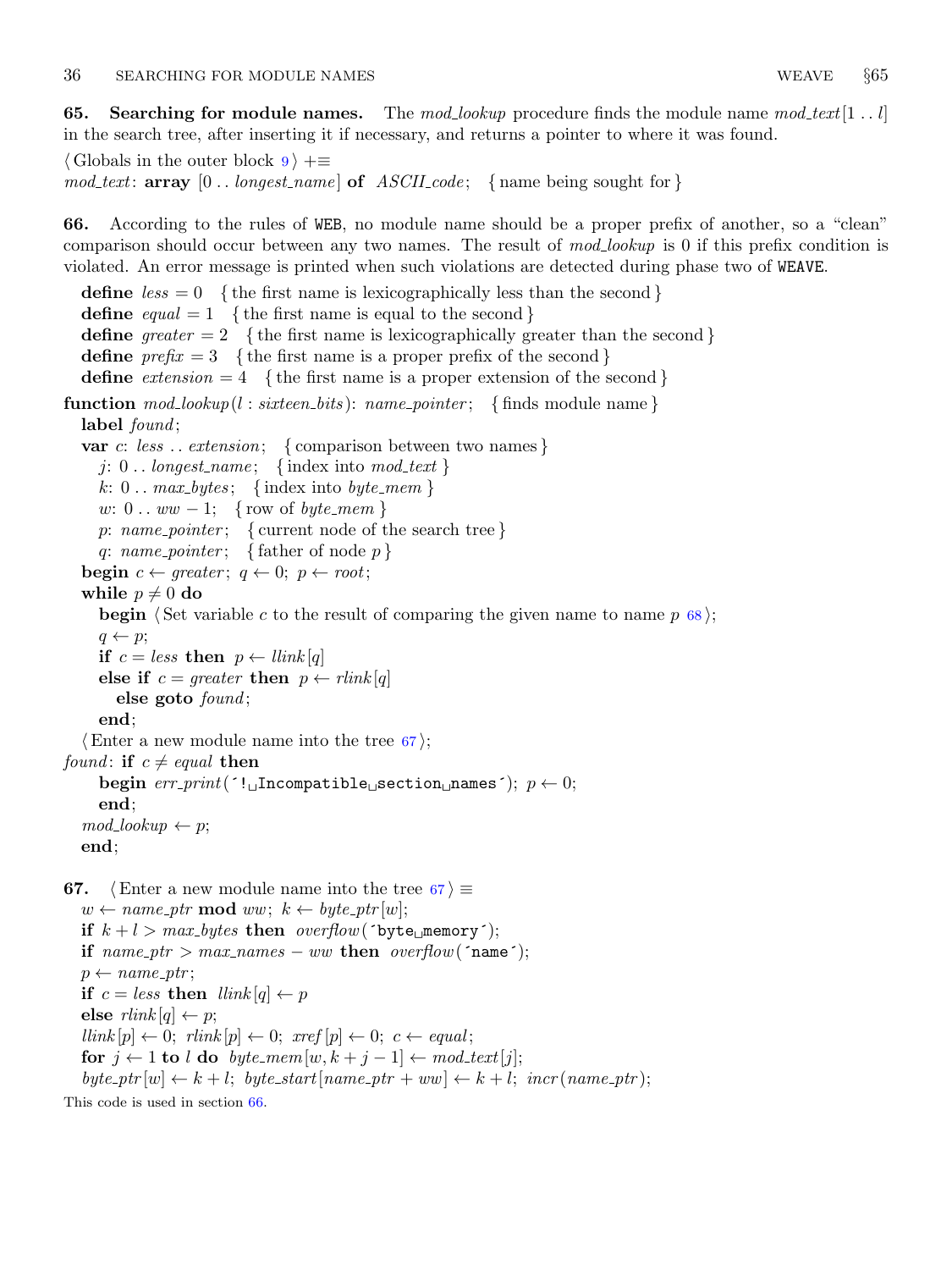<span id="page-21-0"></span>**65.** Searching for module names. The mod-lookup procedure finds the module name mod-text [1.1] in the search tree, after inserting it if necessary, and returns a pointer to where it was found.

```
\langle Globals in the outer block 9 \rangle +≡
mod\_text: array [0..longest_name] of ASCII\_code; {name being sought for }
```
66. According to the rules of WEB, no module name should be a proper prefix of another, so a "clean" comparison should occur between any two names. The result of mod<sub>-lookup</sub> is 0 if this prefix condition is violated. An error message is printed when such violations are detected during phase two of WEAVE.

define  $less = 0$  {the first name is lexicographically less than the second } define  $equal = 1$  { the first name is equal to the second } define greater  $= 2$  {the first name is lexicographically greater than the second} define  $prefix = 3$  {the first name is a proper prefix of the second} define  $extension = 4$  { the first name is a proper extension of the second} **function**  $mod\_lookup (l: sixteen\_bits): name\_ pointer; \{ finds module name\}$ label *found*; var c: less ... extension; { comparison between two names } j:  $0 \ldots$  longest\_name; {index into mod\_text} k:  $0 \ldots \text{max_bytes};$  {index into byte\_mem} w:  $0 \ldots ww - 1$ ; { row of *byte\_mem* } p: name\_pointer; { current node of the search tree } q: name\_pointer; { father of node  $p$  } **begin**  $c \leftarrow \text{greater}; q \leftarrow 0; p \leftarrow \text{root};$ while  $p \neq 0$  do **begin**  $\langle$  Set variable c to the result of comparing the given name to name p [68](#page-22-0) $\rangle$ ;  $q \leftarrow p;$ if  $c = less$  then  $p \leftarrow$  llink [q] else if  $c = greater$  then  $p \leftarrow$  rlink [q] else goto  $found;$ end;  $\langle$  Enter a new module name into the tree 67 $\rangle$ ; found: if  $c \neq equal$  then begin  $err\_print($  '!  $\Box$ Incompatible $\Box$ section $\Box$ names');  $p \leftarrow 0$ ; end;  $mod\_lookup \leftarrow p;$ end; **67.**  $\langle$  Enter a new module name into the tree 67  $\rangle \equiv$  $w \leftarrow name\_ptr \mod ww; k \leftarrow byte\_ptr[w];$ if  $k + l > max_b$  bytes then overflow ('byte memory'); if  $name\_ptr > max\_names - ww$  then  $overflow('name');$  $p \leftarrow name\_ptr;$ if  $c = less$  then  $\text{link}[q] \leftarrow p$ else  $\text{rlink }[q] \leftarrow p$ ;  $\text{link}[p] \leftarrow 0; \text{ rlink}[p] \leftarrow 0; \text{ xref}[p] \leftarrow 0; \text{ c} \leftarrow \text{ equal};$ for  $j \leftarrow 1$  to l do byte\_mem[w,  $k + j - 1$ ]  $\leftarrow \text{mod}\text{.text}[j]$ ;  $byte\_ptr[w] \leftarrow k + l$ ;  $byte\_start(name\_ptr + ww] \leftarrow k + l$ ;  $incr(name\_ptr)$ ;

This code is used in section 66.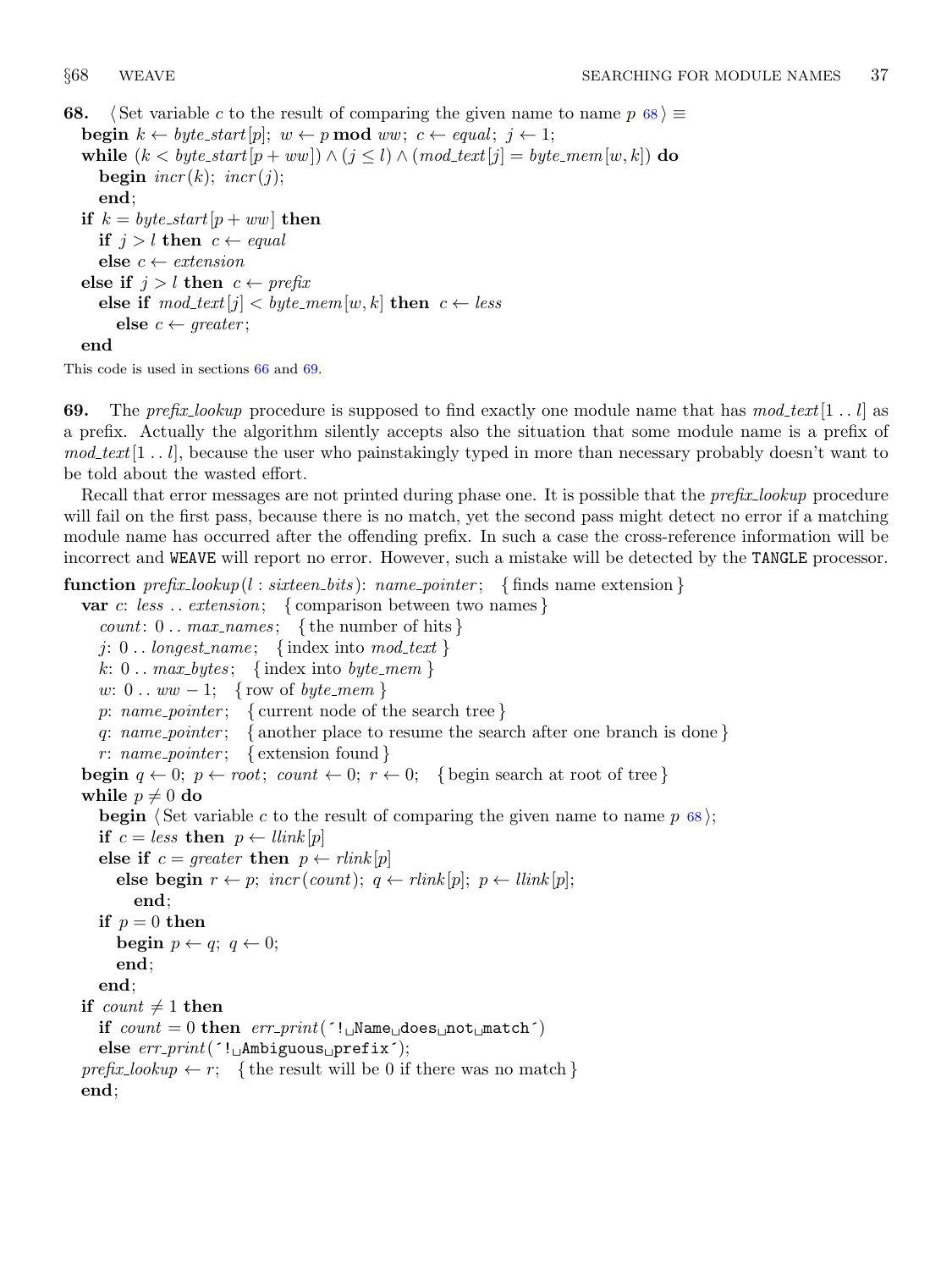```
68. Set variable c to the result of comparing the given name to name p \, 68 i \equivbegin k \leftarrow byte\_start[p]; w \leftarrow p \mod ww; c \leftarrow equal; j \leftarrow 1;
  while (k < byte\_start[p + ww]) \wedge (j \leq l) \wedge (mod\_text[j] = byte\_mem[w, k]) do
     begin \text{incr}(k); \text{incr}(j);
     end;
  if k = byte\_start[p + ww] then
     if j > l then c \leftarrow equalelse c \leftarrow extensionelse if j > l then c \leftarrow prefixelse if mod\_text[j] < byte\_mem[w, k] then c \leftarrow lesselse c \leftarrow greater;
  end
```
This code is used in sections [66](#page-21-0) and 69.

**69.** The prefix lookup procedure is supposed to find exactly one module name that has  $mod\_text[1..l]$  as a prefix. Actually the algorithm silently accepts also the situation that some module name is a prefix of  $mod\_text[1...l]$ , because the user who painstakingly typed in more than necessary probably doesn't want to be told about the wasted effort.

Recall that error messages are not printed during phase one. It is possible that the *prefix lookup* procedure will fail on the first pass, because there is no match, yet the second pass might detect no error if a matching module name has occurred after the offending prefix. In such a case the cross-reference information will be incorrect and WEAVE will report no error. However, such a mistake will be detected by the TANGLE processor.

**function**  $prefix\_lookup(l : sixteen\_bits)$ :  $name\_pointer$ ; {finds name extension}

```
var c: less ... extension; { comparison between two names }
  count: 0 \ldots \text{max\_names}; {the number of hits}
  j: 0... longest_name; {index into mod_text}
  k: 0 \ldots \text{max_b}{\text{y}} { index into byte_mem }
  w: 0 \ldots ww - 1; { row of byte_mem }
  p: name_pointer; { current node of the search tree }
  q: name_pointer; { another place to resume the search after one branch is done }
  r: name_pointer; { extension found }
begin q \leftarrow 0; p \leftarrow root; count \leftarrow 0; r \leftarrow 0; { begin search at root of tree }
while p \neq 0 do
  begin \langle Set variable c to the result of comparing the given name to name p 68;
  if c = less then p \leftarrow llink [p]
  else if c = greater then p \leftarrow rlink [p]
     else begin r \leftarrow p; incr(count); q \leftarrow rlink[p]; p \leftarrow llink[p];
       end;
  if p = 0 then
     begin p \leftarrow q; q \leftarrow 0;
     end;
  end;
if count \neq 1 then
  if count = 0 then err\_print( '! Name does not match'
  else err\_print( '!
\DeltaAmbiguous
prefix<sup>'</sup>);
prefix\_lookup \leftarrow r; {the result will be 0 if there was no match}
end;
```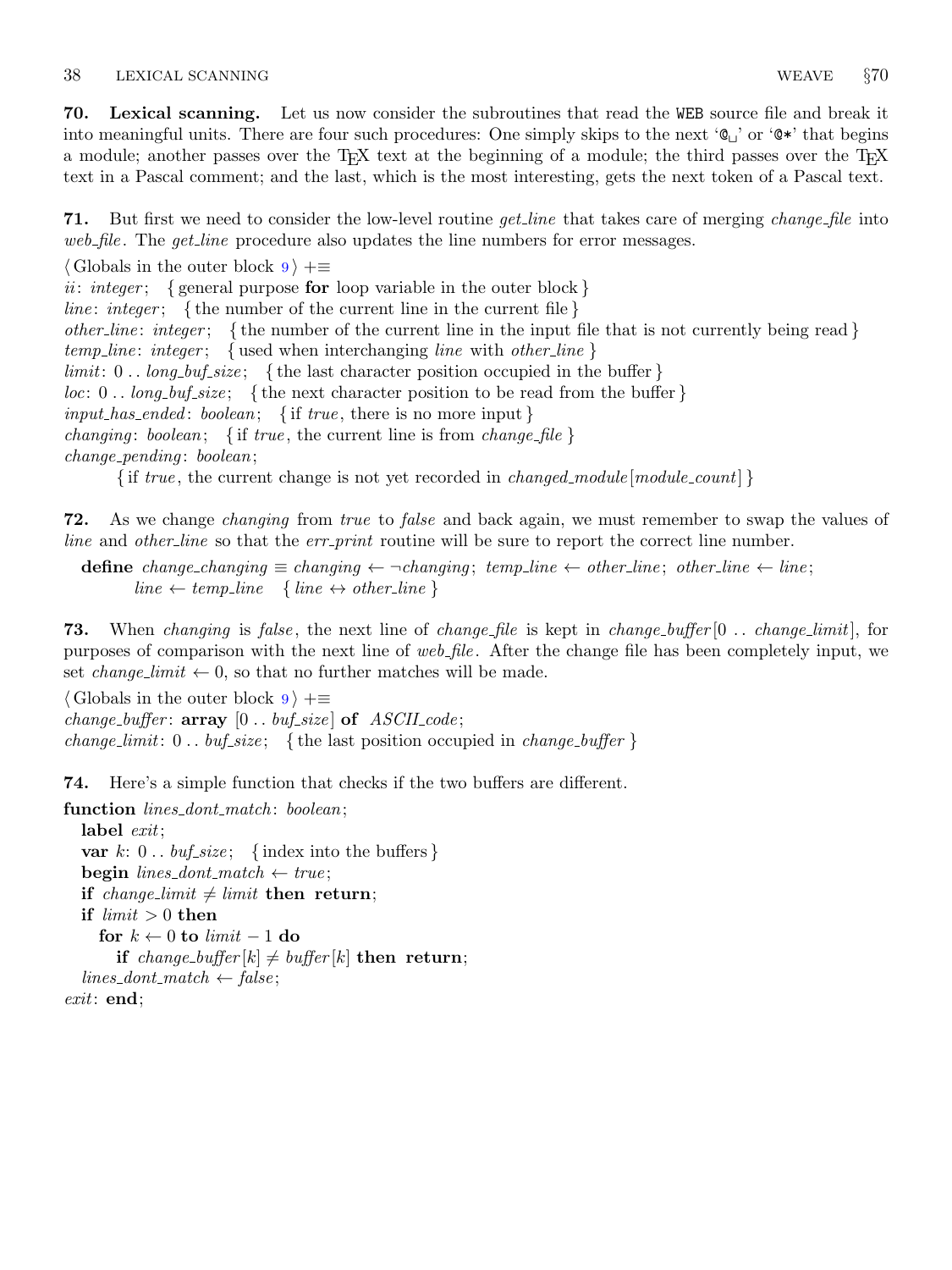<span id="page-23-0"></span>70. Lexical scanning. Let us now consider the subroutines that read the WEB source file and break it into meaningful units. There are four such procedures: One simply skips to the next ' $\mathbb{Q}_U$ ' or ' $\mathbb{Q}^*$ ' that begins a module; another passes over the T<sub>E</sub>X text at the beginning of a module; the third passes over the T<sub>E</sub>X text in a Pascal comment; and the last, which is the most interesting, gets the next token of a Pascal text.

**71.** But first we need to consider the low-level routine *get line* that takes care of merging *change-file* into web file. The get line procedure also updates the line numbers for error messages.

 $\langle$  Globals in the outer block  $9 \rangle + \equiv$  $9 \rangle + \equiv$ 

ii: integer; { general purpose for loop variable in the outer block } *line: integer*; {the number of the current line in the current file } other line: integer; { the number of the current line in the input file that is not currently being read }  $temp\_line:integer; \{ used when interchanging line with other-line \}$  $limit: 0$ .  $long_buf_size$ ; {the last character position occupied in the buffer}  $loc: 0$ ..  $long_buf_size$ ; {the next character position to be read from the buffer }  $input\_has\_ended:boolean; \{ \text{ if } true, \text{ there is no more input } \}$ *changing: boolean;* { if true, the current line is from *change\_file* }  $change\_pending:boolean;$ 

{ if true, the current change is not yet recorded in *changed\_module*  $[module\_count]$  }

72. As we change changing from true to false and back again, we must remember to swap the values of line and other-line so that the err-print routine will be sure to report the correct line number.

define change\_changing  $\equiv$  changing  $\leftarrow$  ¬changing; temp\_line  $\leftarrow$  other\_line; other\_line  $\leftarrow$  line;  $line \leftarrow temp\_line \{ line \leftrightarrow other\_line \}$ 

**73.** When changing is false, the next line of change file is kept in change buffer  $[0 \dots changeLimit]$ , for purposes of comparison with the next line of web file. After the change file has been completely input, we set *change\_limit*  $\leftarrow 0$ , so that no further matches will be made.

 $\langle$  Globals in the outer block [9](#page-3-0)  $\rangle$  +≡ change\_buffer:  $array [0..$  buf\_size of  $ASCII\_code;$ change limit:  $0$ .. buf-size; {the last position occupied in change-buffer}

74. Here's a simple function that checks if the two buffers are different.

function *lines\_dont\_match*: *boolean*;

label *exit*; var k:  $0 \ldots \text{buf\_size}$ ; {index into the buffers} **begin** lines\_dont\_match  $\leftarrow$  true; if change\_limit  $\neq$  limit then return; if  $limit > 0$  then for  $k \leftarrow 0$  to limit  $-1$  do if change\_buffer  $|k| \neq \text{buffer}[k]$  then return;  $lines\_dont\_match \leftarrow false;$ exit: end;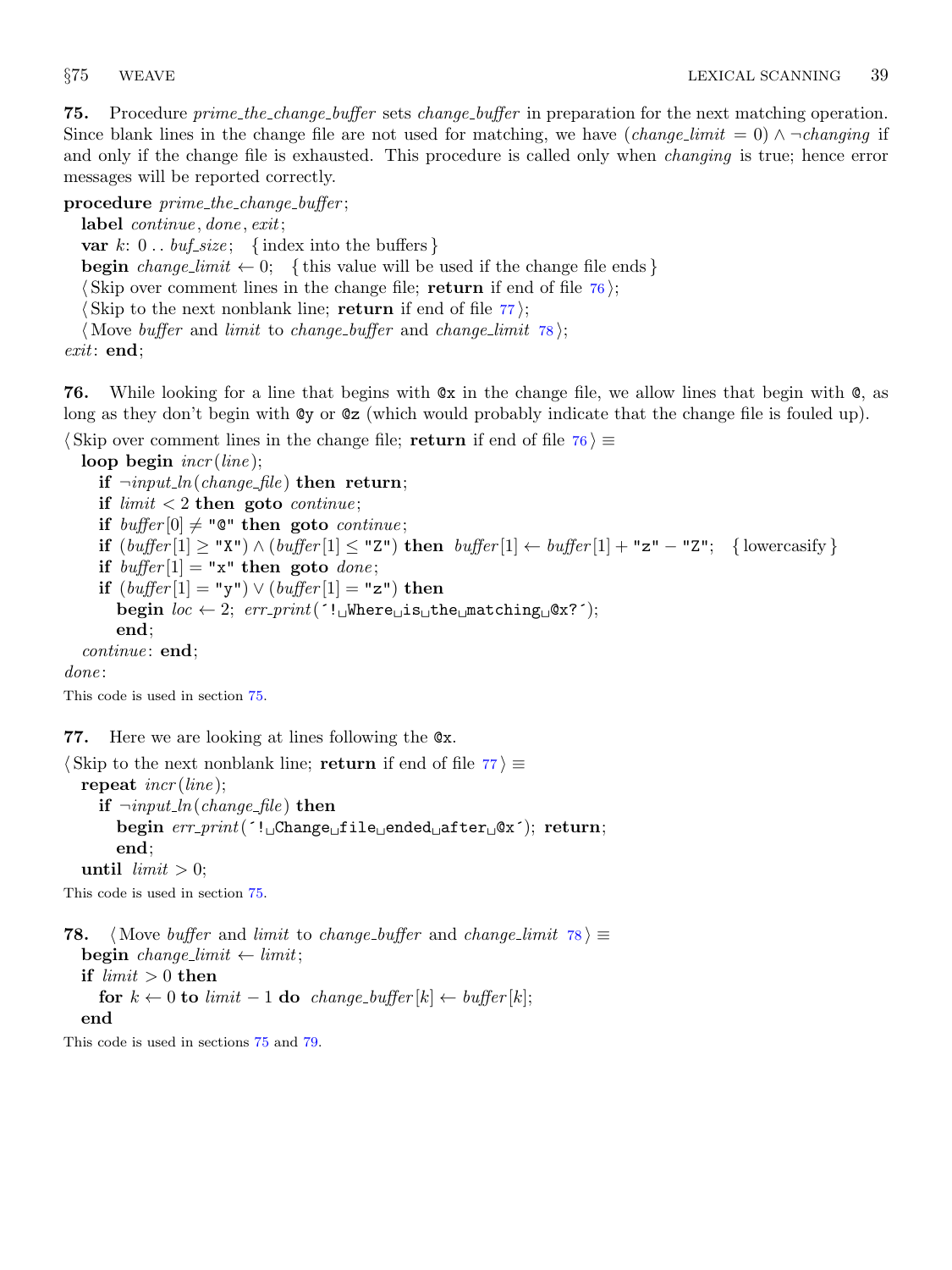<span id="page-24-0"></span>**75.** Procedure *prime\_the\_change\_buffer* sets *change\_buffer* in preparation for the next matching operation. Since blank lines in the change file are not used for matching, we have  $(charge\_limit = 0) \land \neg changing$  if and only if the change file is exhausted. This procedure is called only when *changing* is true; hence error messages will be reported correctly.

procedure  $prime$ -the-change-buffer;

label *continue*, *done*, *exit*;

var k:  $0 \ldots \text{buf\_size}$ ; {index into the buffers}

**begin** change limit  $\leftarrow 0$ ; {this value will be used if the change file ends }

 $\langle$  Skip over comment lines in the change file; return if end of file  $\langle$  76 $\rangle$ ;

Skip to the next nonblank line; return if end of file  $77$ ;

(Move buffer and limit to change buffer and change limit  $78$ );

exit: end;

76. While looking for a line that begins with @x in the change file, we allow lines that begin with @, as long as they don't begin with @y or @z (which would probably indicate that the change file is fouled up).

 $\langle$  Skip over comment lines in the change file; return if end of file 76 $\rangle \equiv$ 

loop begin  $\text{incr}(line);$ 

if  $\neg input\_ln(change\_file)$  then return; if  $limit < 2$  then goto *continue*; if buffer  $[0] \neq$  " $\mathbb{Q}$ " then goto continue; if  $(buffer[1] \geq "X") \wedge (buffer[1] \leq "Z")$  then  $buffer[1] \leftarrow buffer[1] + "z" - "Z"$ ; {lowercasify } if  $buffer[1] = "x" then go to done;$ if  $(buffer[1] = "y") \vee (buffer[1] = "z")$  then begin  $loc \leftarrow 2$ ;  $err\_print($  '! Where is the matching  $\&$ ?'); end;  $continue: end;$ done:

This code is used in section 75.

77. Here we are looking at lines following the @x.

```
\langle Skip to the next nonblank line; return if end of file 77 \equivrepeat \text{incr}(\text{line});
     if \neg input\_ln(change\_file) then
       begin err\_print( '! Change file ended after \& '); return;
       end;
  until limit > 0;
```
This code is used in section 75.

**78.** (Move buffer and limit to change buffer and change limit  $78$ )  $\equiv$ **begin** change\_limit  $\leftarrow$  limit; if  $limit > 0$  then for  $k \leftarrow 0$  to limit  $-1$  do change\_buffer[k]  $\leftarrow$  buffer[k]; end

This code is used in sections 75 and [79](#page-25-0).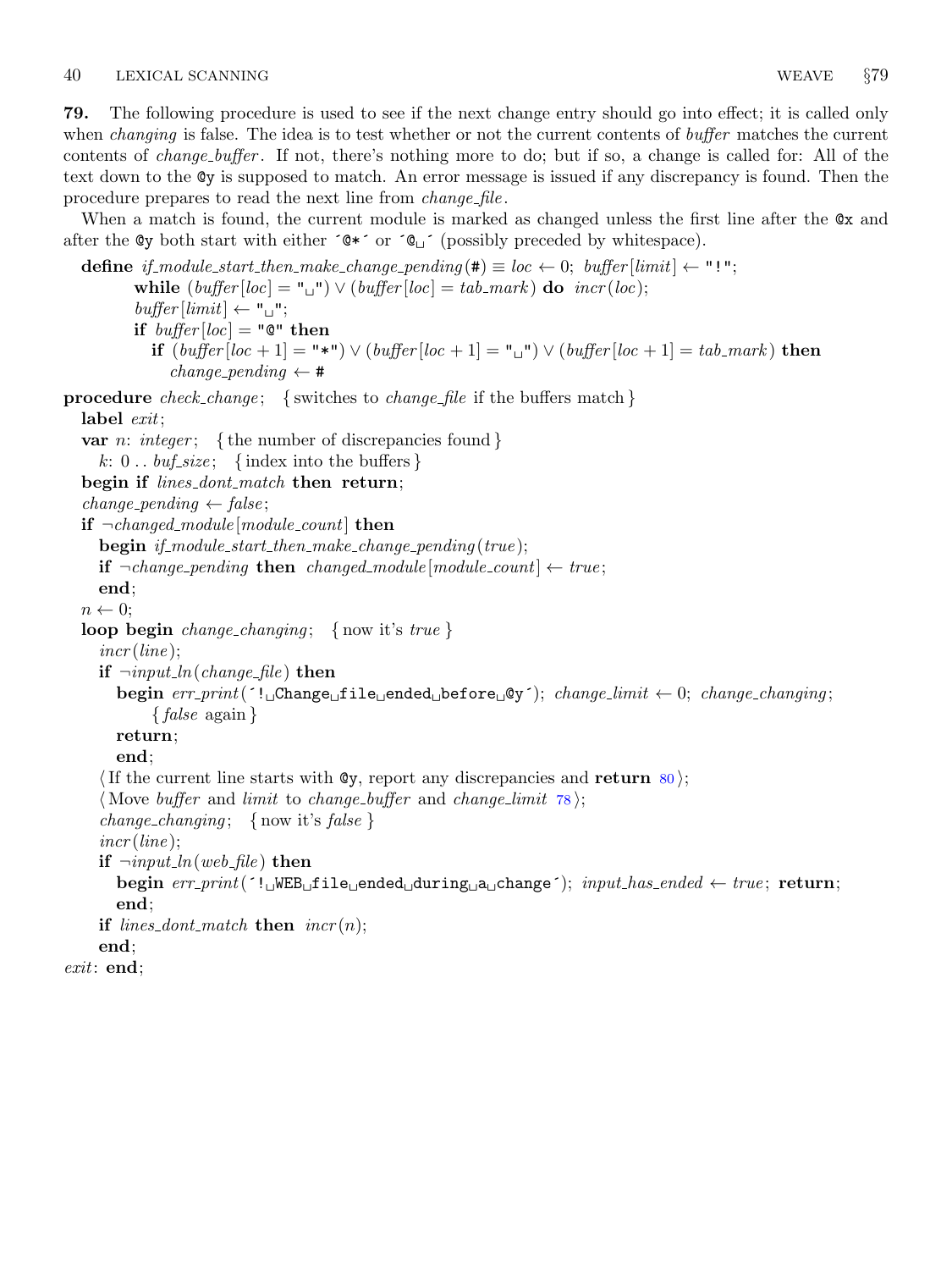<span id="page-25-0"></span>79. The following procedure is used to see if the next change entry should go into effect; it is called only when *changing* is false. The idea is to test whether or not the current contents of *buffer* matches the current contents of change buffer . If not, there's nothing more to do; but if so, a change is called for: All of the text down to the @y is supposed to match. An error message is issued if any discrepancy is found. Then the procedure prepares to read the next line from *change-file*.

When a match is found, the current module is marked as changed unless the first line after the  $\alpha x$  and after the  $\mathsf{dy}$  both start with either  $\mathsf{dx}$  or  $\mathsf{dy}$  (possibly preceded by whitespace).

```
define if module start then make change pending (#) \equiv loc \leftarrow 0; buffer [limit] \leftarrow "!";
         while (buffer[loc] = "\sqcup") \vee (buffer[loc] = tab\_mark) do incr(loc);buffer[limit] \leftarrow "\sqcup";
         if buffer[loc] = "Q" thenif (buffer[loc + 1] = "\r") \vee (buffer[loc + 1] = "\r") \vee (buffer[loc + 1] = tab\_mark) then
              change pending \leftarrow #
procedure check change; { switches to change file if the buffers match }
  label exit;
  var n: integer; {the number of discrepancies found }
    k: 0 \ldots \text{buf\_size}; {index into the buffers}
  begin if lines_dont_match then return;
  change\_pending \leftarrow false;if \neg changed\_module[module\_count] then
    begin if_module_start_then_make_change_pending (true);
    if ¬change\_pending then changed_module [module\_count] ← true;
    end;
  n \leftarrow 0;loop begin change_changing; { now it's true }
    incr (line);if \neg input\_ln(change\_file) then
       begin err print(´! Change file ended before @y´); change limit ← 0; change changing ;
            {false again }
       return;
       end;
     If the current line starts with \mathbb{Q}_Y, report any discrepancies and return 80\};
     (Move buffer and limit to change buffer and change limit 78);
     change_changing; { now it's false }
    incr (line);
    if \neg input\_ln(web_{\textit{file}}) then
       begin err\_print('! WEB file ended during a change'); input\_has\_ended \leftarrow true; return;
       end;
    if lines_dont_match then \text{incr}(n);
    end;
exit: end;
```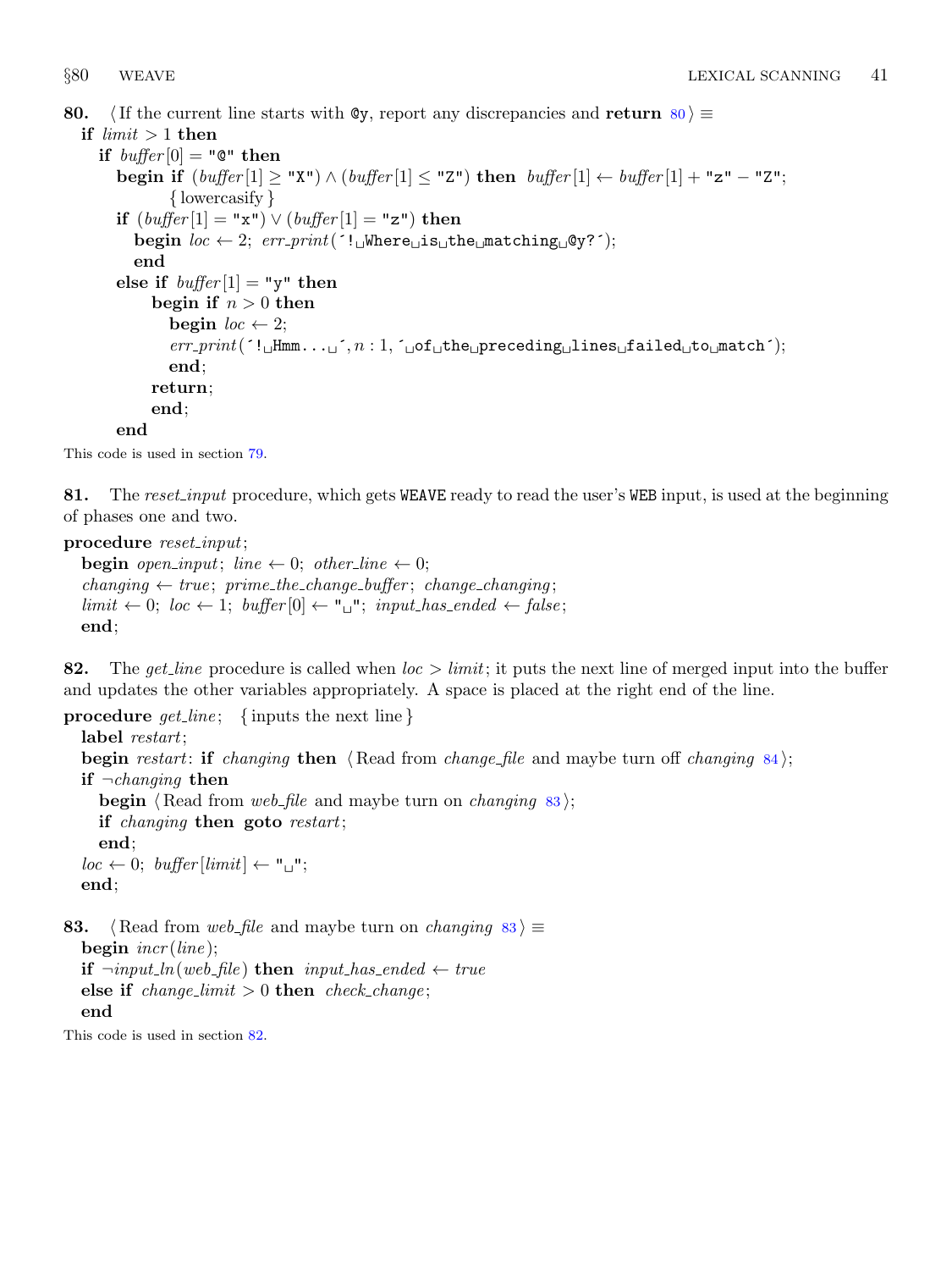<span id="page-26-0"></span>80.  $\langle$  If the current line starts with @y, report any discrepancies and return 80  $\rangle \equiv$ 

if  $limit > 1$  then if  $buffer[0] = "Q" then$ begin if  $(buffer[1] \ge "X") \wedge (buffer[1] \le "Z")$  then  $buffer[1] \leftarrow buffer[1] + "z" - "Z";$ { lowercasify } if  $(buffer[1] = "x") \vee (buffer[1] = "z")$  then begin  $loc \leftarrow 2$ ;  $err\_print($  '! Where is the matching  $\circ$ y?'); end else if  $buffer[1] = "y"$  then begin if  $n > 0$  then begin  $loc \leftarrow 2$ ;  $err\_print($  ( $!$  Hmm...  $\text{I}, n : 1, \text{I of the } preceding \text{ of } timespace$  failed  $\text{to } time$  for  $\text{in }$ end; return; end; end

This code is used in section [79](#page-25-0).

81. The reset input procedure, which gets WEAVE ready to read the user's WEB input, is used at the beginning of phases one and two.

procedure reset\_input;

**begin** open\_input; line  $\leftarrow 0$ ; other\_line  $\leftarrow 0$ ;  $changing \leftarrow true; prime\_the\_change\_buffer; change\_changing;$  $limit \leftarrow 0; loc \leftarrow 1; buffer[0] \leftarrow "u"; input\_has\_ended \leftarrow false;$ end;

82. The get line procedure is called when  $loc > limit$ ; it puts the next line of merged input into the buffer and updates the other variables appropriately. A space is placed at the right end of the line.

```
procedure get\_line; {inputs the next line}
 label restart;
 begin restart: if changing then \langle84\rangle;
 if \neg changing then
    begin \langle Read from web file and maybe turn on changing 83;
    if changing then goto restart;
    end;
  loc \leftarrow 0; buffer [limit] \leftarrow "\Box";
 end;
```
83.  $\langle$  Read from web file and maybe turn on changing 83 i ≡ begin  $\text{incr}(line);$ **if**  $\neg input\_ln(web\_file)$  **then**  $input\_has\_ended ← true$ else if  $change\_limit > 0$  then check change; end

This code is used in section 82.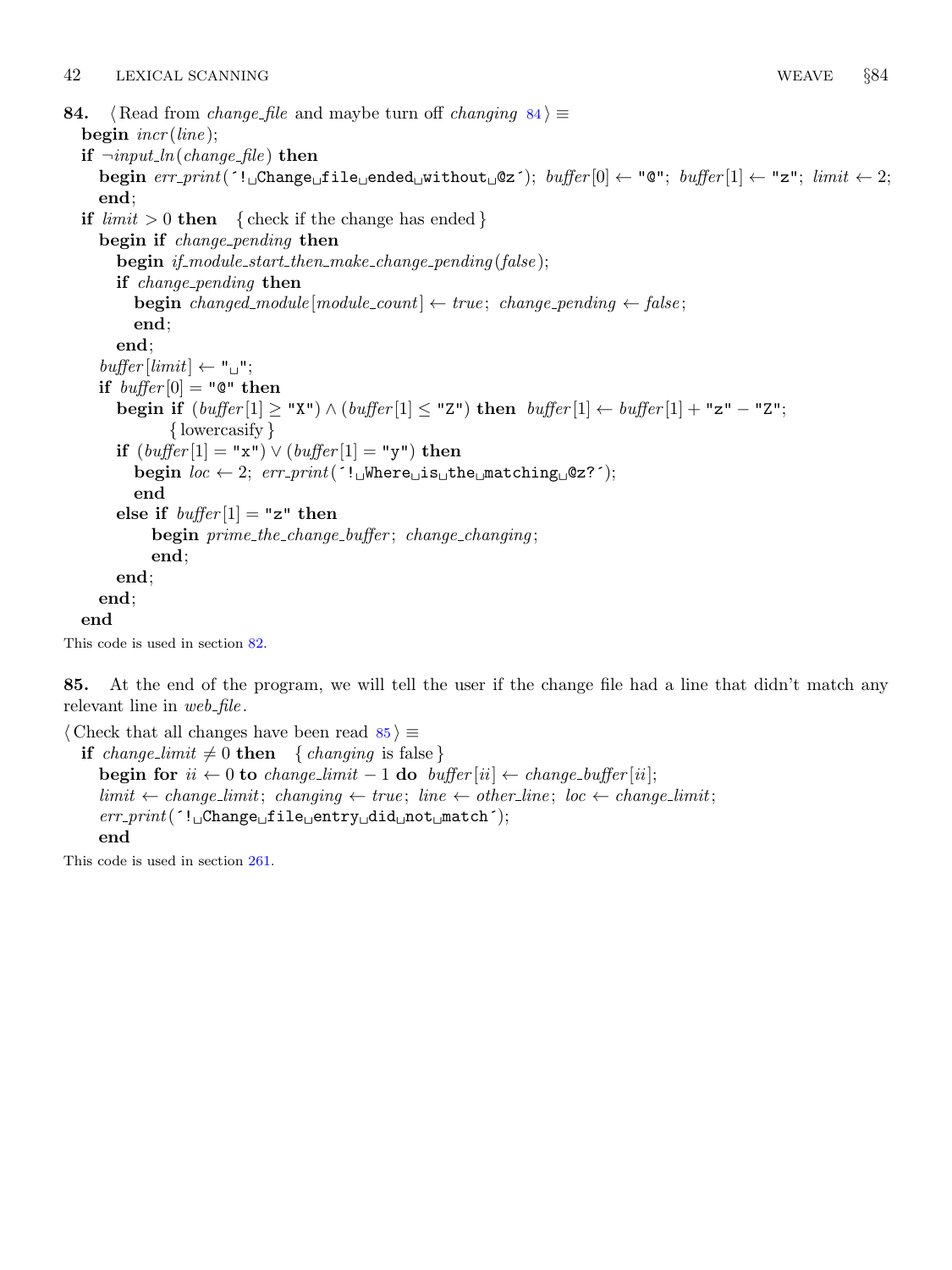<span id="page-27-0"></span>84.  $\langle$  Read from *change\_file* and maybe turn off *changing* 84 $\rangle \equiv$ begin  $\text{incr}(\text{line})$ ; if  $\neg input\_ln(change\_file)$  then begin  $err\_print$ ( $'! \Box$ Change $\Box$ file $\Box$ ended $\Box$ without $\Box$ @z $')$ ; buffer $[0] \leftarrow "0"$ ; buffer $[1] \leftarrow "z"$ ; limit  $\leftarrow 2$ ; end; if  $limit > 0$  then { check if the change has ended } begin if *change\_pending* then begin if\_module\_start\_then\_make\_change\_pending(false); if change pending then **begin** changed\_module  $[module\_count] \leftarrow true$ ; change\_pending  $\leftarrow false$ ; end; end;  $buffer$  [limit]  $\leftarrow$  " $\sqcup$ "; if  $buffer[0] = "Q" then$ begin if  $(\text{buffer}[1] \geq "X") \wedge (\text{buffer}[1] \leq "Z")$  then  $\text{buffer}[1] \leftarrow \text{buffer}[1] + "z" - "Z";$ { lowercasify } if  $(buffer[1] = "x") \vee (buffer[1] = "y")$  then begin  $loc \leftarrow 2$ ;  $err\_print('!\cup \text{Where} \cup \text{is} \cup \text{the} \cup \text{matching} \cup \text{@z?}$ ; end else if  $buffer[1] = "z"$  then begin prime\_the\_change\_buffer; change\_changing; end; end; end; end This code is used in section [82](#page-26-0).

85. At the end of the program, we will tell the user if the change file had a line that didn't match any relevant line in  $web$ -file.

```
\langle Check that all changes have been read 85 \geif change_limit \neq 0 then { changing is false }
     begin for ii \leftarrow 0 to change_limit – 1 do buffer [ii] \leftarrow change_buffer [ii];
     limit \leftarrow change\_limit; changing \leftarrow true; line \leftarrow other\_line; loc \leftarrow change\_limit;
     err\_print( '!
\BoxChange\Boxfile\Boxentry\Boxdid\Boxnot\Boxmatch\Box;
     end
```
This code is used in section [261.](#page-98-0)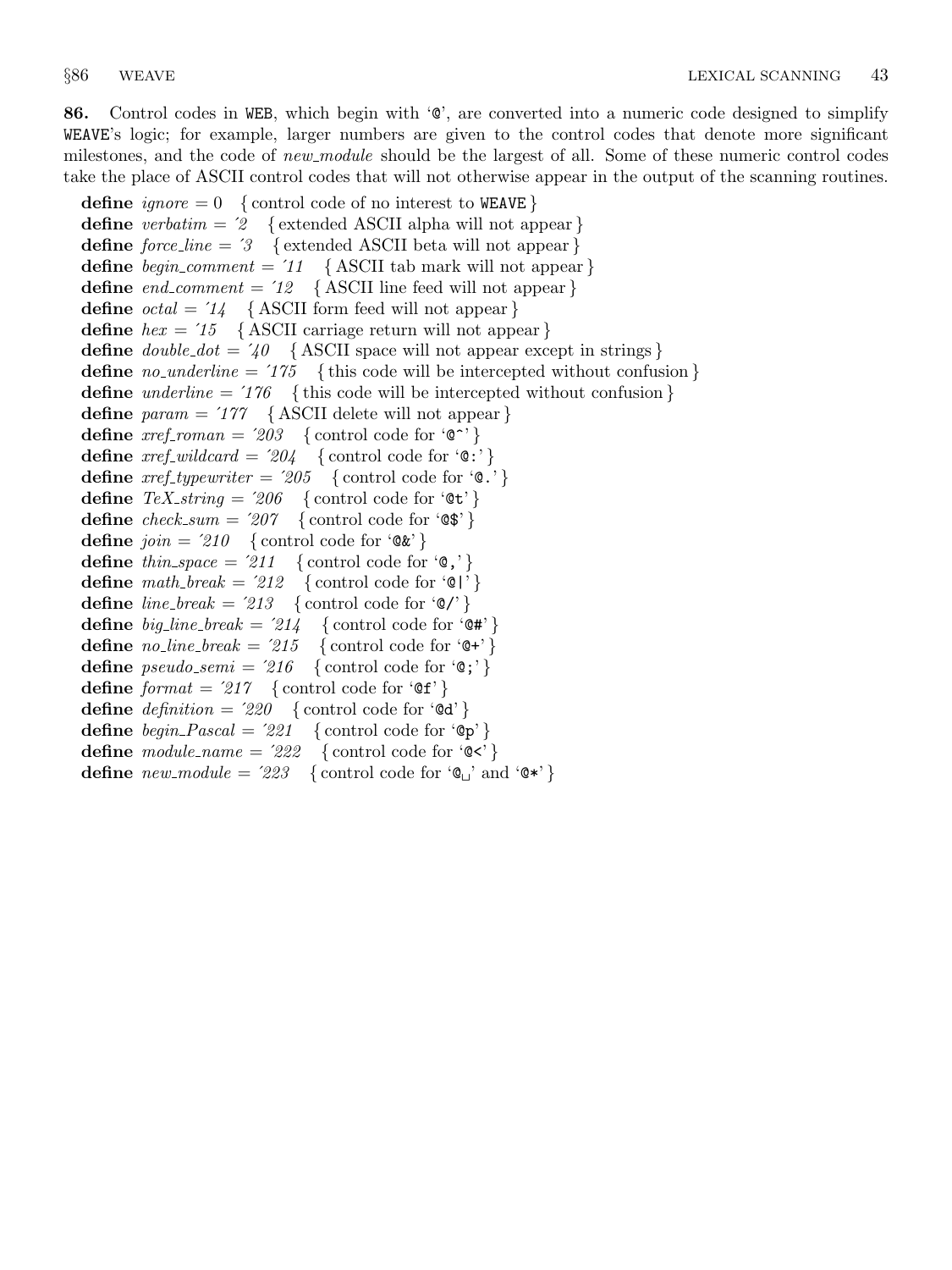86. Control codes in WEB, which begin with  $\mathcal{C}$ , are converted into a numeric code designed to simplify WEAVE's logic; for example, larger numbers are given to the control codes that denote more significant milestones, and the code of new module should be the largest of all. Some of these numeric control codes take the place of ASCII control codes that will not otherwise appear in the output of the scanning routines.

define *ignore* =  $0 \{ \text{control code of no interest to WEAVE } \}$ define verbatim =  $2 \{$  extended ASCII alpha will not appear } define  $force\_line = 3$  { extended ASCII beta will not appear } define *begin\_comment* =  $'11$  { ASCII tab mark will not appear } define  $end\_comment = '12$  {ASCII line feed will not appear} define  $\text{octal} = 14$  { ASCII form feed will not appear } define  $hex = 75$  { ASCII carriage return will not appear } define  $double\_dot = 40$  {ASCII space will not appear except in strings } define *no-underline* =  $'175$  { this code will be intercepted without confusion } **define** underline =  $'176$  { this code will be intercepted without confusion } define  $param = 177$  {ASCII delete will not appear} define  $xref\_roman = 203$  {control code for ' $\mathbb{C}^{\sim}$ '} define  $\text{xref\_wildcard} = 204$  { control code for '0:' } define  $xref\_typewriter = '205$  { control code for '0.'} define  $TeX\_string = 206$  { control code for ' $\mathfrak{E}$ '} define  $check\_sum = '207$  {control code for ' $\circ$ \$'} define  $join = 210$  { control code for ' $@k$ '} define thin space = '211 { control code for ' $\emptyset$ ,' } define  $math_{math}$  = '212 { control code for '0'} define  $line\_break = 213$  { control code for ' $\mathcal{Q}'$  } **define** big\_line\_break = '214 { control code for ' $\mathbb{Q}$ #' } define *no\_line\_break* =  $215$  { control code for  $\Theta^+$ } **define**  $pseudo\_semi = '216$  { control code for ' $\mathbb{Q}$ ;' } define  $format = 217$  { control code for ' $\mathfrak{E}$ f' } define  $definition = '220$  {control code for ' $\mathcal{A}'$ } define  $begin{aligned} \text{define } \text{begin} - \text{Pascal} = 221 \end{aligned}$  { control code for 'Op' } define  $module\_name = '222$  { control code for ' $\mathbb{C}$ '} define  $new_model = 223$  {control code for  $\mathcal{C}$  and  $\mathcal{C}$ \*}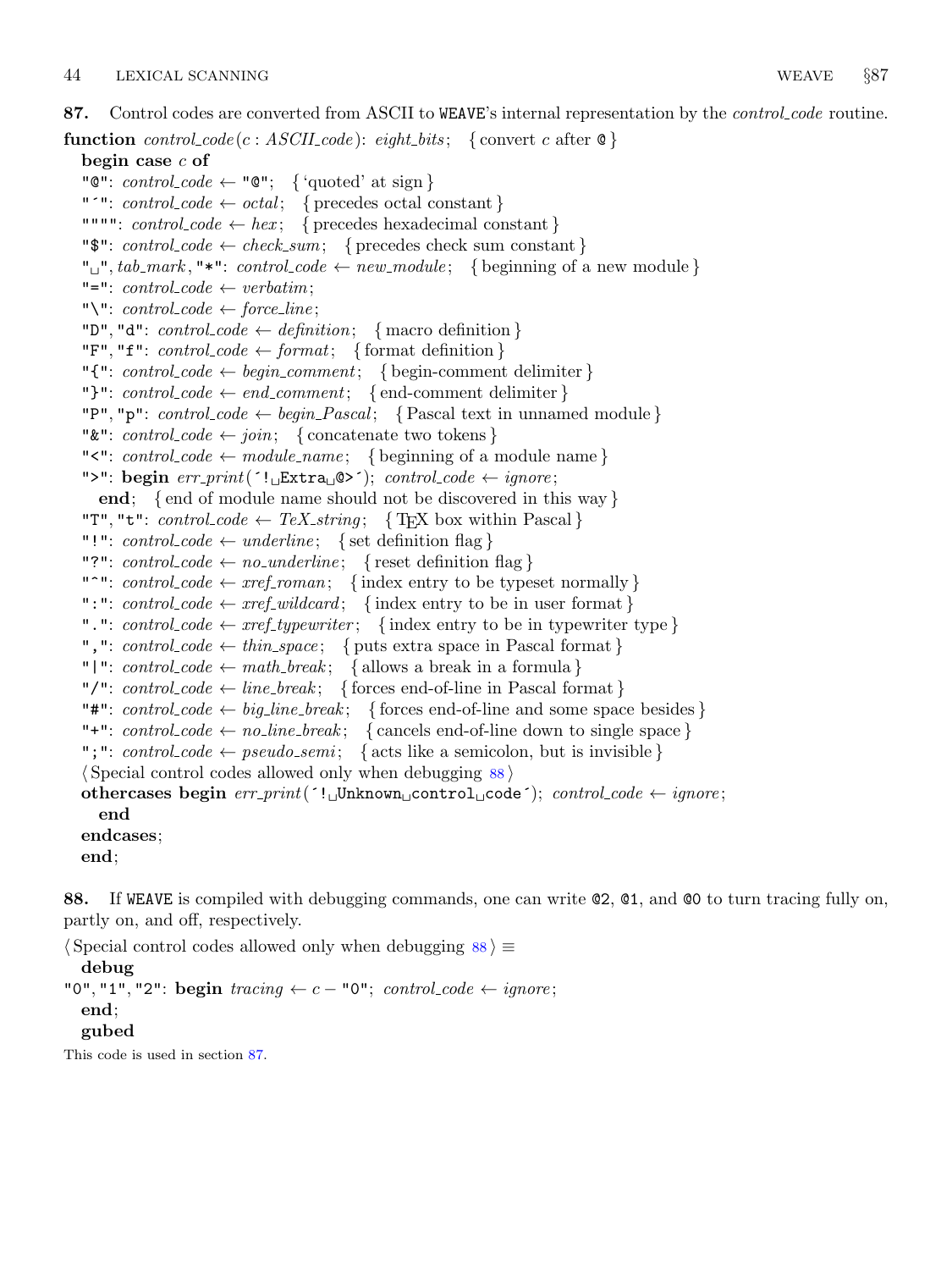87. Control codes are converted from ASCII to WEAVE's internal representation by the *control code* routine.

```
function control\_code(c : ASCII\_code): eight\_bits; \{ convert\ c\ after\ @\}begin case c of
  "\mathbb{C}": control_code \leftarrow "\mathbb{C}"; { 'quoted' at sign }
  "'": control\_code \leftarrow octal; { precedes octal constant }
  """": control\_code \leftarrow hex; { precedes hexadecimal constant }
  "\mathbf{\$}": control_code \leftarrow check_sum; { precedes check sum constant}
  "\Box", tab_mark, "*": control_code \leftarrow new_module; { beginning of a new module }
  "=": control\_code \leftarrow verbatim;"\": control_code \leftarrow force_line;
  "D", "d": control\_code \leftarrow definition; \{ macro definition\}"F", "f": control\_code \leftarrow format; { format definition }
  "{\{\cdot\}}: control\_code \leftarrow begin\_comment; \{begin} comment delimiter }
  "}": control_code \leftarrow end_comment; { end-comment delimiter }
  "P", "p": control\_code \leftarrow begin\_Pascal; { Pascal text in unnamed module }
  "\&": control_code \leftarrow join; { concatenate two tokens}
  "\leq": control_code \leftarrow module_name; { beginning of a module name}
  ">": begin err print(´! Extra @>´); control code ← ignore ;
     end; { end of module name should not be discovered in this way }
  "T", "t": control\_code \leftarrow TeX\_string; \{ TFX \text{ box within Pascal}\}"!": control_code \leftarrow underline; { set definition flag }
  "?": control_code \leftarrow no_underline; { reset definition flag }
  "<sup>*</sup>": control_code \leftarrow xref_roman; { index entry to be typeset normally }
  ":": control_code \leftarrow xref_wildcard; {index entry to be in user format}
  ".": control\_code \leftarrow xref\_typewriter; \{ index entry to be in typewriter type \}",": control\_code \leftarrow thin\_space; { puts extra space in Pascal format }
  "|": control_code \leftarrow math_break; { allows a break in a formula }
  "/": control\_code \leftarrow line\_break; \{ forces end-of-line in Pascal format \}"#": control_code \leftarrow big\_linebreak; { forces end-of-line and some space besides }
  "+": control_code \leftarrow no_line_break; { cancels end-of-line down to single space}
  ";": control\_code \leftarrow pseudo.sem; { acts like a semicolon, but is invisible }
  \langle Special control codes allowed only when debugging 88othercases begin err\_print('! \cupUnknown\cupcontrol\cupcode´); control code ← ignore;
     end
  endcases;
  end;
```
88. If WEAVE is compiled with debugging commands, one can write @2, @1, and @0 to turn tracing fully on, partly on, and off, respectively.

 $\langle$  Special control codes allowed only when debugging 88  $\rangle \equiv$ debug "0", "1", "2": begin tracing  $\leftarrow c$  – "0"; control\_code  $\leftarrow$  ignore; end; gubed

This code is used in section 87.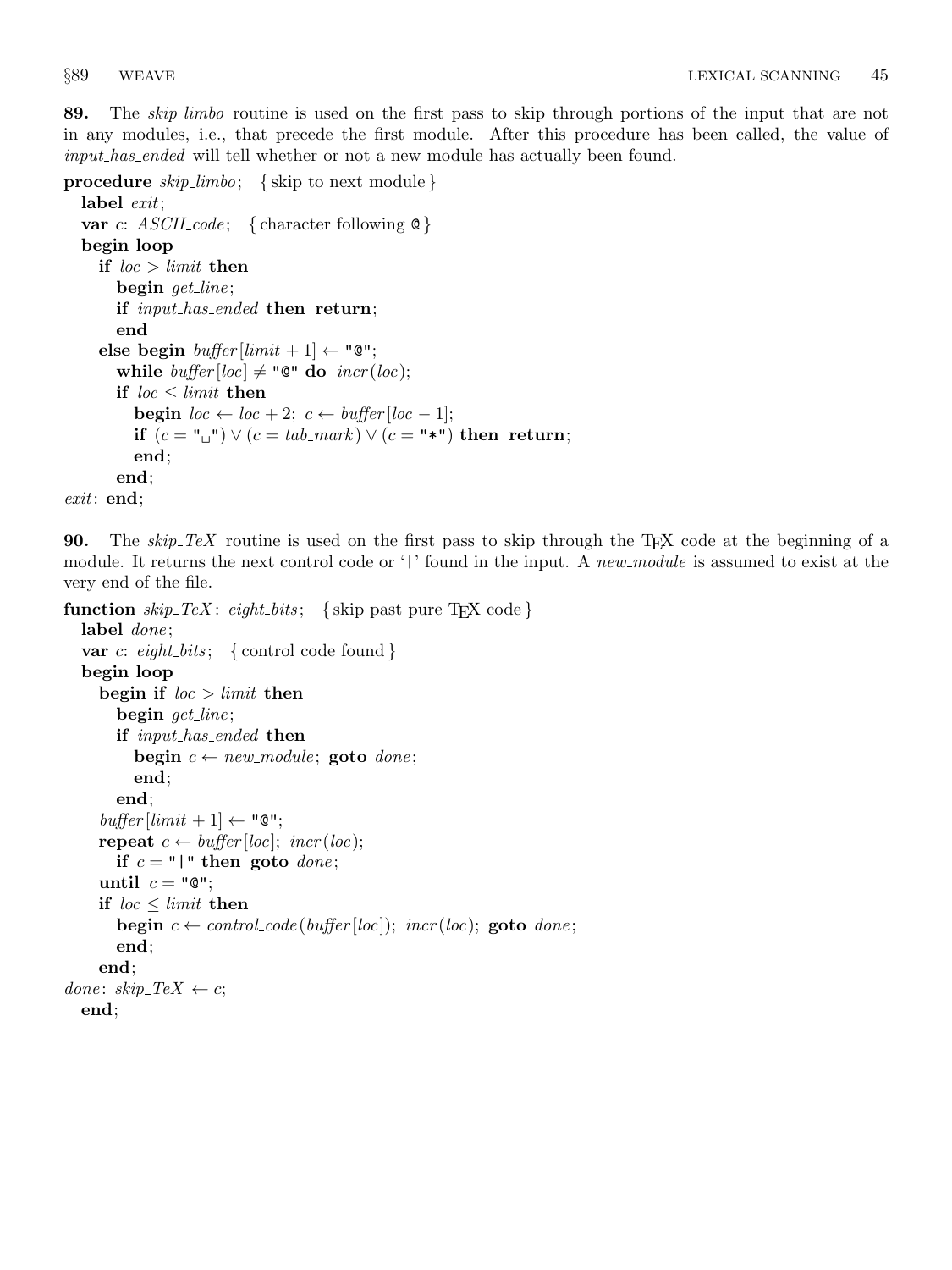89. The skip limbo routine is used on the first pass to skip through portions of the input that are not in any modules, i.e., that precede the first module. After this procedure has been called, the value of input has ended will tell whether or not a new module has actually been found.

procedure  $skip$ -limbo; { skip to next module }

```
label exit;
  var c: ASCILcode; { character following \&}
  begin loop
    if loc > limit then
       begin get line;
       if input_has_ended then return;
       end
    else begin buffer[limit + 1] \leftarrow "Q";while buffer[loc] \neq "@" do incr(loc);if loc \leq limit then
          begin loc \leftarrow loc + 2; c \leftarrow buffer[loc - 1];
         if (c = "\sqcup"') \vee (c = tab\_mark) \vee (c = "\blackcap") then return;
          end;
       end;
exit: end;
```
90. The *skip TeX* routine is used on the first pass to skip through the T<sub>EX</sub> code at the beginning of a module. It returns the next control code or '|' found in the input. A new module is assumed to exist at the very end of the file.

```
function skip\_Step\_Text: eight_bits; { skip past pure T<sub>E</sub>X code}
  label done;
  var c: eight_bits; { control code found }
  begin loop
     begin if loc > limit then
       begin get_line;
       if input_has_ended then
          begin c \leftarrow new\_module; goto done;
          end;
       end;
     buffer[limit + 1] \leftarrow "Q";repeat c \leftarrow \text{buffer} [\text{loc}]; \text{incr} (\text{loc});if c = "|" then goto done;
     until c = "Q";if loc < limit then
       begin c \leftarrow control\_code(buffer[loc]); incr(loc); goto done;
       end;
     end;
done: skip\_Text \leftarrow c;end;
```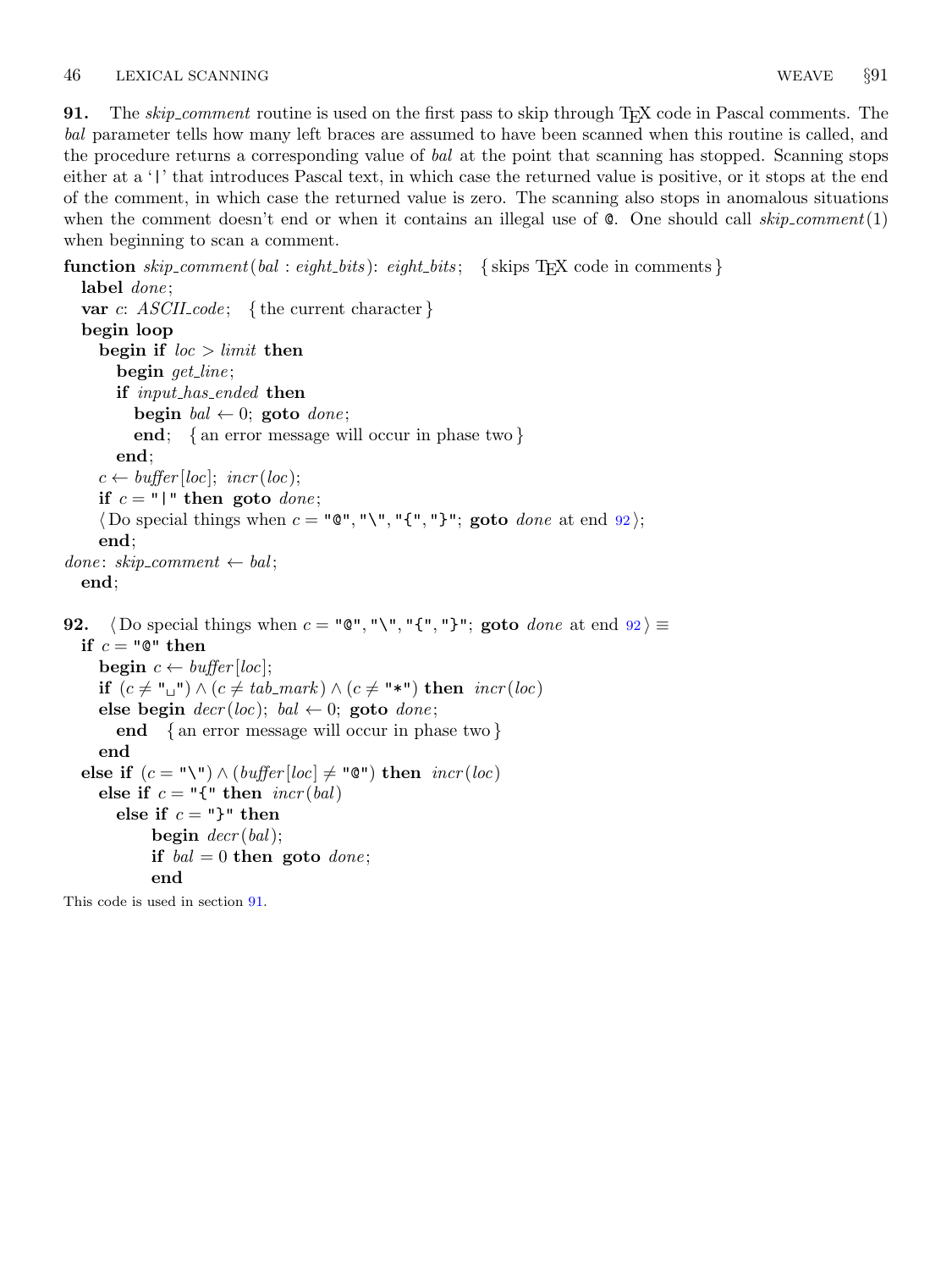**91.** The skip comment routine is used on the first pass to skip through T<sub>E</sub>X code in Pascal comments. The bal parameter tells how many left braces are assumed to have been scanned when this routine is called, and the procedure returns a corresponding value of bal at the point that scanning has stopped. Scanning stops either at a '|' that introduces Pascal text, in which case the returned value is positive, or it stops at the end of the comment, in which case the returned value is zero. The scanning also stops in anomalous situations when the comment doesn't end or when it contains an illegal use of  $\mathcal{C}$ . One should call skip\_comment(1) when beginning to scan a comment.

```
function skip_{\text{skip}} comment(bal : eight_bits): eight_bits; { skips T<sub>E</sub>X code in comments }
  label done;
  var c: ASCH\_{code}; {the current character}
  begin loop
     begin if loc > limit then
        begin get line;
        if input_has_ended then
           begin bal \leftarrow 0; goto done;
           end; { an error message will occur in phase two }
        end;
     c \leftarrow \text{buffer} [\text{loc}]; \ \text{incr} (\text{loc});if c = "\mid" then goto done;
     (Do special things when c = "\mathbb{Q}", "\", "{", "}"; goto done at end 92);
     end;
done: skip\_component \leftarrow bal;end;
92. \langle Do special things when c = "@", "\"\,", "\{"\,", "\}"\,; goto done at end 92 \rangle \equivif c = "Q" then
     begin c \leftarrow \text{buffer} [\text{loc}];if (c \neq "\sqcup") \land (c \neq tab\_mark) \land (c \neq "\star") then incr(loc)else begin decr(loc); bal \leftarrow 0; goto done;
        end { an error message will occur in phase two }
     end
  else if (c = "\Psi) \wedge (buffer[loc] \neq "\mathcal{Q}") then incr(loc)else if c = "\{\mathbf{t}\text{ then } \text{incr}(\text{bal})\}else if c = "}' then
              begin decr (bal);
```
if  $bal = 0$  then goto  $done$ ;

end

This code is used in section 91.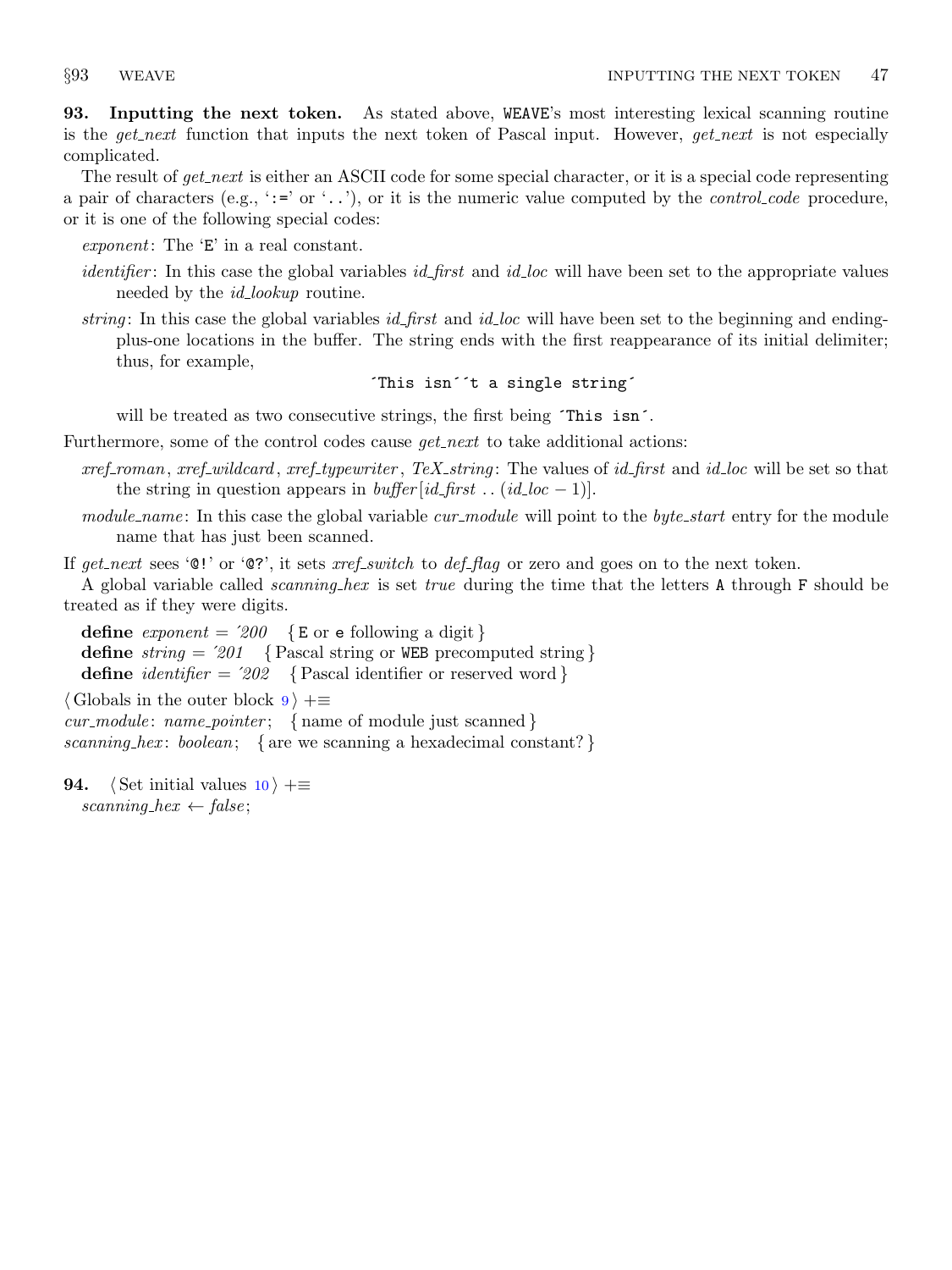<span id="page-32-0"></span>93. Inputting the next token. As stated above, WEAVE's most interesting lexical scanning routine is the get-next function that inputs the next token of Pascal input. However, get-next is not especially complicated.

The result of get next is either an ASCII code for some special character, or it is a special code representing a pair of characters (e.g., ':=' or '..'), or it is the numeric value computed by the *control code* procedure, or it is one of the following special codes:

exponent: The 'E' in a real constant.

- identifier: In this case the global variables *id\_first* and *id\_loc* will have been set to the appropriate values needed by the *id\_lookup* routine.
- string: In this case the global variables *id\_first* and *id\_loc* will have been set to the beginning and endingplus-one locations in the buffer. The string ends with the first reappearance of its initial delimiter; thus, for example,

## ´This isn´´t a single string´

will be treated as two consecutive strings, the first being  $\tau$ his isn<sup> $\cdot$ </sup>.

Furthermore, some of the control codes cause  $qet.next$  to take additional actions:

- $xref_{normal}$ ,  $xref_{wildcard}$ ,  $xref_{ypewriter}$ ,  $T\in X_{string}$ : The values of id first and id loc will be set so that the string in question appears in *buffer* [id\_first . . (id\_loc - 1)].
- module name: In this case the global variable cur module will point to the byte start entry for the module name that has just been scanned.

If get next sees ' $\mathbb{Q}$ !' or ' $\mathbb{Q}$ ?', it sets xref switch to def flag or zero and goes on to the next token.

A global variable called scanning hex is set true during the time that the letters A through F should be treated as if they were digits.

define  $\text{exponent} = 200 \quad \{\text{E or } \text{e following a digit}\}\$ define  $string = 201$  {Pascal string or WEB precomputed string} define *identifier* =  $202 \quad$  {Pascal identifier or reserved word }

 $\langle$  Globals in the outer block  $9 \rangle + \equiv$  $9 \rangle + \equiv$ 

 $cur\_module: name\_pointer; \{ name of module just scanned\}$ scanning hex: boolean; { are we scanning a hexadecimal constant?}

**94.**  $\langle$  Set initial values [10](#page-3-0)  $\rangle$  +≡ scanning hex  $\leftarrow$  false;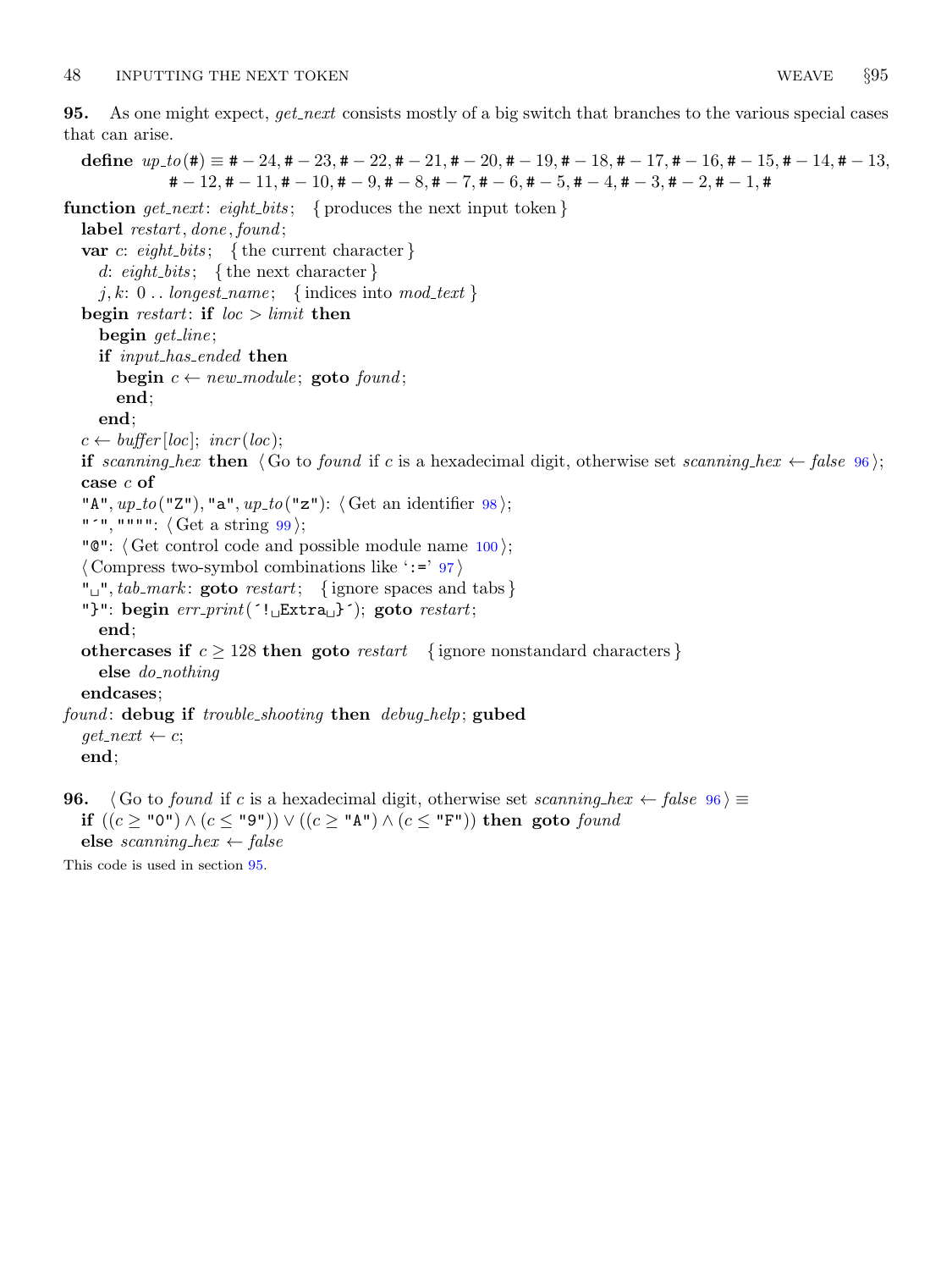<span id="page-33-0"></span>95. As one might expect, get next consists mostly of a big switch that branches to the various special cases that can arise.

define  $up\_to(\texttt{\#}) \equiv \texttt{\#} - 24, \texttt{\#} - 23, \texttt{\#} - 22, \texttt{\#} - 21, \texttt{\#} - 20, \texttt{\#} - 19, \texttt{\#} - 18, \texttt{\#} - 17, \texttt{\#} - 16, \texttt{\#} - 15, \texttt{\#} - 14, \texttt{\#} - 13,$  $# -12, # -11, # -10, # -9, # -8, # -7, # -6, # -5, # -4, # -3, # -2, # -1, #$ 

function get next: eight bits; { produces the next input token }

```
label restart, done, found;
```
var c: eight\_bits; { the current character }

d: eight\_bits; { the next character }

j, k: 0... longest\_name; {indices into mod\_text}

begin restart: if  $loc > limit$  then

begin get\_line;

if *input\_has\_ended* then

begin  $c \leftarrow new\_module$ ; goto found;

end;

end;

 $c \leftarrow \text{buffer} [\text{loc}]; \ \text{incr} (\text{loc});$ 

if scanning hex then  $\langle$  Go to found if c is a hexadecimal digit, otherwise set scanning hex  $\leftarrow$  false 96 $\rangle$ ; case c of

"A",  $up\_to$  ("Z"), "a",  $up\_to$  ("z"):  $\langle$  Get an identifier [98](#page-34-0) $\rangle$ ;

"'", """":  $\langle$  Get a string  $99 \rangle$  $99 \rangle$ ;

" $\mathbb{C}$ ":  $\langle$  Get control code and possible module name  $100$ ;

 $\langle$  Compress two-symbol combinations like ':=' [97](#page-34-0)}

" $\Box$ ", tab\_mark: goto restart; {ignore spaces and tabs}

"}": begin  $err\_print($ '! $_{L}Extra_{L}$ }'); goto  $restart;$ 

end;

othercases if  $c \geq 128$  then goto *restart* { ignore nonstandard characters }

else do nothing

endcases;

found: debug if trouble\_shooting then debug\_help; gubed

 $get.next \leftarrow c$ ;

end;

**96.** (Go to found if c is a hexadecimal digit, otherwise set scanning hex ← false  $96 \ge$ if  $((c \geq "0") \land (c \leq "9") \lor ((c \geq "A") \land (c \leq "F")$  then goto found else scanning hex  $\leftarrow$  false

This code is used in section 95.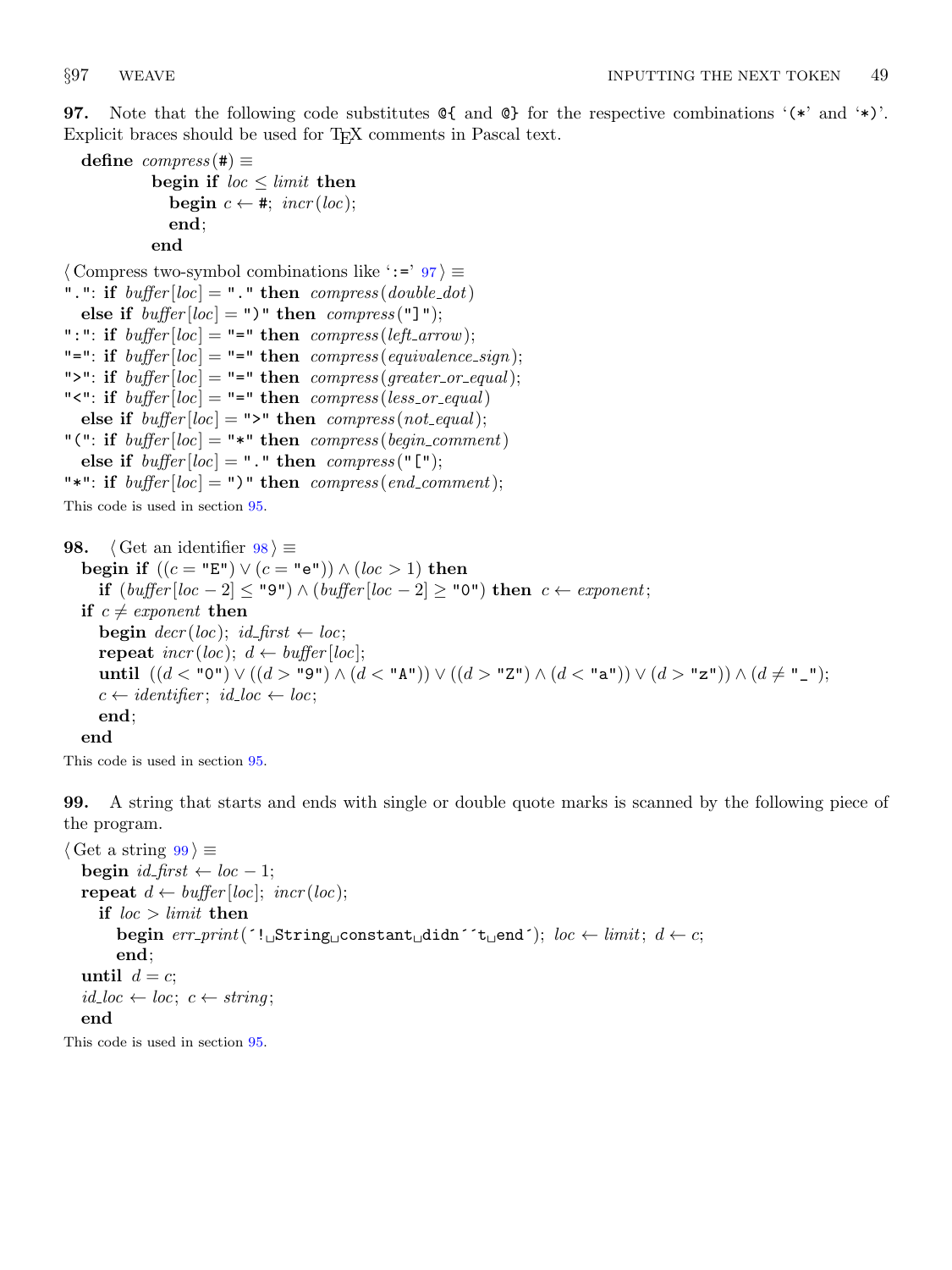<span id="page-34-0"></span>**97.** Note that the following code substitutes  $\mathcal{C}\{$  and  $\mathcal{C}\}$  for the respective combinations '(\*' and '\*)'. Explicit braces should be used for T<sub>E</sub>X comments in Pascal text.

```
define compress(\#) \equivbegin if loc \leq limit then
             begin c \leftarrow \#; incr(loc);end;
          end
```
 $\langle$  Compress two-symbol combinations like ':=' 97  $\rangle \equiv$ ".": if  $buffer[loc] = "$ ." then  $compress(double\_dot)$ else if  $buffer[loc] = "$ " then  $compress("]$ "); ":": if  $buffer[loc] = "=" then \ compress(leftarrow);$ "=": if  $buffer[loc] = "=" then compress(equivalence\_sign);$ ">": if  $buffer[loc] = "=" then compress(greater_or_equal);$ " $\leq$ ": if buffer  $[loc] =$  "=" then compress (less\_or\_equal) else if  $buffer[loc] = ">"$  then  $compress(not\_equal);$ "(": if  $buffer[loc] =$ "\*" then  $compress(begin\_comment)$ else if  $buffer[loc] = "." then compress("["");$ "\*": if  $buffer[loc] = "$ " then  $compress(end_{comment});$ 

This code is used in section [95](#page-33-0).

```
98. \langle Get an identifier 98 \rangle \equivbegin if ((c = "E") \lor (c = "e") \land (loc > 1) then
     if (buffer[loc - 2] ≤ "9") ∧ (buffer[loc - 2] ≥ "0") then c ← exponent;if c \neq exponent then
     begin decr(loc); id\_first \leftarrow loc;repeat \text{incr}(loc); d \leftarrow \text{buffer}(loc);until ((d < "0") \lor ((d > "9") \land (d < "A") \lor ((d > "Z") \land (d < "a") \lor (d > "z") \land (d ≠ "_").c \leftarrow identifier; id\_loc \leftarrow loc;end;
  end
```
This code is used in section [95](#page-33-0).

99. A string that starts and ends with single or double quote marks is scanned by the following piece of the program.

```
\langle Get a string 99 \rangle \equivbegin id\_first \leftarrow loc - 1;
  repeat d \leftarrow buffer[loc]; incr(loc);
      if loc > limit then
        begin err\_print( '! String constant didn<sup>\leq</sup>t end\leq); loc \leftarrow limit; d \leftarrow c;
        end;
  until d = c;
   id\_loc \leftarrow loc; c \leftarrow string;end
```
This code is used in section [95](#page-33-0).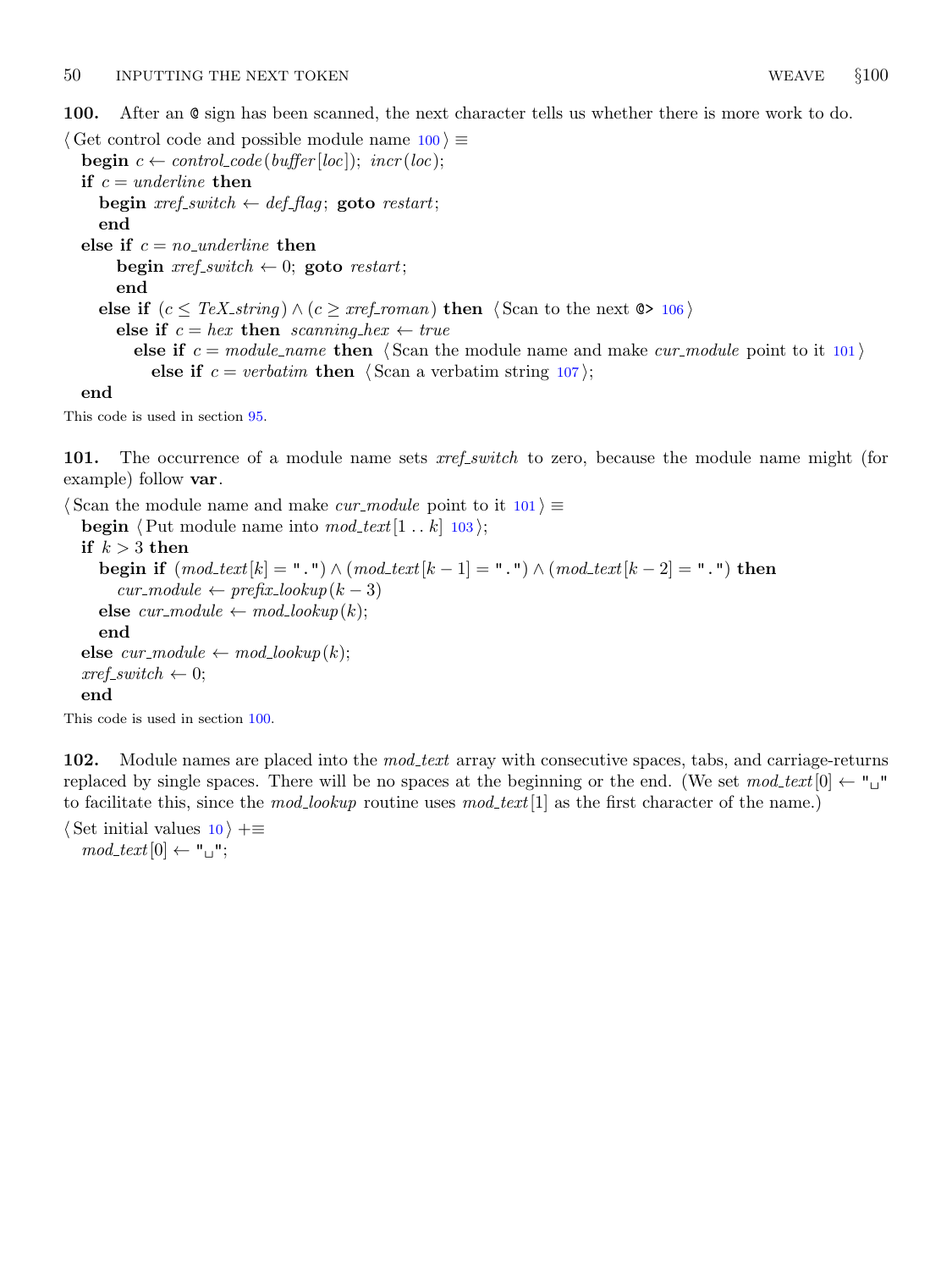<span id="page-35-0"></span>100. After an @ sign has been scanned, the next character tells us whether there is more work to do.

 $\langle$  Get control code and possible module name  $100 \rangle \equiv$ **begin**  $c \leftarrow control\_code(buffer[loc]);$   $incr(loc);$ if  $c = *underline*$  then begin  $\text{xref\_switch} \leftarrow \text{def\_flag}$ ; goto  $\text{restart}$ ; end else if  $c = no\_underline$  then begin  $\text{xref\_switch} \leftarrow 0$ ; goto restart; end else if  $(c \leq TeX\_{string}) \wedge (c \geq xref\_{roman})$  then  $\langle$  Scan to the next  $\otimes$  [106](#page-37-0) $\rangle$ else if  $c = hex$  then scanning hex  $\leftarrow true$ else if  $c = module_name$  then  $\langle$  Scan the module name and make *cur module* point to it 101 $\rangle$ else if  $c = verbatim$  then  $\langle$  Scan a verbatim string [107](#page-37-0) $\rangle$ ; end

This code is used in section [95](#page-33-0).

101. The occurrence of a module name sets *xref\_switch* to zero, because the module name might (for example) follow var.

 $\langle$  Scan the module name and make *cur\_module* point to it 101  $\rangle \equiv$ 

**begin**  $\langle$  Put module name into  $mod\_text[1 .. k]$  [103](#page-36-0) $\rangle$ ; if  $k > 3$  then begin if  $(mod\_text[k] = "."]) \wedge (mod\_text[k-1] = "."]) \wedge (mod\_text[k-2] = "."])$  then  $cur\_module \leftarrow prefix\_lookup(k-3)$ else  $cur_model \leftarrow mod\_lookup(k);$ end else  $cur\_module \leftarrow mod\_lookup(k);$  $xref\_switch \leftarrow 0;$ end

This code is used in section 100.

102. Module names are placed into the *mod<sub>-text</sub>* array with consecutive spaces, tabs, and carriage-returns replaced by single spaces. There will be no spaces at the beginning or the end. (We set  $mod\_text[0] \leftarrow$ " to facilitate this, since the mod-lookup routine uses  $mod\_text[1]$  as the first character of the name.)

 $\langle$  Set initial values [10](#page-3-0)  $\rangle$  +≡  $mod\_text[0] \leftarrow "\sqcup"$ ;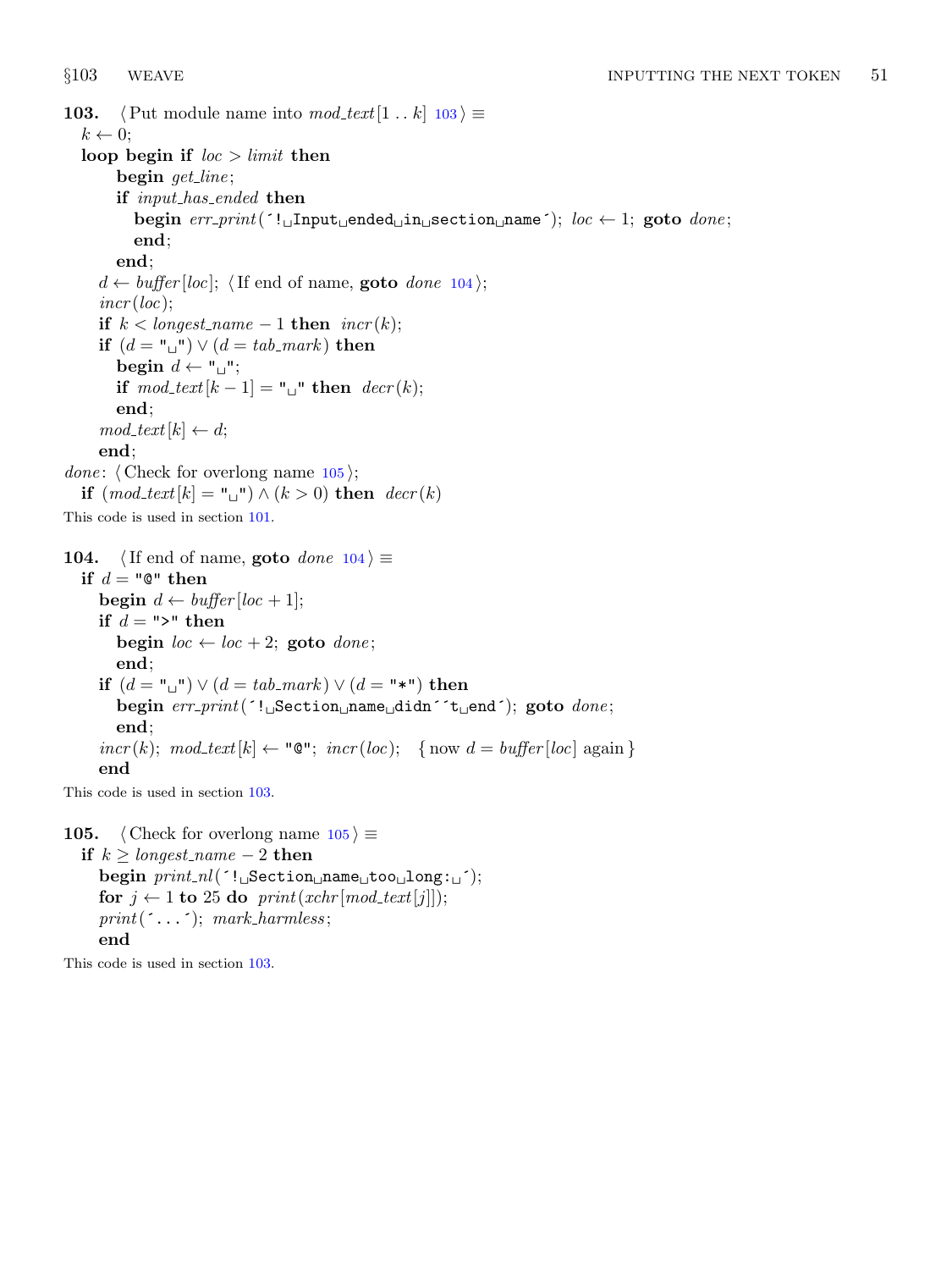**103.**  $\langle$  Put module name into mod\_text[1 . . k]  $103 \rangle \equiv$  $k \leftarrow 0$ ; loop begin if  $loc > limit$  then begin get\_line; if input\_has\_ended then begin  $err\_print$ <sup>( $\cdot$ !</sup> $\cup$ Input $\cup$ ended $\cup$ in $\cup$ section $\cup$ name $\cdot$ ); loc  $\leftarrow$  1; goto done; end; end;  $d \leftarrow \text{buffer} [\text{loc}]$ ; (If end of name, **goto** done 104);  $incr(loc);$ if  $k <$  longest\_name – 1 then  $\text{incr}(k)$ ; if  $(d = "_1") \vee (d = tab\_mark)$  then begin  $d \leftarrow "\sqcup"$ ; if  $mod\_text[k-1] = "^"$  then  $decr(k);$ end;  $mod\_text[k] \leftarrow d;$ end; *done:*  $\langle$  Check for overlong name 105 $\rangle$ ; if  $(mod\_text[k] = "\sqcup"') \wedge (k > 0)$  then  $decr(k)$ This code is used in section [101.](#page-35-0) 104. (If end of name, goto done  $104$ )  $\equiv$ if  $d = "Q"$  then begin  $d \leftarrow \text{buffer} [\text{loc} + 1];$ if  $d =$ ">" then begin  $loc \leftarrow loc + 2$ ; goto  $done$ ; end; if  $(d = "\sqcup") \vee (d = tab\_mark) \vee (d = "\star")$  then begin  $err\_print($  '! $_$ Section name didn 't end'); goto  $done$ ; end;  $incr(k); \text{ mod\_text}[k] \leftarrow \text{``} \text{@''}; \text{ } incr(loc); \text{ } \{ \text{ now } d = buffer[loc] \text{ again } \}$ end

This code is used in section 103.

105.  $\langle$  Check for overlong name 105  $\rangle \equiv$ if  $k ≥ longer_name - 2$  then  $begin *begin min\_nl*(<sup>-!</sup> <sub>L</sub>Section<sub>u</sub>name<sub>u</sub> too<sub>u</sub> long: <sub>u</sub>');$ for  $j \leftarrow 1$  to 25 do print(xchr[mod\_text[j]]);  $print(\ulcorner \ldots \ulcorner); mark_harmless;$ end

This code is used in section 103.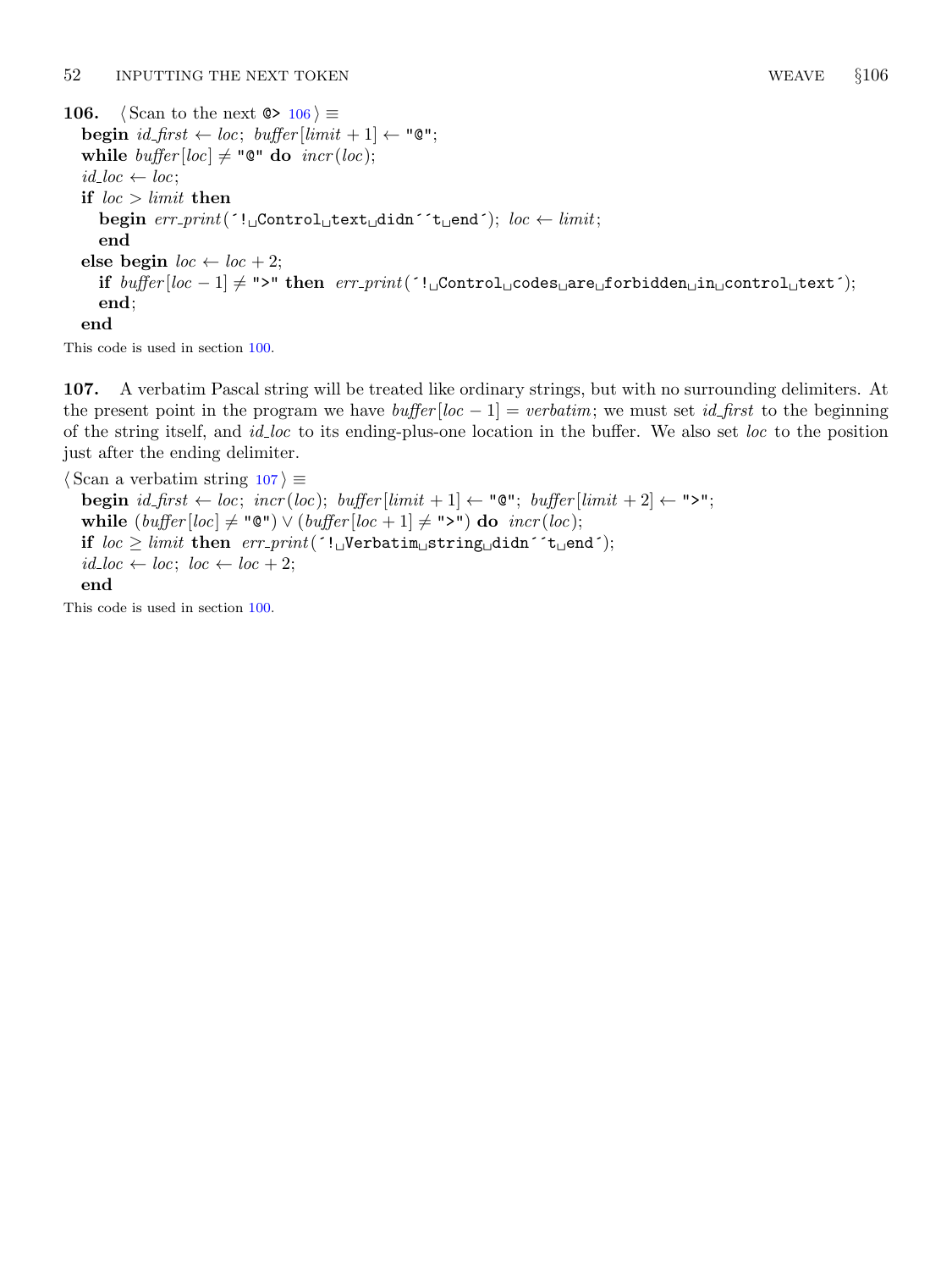```
106. \langle Scan to the next \circ ≥ 106\rangle \equivbegin id\_first \leftarrow loc; buffer[limit + 1] \leftarrow "Q";while buffer[loc] \neq "@" do incr(loc);id\_loc \leftarrow loc;if loc > limit then
      begin err\_print( '!\text{UControll}_\text{U}text\text{Udist}_\text{U}didn´ 't\text{Uend}'); loc \leftarrow limit;end
  else begin loc \leftarrow loc + 2;
```

```
end;
end
```
This code is used in section [100.](#page-35-0)

107. A verbatim Pascal string will be treated like ordinary strings, but with no surrounding delimiters. At the present point in the program we have  $buffer[loc - 1] = verbatim$ ; we must set *id\_first* to the beginning of the string itself, and *id loc* to its ending-plus-one location in the buffer. We also set loc to the position just after the ending delimiter.

if  $buffer[loc - 1] \neq ">"$  then  $err\_print('![Content\_codes\_are\_forbidden\_in\_control\_text$ ');

 $\langle$  Scan a verbatim string 107 $\rangle \equiv$ begin  $id\_first \leftarrow loc; incr(loc); buffer[limit + 1] \leftarrow "Q"; buffer[limit + 2] \leftarrow ">";$ while  $(buffer[loc] \neq "Q") \vee (buffer[loc + 1] \neq ">")$  do  $incr(loc);$ if  $loc \geq limit$  then  $err\_print($ '! Verbatim string didn''t end');  $id\_loc \leftarrow loc; loc \leftarrow loc + 2;$ end

This code is used in section [100.](#page-35-0)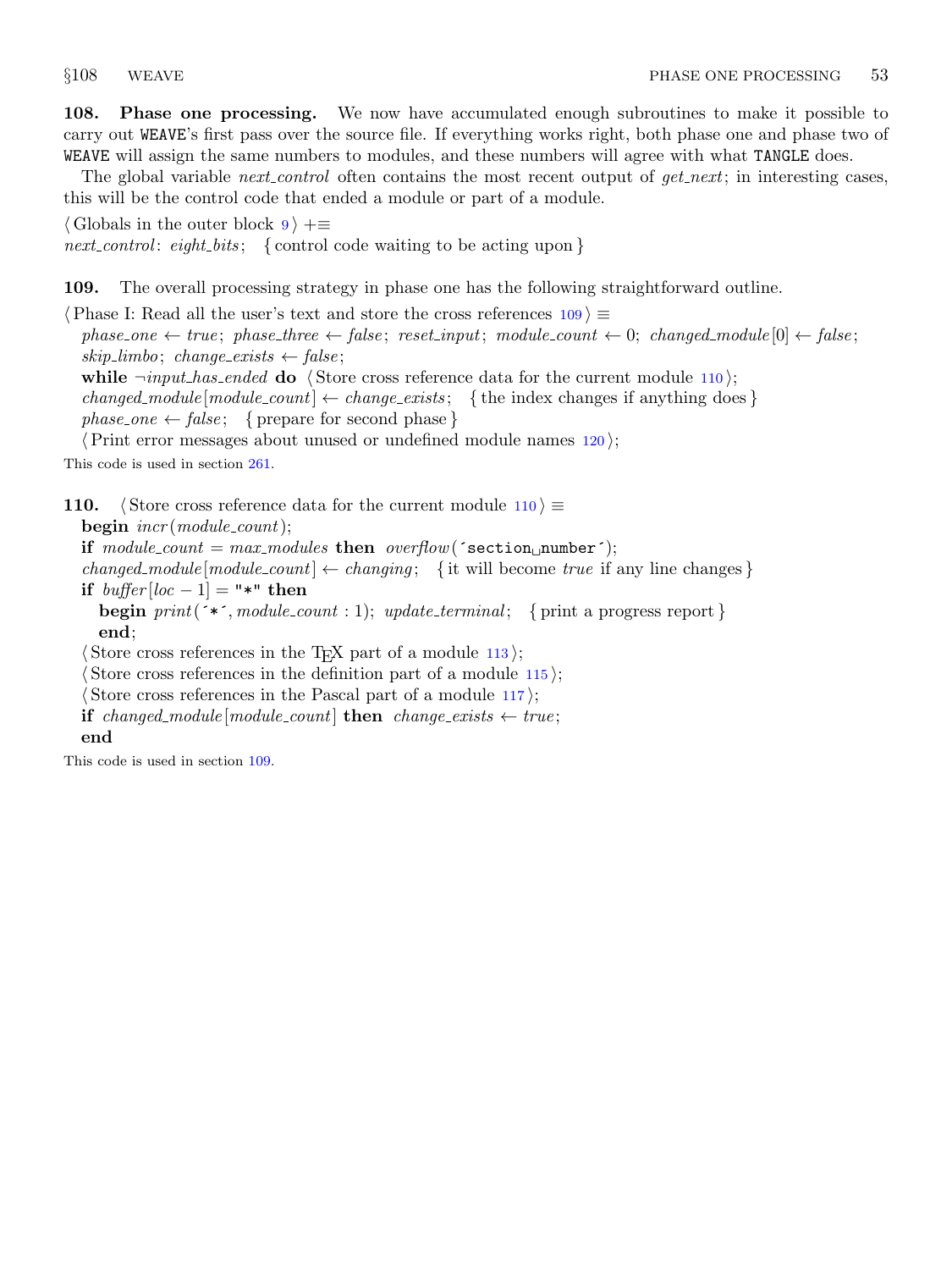<span id="page-38-0"></span>108. Phase one processing. We now have accumulated enough subroutines to make it possible to carry out WEAVE's first pass over the source file. If everything works right, both phase one and phase two of WEAVE will assign the same numbers to modules, and these numbers will agree with what TANGLE does.

The global variable *next control* often contains the most recent output of *get next*; in interesting cases, this will be the control code that ended a module or part of a module.

 $\langle$  Globals in the outer block [9](#page-3-0)  $\rangle$  += next\_control: eight\_bits; { control code waiting to be acting upon }

109. The overall processing strategy in phase one has the following straightforward outline.

 $\langle$  Phase I: Read all the user's text and store the cross references  $109$   $\equiv$ phase\_one  $\leftarrow$  true; phase\_three  $\leftarrow$  false; reset\_input; module\_count  $\leftarrow$  0; changed\_module [0]  $\leftarrow$  false; skip\_limbo; change\_exists  $\leftarrow$  false;

while  $\neg input\_has\_ended$  do  $\langle$  Store cross reference data for the current module 110 $\rangle$ ; changed module  $[module\_count] \leftarrow change\_exists$ ; { the index changes if anything does }  $phase\_one \leftarrow false;$  { prepare for second phase }

 $\langle$  Print error messages about unused or undefined module names [120](#page-41-0) $\rangle$ ;

This code is used in section [261.](#page-98-0)

110. Store cross reference data for the current module  $110$  i ≡  $beginingumber$  incr(module\_count); if  $module\_count = max_{models}$  then  $overflow('section_{\text{un}})$ ; changed module  $[module\_count] \leftarrow changing; \{$  it will become true if any line changes  $\}$ if  $buffer[loc - 1] =$  "\*" then **begin** print( $\checkmark$ , module count : 1); update terminal; { print a progress report } end;  $\langle$  Store cross references in the T<sub>EX</sub> part of a module [113](#page-40-0) $\rangle$ ;

 $\langle$  Store cross references in the definition part of a module [115](#page-40-0) $\rangle$ ;

 $\langle$  Store cross references in the Pascal part of a module [117](#page-41-0) $\rangle$ ;

```
if changed\_module[module\_count] then change\_exists \leftarrow true;end
```
This code is used in section 109.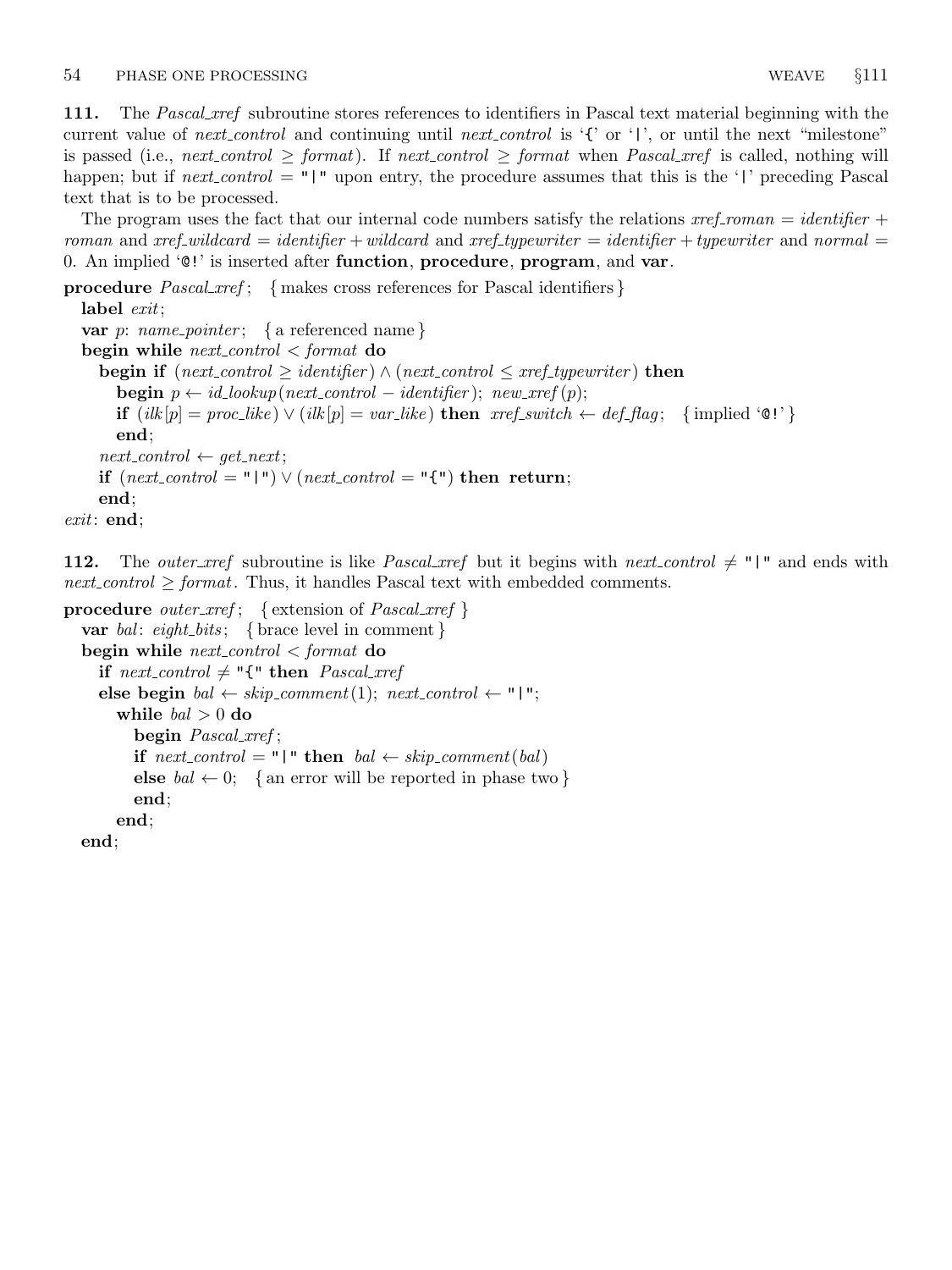111. The *Pascal xref* subroutine stores references to identifiers in Pascal text material beginning with the current value of next control and continuing until next control is '{' or '|', or until the next "milestone" is passed (i.e., next control  $\geq$  format). If next control  $\geq$  format when Pascal xref is called, nothing will happen; but if *next\_control* = "|" upon entry, the procedure assumes that this is the '|' preceding Pascal text that is to be processed.

The program uses the fact that our internal code numbers satisfy the relations  $xref_{\text{r}} = identifier +$ roman and xref wildcard = identifier + wildcard and xref typewriter = identifier + typewriter and normal = 0. An implied  $\mathfrak{e}$ !' is inserted after **function**, **procedure**, **program**, and **var**.

procedure  $Pascal\_xref$ ; { makes cross references for Pascal identifiers } label *exit*;

```
var p: name_pointer; { a referenced name }
  begin while next_{control} < format do
     begin if (next_{control} \geq identifier) \land (next_{control} \leq xref_{typewriter}) then
       begin p \leftarrow id\_lookup(next-control - identifier); new\_xref(p);if (ilk[p] = proc\_like) ∨ (ilk[p] = var\_like) then xref\_switch \leftarrow def\_flag; \{implied \, '@!'\}end;
     next_{control} \leftarrow get_{next};if (next_{control} = "\mid") \vee (next_{control} = "\mid") then return;
     end;
exit: end;
```
112. The *outer\_xref* subroutine is like *Pascal\_xref* but it begins with *next\_control*  $\neq$  "|" and ends with  $next-control \geq format$ . Thus, it handles Pascal text with embedded comments.

```
procedure outer_xref; { extension of Pascal\_xref }
  var bal: eight_bits; { brace level in comment }
  begin while next_control \lt format do
    if next-control \neq "{" then Pascal_xref
    else begin bal \leftarrow skip\_comment(1); next\_control \leftarrow "\mid";
       while bal > 0 do
         begin Pascal_xref;
         if next-control = "\n" then bal \leftarrow skip\_comment(bal)else bal \leftarrow 0; { an error will be reported in phase two }
         end;
       end;
  end;
```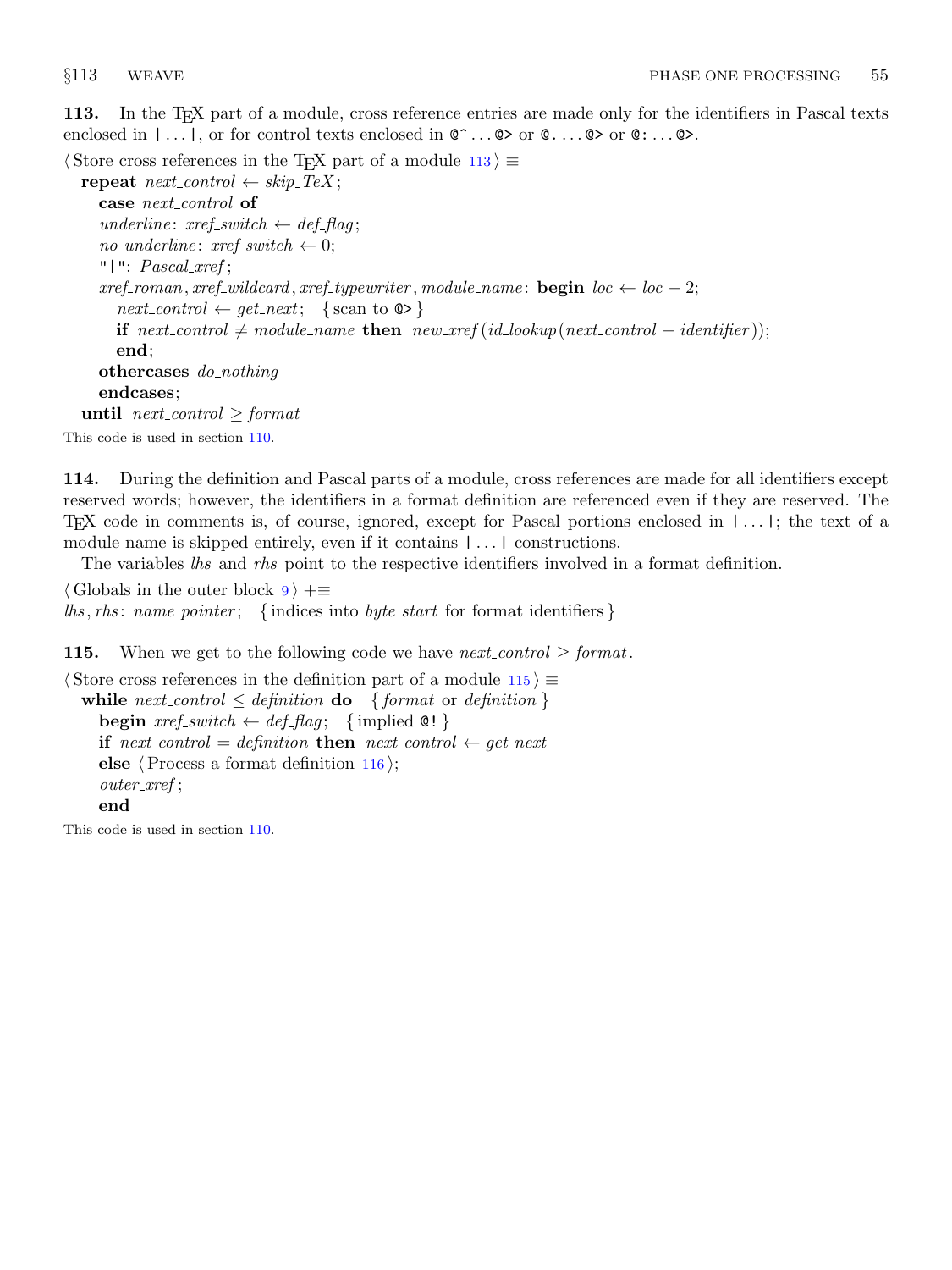<span id="page-40-0"></span>113. In the TEX part of a module, cross reference entries are made only for the identifiers in Pascal texts enclosed in  $| \dots |$ , or for control texts enclosed in  $\mathbb{C}^{\dots} \mathbb{Q}$  or  $\mathbb{Q} \dots \mathbb{Q}$  or  $\mathbb{Q} \dots \mathbb{Q}$ .

 $\langle$  Store cross references in the T<sub>E</sub>X part of a module 113 $\rangle \equiv$ 

repeat  $next-control \leftarrow skip\_Text;$ case next\_control of underline:  $xref\_switch \leftarrow def\_flag;$  $no\_underline: xref\_switch \leftarrow 0;$ " $|$  ":  $Pascal\_xref;$  $xref_{normal}, xref_{wild}, xref_{typewriter}, module_{name}: \textbf{begin} loc \leftarrow loc - 2;$  $next\_control \leftarrow get\_next; \{ scan to \, \textcircled{>}$ if next\_control  $\neq$  module\_name then new\_xref (id\_lookup(next\_control – identifier)); end; othercases *do\_nothing* endcases; until next\_control  $\geq$  format This code is used in section [110.](#page-38-0)

114. During the definition and Pascal parts of a module, cross references are made for all identifiers except reserved words; however, the identifiers in a format definition are referenced even if they are reserved. The TEX code in comments is, of course, ignored, except for Pascal portions enclosed in | . . . |; the text of a module name is skipped entirely, even if it contains | . . . | constructions.

The variables *lhs* and *rhs* point to the respective identifiers involved in a format definition.

 $\langle$  Globals in the outer block  $9 \rangle + \equiv$  $9 \rangle + \equiv$  $\{ this, rhs: name\_ pointer; \{ indices into byte\_start \ for format identifiers \}$ 

**115.** When we get to the following code we have *next\_control*  $\geq$  *format*.

```
\langle Store cross references in the definition part of a module 115\rangle \equivwhile next control \leq definition do \{format \ or \ definition\}begin \text{xref\_switch} \leftarrow \text{def\_flag}; \{ \text{implied } \mathcal{Q}! \}if next_control = definition then next_control \leftarrow get_next
     else \langle116\rangle;
     outer xref ;
     end
```
This code is used in section [110.](#page-38-0)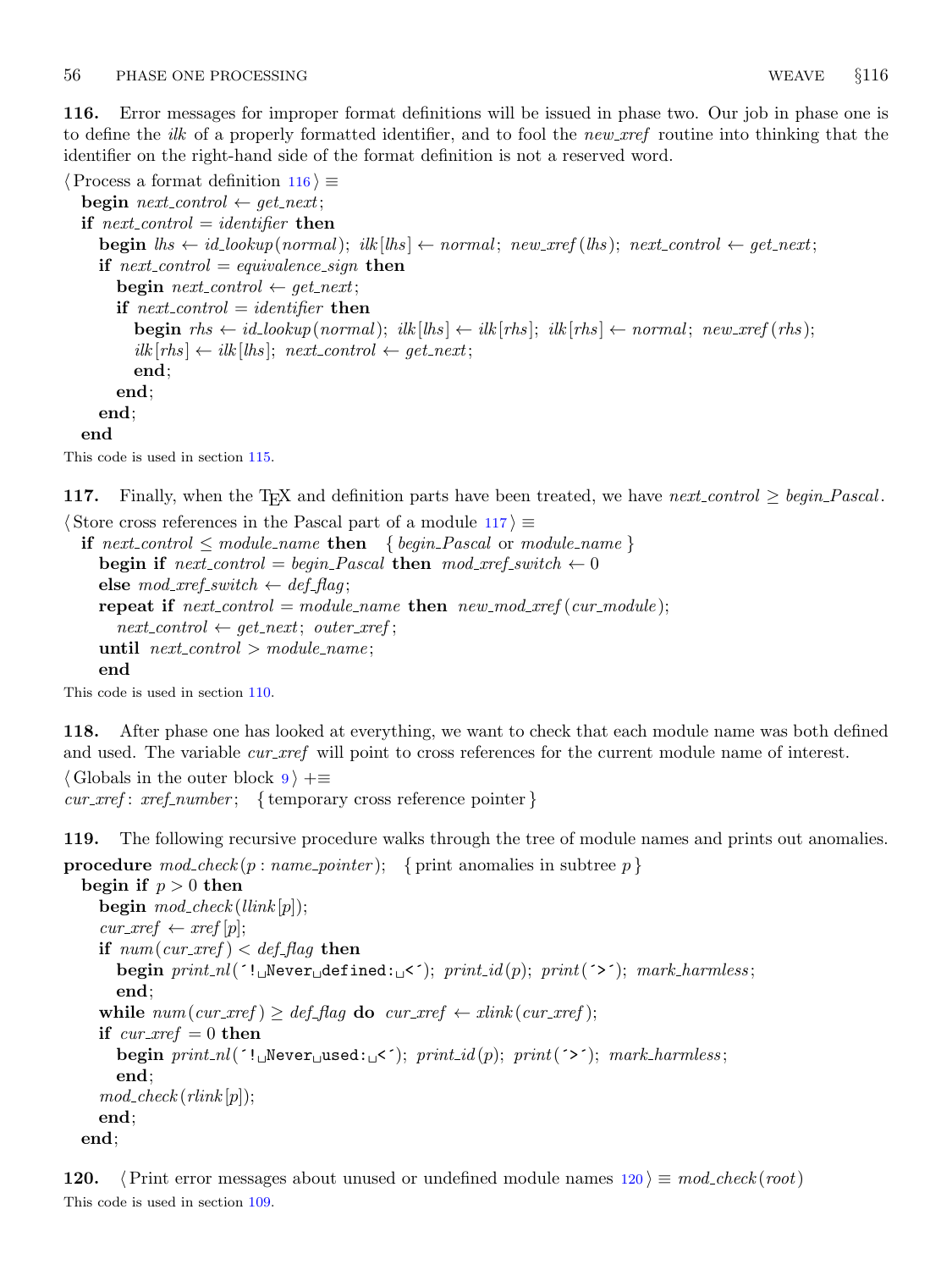<span id="page-41-0"></span>116. Error messages for improper format definitions will be issued in phase two. Our job in phase one is to define the *ilk* of a properly formatted identifier, and to fool the new *xref* routine into thinking that the identifier on the right-hand side of the format definition is not a reserved word.

 $\langle$  Process a format definition 116  $\rangle \equiv$ begin  $next_{control} \leftarrow get_{next};$ if next-control  $=$  identifier then **begin**  $\mathit{lhs} \leftarrow \mathit{id\_lookup}(\mathit{normal}); \mathit{ilks} \leftarrow \mathit{normal}; \mathit{new\_xref}(\mathit{lhs}); \mathit{next\_control} \leftarrow \mathit{get\_next};$ if next-control  $=$  equivalence sign then begin next\_control  $\leftarrow$  get\_next; if next-control  $=$  identifier then **begin**  $rhs \leftarrow id\_lookup(normal);$   $ilk[ths] \leftarrow ik[rhs];$   $ilk[rhs] \leftarrow normal;$   $new\_xref(rhs);$  $ilk[rhs] \leftarrow ilk[lhs]; next-control \leftarrow get.next;$ end; end; end; end

This code is used in section [115.](#page-40-0)

```
117. Finally, when the T<sub>E</sub>X and definition parts have been treated, we have next control \geq begin Pascal.
```

```
\langle Store cross references in the Pascal part of a module 117\rangle \equiv
```

```
if next\_control \leq module\_name then { begin_Pascal or module_name }
  begin if next\_control = begin\_Pascal then mod\_xref\_switch \leftarrow 0else mod\_xref\_switch \leftarrow def\_flag;repeat if next-control = module_name then new_model\_xref(cur_model);next_{control} \leftarrow get_{next}; outer_{xref};until next_{control} > module_{name};end
```
This code is used in section [110.](#page-38-0)

After phase one has looked at everything, we want to check that each module name was both defined and used. The variable *cur\_xref* will point to cross references for the current module name of interest.

```
\langle9 \rangle +\equivcur\_xref : xref_number; \{ \text{temporary cross reference pointer} \}
```
119. The following recursive procedure walks through the tree of module names and prints out anomalies.

**procedure**  $\text{mod}\_\text{check}(p:\text{name\_pointer});$  { print anomalies in subtree p}

```
begin if p > 0 then
  begin mod\_check(llink[p]);
  cur\_xref \leftarrow xref[p];if num(cur\_xref) < def_{}</math>begin print\_nl('! \Delta$Wever \Delta$dever<sub>1</sub>defined:\Delta<sup>'</sup>); print_1(i'); print(''); mark_harmless;
     end;
  while num(cur\_xref) \geq def\_flag do cur\_xref \leftarrow xlink(cur\_xref);if cur\_xref = 0 then
     begin print\_nl('! \text{``Newer}_\text{``used':}\text{''$''$}; print_id(p); print('~$''$); mark\_harmless$~$end;
  mod\_check(rlink[p]);
  end;
end;
```
**120.**  $\langle$  Print error messages about unused or undefined module names 120  $\rangle \equiv \text{mod-check(root)}$ This code is used in section [109.](#page-38-0)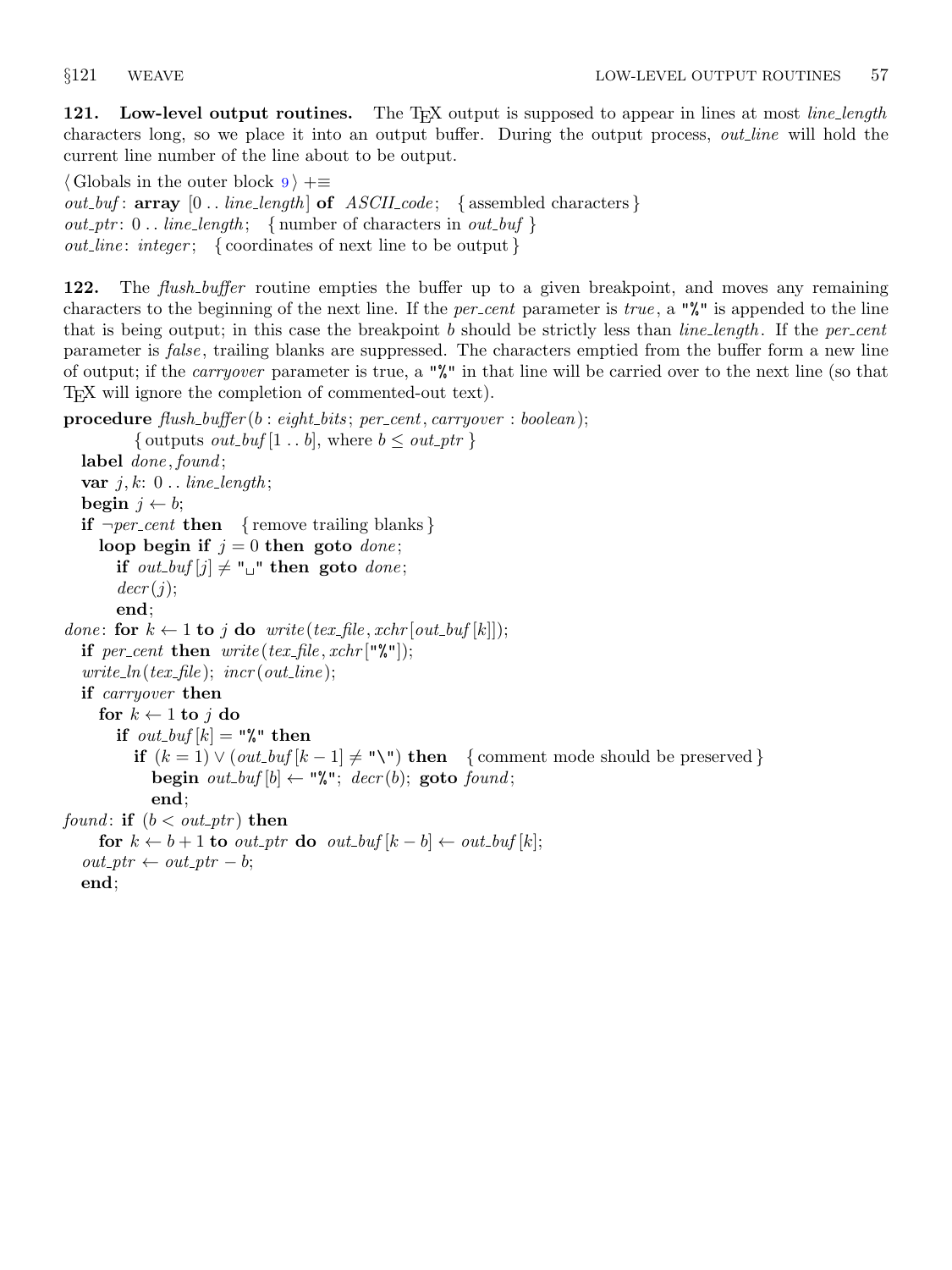121. Low-level output routines. The T<sub>EX</sub> output is supposed to appear in lines at most *line-length* characters long, so we place it into an output buffer. During the output process, *out line* will hold the current line number of the line about to be output.

 $\langle$  Globals in the outer block  $9 \rangle + \equiv$  $9 \rangle + \equiv$  $out_buf$ : array  $[0..$  line\_length of ASCII\_code; { assembled characters }  $out\_ptr: 0$ .. line\_length; { number of characters in out\_buf }  $out\_line:integer; \{ coordinates of next line to be output \}$ 

122. The *flush\_buffer* routine empties the buffer up to a given breakpoint, and moves any remaining characters to the beginning of the next line. If the *per cent* parameter is *true*, a " $\mathbf{w}$ " is appended to the line that is being output; in this case the breakpoint  $b$  should be strictly less than *line-length*. If the *per-cent* parameter is *false*, trailing blanks are suppressed. The characters emptied from the buffer form a new line of output; if the carryover parameter is true, a "%" in that line will be carried over to the next line (so that TEX will ignore the completion of commented-out text).

```
procedure flush_buffer(b: eight_bits; per-cent, carry over : boolean);{ outputs out_buf [1 \tldots b], where b \leq out\_ptr }
  label done, found;
  var j, k: 0.. line_length;
  begin j \leftarrow b;
  if \neg per-cent then { remove trailing blanks }
     loop begin if j = 0 then goto done;
       if out_buf [j] \neq " " then goto done;
       decr(j);end;
done: for k \leftarrow 1 to j do write (tex_file, xchr [out_buf [k]]);
  if per_cent then write(text\_file, xchr["\%"]);write\_ln(text\_file); incr(out_line);
  if carryover then
     for k \leftarrow 1 to j do
       if out_buf [k] = "\mathcal{N}" then
          if (k = 1) ∨ (out_buf[k-1] ≠ "\"\) then { comment mode should be preserved}
            begin out_buf [b] \leftarrow "%"; decr(b); goto found;
            end;
found: if (b < out\_ptr) then
     for k \leftarrow b + 1 to out_ptr do out_buf [k - b] \leftarrow out_b(f[k]);
  out\_ptr \leftarrow out\_ptr - b;end;
```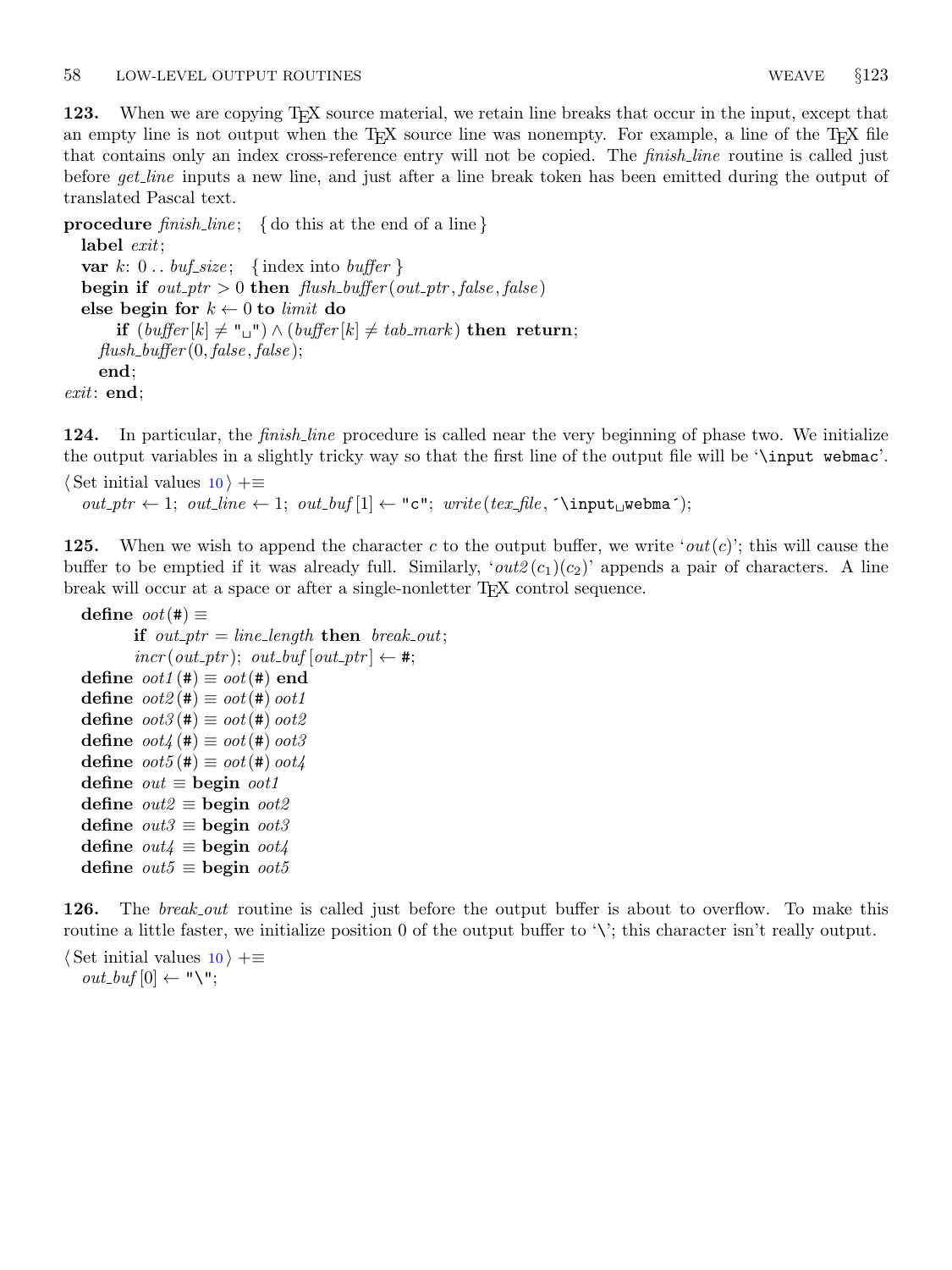123. When we are copying T<sub>E</sub>X source material, we retain line breaks that occur in the input, except that an empty line is not output when the  $T_F X$  source line was nonempty. For example, a line of the  $T_F X$  file that contains only an index cross-reference entry will not be copied. The *finish line* routine is called just before *get\_line* inputs a new line, and just after a line break token has been emitted during the output of translated Pascal text.

**procedure** finish line; { do this at the end of a line }

label *exit*; var  $k: 0$ ..  $\text{buf\_size}$ ; {index into  $\text{buffer}$ } begin if  $out\_ptr > 0$  then  $flush\_buffer(out\_ptr, false, false)$ else begin for  $k \leftarrow 0$  to *limit* do if  $(buffer[k] \neq "\sqcup"') \wedge (buffer[k] \neq tab\_mark)$  then return;  $flush_buffer(0, false, false);$ end; exit: end;

124. In particular, the *finish line* procedure is called near the very beginning of phase two. We initialize the output variables in a slightly tricky way so that the first line of the output file will be '\input webmac'.

 $\langle$  Set initial values [10](#page-3-0)  $\rangle$  +≡  $out\_ptr \leftarrow 1; out\_line \leftarrow 1; out\_buf[1] \leftarrow "c"; write(text\_file, \l^input_webma');$ 

**125.** When we wish to append the character c to the output buffer, we write 'out(c)'; this will cause the buffer to be emptied if it was already full. Similarly, ' $out2(c_1)(c_2)$ ' appends a pair of characters. A line break will occur at a space or after a single-nonletter TEX control sequence.

```
define oot(\#) \equivif out ptr = line length then break out;
           \text{incr}(out\_ptr); \text{ out\_buf}[\text{out\_ptr}] \leftarrow \#;define \omega \omega t \cdot t \equiv \omega \omega t \cdot t end
define \cot 2(\#) \equiv \cot(\#) \cot 1define \omega \omega t \mathcal{E}(\#) \equiv \omega \omega t (\#) \omega \omega t \mathcal{E}define \cot 4 (\#) \equiv \cot (\#) \, \cot 3define \omega \omega t_5(\textbf{t}) \equiv \omega \omega t(\textbf{t}) \omega t_4define out \equiv begin oot1define out2 \equiv begin oot2define out3 \equiv begin oot3define out4 \equiv begin oot4define out5 \equiv begin oot5
```
126. The *break out* routine is called just before the output buffer is about to overflow. To make this routine a little faster, we initialize position 0 of the output buffer to '\'; this character isn't really output.

 $\langle$  Set initial values [10](#page-3-0)  $\rangle$  +≡  $out\_buf[0] \leftarrow "\U";$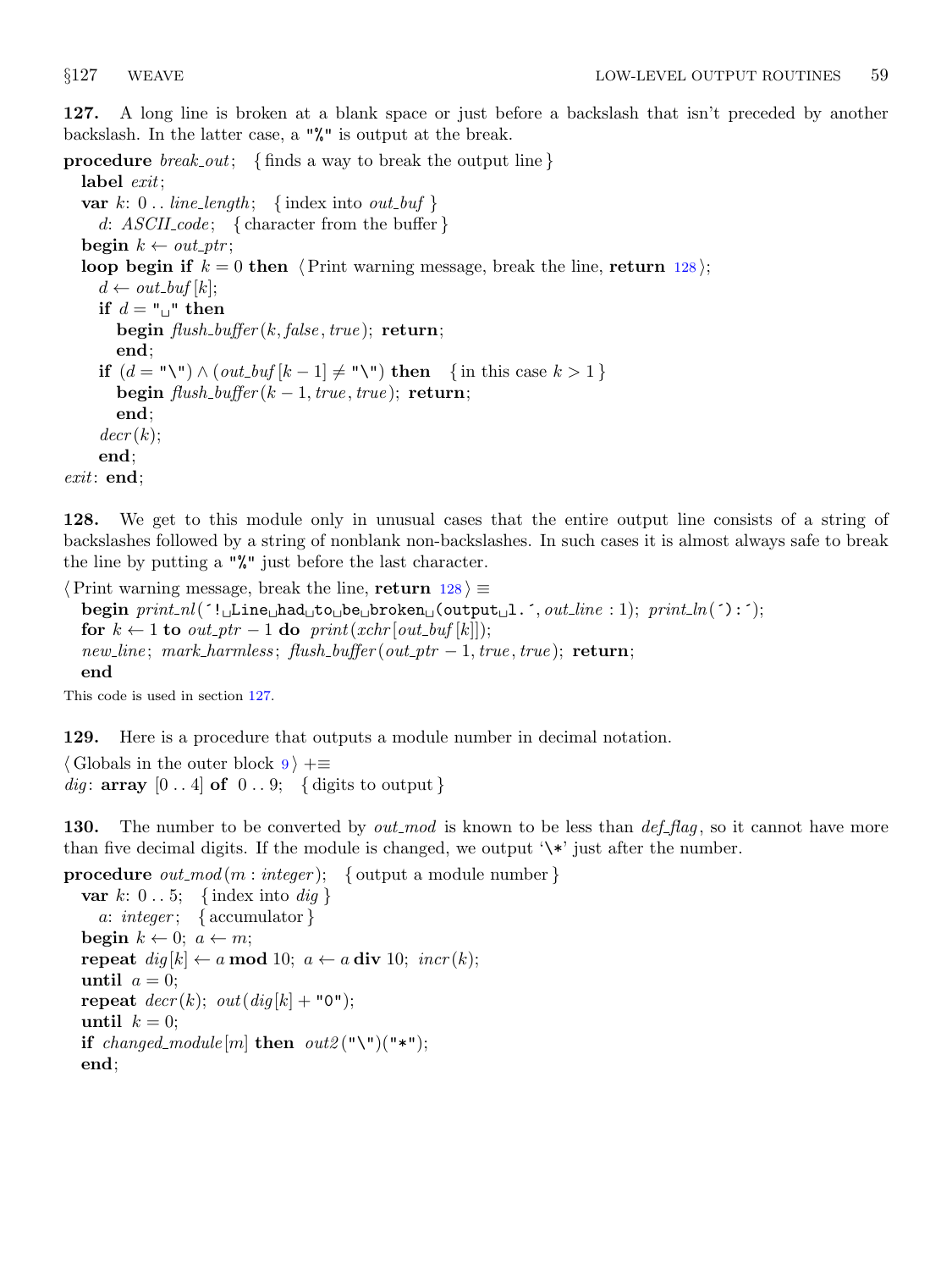127. A long line is broken at a blank space or just before a backslash that isn't preceded by another backslash. In the latter case, a "%" is output at the break.

**procedure** *break\_out*; {finds a way to break the output line }

label *exit*; var  $k: 0$ .. line\_length; {index into *out\_buf* } d:  $ASCII\_{code}; \{ character from the buffer\}$ begin  $k \leftarrow out\_ptr;$ loop begin if  $k = 0$  then  $\langle$  Print warning message, break the line, return 128 $\rangle$ ;  $d \leftarrow out_buf[k];$ if  $d = "\sqcup"$  then begin  $\text{flush\_buffer}(k, \text{false}, \text{true})$ ; return; end; if  $(d = "\" \wedge (out_buf[k-1] \neq "\" \wedge")$  then { in this case  $k > 1$  } begin  $\text{flush_buffer}(k-1,\text{true},\text{true})$ ; return; end;  $decr(k);$ end; exit: end;

128. We get to this module only in unusual cases that the entire output line consists of a string of backslashes followed by a string of nonblank non-backslashes. In such cases it is almost always safe to break the line by putting a "%" just before the last character.

 $\langle$  Print warning message, break the line, return 128 $\rangle \equiv$ begin  $print\_nl$ ( $'!$  Line had to be broken (output 1. $', out\_line : 1$ ); print  $ln('):')$ ; for  $k \leftarrow 1$  to  $out\_ptr - 1$  do  $print(xchr[out\_buf[k]]);$  $new\_line; mark\_harmless; flush\_buffer(out\_ptr-1, true, true);$  return; end

This code is used in section 127.

129. Here is a procedure that outputs a module number in decimal notation.

 $\langle$  Globals in the outer block  $9 \rangle + \equiv$  $9 \rangle + \equiv$ *dig*: **array**  $[0 \, . \, 4]$  of  $[0 \, . \, . \, 9; \, 4]$  digits to output  $\}$ 

**130.** The number to be converted by out mod is known to be less than  $def_{flag}$ , so it cannot have more than five decimal digits. If the module is changed, we output  $\forall *$  just after the number.

```
procedure out_mod(m : integer); { output a module number}
  var k: 0 \ldots 5; \{index into dig \}a: integer; {\{ accumulator }
  begin k \leftarrow 0; a \leftarrow m;
  repeat \text{dig}[k] \leftarrow a \mod 10; \ a \leftarrow a \text{ div } 10; \ \text{incr}(k);until a = 0;
  repeat decr(k); out(dig[k] + "0");
  until k = 0;
  if changed_module [m] then out 2(\mathbb{T}\setminus\mathbb{T})(\mathbb{T}*^{\mathbb{T}});
  end;
```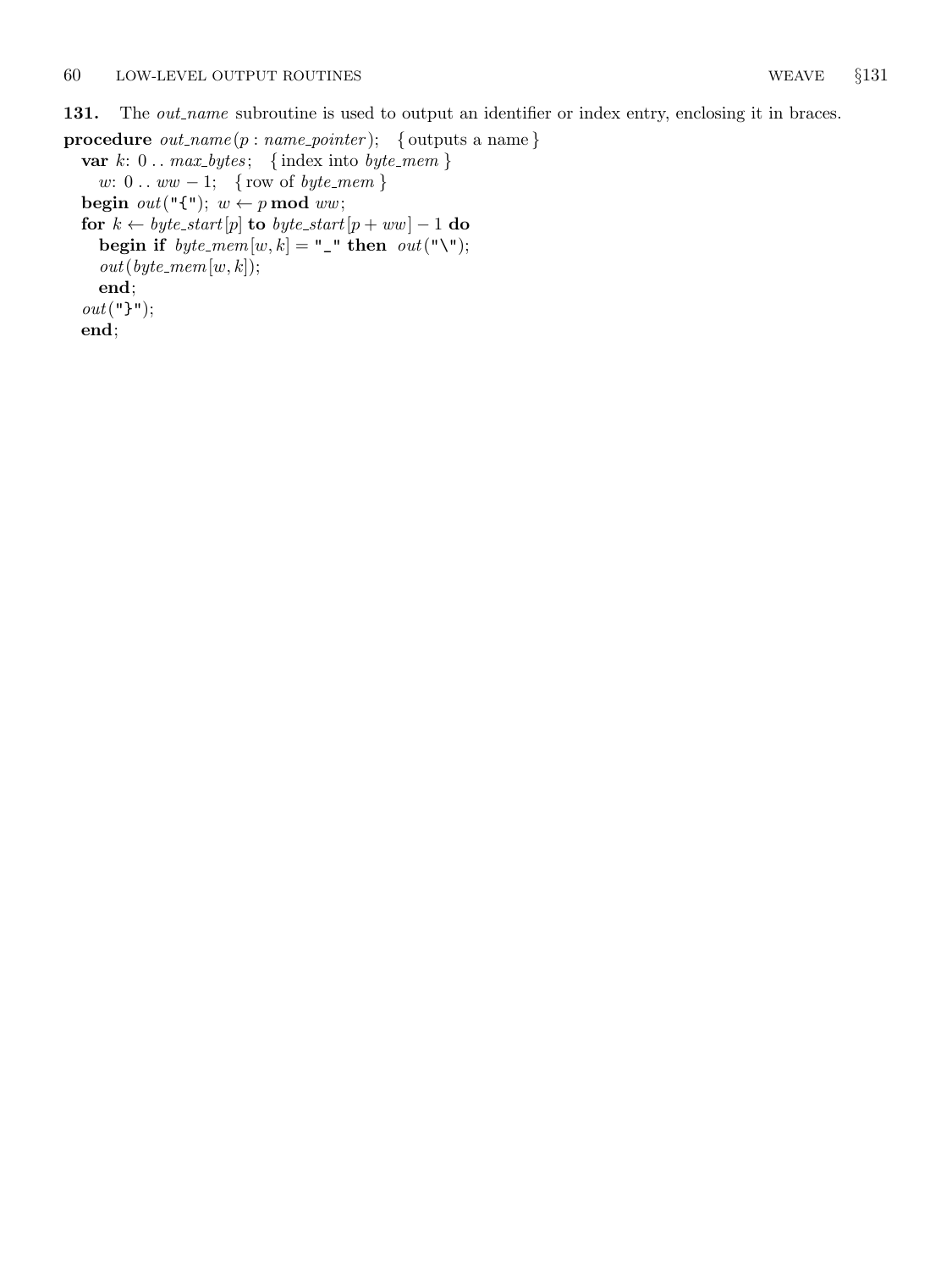131. The *out name* subroutine is used to output an identifier or index entry, enclosing it in braces.

```
procedure out_name(p:name\_pointer); { outputs a name }
  var k: 0... max_b \; \{ \text{index into } byte\_mem \}w: 0 \ldots ww - 1; { row of byte_mem }
  begin out("{\{\}'<sub>1</sub>; w \leftarrow p \mod ww;for k \leftarrow byte\_start[p] to byte_start[p + ww] - 1 do
    begin if byte\_mem[w, k] = " then out("\\ "out(byte\_mem[w, k]);end;
  out("}");
  end;
```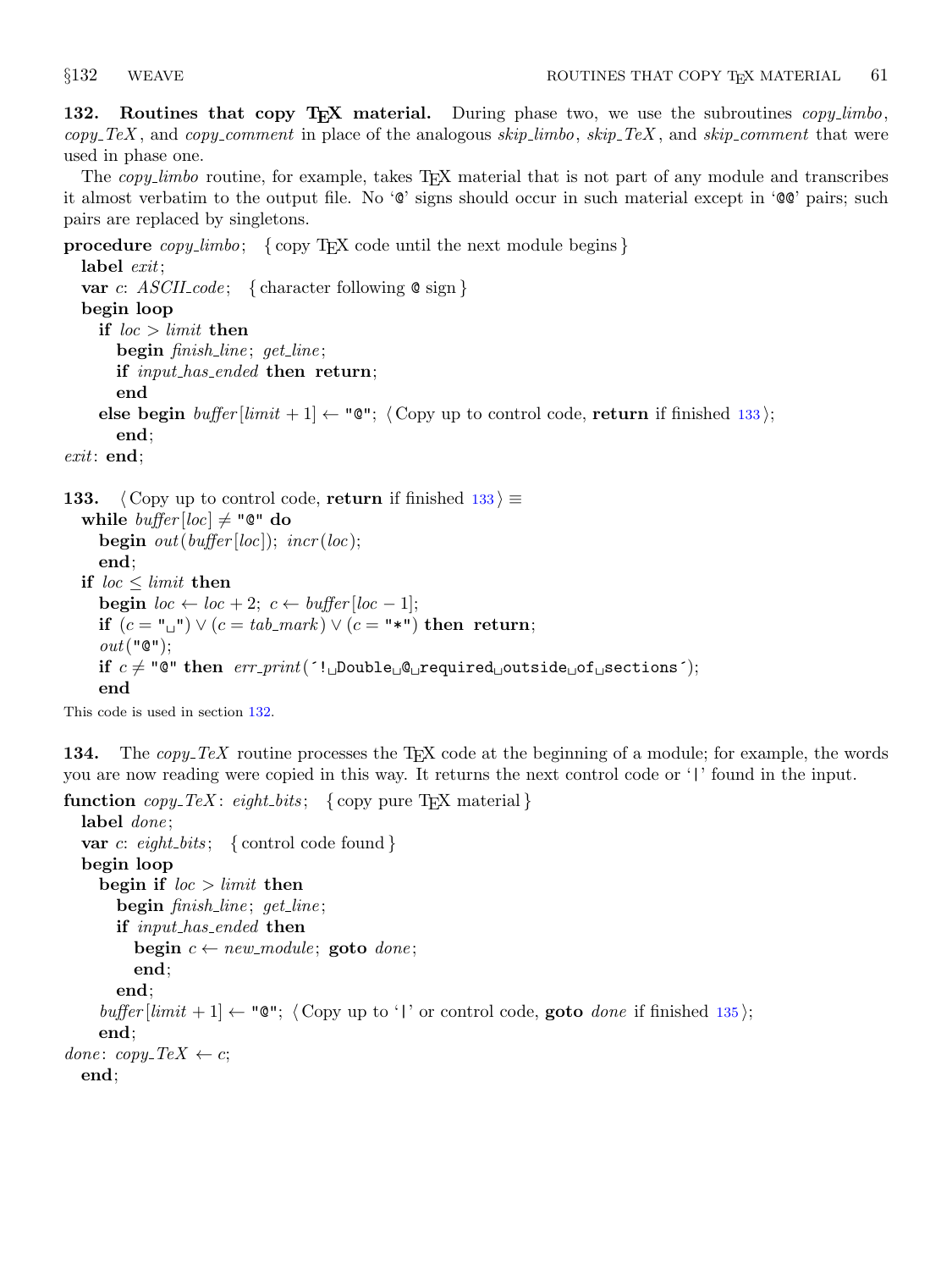<span id="page-46-0"></span>132. Routines that copy T<sub>E</sub>X material. During phase two, we use the subroutines copy\_limbo,  $copy\_Text$ , and  $copy\_comment$  in place of the analogous skip limbo, skip TeX, and skip comment that were used in phase one.

The *copy-limbo* routine, for example, takes  $T_F X$  material that is not part of any module and transcribes it almost verbatim to the output file. No '@' signs should occur in such material except in '@@' pairs; such pairs are replaced by singletons.

```
procedure copy\_limbo; {copy T<sub>E</sub>X code until the next module begins }
  label exit;
  var c: ASCH\_{code}; { character following \& sign }
  begin loop
    if loc > limit then
       begin finish_line; get_line;
      if input_has_ended then return;
       end
    else begin buffer[limit + 1] \leftarrow "Q"; (Copy up to control code, return if finished 133);
       end;
exit: end;
```

```
133. \langle Copy up to control code, return if finished 133 \equivwhile buffer[loc] \neq "@" dobegin out(buffer[loc]); incr(loc);
     end;
  if loc \leq limit then
     begin loc \leftarrow loc + 2; c \leftarrow buffer[loc - 1];
     if (c = "\sqcup") \vee (c = tab\_mark) \vee (c = "\sqcup") then return;
     out("@");if c \neq "@" then err\_print( (!\BoxDouble\Box@\Boxrequired\Boxoutside\Boxof\Boxsections \Box);
     end
```
This code is used in section 132.

134. The  $copy\_TeX$  routine processes the T<sub>E</sub>X code at the beginning of a module; for example, the words you are now reading were copied in this way. It returns the next control code or '|' found in the input.

```
function copy\_TeX: eight_bits; {copy pure T<sub>EX</sub> material}
  label done;
  var c: eight_bits; { control code found }
  begin loop
    begin if loc > limit then
       begin finish_line; get_line;
       if input_has_ended then
         begin c \leftarrow new\_module; goto done;
         end;
       end;
    buffer |limit + 1| \leftarrow "\mathbb{Q}"; \langle Copy up to '|' or control code, goto done135\rangle;
    end;
done: copy\_TeX \leftarrow c;end;
```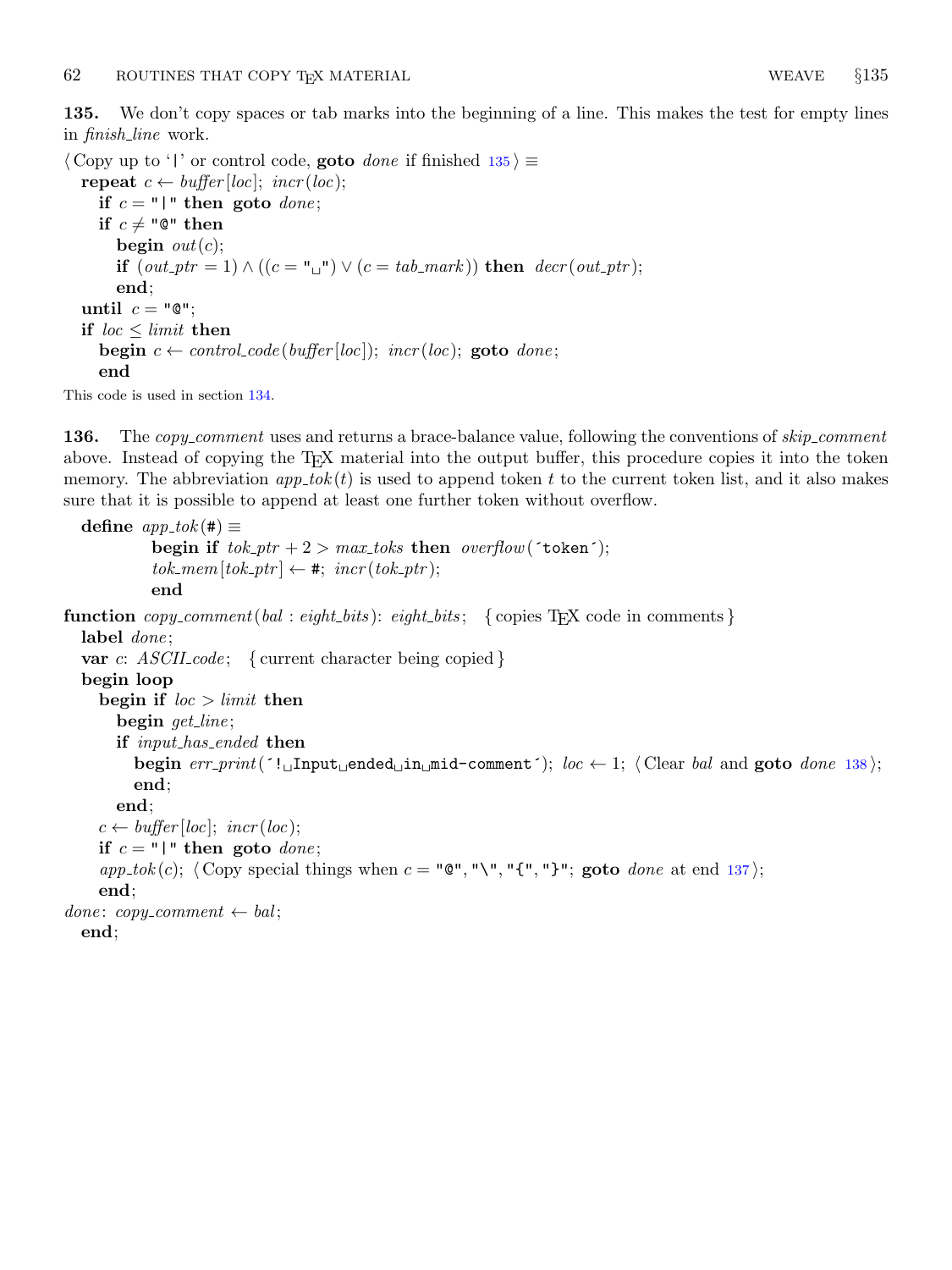<span id="page-47-0"></span>135. We don't copy spaces or tab marks into the beginning of a line. This makes the test for empty lines in finish line work.

 $\langle$  Copy up to '|' or control code, **goto** done if finished 135  $\rangle \equiv$ repeat  $c \leftarrow buffer[loc]$ ; incr(loc); if  $c = "|"$  then goto *done*; if  $c \neq$  "@" then begin  $out(c)$ ; if  $(out\_ptr = 1) \wedge ((c = "_"') \vee (c = tab\_mark))$  then  $decr(out\_ptr);$ end; until  $c = "\mathbb{Q}"$ ; if  $\textit{loc} \leq \textit{limit}$  then begin  $c \leftarrow control\_code(buffer[loc])$ ; incr(loc); goto done; end

This code is used in section [134.](#page-46-0)

136. The *copy\_comment* uses and returns a brace-balance value, following the conventions of *skip\_comment* above. Instead of copying the T<sub>EX</sub> material into the output buffer, this procedure copies it into the token memory. The abbreviation  $app\_tok(t)$  is used to append token t to the current token list, and it also makes sure that it is possible to append at least one further token without overflow.

```
define app\_tok (#) \equivbegin if tok\_ptr + 2 > max\_toks then overflow('token');
            tok\_mem[tok\_ptr] \leftarrow #; incr(tok\_ptr);end
function copy_{\mathit{comment}(bal : eight\_bits): eight\_bits; \{ copies \, \text{Tr}X \, code \, in \, comments\}label done;
  var c: ASCII\_code; \{ current character being copied\}begin loop
    begin if loc > limit then
       begin get_line;
       if input_has_ended then
         begin err\_print('! \text{uInput} \text{uended} \text{uim} \text{mid-comment'}138);
         end;
      end;
    c \leftarrow \text{buffer} [\text{loc}]; \ \text{incr} (\text{loc});if c = "|" then goto done;
    app\_tok(c); \langle Copy special things when 137;
    end;
done: copy_comment \leftarrow bal;
  end;
```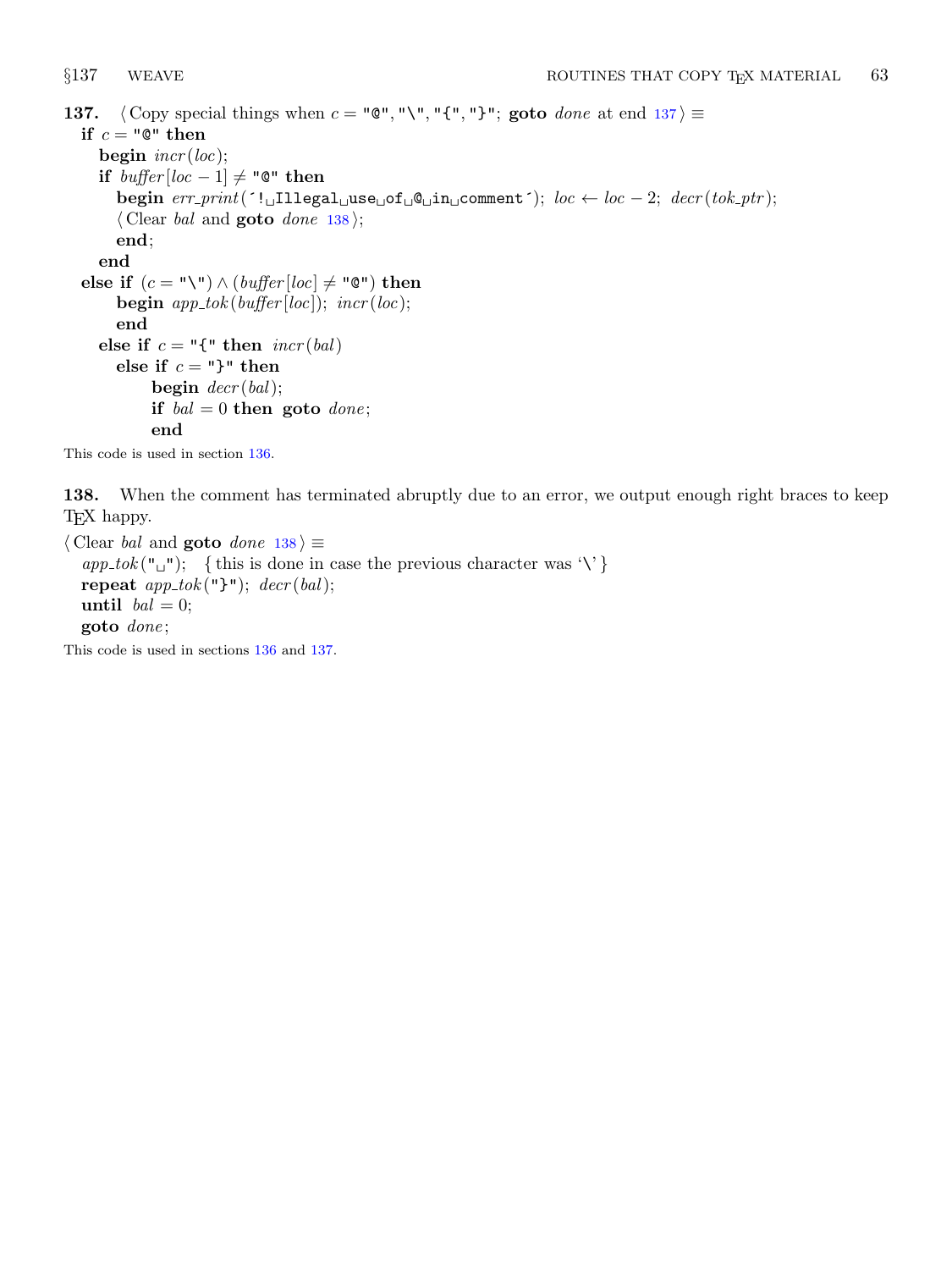```
137. \langle Copy special things when c = "\mathbb{C}", "\", "{", "}"; goto done at end 137\rangle \equivif c = "\mathbb{Q}" then
     begin \text{incr}(loc);
     if buffer[loc-1] ≠ "\mathbb{Q}" then
       begin err\_print('! Illegal use \sigmaf \alphae\sigmain comment'); loc \leftarrow loc -2; decr(tok ptr);
        \langle Clear bal and goto done 138\rangle;
       end;
     end
  else if (c = "\"\) \wedge (buffer[loc] \neq "\") then
       begin app\_tok(buffer[loc]); incr(loc);
        end
     else if c = "{" then <math>incr(bal)</math>
       else if c = "}" then
             begin decr(bal);if bal = 0 then goto done;
             end
```
This code is used in section [136.](#page-47-0)

138. When the comment has terminated abruptly due to an error, we output enough right braces to keep TEX happy.

 $\langle$  Clear *bal* and **goto** done 138  $\rangle \equiv$  $app\_tok("_1")$ ; { this is done in case the previous character was '\' } repeat  $app\_tok("}$ ");  $decr(bal);$ until  $bal = 0;$ goto *done*;

This code is used in sections [136](#page-47-0) and 137.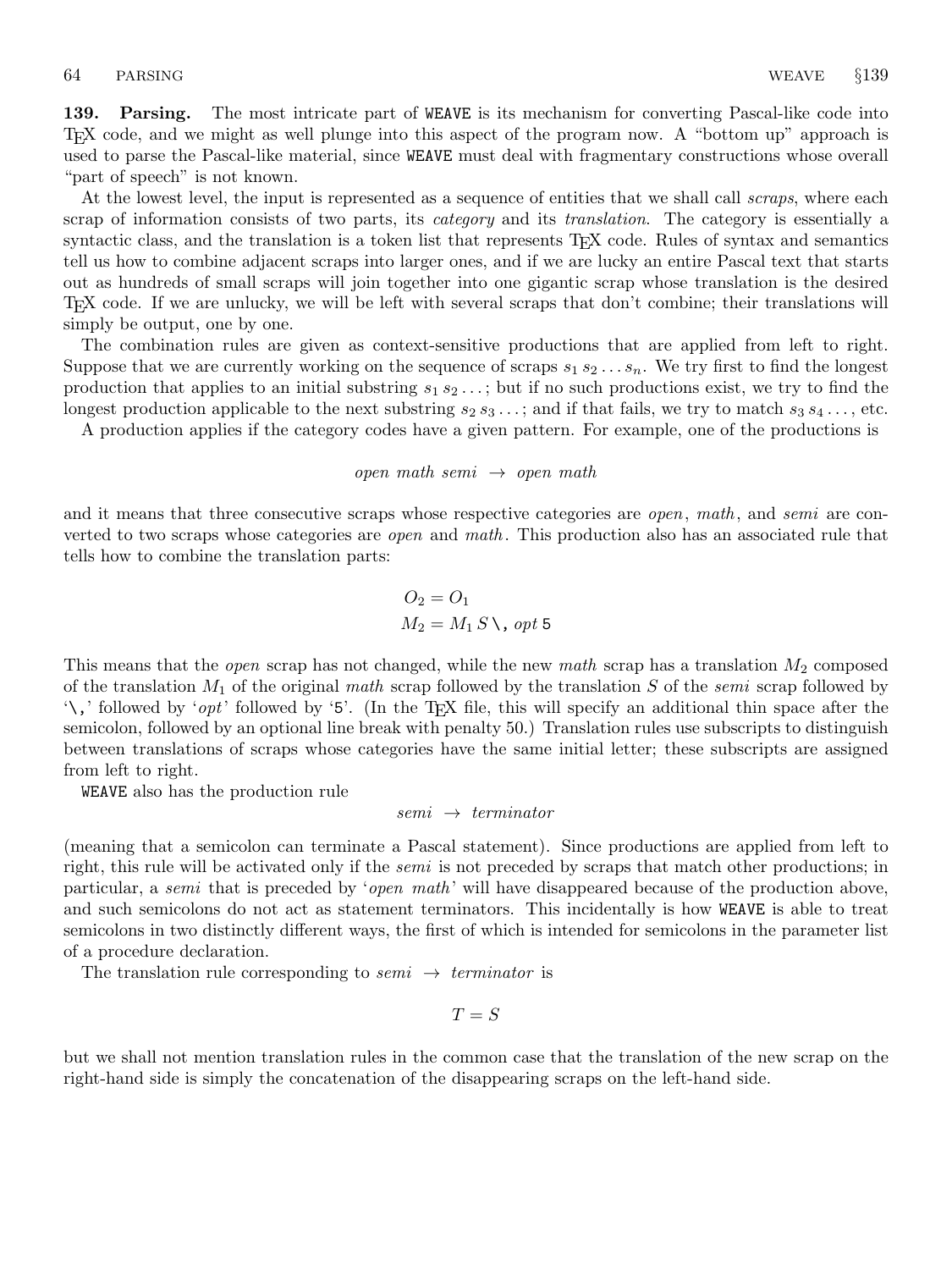139. Parsing. The most intricate part of WEAVE is its mechanism for converting Pascal-like code into TEX code, and we might as well plunge into this aspect of the program now. A "bottom up" approach is used to parse the Pascal-like material, since WEAVE must deal with fragmentary constructions whose overall "part of speech" is not known.

At the lowest level, the input is represented as a sequence of entities that we shall call *scraps*, where each scrap of information consists of two parts, its *category* and its *translation*. The category is essentially a syntactic class, and the translation is a token list that represents T<sub>E</sub>X code. Rules of syntax and semantics tell us how to combine adjacent scraps into larger ones, and if we are lucky an entire Pascal text that starts out as hundreds of small scraps will join together into one gigantic scrap whose translation is the desired TEX code. If we are unlucky, we will be left with several scraps that don't combine; their translations will simply be output, one by one.

The combination rules are given as context-sensitive productions that are applied from left to right. Suppose that we are currently working on the sequence of scraps  $s_1 s_2 \ldots s_n$ . We try first to find the longest production that applies to an initial substring  $s_1 s_2 \ldots$ ; but if no such productions exist, we try to find the longest production applicable to the next substring  $s_2 s_3 \dots$ ; and if that fails, we try to match  $s_3 s_4 \dots$ , etc.

A production applies if the category codes have a given pattern. For example, one of the productions is

open math semi  $\rightarrow$  open math

and it means that three consecutive scraps whose respective categories are *open*, math, and *semi* are converted to two scraps whose categories are *open* and math. This production also has an associated rule that tells how to combine the translation parts:

$$
O_2 = O_1
$$
  

$$
M_2 = M_1 S \setminus, opt 5
$$

This means that the *open* scrap has not changed, while the new math scrap has a translation  $M_2$  composed of the translation  $M_1$  of the original math scrap followed by the translation S of the semi scrap followed by  $\lambda$ , followed by 'opt' followed by '5'. (In the T<sub>E</sub>X file, this will specify an additional thin space after the semicolon, followed by an optional line break with penalty 50.) Translation rules use subscripts to distinguish between translations of scraps whose categories have the same initial letter; these subscripts are assigned from left to right.

WEAVE also has the production rule

## $semi \rightarrow termination$

(meaning that a semicolon can terminate a Pascal statement). Since productions are applied from left to right, this rule will be activated only if the *semi* is not preceded by scraps that match other productions; in particular, a *semi* that is preceded by '*open math*' will have disappeared because of the production above, and such semicolons do not act as statement terminators. This incidentally is how WEAVE is able to treat semicolons in two distinctly different ways, the first of which is intended for semicolons in the parameter list of a procedure declaration.

The translation rule corresponding to semi  $\rightarrow$  terminator is

$$
T = S
$$

but we shall not mention translation rules in the common case that the translation of the new scrap on the right-hand side is simply the concatenation of the disappearing scraps on the left-hand side.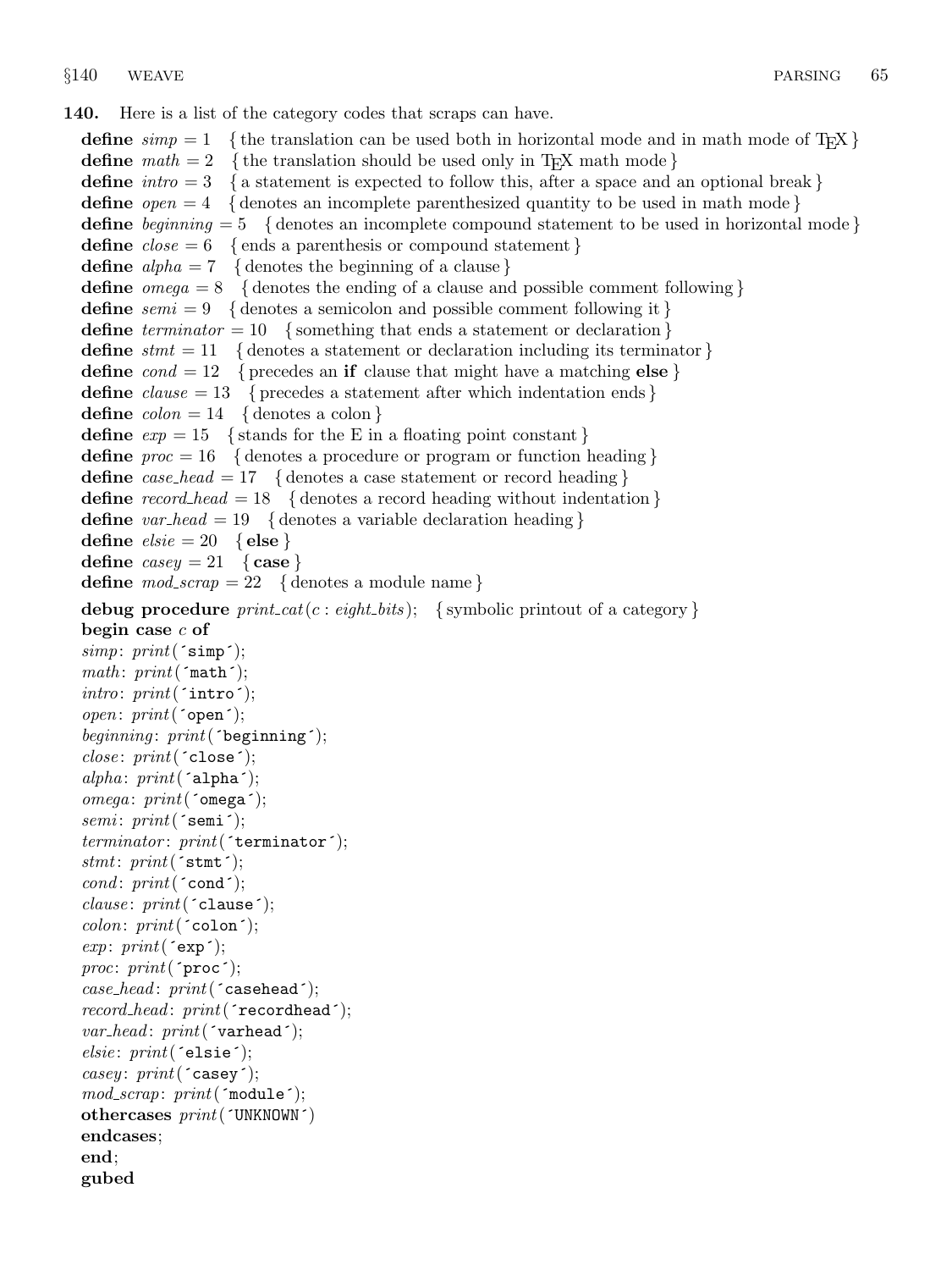140. Here is a list of the category codes that scraps can have.

define  $simp = 1$  {the translation can be used both in horizontal mode and in math mode of T<sub>E</sub>X } define  $math = 2$  {the translation should be used only in T<sub>E</sub>X math mode} define  $\text{intro} = 3$  { a statement is expected to follow this, after a space and an optional break } **define**  $open = 4$  { denotes an incomplete parenthesized quantity to be used in math mode } define beginning  $= 5$  { denotes an incomplete compound statement to be used in horizontal mode } define  $close = 6$  {ends a parenthesis or compound statement} define  $alpha = 7$  { denotes the beginning of a clause} define  $omega = 8$  { denotes the ending of a clause and possible comment following } **define**  $semi = 9$  { denotes a semicolon and possible comment following it } define  $\text{terminator} = 10$  { something that ends a statement or declaration } define  $s$ tmt = 11 { denotes a statement or declaration including its terminator } define  $\text{cond} = 12$  { precedes an if clause that might have a matching else } define  $clause = 13$  { precedes a statement after which indentation ends } define  $\text{colon} = 14$  { denotes a colon } define  $exp = 15$  { stands for the E in a floating point constant } **define**  $proc = 16$  { denotes a procedure or program or function heading } **define** case\_head = 17 { denotes a case statement or record heading } **define** record head = 18 { denotes a record heading without indentation } **define** var head = 19 { denotes a variable declaration heading } define  $\text{else} = 20 \{ \text{else} \}$ define  $casey = 21$  { case } define  $\textit{mod\_scrap} = 22$  { denotes a module name} debug procedure  $print\_cat(c : eight\_bits);$  {symbolic printout of a category } begin case  $c$  of  $simp: print('simp');$  $math: print('math$ ;  $\textit{intro}: \textit{print}(\texttt{`intro'});$  $open: print(\texttt{open}^*)$ ; beginning:  $print('begining$ ;  $close: print('close');$ alpha:  $print('alpha)$ ;  $omega: print('omega')$ ;  $semi: print(\texttt{'semi'});$  $terminator: print('terninator');$ stmt:  $print('stmt');$ cond:  $print('cond');$  $clause: print('clause');$  $colon: print('colon)$ ;  $exp: print('exp');$ proc:  $print('proc');$  $case\_head:$   $print('casehead');$  $record\_head: print('recordhead');$  $var\_head:$   $print('variable')$ ;  $else: print('else');$ casey:  $print('casey');$  $mod\_scrap: print('module');$ othercases print(´UNKNOWN´) endcases; end; gubed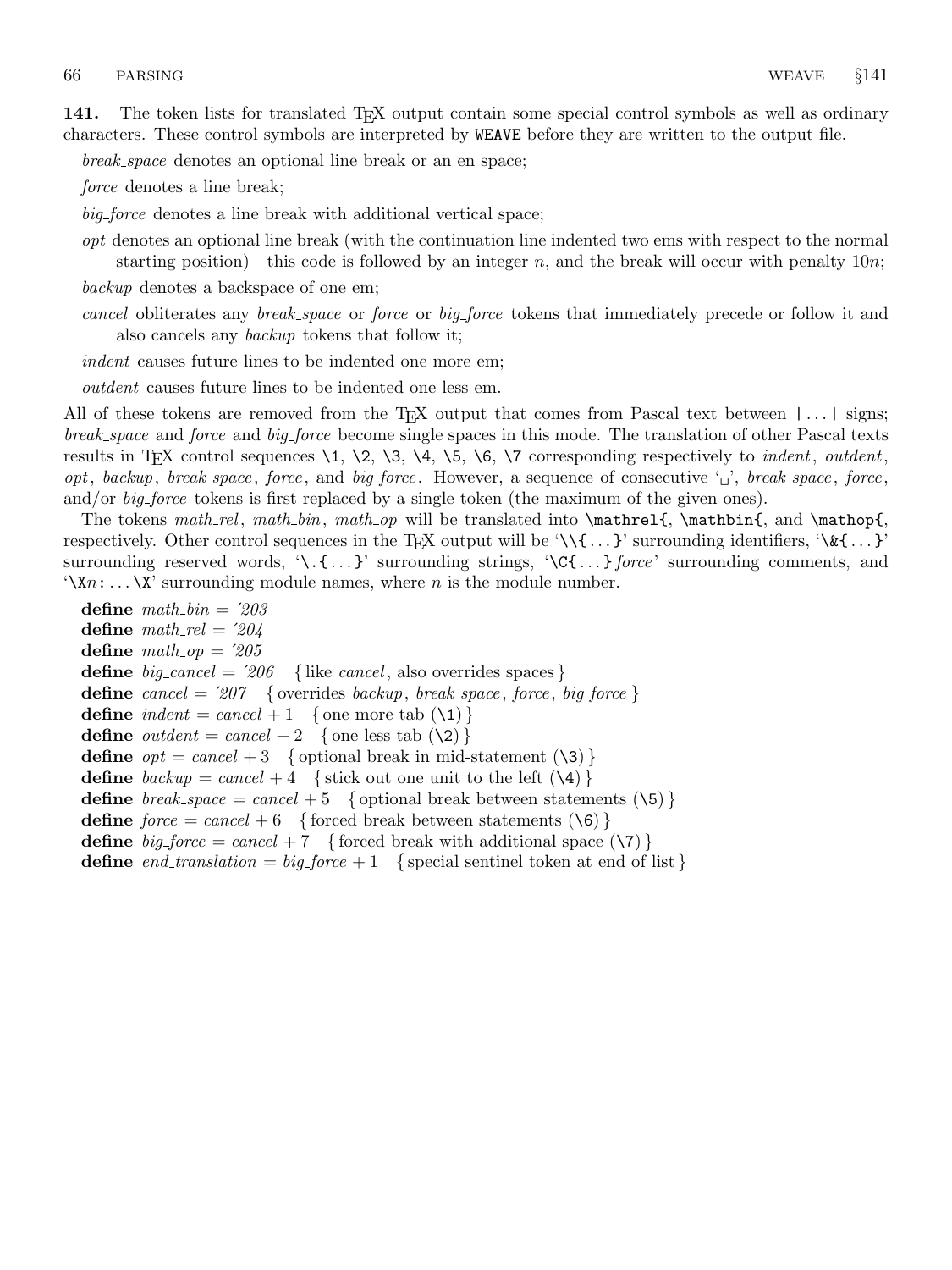141. The token lists for translated T<sub>E</sub>X output contain some special control symbols as well as ordinary characters. These control symbols are interpreted by WEAVE before they are written to the output file.

break space denotes an optional line break or an en space;

force denotes a line break;

big force denotes a line break with additional vertical space;

opt denotes an optional line break (with the continuation line indented two ems with respect to the normal starting position)—this code is followed by an integer  $n$ , and the break will occur with penalty 10n;

backup denotes a backspace of one em;

cancel obliterates any break space or force or big force tokens that immediately precede or follow it and also cancels any backup tokens that follow it;

indent causes future lines to be indented one more em;

outdent causes future lines to be indented one less em.

All of these tokens are removed from the T<sub>E</sub>X output that comes from Pascal text between  $|\dots|$  signs; break space and force and big force become single spaces in this mode. The translation of other Pascal texts results in T<sub>E</sub>X control sequences  $\1, \2, \3, \4, \5, \6, \7$  corresponding respectively to *indent*, *outdent*, opt, backup, break space, force, and big force. However, a sequence of consecutive  $\cdot \cdot \cdot$ , break space, force, and/or *big-force* tokens is first replaced by a single token (the maximum of the given ones).

The tokens math rel, math bin, math op will be translated into  $\mathrm{I}, \mathcal{I}, \mathcal{I}$ , and  $\mathrm{I}, \mathcal{I}$ respectively. Other control sequences in the T<sub>E</sub>X output will be '\\{ ...}' surrounding identifiers, '\\&{ ...}' surrounding reserved words,  $\{\cdot\}, \{\ldots\}$  surrounding strings,  $\{\mathsf{C}\{\ldots\}$  force surrounding comments, and  $\forall$ Xn:  $\dots \forall$ X' surrounding module names, where *n* is the module number.

define  $math\_bin = 203$ define  $math_{\text{math}}$   $\text{rel} = 204$ define  $math_op = '205$ define  $big\{_0 = '206 \quad \{\text{like } cancel, \text{ also overvides spaces}\}\$ **define** cancel =  $207$  { overrides backup, break\_space, force, big\_force } define  $\text{indent} = \text{cancel} + 1$  { one more tab  $(\lambda 1)$ } define *outdent* = cancel + 2 { one less tab  $(\2)$ } define  $opt = cancel + 3$  { optional break in mid-statement (\3) } define  $\mathit{backward} = \mathit{cancel} + 4$  { stick out one unit to the left  $(\lambda 4)$ } define  $break\_space = cancel + 5$  { optional break between statements (\5) } define  $force = cancel + 6$  { forced break between statements  $(\Diamond 6)$ } define  $big-force = cancel + 7$  {forced break with additional space (\7)} define end translation  $= big-force + 1$  { special sentinel token at end of list }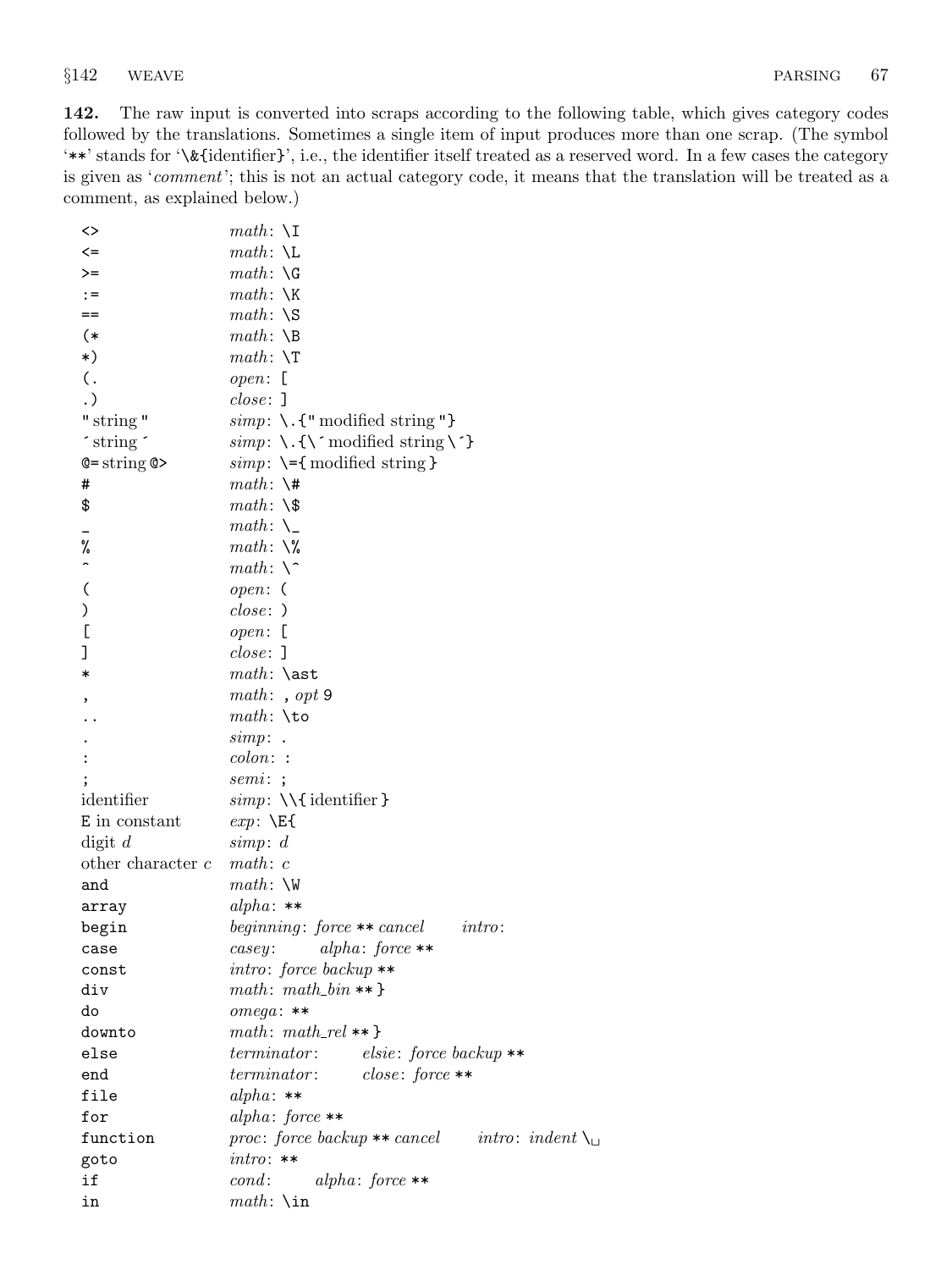142. The raw input is converted into scraps according to the following table, which gives category codes followed by the translations. Sometimes a single item of input produces more than one scrap. (The symbol '\*\*' stands for '\&{identifier}', i.e., the identifier itself treated as a reserved word. In a few cases the category is given as 'comment'; this is not an actual category code, it means that the translation will be treated as a comment, as explained below.)

| <>                       | $math: \X$                                                       |
|--------------------------|------------------------------------------------------------------|
| $\leq$                   | $math: \Leftrightarrow$                                          |
| >=                       | $math: \ \ G$                                                    |
| $: =$                    | $math: \ X$                                                      |
| $==$                     | $math: \S$                                                       |
| (*                       | $math: \Bbb{R}$                                                  |
| $\ast$ )                 | $math: \ \T$                                                     |
| $\mathcal{L}$ .          | $open:$ [                                                        |
| $\cdot$ )                | $close:$ ]                                                       |
| " string "               | $simp: \backslash$ . {" modified string"}                        |
| 'string'                 | $simp: \{\\\}$ modified string $\{\}$                            |
| $Q = string Q$           | $simp: \{-\}$ modified string }                                  |
| #                        | $math: \setminus$ #                                              |
| \$                       | $math: \S$                                                       |
|                          | $math: \mathcal{L}$                                              |
| %                        | $math: \aleph$                                                   |
| $\overline{ }$           | $math: \setminus$ <sup>-</sup>                                   |
| $\overline{\mathcal{L}}$ | open: (                                                          |
| )                        | $close:$ )                                                       |
| $\Gamma$                 | $open:$ [                                                        |
| J                        | $close:$ ]                                                       |
| $\ast$                   | $math: \simeq$                                                   |
|                          | math: , opt 9                                                    |
|                          | $math: \times$                                                   |
|                          | $simp:$ .                                                        |
|                          | $\mathop{colon}$ :                                               |
|                          | semi:                                                            |
| identifier               | $simp: \{\cdot\}$ identifier }                                   |
| E in constant            | $exp: \ \Epsilon$                                                |
| $\text{digit } d$        | simp: d                                                          |
| other character $c$      | math: c                                                          |
| and                      | $math: \forall w$                                                |
| array                    | alpha: $**$                                                      |
| begin                    | beginning: force $**$ cancel<br>$\int$ <i>intro</i> :            |
| case                     | alpha: $force**$<br>casey:                                       |
| const                    | $intro: force\ backup$                                           |
| div                      | $math: math: math\_bin **$                                       |
| do                       | $omega: **$                                                      |
| downto                   | $math: math\_rel ** }$                                           |
| else                     | terminator: elsie: force backup **                               |
| end                      | terminator: close: force **                                      |
| file                     | $alpha: **$                                                      |
| for                      | $alpha: force**$                                                 |
| function                 | proc: force backup ** cancel intro: indent $\setminus_{\square}$ |
| goto                     | $intro: **$                                                      |
| if                       | $cond:$ $alpha: force**$                                         |
| in                       | $math: \infty$                                                   |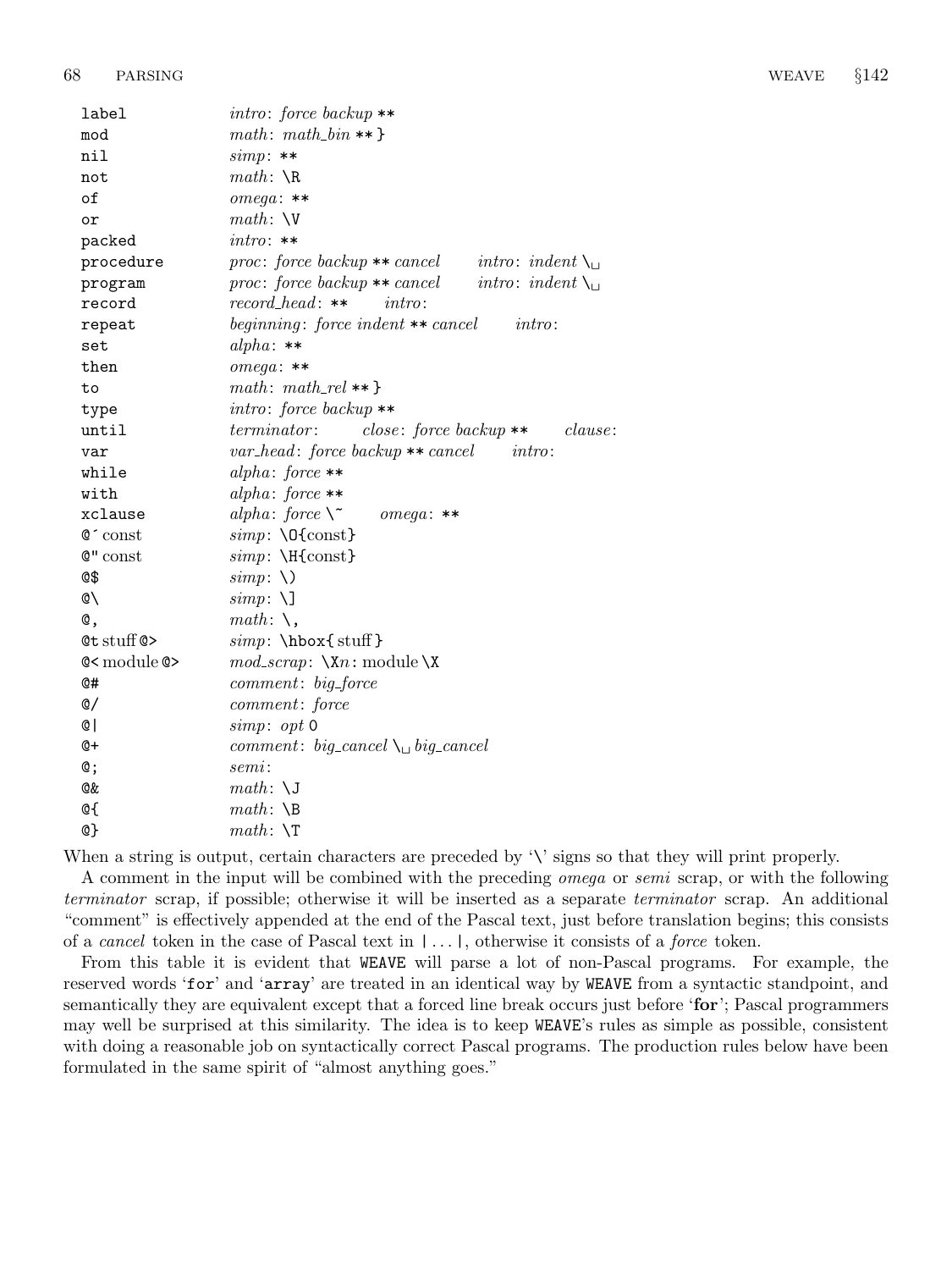| label                                             | $intro: force\ backup$                                                     |
|---------------------------------------------------|----------------------------------------------------------------------------|
| mod                                               | $math: math\_bin **$                                                       |
| nil                                               | $simp:**$                                                                  |
| not                                               | $math: \mathcal{R}$                                                        |
| of                                                | $omega: **$                                                                |
| or                                                | $math: \forall$                                                            |
| packed                                            | $intro: **$                                                                |
| procedure                                         | proc: force backup $**$ cancel<br><i>intro</i> : <i>indent</i> $\setminus$ |
| program                                           | $proc: force\ backup** cancel$<br><i>intro</i> : <i>indent</i> $\setminus$ |
| record                                            | $record\_head:$ **<br>$\text{in} \mathit{tr} \alpha$ :                     |
| repeat                                            | beginning: force indent $**$ cancel<br>intro:                              |
| set                                               | alpha: $**$                                                                |
| then                                              | $omega: **$                                                                |
| to                                                | $math: math\_rel ** }$                                                     |
| type                                              | $intro: force\ backup **$                                                  |
| until                                             | terminator<br>$close: force \, backup**$<br><i>clause:</i>                 |
| var                                               | var_head: force backup ** cancel<br>intro:                                 |
| while                                             | alpha: force $**$                                                          |
| with                                              | alpha: force $**$                                                          |
| xclause                                           | alpha: force $\mathcal{N}^{\sim}$<br>$omega$ : **                          |
| $\mathsf{C}^{\scriptscriptstyle\mathsf{I}}$ const | $simp: \Q{const}$                                                          |
| $Q''$ const                                       | $simp: \H{const}$                                                          |
| Q\$                                               | $simp: \setminus$                                                          |
| Ø١                                                | $simp: \Delta$                                                             |
| C.                                                | math: $\setminus$ ,                                                        |
| $Qt$ stuff $Q>$                                   | $simp: \hbox{\texttt{stuff}}$                                              |
| $@<$ module $@>$                                  | $mod\_scrap: \ \Xn: module \X$                                             |
| @#                                                | comment: big_force                                                         |
| ©/                                                | comment: force                                                             |
| @ l                                               | simp: opt 0                                                                |
| Q+                                                | comment: big_cancel $\setminus$ big_cancel                                 |
| @;                                                | semi:                                                                      |
| Q&                                                | $math: \setminus J$                                                        |
| @ſ                                                | $math: \Delta$                                                             |
| @}                                                | $math: \ \T$                                                               |

When a string is output, certain characters are preceded by  $\forall$  signs so that they will print properly.

A comment in the input will be combined with the preceding omega or semi scrap, or with the following terminator scrap, if possible; otherwise it will be inserted as a separate terminator scrap. An additional "comment" is effectively appended at the end of the Pascal text, just before translation begins; this consists of a cancel token in the case of Pascal text in | . . . |, otherwise it consists of a force token.

From this table it is evident that WEAVE will parse a lot of non-Pascal programs. For example, the reserved words 'for' and 'array' are treated in an identical way by WEAVE from a syntactic standpoint, and semantically they are equivalent except that a forced line break occurs just before 'for'; Pascal programmers may well be surprised at this similarity. The idea is to keep WEAVE's rules as simple as possible, consistent with doing a reasonable job on syntactically correct Pascal programs. The production rules below have been formulated in the same spirit of "almost anything goes."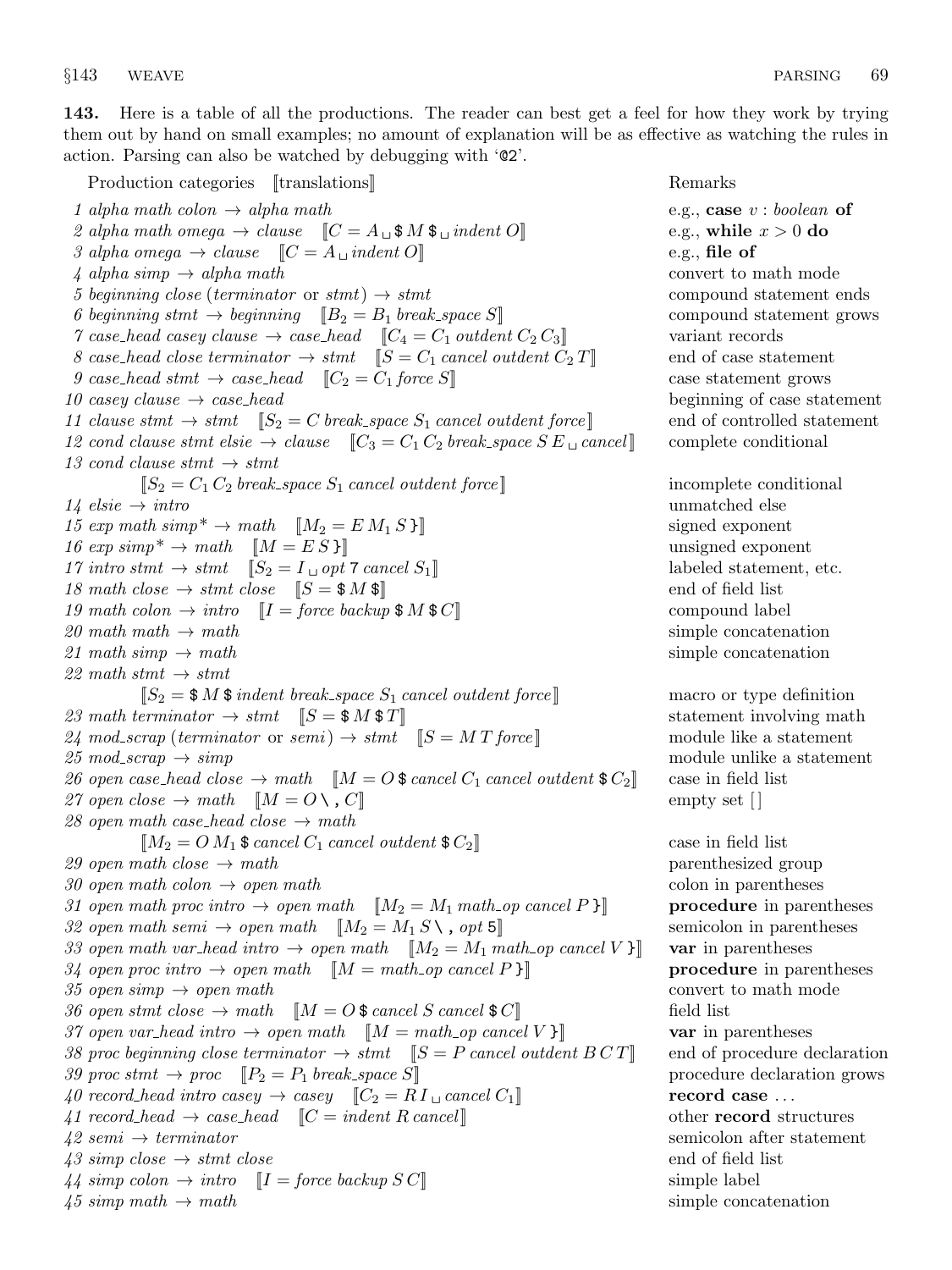143. Here is a table of all the productions. The reader can best get a feel for how they work by trying them out by hand on small examples; no amount of explanation will be as effective as watching the rules in action. Parsing can also be watched by debugging with '@2'.

Production categories [[translations] Remarks Remarks 1 alpha math colon  $\rightarrow$  alpha math e.g., case v : boolean of 2 alpha math omega  $\rightarrow$  clause  $\llbracket C = A_{\sqcup} \$   $\parallel M \$   $\sqcup$  indent  $O \rrbracket$  e.g., while  $x > 0$  do 3 alpha omega  $\rightarrow$  clause  $\llbracket C = A_{\sqcup} \text{ indent } O \rrbracket$  e.g., file of  $4 \text{ alpha} \sin p \rightarrow \text{alpha} \text{ math}$ 5 beginning close (terminator or stmt)  $\rightarrow$  stmt compound statement ends 6 beginning stmt  $\rightarrow$  beginning  $\llbracket B_2 = B_1$  break space  $S \rrbracket$  compound statement grows  $\gamma$  case\_head casey clause  $\rightarrow$  case\_head  $\left[\begin{bmatrix} C_4 = C_1 \text{ }outdent \text{ } C_2 \text{ } C_3 \end{bmatrix}\right]$  variant records 8 case head close terminator  $\rightarrow$  stmt  $\mathbb{I}S = C_1$  cancel outdent  $C_2 T \mathbb{I}$  end of case statement 9 case head stmt  $\rightarrow$  case head  $\llbracket C_2 = C_1$  force S $\llbracket C_2 = C_2 \rrbracket$  case statement grows  $10 \text{ case } y \text{ clause } \rightarrow \text{ case } head$  beginning of case statement 11 clause stmt  $\Rightarrow$  stmt  $[S_2 = C \ break\space_2]$  cancel outdent force  $]$  end of controlled statement 12 cond clause stmt elsie  $\to$  clause  $\llbracket C_3 = C_1 C_2$  break space  $SE_{\sqcup}$  cancel  $\llbracket$  complete conditional 13 cond clause stmt  $\rightarrow$  stmt  $[S_2 = C_1 C_2 \, break\_space \, S_1 \, cancel \, outdent \, force$  incomplete conditional  $14 \text{ else} \rightarrow \text{intro}$  unmatched else 15 exp math  $simp^* \to math \quad [M_2 = EM_1 S]$  signed exponent  $16 \exp \text{sim}p^* \rightarrow \text{math}$   $[M = ES]$  unsigned exponent 17 intro stmt  $\Rightarrow$  stmt  $[S_2 = I_u \text{ opt 7 cancel } S_1]$  labeled statement, etc. 18 math close  $\rightarrow$  stmt close  $\llbracket S = \frac{1}{2} M \frac{1}{2} \rrbracket$  end of field list 19 math colon  $\rightarrow$  intro  $\llbracket I = \text{force backup } \$M \$C \rrbracket$  compound label 20 math  $math \rightarrow math$ 21 math simp  $\rightarrow$  math simple concatenation 22 math stmt  $\rightarrow$  stmt  $\llbracket S_2 = \text{M} \text{ $} \text{`} \text{`} \text{`}$  indent break space  $S_1$  cancel outdent force  $\llbracket$  macro or type definition 23 math terminator  $\rightarrow$  stmt  $[S = $M $ T]$  statement involving math  $24 \text{ mod\_scrap}$  (terminator or semi)  $\rightarrow$  stmt  $\llbracket S = M \text{ T}$  force  $\llbracket$  module like a statement  $25 \text{ mod\_scrap} \rightarrow \text{simp}$  module unlike a statement 26 open case\_head close  $\rightarrow$  math  $[M = O \$  cancel  $C_1$  cancel outdent  $\mathcal{Z}_2$  case in field list 27 open close  $\rightarrow$  math  $[M = O \setminus C]$  empty set [] 28 open math case\_head close  $\rightarrow$  math  $[M_2 = OM_1 \$  cancel  $C_1$  cancel outdent  $C_2$  case in field list 29 open math close  $\rightarrow$  math parenthesized group  $30 \text{ open } \text{math}$  colon in parentheses colon in parentheses 31 open math proc intro  $\rightarrow$  open math  $[M_2 = M_1 \text{ math\_op} \text{ cancel } P]$  procedure in parentheses 32 open math semi  $\rightarrow$  open math  $[M_2 = M_1 S \setminus , opt 5]$  semicolon in parentheses 33 open math var\_head intro  $\rightarrow$  open math  $[M_2 = M_1 \text{ math\_op} \text{ cancel } V]$  var in parentheses 34 open proc intro  $\rightarrow$  open math  $\|M = \text{math}$  open cancel P  $\|$  procedure in parentheses 35 open simp  $\rightarrow$  open math convert to math mode 36 open stmt close  $\rightarrow$  math  $\|M = O \$  cancel S cancel  $\mathcal{F}$   $\subset$  field list 37 open var head intro  $\rightarrow$  open math  $[M = math\_op \text{ cancel } V]$  var in parentheses 38 proc beginning close terminator  $\rightarrow$  stmt  $\parallel S = P$  cancel outdent  $BCT \parallel$  end of procedure declaration 39 proc stmt  $\rightarrow$  proc  $[P_2 = P_1$  break space S|| procedure declaration grows 40 record head intro casey  $\rightarrow$  casey  $\llbracket C_2 = R I_{\sqcup}$  cancel  $C_1 \rrbracket$  record case ... 41 record head  $\rightarrow$  case head  $\llbracket C = \text{indent } R \text{ cancel} \rrbracket$  other **record** structures  $42 semi \rightarrow termination$  semicolon after statement  $43 \, \text{simp close} \rightarrow \text{stmt close}$  end of field list  $44 \, \text{simp colon} \rightarrow \text{intro} \quad [I = \text{force backup } SC] \quad \text{simple label}$  $45 \, \text{simp } \, \text{math} \rightarrow \, \text{math}$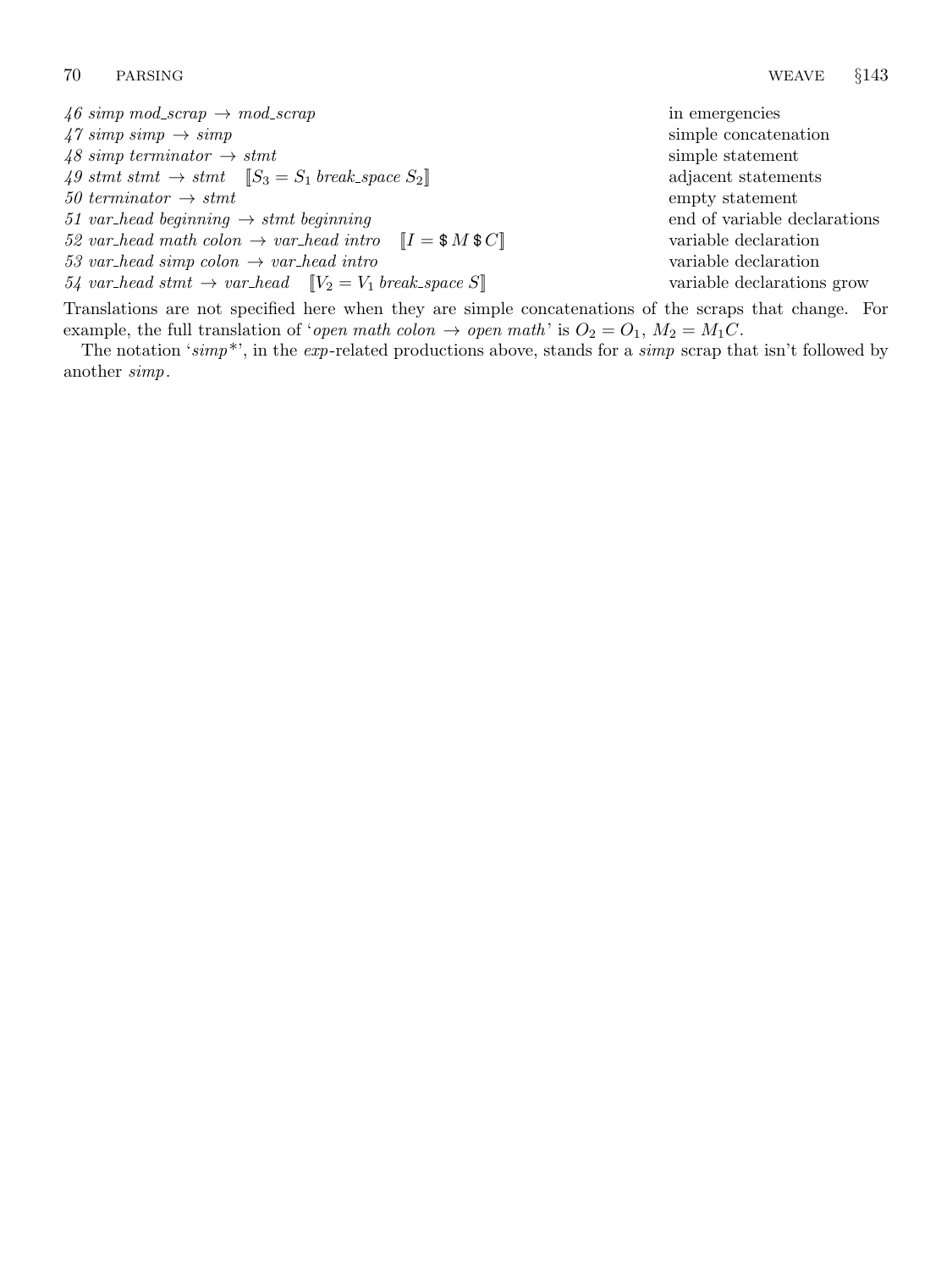$46 \, \text{simp mod\_scrap} \rightarrow \text{mod\_scrap}$  in emergencies  $47 \, \text{simp} \rightarrow \text{simp}$  simp  $\rightarrow$  simp  $48 \, \text{simp term}$  terminator  $\rightarrow$  stmt simple statement 49 stmt stmt  $\rightarrow$  stmt  $[S_3 = S_1 \text{ break} \text{ space } S_2]$  adjacent statements  $50 \; termination \rightarrow smt$  empty statement 51 var head beginning  $\rightarrow$  stmt beginning end of variable declarations 52 var head math colon  $\rightarrow$  var head intro  $[I = $M $C]$  variable declaration  $53 \text{ var}\_\text{head} \sim \text{var}\_\text{head} \text{ intro}$  variable declaration  $54$  var head stmt  $\rightarrow$  var head  $[V_2 = V_1 \, break\, space \, S]$  variable declarations grow

Translations are not specified here when they are simple concatenations of the scraps that change. For example, the full translation of 'open math colon  $\rightarrow$  open math' is  $O_2 = O_1$ ,  $M_2 = M_1C$ .

The notation 'simp\*', in the exp-related productions above, stands for a simp scrap that isn't followed by another simp.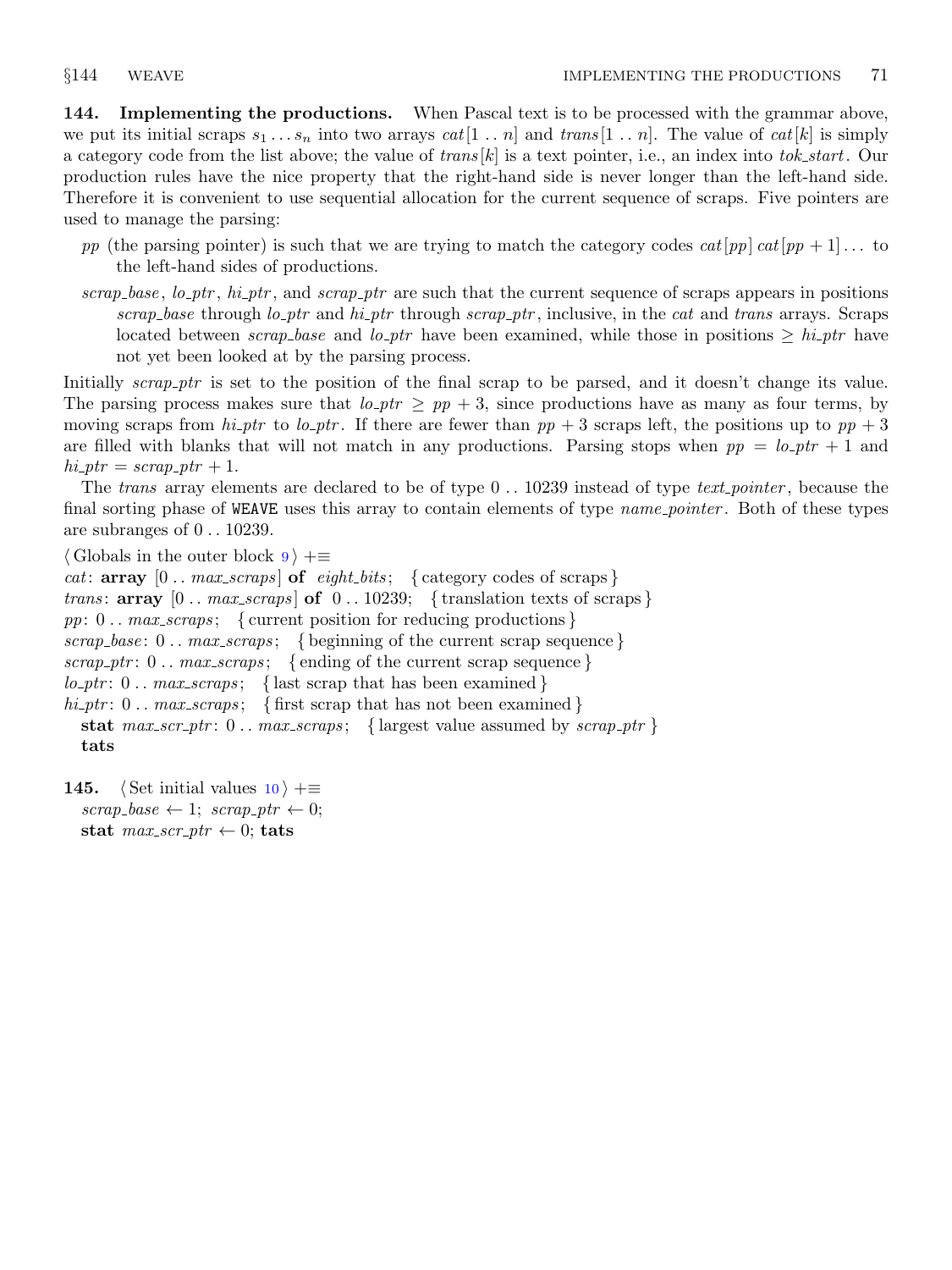144. Implementing the productions. When Pascal text is to be processed with the grammar above, we put its initial scraps  $s_1 \ldots s_n$  into two arrays  $cat[1 \ldots n]$  and  $trans[1 \ldots n]$ . The value of  $cat[k]$  is simply a category code from the list above; the value of  $trans[k]$  is a text pointer, i.e., an index into tok\_start. Our production rules have the nice property that the right-hand side is never longer than the left-hand side. Therefore it is convenient to use sequential allocation for the current sequence of scraps. Five pointers are used to manage the parsing:

- pp (the parsing pointer) is such that we are trying to match the category codes  $cat[pp] cat[pp + 1]$ ... to the left-hand sides of productions.
- $scrap\_base$ ,  $lo\_\_ptr$ ,  $hi\_\_ptr$ , and  $scrap\_\_ptr$  are such that the current sequence of scraps appears in positions scrap base through lo ptr and hi ptr through scrap ptr, inclusive, in the cat and trans arrays. Scraps located between scrap base and lo ptr have been examined, while those in positions  $\geq h$  ptr have not yet been looked at by the parsing process.

Initially scrap ptr is set to the position of the final scrap to be parsed, and it doesn't change its value. The parsing process makes sure that  $l_o$ -ptr  $\geq pp+3$ , since productions have as many as four terms, by moving scraps from  $hi\_ptr$  to lo\_ptr. If there are fewer than  $pp + 3$  scraps left, the positions up to  $pp + 3$ are filled with blanks that will not match in any productions. Parsing stops when  $pp = lo_p \text{tr} + 1$  and  $hi_{\mathcal{P}}tr = scrap_{\mathcal{P}}tr + 1.$ 

The trans array elements are declared to be of type  $0$ . . 10239 instead of type text-pointer, because the final sorting phase of WEAVE uses this array to contain elements of type *name pointer*. Both of these types are subranges of 0 . . 10239.

```
\langle9 \rangle +=
cat: array [0.. max\text{-}scraps] of eight-bits; { category codes of scraps }
trans: \arg \left[0 \dots \max\_{scraps}\right] of 0 \dots 10239; {translation texts of scraps}
pp: 0 \ldots max\_scraps; { current position for reducing productions }
scrap_base: 0 \ldots max\_scraps; { beginning of the current scrap sequence }
scrap ptr: 0 \ldots max scraps; { ending of the current scrap sequence}
lo_p tr: 0.. max_scraps; { last scrap that has been examined }
hi_ptr: 0.. max_scraps; { first scrap that has not been examined }
  stat max\_scr_ptr: 0...max\_scraps; \{largest value assumed by <i>scrap\_ptr</i> \}tats
```

```
145. (Set initial values 10) +≡
  scrap\_base \leftarrow 1; \; scrap\_ptr \leftarrow 0;stat max\_scr\_ptr \leftarrow 0; tats
```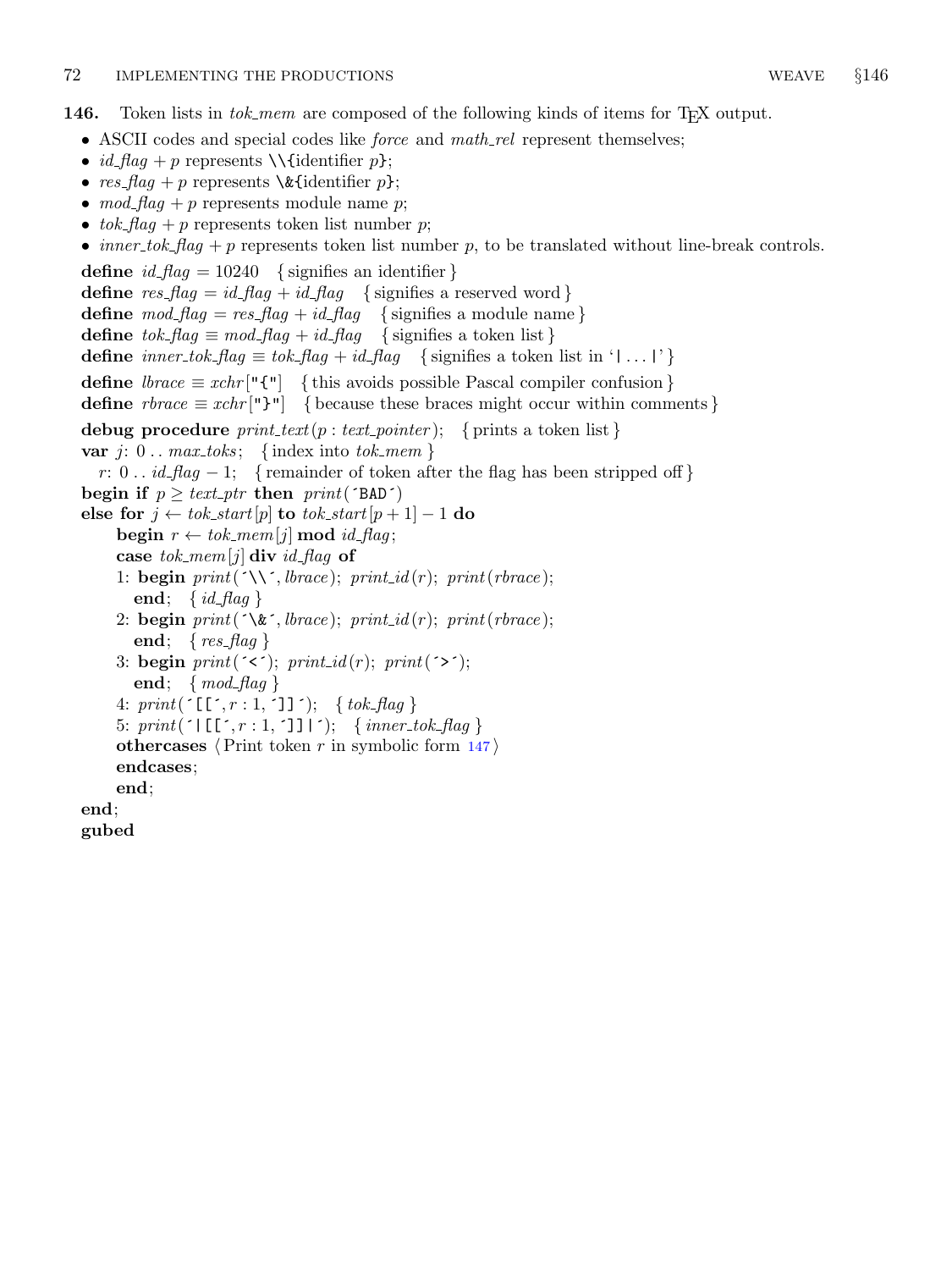<span id="page-57-0"></span>146. Token lists in tok\_mem are composed of the following kinds of items for T<sub>E</sub>X output.

- ASCII codes and special codes like *force* and  $math_{\text{math}$  represent themselves;
- *id\_flag* + p represents \\{identifier p};
- res\_flag + p represents  $\&$  (identifier p};
- $mod\_flag + p$  represents module name p;
- $tok$ - $flag + p$  represents token list number p;
- *inner\_tok\_flag* + p represents token list number p, to be translated without line-break controls.

define  $id$ -flag = 10240 { signifies an identifier } define  $res\_flag = id\_flag + id\_flag$  { signifies a reserved word } define  $\textit{mod\_flag} = \textit{res\_flag} + \textit{id\_flag}$  { signifies a module name} define  $tok_{\text{f}}$  = mod\_flag + id\_flag { signifies a token list } define inner\_tok\_flag  $\equiv$  tok\_flag + id\_flag { signifies a token list in '|... |' } define  $\text{brace} = x \text{chr}[\text{``} \{\text{``} \} \text{~} \{\text{this avoids possible Pascal compiler confusion}\}$ define  $rbrace \equiv xchr[$ "}"] { because these braces might occur within comments } debug procedure  $print\_text(p: text\_pointer);$  { prints a token list} var j:  $0 \ldots max\_toks; \{ index into tok\_mem \}$ r: 0..  $id_{\mathcal{A}} = 1$ ; { remainder of token after the flag has been stripped off } begin if  $p \geq text\_ptr$  then  $print('BAD')$ else for  $j \leftarrow tok\_start[p]$  to  $tok\_start[p+1] - 1$  do begin  $r \leftarrow tok\_mem[j] \mod id\_flag;$ case tok\_mem[j] div id\_flag of 1: **begin**  $print(\land\land\land\allowbreak)$ ;  $branch(\land\land\land\allowbreak)$ ;  $print(\space_1\allowbreak\};\allowbreak)$ end; { $id_{\mathcal{A}}$ flag} 2: begin  $print(\land \& \land three); print_id(r); print(rbrace);$ end; {  $res\_flag$  } 3: begin  $print(\checkmark\;); print(i); print(\checkmark\;);$ end; { $mod\_flag$ } 4:  $print('[\lceil', r : 1, \rceil]')$ ; {  $tok_flag$  } 5:  $print('|\llbracket [\cdot, r : 1, \cdot] \rrbracket |')$ ; { inner\_tok\_flag } othercases  $\langle$  Print token r in symbolic form [147](#page-58-0) $\rangle$ endcases; end; end; gubed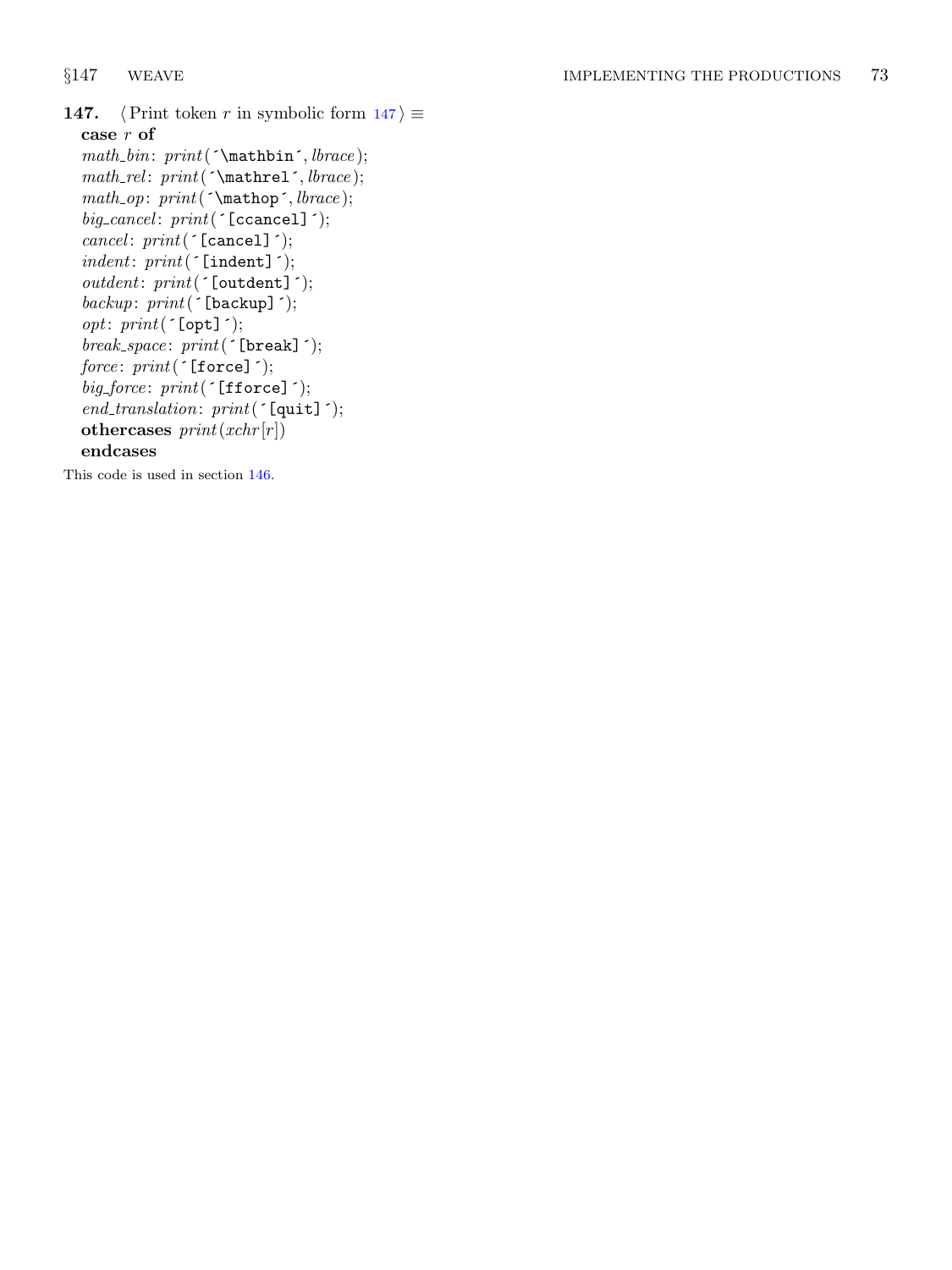```
147. \langle Print token r in symbolic form 147\rangle \equivcase r of
  math\_bin: print(\text{'math}, \text{brace});math\_rel: print(\`\mathtt{hrel}', \mathit{black});math\_op: print(\text{'\mathchar` and \mathchar`)!}big\_cancel: print('[cancel]');cancel: print('[cancel]');\; \; \mathit{indent} \; \; \; \; \; \mathit{print}(\; \texttt{'Indent}]\; \; \texttt{')};outdent: print('[outdent]');
  \mathit{backup}: \mathit{print}(\texttt{`[backup]'});opt: print('[opt]');break\_space: print('[break]');force: print('[force]');big_force: print('[fforce]');end\_translation: print('[quit]');othercases print(xchr[r])endcases
```
This code is used in section [146.](#page-57-0)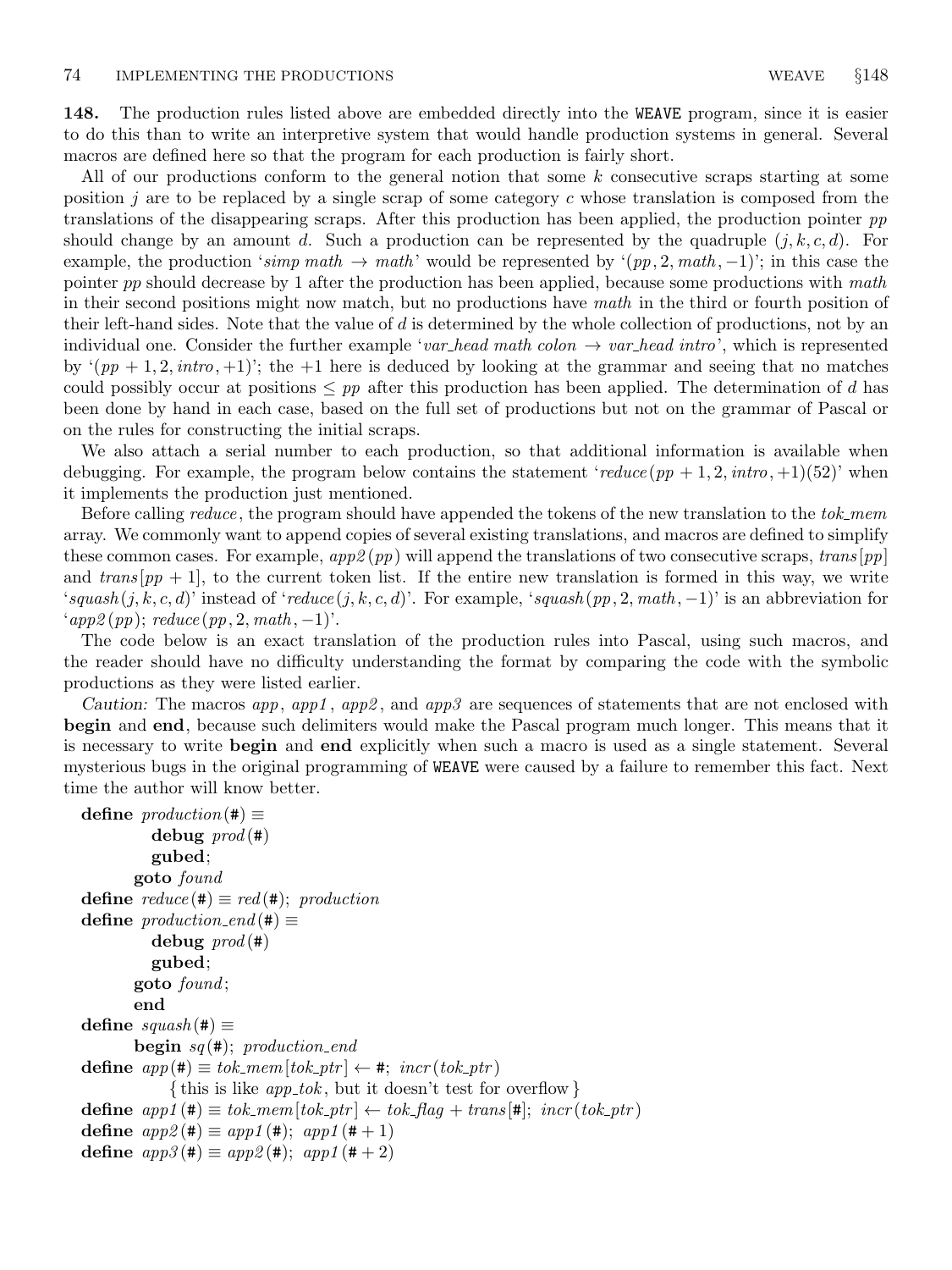148. The production rules listed above are embedded directly into the WEAVE program, since it is easier to do this than to write an interpretive system that would handle production systems in general. Several macros are defined here so that the program for each production is fairly short.

All of our productions conform to the general notion that some k consecutive scraps starting at some position j are to be replaced by a single scrap of some category c whose translation is composed from the translations of the disappearing scraps. After this production has been applied, the production pointer pp should change by an amount d. Such a production can be represented by the quadruple  $(j, k, c, d)$ . For example, the production 'simp math  $\rightarrow$  math' would be represented by ' $(pp, 2, math, -1)$ '; in this case the pointer pp should decrease by 1 after the production has been applied, because some productions with math in their second positions might now match, but no productions have math in the third or fourth position of their left-hand sides. Note that the value of  $d$  is determined by the whole collection of productions, not by an individual one. Consider the further example 'var-head math colon  $\rightarrow$  var-head intro', which is represented by  $(pp + 1, 2, intro, +1)$ ; the +1 here is deduced by looking at the grammar and seeing that no matches could possibly occur at positions  $\leq pp$  after this production has been applied. The determination of d has been done by hand in each case, based on the full set of productions but not on the grammar of Pascal or on the rules for constructing the initial scraps.

We also attach a serial number to each production, so that additional information is available when debugging. For example, the program below contains the statement 'reduce  $(pp + 1, 2, intro, +1)(52)$ ' when it implements the production just mentioned.

Before calling *reduce*, the program should have appended the tokens of the new translation to the tok\_mem array. We commonly want to append copies of several existing translations, and macros are defined to simplify these common cases. For example,  $app2(pp)$  will append the translations of two consecutive scraps, trans  $[pp]$ and  $trans[pp + 1]$ , to the current token list. If the entire new translation is formed in this way, we write 'squash  $(j, k, c, d)$ ' instead of 'reduce  $(j, k, c, d)$ '. For example, 'squash  $(pp, 2, math, -1)$ ' is an abbreviation for  $\langle app2(pp); reduce(pp, 2, math, -1)'.$ 

The code below is an exact translation of the production rules into Pascal, using such macros, and the reader should have no difficulty understanding the format by comparing the code with the symbolic productions as they were listed earlier.

Caution: The macros app, app1, app2, and app3 are sequences of statements that are not enclosed with begin and end, because such delimiters would make the Pascal program much longer. This means that it is necessary to write begin and end explicitly when such a macro is used as a single statement. Several mysterious bugs in the original programming of WEAVE were caused by a failure to remember this fact. Next time the author will know better.

```
define production(\texttt{\#}) \equivdebug \text{prod}(\texttt{\#})gubed;
        goto found
define reduce (\#) \equiv red (\#); productiondefine production\_end (#) \equivdebug \text{prod}(\texttt{\#})gubed;
        goto found ;
        end
define squash(\#) \equivbegin sq(\texttt{\#}); production_end
define app(\#) \equiv tok\_mem[tok\_ptr] \leftarrow #; incr(tok\_ptr){this is like app\_tok, but it doesn't test for overflow }
define app1 (\#) \equiv tok\_mem [tok\_ptr] \leftarrow tok\_flag + trans [\#]; incr (tok\_ptr)define app2 (\#) \equiv app1 (\#); app1 (\# + 1)define app3 (\#) \equiv app2 (\#); app1 (\# + 2)
```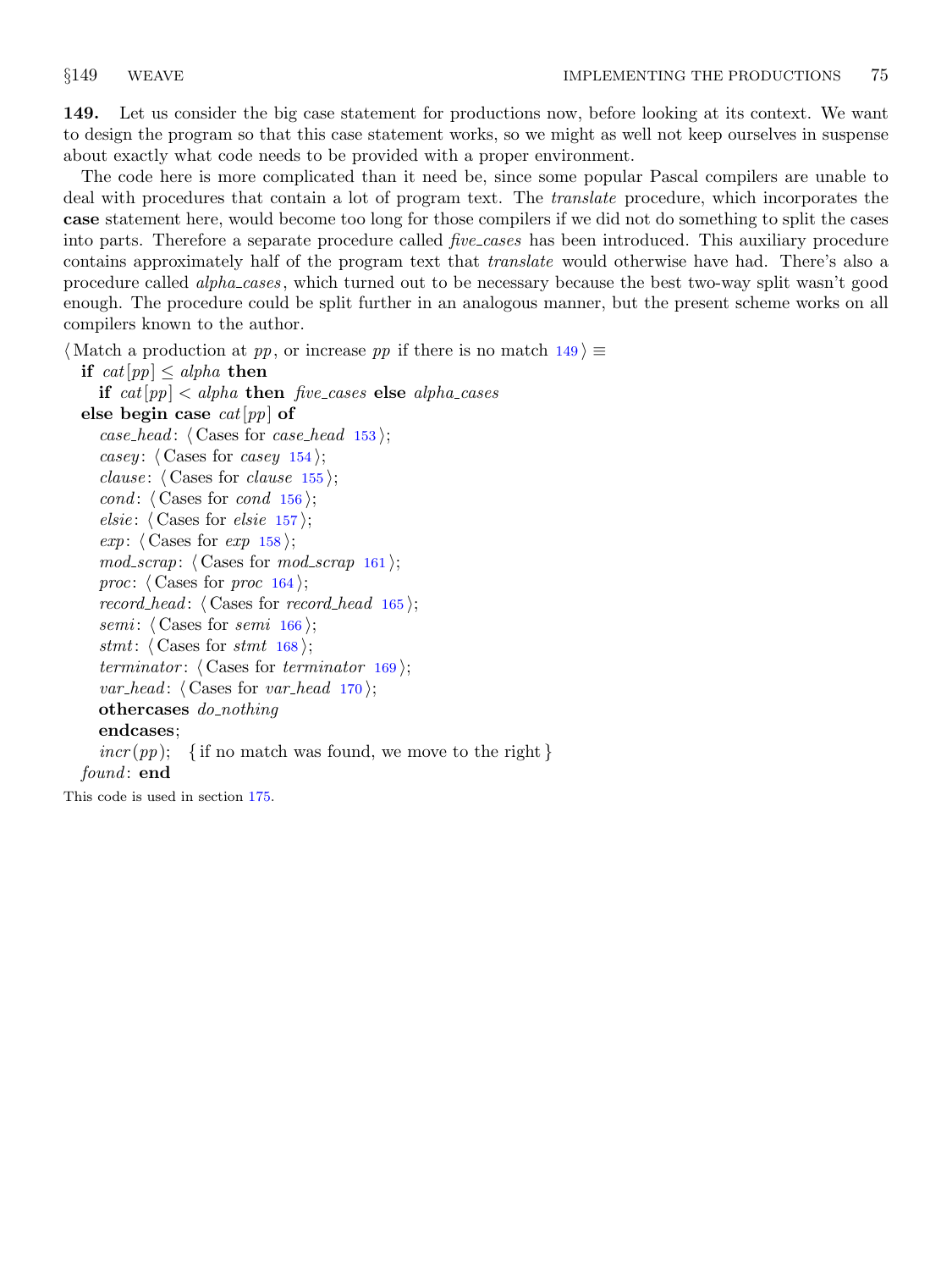<span id="page-60-0"></span>149. Let us consider the big case statement for productions now, before looking at its context. We want to design the program so that this case statement works, so we might as well not keep ourselves in suspense about exactly what code needs to be provided with a proper environment.

The code here is more complicated than it need be, since some popular Pascal compilers are unable to deal with procedures that contain a lot of program text. The *translate* procedure, which incorporates the case statement here, would become too long for those compilers if we did not do something to split the cases into parts. Therefore a separate procedure called *five cases* has been introduced. This auxiliary procedure contains approximately half of the program text that translate would otherwise have had. There's also a procedure called *alpha\_cases*, which turned out to be necessary because the best two-way split wasn't good enough. The procedure could be split further in an analogous manner, but the present scheme works on all compilers known to the author.

 $\langle$  Match a production at pp, or increase pp if there is no match 149 $\rangle \equiv$ 

```
if cat[pp] \leq alpha then
  if cat[pp] < alpha then five cases else alpha cases
```

```
else begin case cat[pp] of
  case_head: \langle153\rangle;
  casey: \langle154\rangle;
  clause: \langle Cases for clause155\rangle;
  cond: \langle156\rangle;
  elsie: \langle157\rangle;
  exp: \langle158\rangle;
  161 \rangle;proc: \langle164\rangle;
  record head: \langle165\rangle;
  semi: \langle166\rangle;
  stmt: \langle168\rangle;
  terminator: \langle169\rangle;
  var_head: \langle170\rangle;
  othercases do_nothing
  endcases;
  incr(pp); { if no match was found, we move to the right }
```
found: end

This code is used in section [175.](#page-67-0)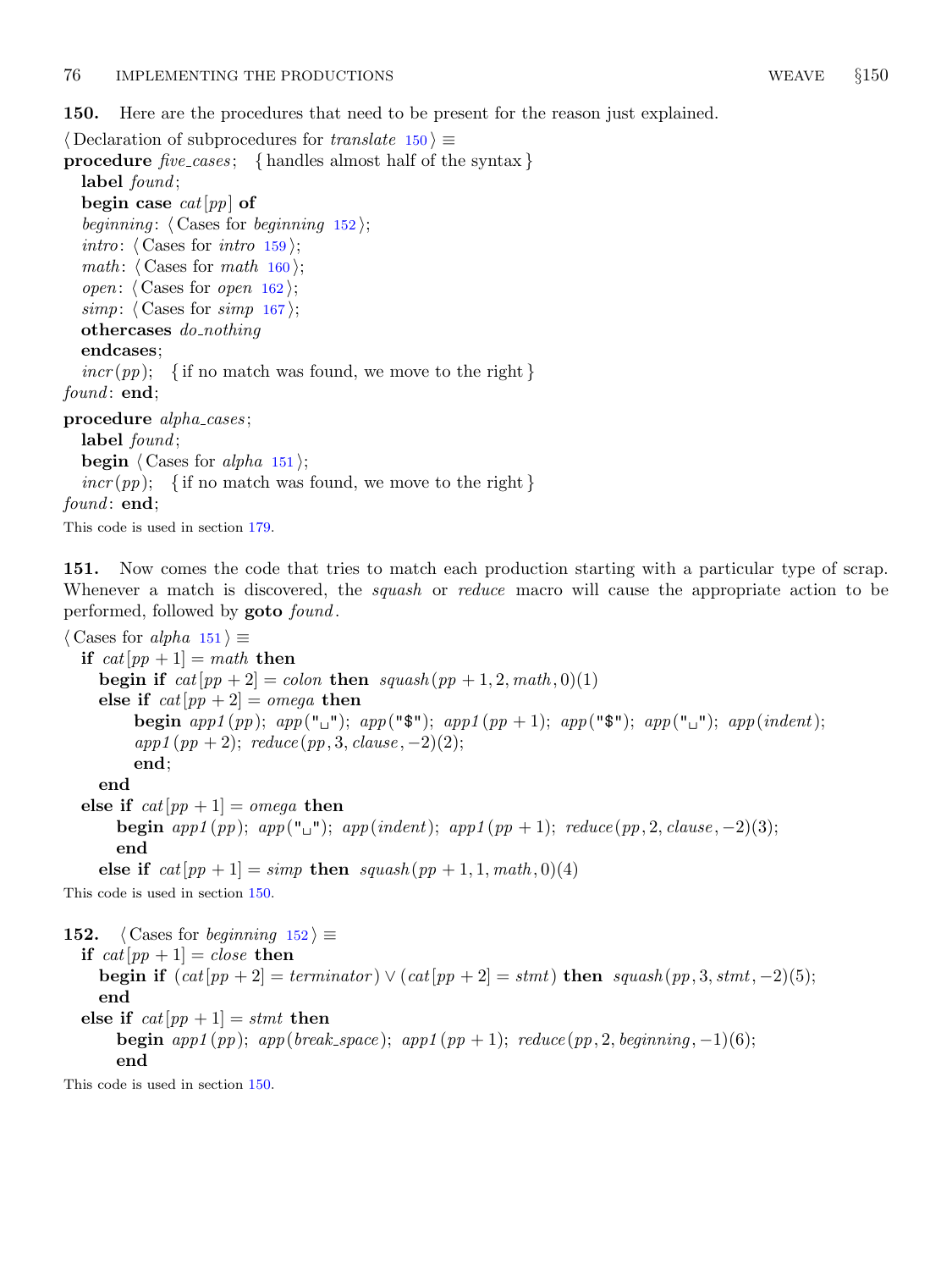<span id="page-61-0"></span>150. Here are the procedures that need to be present for the reason just explained.

```
\langle Declaration of subprocedures for translate 150 \rangle \equivprocedure five\text{-}cases; { handles almost half of the syntax }
  label found;
  begin case cat[pp] of
  beginning: \langle Cases for beginning 152\rangle;
  intro: \langle159\rangle;
  math: \langle160\rangle;
  open: \langle Cases for open162\rangle;
  167 \rangle;othercases do_nothing
  endcases;
  incr(pp); { if no match was found, we move to the right }
found: end:procedure alpha_cases;
  label found;
  begin \langle Cases for alpha 151\rangle;
  incr(pp); { if no match was found, we move to the right }
found: end;
```
This code is used in section [179.](#page-68-0)

151. Now comes the code that tries to match each production starting with a particular type of scrap. Whenever a match is discovered, the *squash* or *reduce* macro will cause the appropriate action to be performed, followed by goto found .

 $\langle$  Cases for *alpha* 151 $\rangle \equiv$ if  $cat[pp + 1] = math$  then begin if  $cat[pp + 2] = colon$  then  $squash(pp + 1, 2, math, 0)(1)$ else if  $cat[pp + 2] = omega$  then begin app1 (pp); app(" $\mathbf{u}$ "); app(" $\mathbf{\hat{s}}$ "); app1 (pp + 1); app(" $\mathbf{\hat{s}}$ "); app(" $\mathbf{u}$ "); app(indent);  $app1 (pp + 2);$   $reduce (pp, 3, clause, -2)(2);$ end; end else if  $cat[pp + 1] = omega$  then begin app1 (pp); app(" $\sqcup$ "); app(indent); app1 (pp + 1); reduce (pp, 2, clause, -2)(3); end else if  $cat[pp + 1] = simp$  then  $squash(pp + 1, 1, math, 0)(4)$ This code is used in section 150. 152. (Cases for beginning  $152$ )  $\equiv$ if  $cat[pp + 1] = close$  then begin if  $(cat[pp + 2] = terminalor) \vee (cat[pp + 2] = stmt)$  then squash  $(pp, 3, stmt, -2)(5)$ ; end else if  $cat[pp + 1] = stmt$  then

begin app1 (pp); app(break\_space); app1 (pp + 1); reduce (pp, 2, beginning, -1)(6);

end

This code is used in section 150.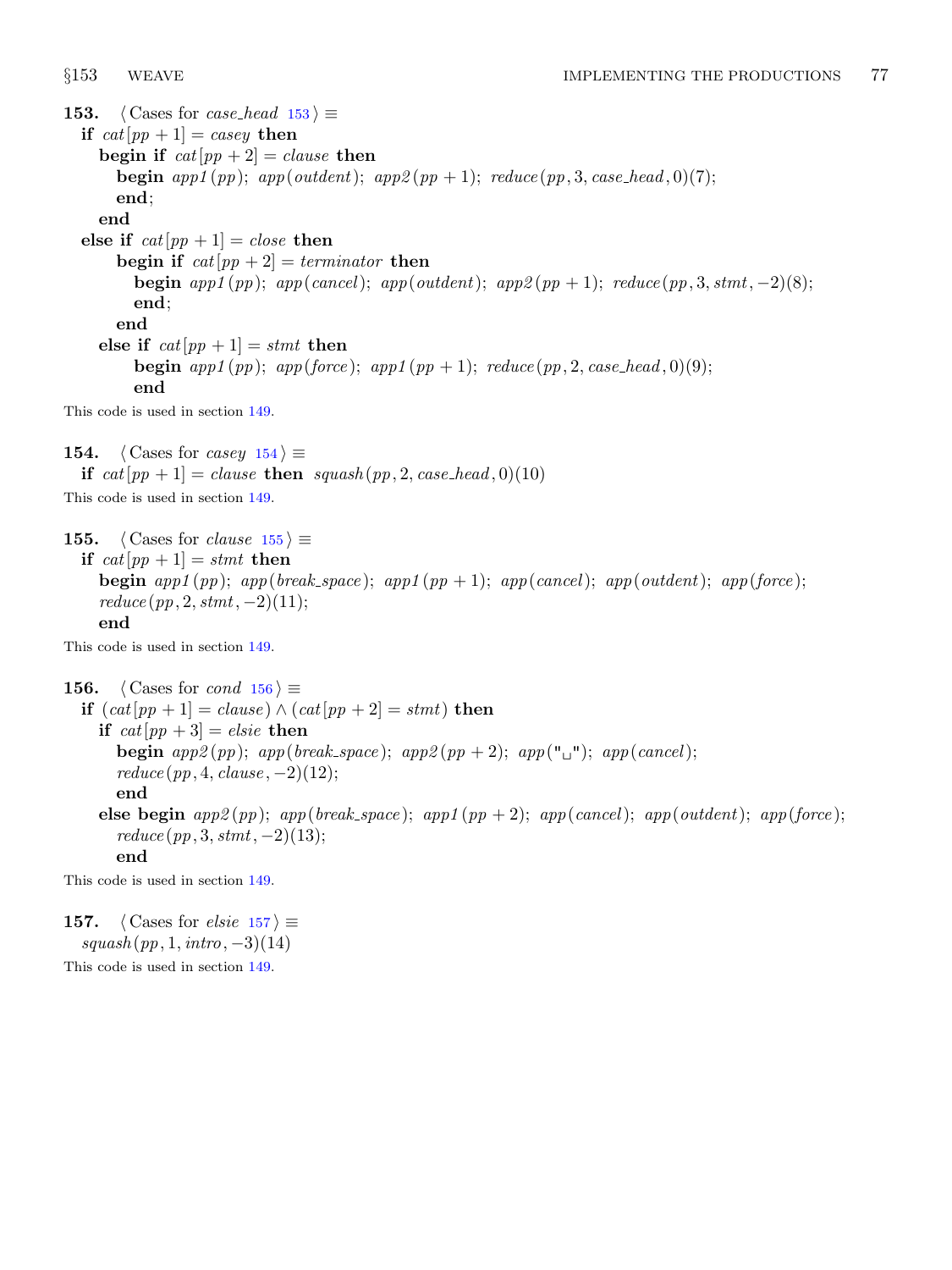<span id="page-62-0"></span>153. (Cases for *case\_head*  $153$ )  $\equiv$ if  $cat[pp + 1] = casey$  then begin if  $cat[pp + 2] = clause$  then **begin** app1(pp); app(outdent); app2(pp + 1); reduce(pp, 3, case\_head, 0)(7); end; end else if  $cat[pp + 1] = close$  then begin if  $cat[pp + 2] = termination$  then begin app1 (pp); app(cancel); app(outdent); app2 (pp + 1); reduce (pp, 3, stmt, -2)(8); end; end else if  $cat[pp + 1] = stmt$  then begin  $app1(pp)$ ;  $app(force)$ ;  $app1(pp + 1)$ ;  $reduce(pp, 2, case\_head, 0)(9)$ ; end This code is used in section [149.](#page-60-0) 154. (Cases for casey  $154$ )  $\equiv$ if  $cat[pp + 1] = clause$  then  $squash(pp, 2, case\_head, 0)(10)$ This code is used in section [149.](#page-60-0) 155.  $\langle$  Cases for *clause* 155 $\rangle \equiv$ if  $cat[pp + 1] = stmt$  then begin app1 (pp); app(break\_space); app1 (pp + 1); app(cancel); app(outdent); app(force);  $reduce(pp, 2, stmt, -2)(11);$ end This code is used in section [149.](#page-60-0) 156.  $\langle$  Cases for *cond* 156  $\rangle \equiv$ if  $(cat[pp + 1] = clause) \wedge (cat[pp + 2] = stmt)$  then if  $cat[pp + 3] = elsie$  then begin app2(pp); app(break\_space); app2(pp + 2); app(" $\Box$ "); app(cancel);  $reduce(pp, 4, clause, -2)(12);$ end else begin  $app2(pp)$ ;  $app(break-space)$ ;  $app1(pp + 2)$ ;  $app(cancel)$ ;  $app(outdent)$ ;  $app(force)$ ;  $reduce(pp, 3, stmt, -2)(13);$ end This code is used in section [149.](#page-60-0)

157. (Cases for *elsie* 157)  $\equiv$  $squash(pp, 1, intro, -3)(14)$ This code is used in section [149.](#page-60-0)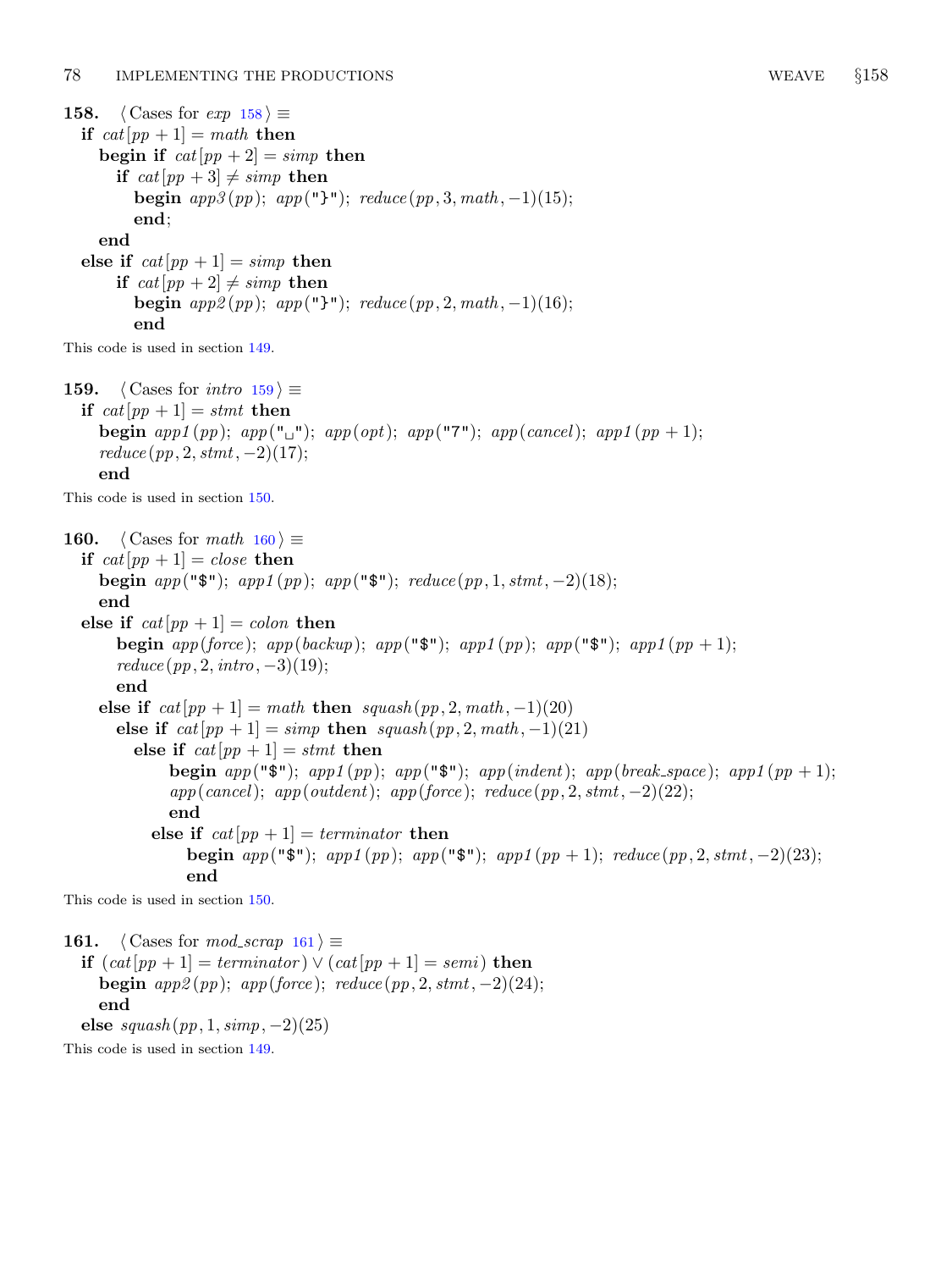<span id="page-63-0"></span>158.  $\langle$  Cases for  $exp\ 158 \rangle \equiv$ if  $cat[pp + 1] = math$  then begin if  $cat[pp + 2] = simp$  then if  $cat[pp + 3] \neq simp$  then begin  $app3(pp)$ ;  $app("}$ ");  $reduce(pp, 3, math, -1)(15)$ ; end; end else if  $cat[pp + 1] = simp$  then if  $cat[pp + 2] \neq simp$  then begin  $app2(pp)$ ;  $app("}")$ ;  $reduce(pp, 2, math, -1)(16)$ ;

$$
\operatorname{end}
$$

This code is used in section [149.](#page-60-0)

159.  $\langle$  Cases for *intro* 159  $\rangle \equiv$ if  $cat[pp + 1] = stmt$  then begin app1 (pp); app(" $\sqcup$ "); app(opt); app("7"); app(cancel); app1 (pp + 1);  $reduce(pp, 2, stmt, -2)(17);$ end

This code is used in section [150.](#page-61-0)

160.  $\langle$  Cases for math 160  $\rangle \equiv$ if  $cat[pp + 1] = close$  then begin  $app("$")$ ;  $app1(pp)$ ;  $app("$")$ ;  $reduce(pp, 1, stmt, -2)(18)$ ; end else if  $cat[pp + 1] = colon$  then begin app(force); app(backup); app(" $\mathcal{F}$ "); app1(pp); app(" $\mathcal{F}$ "); app1(pp + 1);  $reduce (pp, 2, intro, -3)(19);$ end else if  $cat[pp + 1] = math$  then  $squash(pp, 2, math, -1)(20)$ else if  $cat[pp + 1] = simp$  then  $squash(pp, 2, math, -1)(21)$ else if  $cat[pp + 1] = stmt$  then begin app(" $\mathfrak{F}$ "); app( $(pp)$ ; app(" $\mathfrak{F}$ "); app(indent); app(break\_space); app1(pp + 1);  $app(cancel); app(outdent); app(force); reduce(pp, 2, stmt, -2)(22);$ end else if  $cat[pp + 1] = termination$  then begin app("\$"); app1(pp); app("\$"); app1(pp + 1); reduce  $(pp, 2, \text{stmt}, -2)(23)$ ; end

This code is used in section [150.](#page-61-0)

161.  $\langle$  Cases for mod\_scrap 161  $\rangle \equiv$ if  $(cat[pp + 1] = termination) \vee (cat[pp + 1] = semi)$  then begin  $app2(pp)$ ;  $app(force)$ ;  $reduce(pp, 2, stmt, -2)(24)$ ; end else  $squash(pp, 1, simp, -2)(25)$ 

This code is used in section [149.](#page-60-0)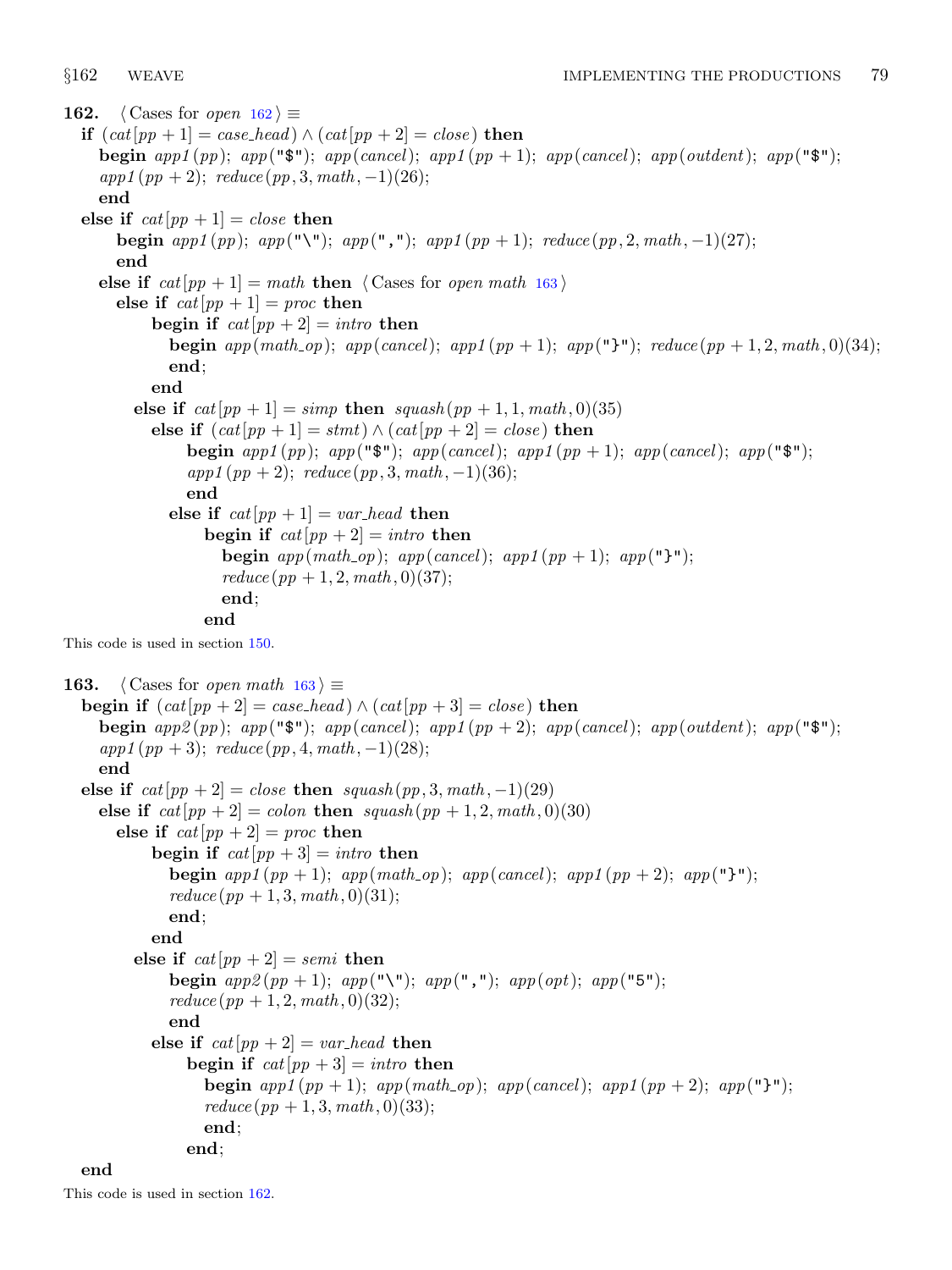<span id="page-64-0"></span>162. (Cases for *open* 162)  $\equiv$ if  $(cat[pp + 1] = case\_head) \wedge (cat[pp + 2] = close)$  then begin app1 (pp); app(" $\mathcal{F}$ "); app(cancel); app1 (pp + 1); app(cancel); app(outdent); app(" $\mathcal{F}$ ");  $app1(pp+2);$  reduce  $(pp, 3, math, -1)(26);$ end else if  $cat[pp + 1] = close$  then begin app1 (pp); app("\"); app(","); app1 (pp + 1); reduce (pp, 2, math, -1)(27); end else if  $cat[pp + 1] = math$  then  $\langle$  Cases for open math 163 $\rangle$ else if  $cat[pp + 1] = proc$  then begin if  $cat[pp + 2] = intro$  then begin app(math\_op); app(cancel); app1(pp + 1); app("}"); reduce(pp + 1, 2, math, 0)(34); end; end else if  $cat[pp + 1] = simp$  then  $squash(pp + 1, 1, math, 0)$ (35) else if  $(cat[pp + 1] = stmt) \wedge (cat[pp + 2] = close)$  then begin app1 (pp); app(" $\mathfrak{F}$ "); app(cancel); app1 (pp + 1); app(cancel); app(" $\mathfrak{F}$ ");  $app1(pp+2);$   $reduce(pp, 3, math, -1)(36);$ end else if  $cat[pp + 1] = var\_head$  then begin if  $cat[pp + 2] = intro$  then begin  $app(math\_op);$   $app(cancel);$   $app1(pp+1);$   $app("]^"$ ;  $reduce (pp + 1, 2, math, 0) (37);$ end; end This code is used in section [150.](#page-61-0) 163.  $\langle$  Cases for *open math* 163 $\rangle \equiv$ **begin if**  $(cat[pp + 2] = case\_head) \wedge (cat[pp + 3] = close)$  then begin app2(pp); app(" $\mathfrak{F}$ "); app(cancel); app1(pp + 2); app(cancel); app(outdent); app(" $\mathfrak{F}$ ");  $app1 (pp + 3);$   $reduce (pp, 4, math, -1)(28);$ end else if  $cat[pp + 2] = close$  then  $squash(pp, 3, math, -1)(29)$ else if  $cat[pp + 2] = colon$  then  $squash(pp + 1, 2, math, 0)(30)$ else if  $cat[pp + 2] = proc$  then begin if  $cat[pp + 3] = intro$  then begin  $app1(pp+1)$ ;  $app(math\_op)$ ;  $app(cancel)$ ;  $app1(pp+2)$ ;  $app("]<sup>n</sup>$ ;  $reduce (pp + 1, 3, math, 0)(31);$ end; end else if  $cat[pp + 2] = semi$  then begin  $app2(pp + 1); app("\\"); app("","); app(opt); app("5");$  $reduce (pp + 1, 2, math, 0) (32);$ end else if  $cat[pp + 2] = var\_head$  then begin if  $cat[pp + 3] = intro$  then begin  $app1(pp+1)$ ;  $app(math\_op)$ ;  $app(cancel)$ ;  $app1(pp+2)$ ;  $app("Y")$ ;  $reduce (pp + 1, 3, math, 0) (33);$ end; end;

## end

This code is used in section 162.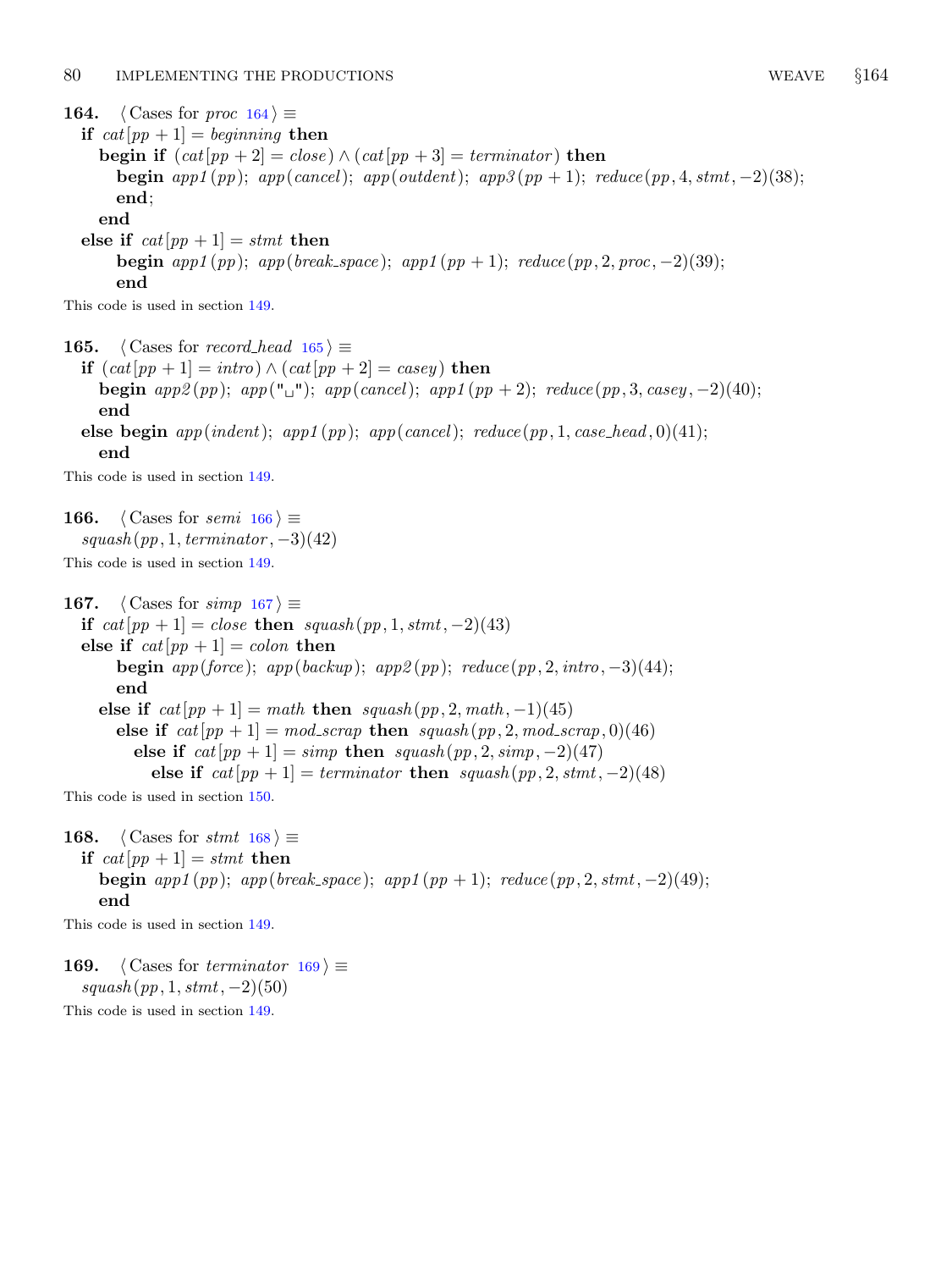<span id="page-65-0"></span>164. (Cases for *proc*  $164$ )  $\equiv$ if  $cat[pp + 1] = beginning$  then begin if  $(cat[pp + 2] = close) \wedge (cat[pp + 3] = termination)$  then begin app1(pp); app(cancel); app(outdent); app3(pp + 1); reduce(pp, 4, stmt, -2)(38); end; end else if  $cat[pp + 1] = stmt$  then begin app1 $(pp)$ ; app(break\_space); app1 $(pp + 1)$ ; reduce  $(pp, 2, proc, -2)(39)$ ; end This code is used in section [149.](#page-60-0) 165. (Cases for record head  $165 \equiv$ if  $(cat[pp + 1] = intro) \wedge (cat[pp + 2] = casey)$  then begin app2(pp); app(" $\sqcup$ "); app(cancel); app1(pp + 2); reduce(pp, 3, casey, -2)(40); end else begin  $app(indent)$ ;  $app1(pp)$ ;  $app(cancel)$ ;  $reduce(pp, 1, case\_head, 0)(41)$ ; end This code is used in section [149.](#page-60-0)

166. (Cases for semi  $166$ )  $\equiv$  $squash(pp, 1, termination, -3)(42)$ This code is used in section [149.](#page-60-0)

167. (Cases for simp  $167$ )  $\equiv$ if cat[pp + 1] = close then squash  $(pp, 1, \text{stmt}, -2)(43)$ else if  $cat[pp + 1] = colon$  then **begin** app(force); app(backup); app2(pp); reduce(pp, 2, intro,  $-3$ )(44); end else if  $cat[pp + 1] = math$  then  $squash(pp, 2, math, -1)(45)$ else if  $cat[pp + 1] = mod\_scrap$  then  $squash(pp, 2, mod\_scrap, 0)$ (46) else if  $cat[pp + 1] = simp$  then  $squash(pp, 2, simp, -2)(47)$ else if  $cat[pp + 1] = terminateor$  then  $squash(pp, 2, stmt, -2)(48)$ This code is used in section [150.](#page-61-0)

168. (Cases for stmt  $168$ )  $\equiv$ if  $cat[pp + 1] = stmt$  then begin app1 (pp); app(break\_space); app1 (pp + 1); reduce (pp, 2, stmt, -2)(49); end

This code is used in section [149.](#page-60-0)

169.  $\langle$  Cases for terminator 169 $\rangle \equiv$  $squash(pp, 1, stmt, -2)(50)$ 

This code is used in section [149.](#page-60-0)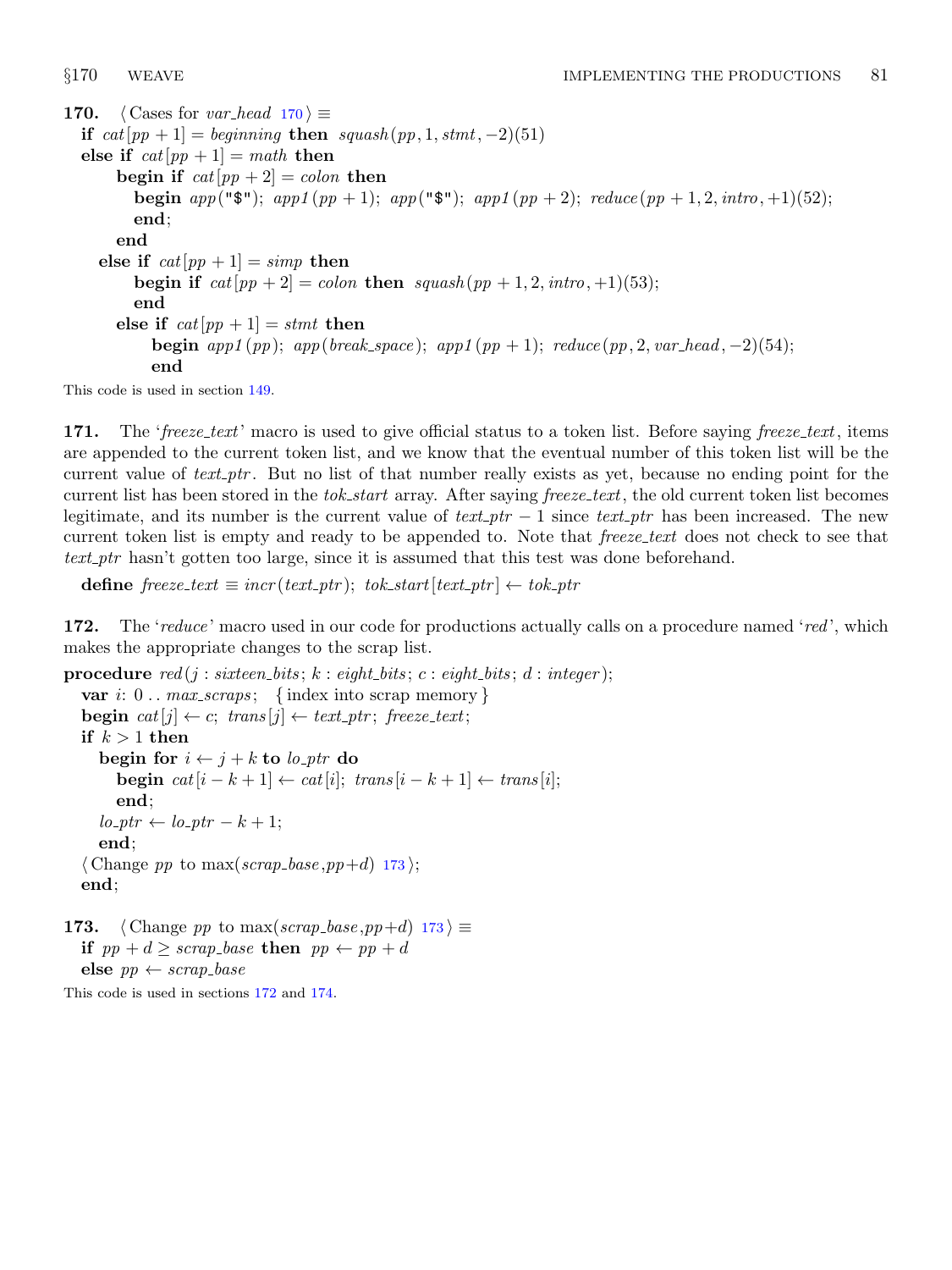<span id="page-66-0"></span>170.  $\langle$  Cases for *var\_head* 170  $\rangle \equiv$ if  $cat[pp + 1] = beginning$  then  $squash(pp, 1, stmt, -2)(51)$ else if  $cat[pp + 1] = math$  then begin if  $cat[pp + 2] = colon$  then begin app("\\,\\,\app1(pp + 1); app("\\,\\\,\app1(pp + 2); reduce (pp + 1, 2, intro, +1)(52); end; end else if  $cat[pp + 1] = simp$  then begin if  $cat[pp + 2] = colon$  then  $squash(pp + 1, 2, intro, +1)(53);$ end else if  $cat[pp + 1] = stmt$  then begin app1 (pp); app(break\_space); app1 (pp + 1); reduce (pp, 2, var\_head, -2)(54); end

This code is used in section [149.](#page-60-0)

171. The 'freeze\_text' macro is used to give official status to a token list. Before saying freeze\_text, items are appended to the current token list, and we know that the eventual number of this token list will be the current value of  $text\_ptr$ . But no list of that number really exists as yet, because no ending point for the current list has been stored in the tok-start array. After saying freeze-text, the old current token list becomes legitimate, and its number is the current value of  $text\_ptr - 1$  since  $text\_ptr$  has been increased. The new current token list is empty and ready to be appended to. Note that freeze\_text does not check to see that text ptr hasn't gotten too large, since it is assumed that this test was done beforehand.

define  $\text{freeze}\text{.text} \equiv \text{incr}(\text{text}\text{.ptr})$ ;  $\text{tok}\text{.start}[\text{text}\text{.ptr}] \leftarrow \text{tok}\text{.ptr}$ 

172. The 'reduce' macro used in our code for productions actually calls on a procedure named 'red', which makes the appropriate changes to the scrap list.

```
procedure red(j: sixteen_bits; k: eight_bits; c: eight_bits; d: integer);
  var i: 0.. max_scraps; {index into scrap memory}
  begin cat[j] \leftarrow c; trans[j] \leftarrow text\_ptr; freeze_text;
  if k > 1 then
     begin for i \leftarrow j + k to lo_ptr do
        begin cat[i - k + 1] \leftarrow cat[i]; trans[i - k + 1] \leftarrow trans[i];end;
     lo_{\text{-}} ptr \leftarrow lo_{\text{-}} ptr - k + 1;end;
  \langle Change pp to max(scrap_base,pp+d) 173\rangle;
  end;
```

```
173. \langle \text{Change } pp \text{ to } \max(\text{scrap\_base}, pp+d) \text{ } 173 \rangle \equivif pp + d \geq scrap\_base then pp \leftarrow pp + delse pp \leftarrow scrap\_base
```
This code is used in sections 172 and [174.](#page-67-0)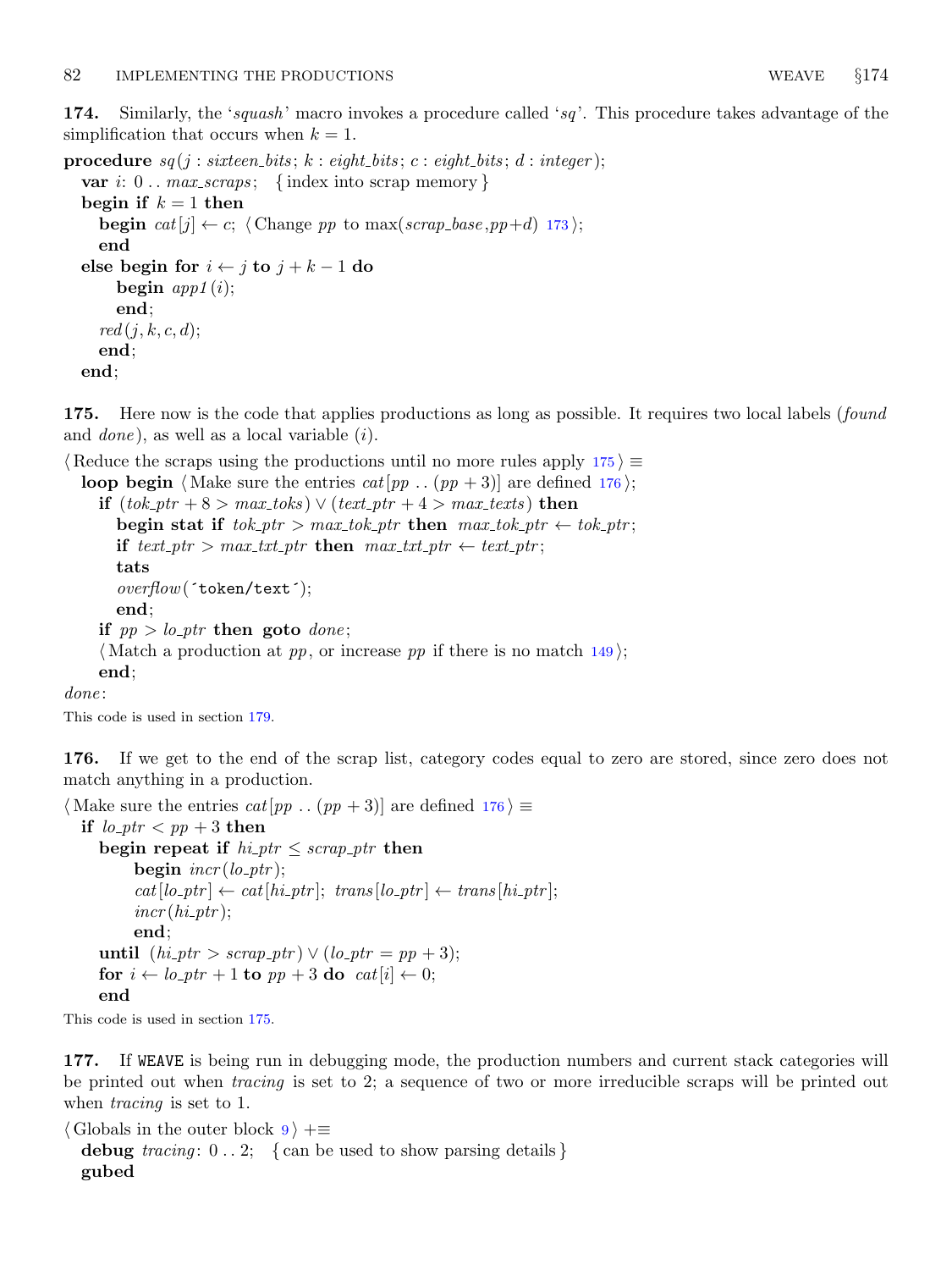<span id="page-67-0"></span>174. Similarly, the 'squash' macro invokes a procedure called 'sq'. This procedure takes advantage of the simplification that occurs when  $k = 1$ .

```
procedure sq(j: sixteen\_bits; k: eight\_bits; c: eight\_bits; d: integer);var i: 0.. max_scraps; {index into scrap memory}
  begin if k = 1 then
    begin cat[j] \leftarrow c; 173 \rangle;
    end
 else begin for i \leftarrow j to j + k - 1 do
      begin app1 (i);end;
    red(j, k, c, d);end;
 end;
```
175. Here now is the code that applies productions as long as possible. It requires two local labels (found and *done*), as well as a local variable  $(i)$ .

 $\langle$  Reduce the scraps using the productions until no more rules apply 175  $\rangle \equiv$ 

**loop begin** (Make sure the entries  $cat[pp \dots (pp + 3)]$  are defined 176); if  $(tok\_ptr + 8 > max\_toks) \vee (text\_ptr + 4 > max\_texts)$  then begin stat if  $tok\_ptr > max\_tok\_ptr$  then  $max\_tok\_ptr \leftarrow tok\_ptr;$ if text ptr > max txt ptr then max txt ptr  $\leftarrow$  text ptr; tats overflow(´token/text´); end; if  $pp > lo\_ptr$  then goto done;  $\langle$  Match a production at pp, or increase pp if there is no match [149](#page-60-0) $\rangle$ ; end; done:

This code is used in section [179.](#page-68-0)

176. If we get to the end of the scrap list, category codes equal to zero are stored, since zero does not match anything in a production.

```
\langle Make sure the entries cat[pp . . (pp + 3)] are defined 176\rangle \equivif lo\_ptr < pp + 3 then
      begin repeat if hi\_ptr \leq scrap\_ptr then
             begin \text{incr}(lo{\text{-}}ptr);cat[lo\_ptr] \leftarrow cat[hi\_ptr]; trans [lo\_ptr] \leftarrow trans[hi\_ptr];
             incr(hi\_ptr);end;
      until (hi_{\scriptscriptstyle\perp} ptr > \text{scrap}_{\scriptscriptstyle\perp} ptr) \vee (lo_{\scriptscriptstyle\perp} ptr = pp + 3);for i \leftarrow lo\_ptr + 1 to pp + 3 do cat[i] \leftarrow 0;
      end
```
This code is used in section 175.

177. If WEAVE is being run in debugging mode, the production numbers and current stack categories will be printed out when *tracing* is set to 2; a sequence of two or more irreducible scraps will be printed out when *tracing* is set to 1.

```
\langle9 \rangle +≡
 debug tracing: 0 \ldots 2; { can be used to show parsing details }
 gubed
```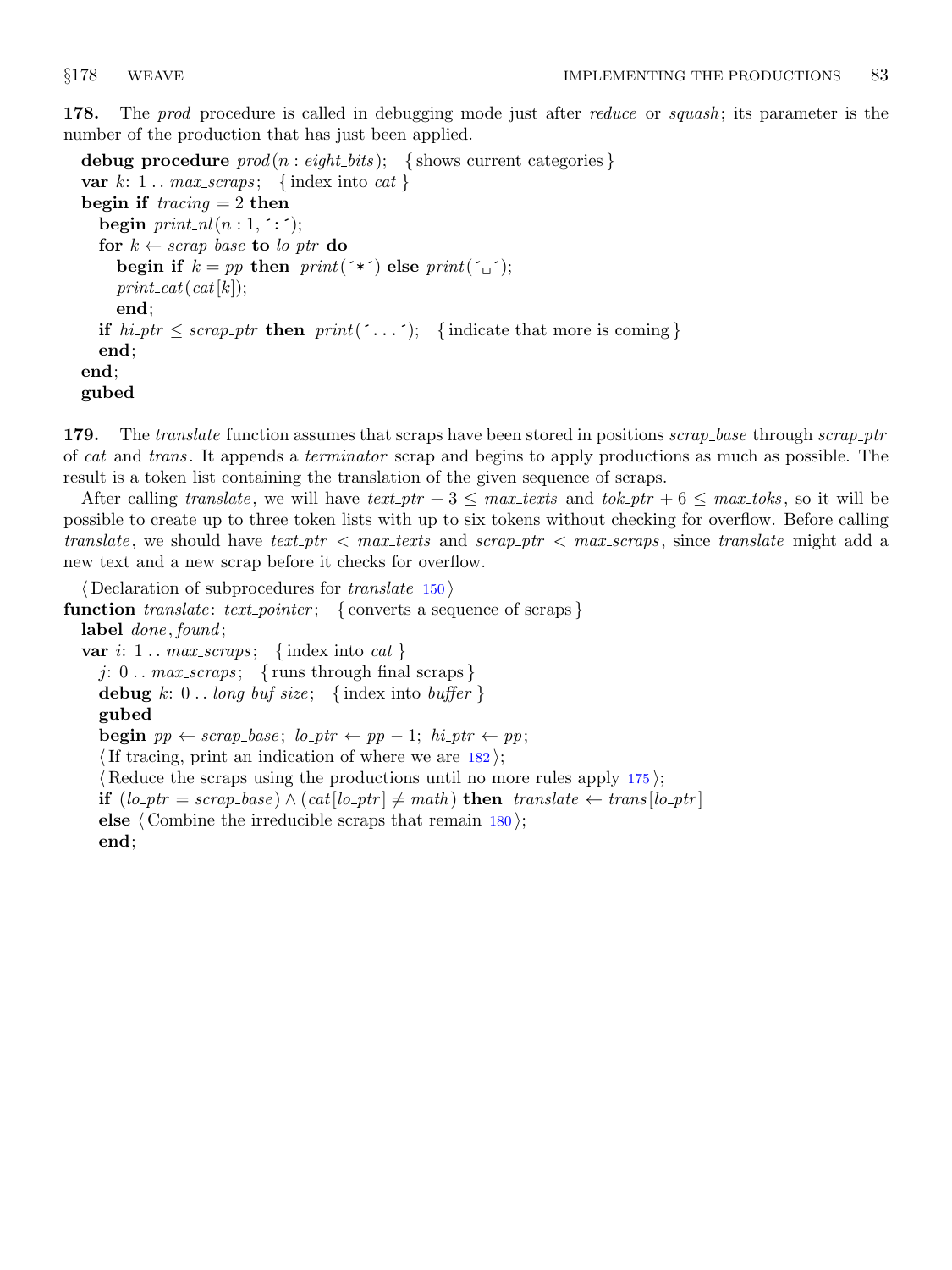<span id="page-68-0"></span>178. The prod procedure is called in debugging mode just after reduce or squash; its parameter is the number of the production that has just been applied.

debug procedure  $prod(n : eight\_bits);$  {shows current categories} var  $k: 1$ ... max\_scraps; {index into cat} begin if  $\text{tracing} = 2$  then begin  $print\_nl(n:1, \dots)$ ; for  $k \leftarrow \text{scrap\_base}$  to  $\text{lo\_ptr}$  do begin if  $k = pp$  then  $print(*)$  else  $print({\underline{\ } \, \cdot \,})$ ;  $print\_cat(cat[k])$ ; end; if  $hi_ptr \leq \text{scrap\_ptr}$  then  $print(\text{'}\dots\text{'});$  {indicate that more is coming} end; end; gubed

179. The translate function assumes that scraps have been stored in positions scrap\_base through scrap\_ptr of cat and trans. It appends a terminator scrap and begins to apply productions as much as possible. The result is a token list containing the translation of the given sequence of scraps.

After calling translate, we will have text-ptr  $+3 \leq$  max-texts and tok-ptr  $+6 \leq$  max-toks, so it will be possible to create up to three token lists with up to six tokens without checking for overflow. Before calling translate, we should have text ptr  $\langle$  max texts and scrap ptr  $\langle$  max scraps, since translate might add a new text and a new scrap before it checks for overflow.

 $\langle$  Declaration of subprocedures for *translate* [150](#page-61-0)  $\rangle$ function  $\text{translation: } text\_pointer; \{ \text{ converts a sequence of scraps} \}$ label *done*, found; var i:  $1 \ldots max\_scraps; \{ index into cat \}$ j:  $0 \ldots max\_scraps; \{ runs through final scraps\}$ debug k:  $0$ .. long\_buf\_size; {index into buffer } gubed **begin**  $pp \leftarrow scrap\_base$ ;  $lo\_ptr \leftarrow pp - 1$ ;  $hi\_ptr \leftarrow pp$ ; If tracing, print an indication of where we are  $182$ ;

(Reduce the scraps using the productions until no more rules apply  $175$ ); **if**  $(lo_ptr = scrap\_base) \land (cat[lo_ptr] ≠ math)$  then translate ← trans[lo\_ptr] else  $\langle$  Combine the irreducible scraps that remain [180](#page-69-0) $\rangle$ ; end;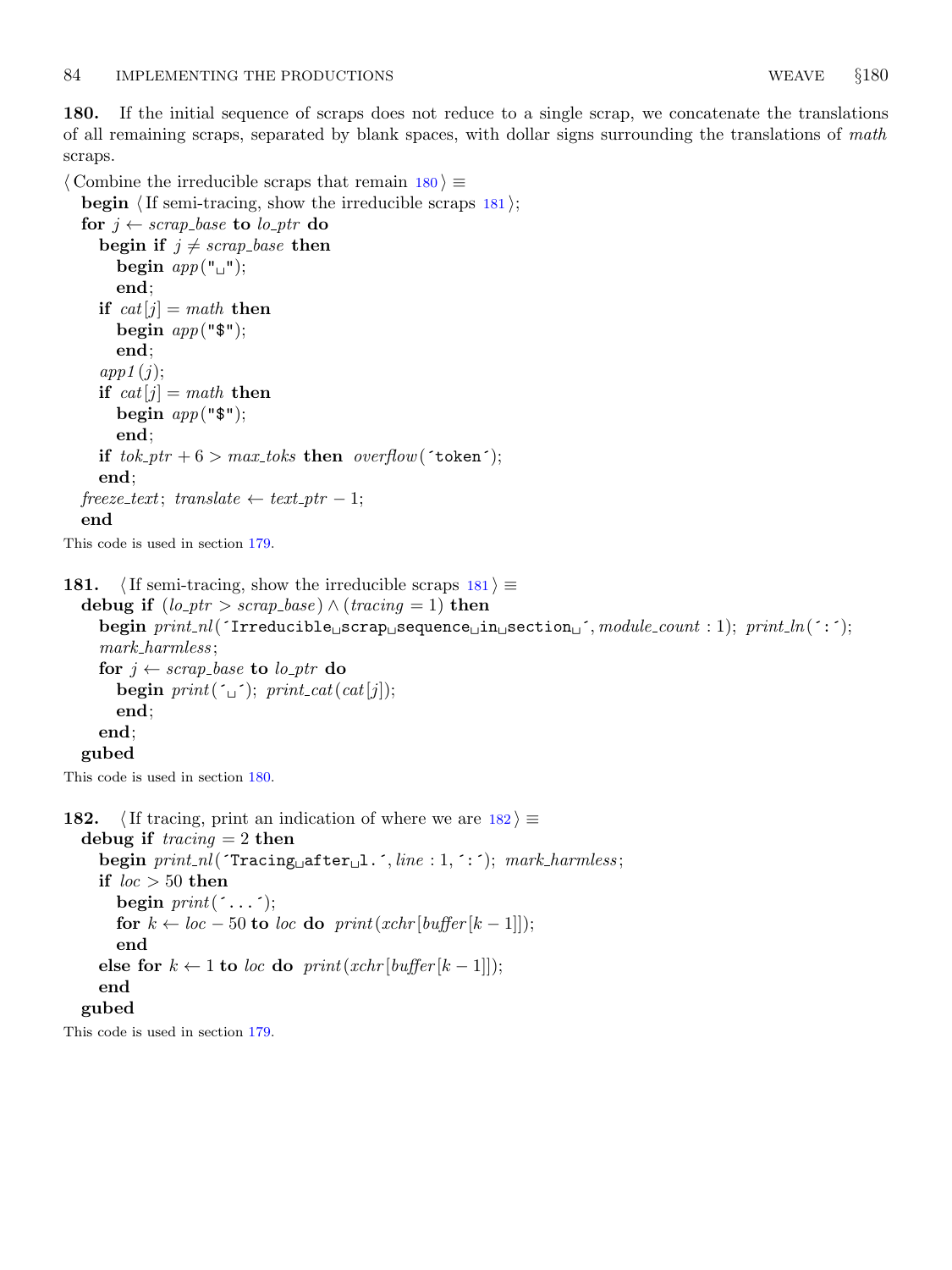<span id="page-69-0"></span>180. If the initial sequence of scraps does not reduce to a single scrap, we concatenate the translations of all remaining scraps, separated by blank spaces, with dollar signs surrounding the translations of math scraps.

 $\langle$  Combine the irreducible scraps that remain  $180 \rangle \equiv$ 

181. (If semi-tracing, show the irreducible scraps  $181$ )  $\equiv$ 

```
begin \langle If semi-tracing, show the irreducible scraps 181\rangle;
  for j \leftarrow \text{scrap\_base} to \text{lo\_ptr} do
     begin if j \neq \text{scrap\_base} then
        begin app("<sup>"</sup>);
        end;
     if cat[j] = math then
        begin app("$");
        end;
     app1(j);if cat[j] = math then
        begin app("$");
        end;
     if tok\_ptr + 6 > max\_toks then overflow('token');
     end;
  freeze\_text; translate \leftarrow text\_ptr-1;end
This code is used in section 179.
```
debug if  $(log_p tr > scrap\_base) \wedge (tracing = 1)$  then begin  $print_n((\text{Irreducible}_\text{u}\text{scrap}_\text{u}\text{sequence}_\text{u}\text{in}_\text{u}\text{section}_\text{u'}, \text{module}.\text{count}: 1); \text{ print\_ln}(\text{'}:');$ mark harmless ; for  $j \leftarrow \text{scrap}\text{-}\text{base}$  to  $\text{lo}\text{-}\text{ptr}$  do begin  $print('_1$ ; print\_cat(cat[j]); end; end; gubed

This code is used in section 180.

```
182. \langle If tracing, print an indication of where we are 182\rangle \equivdebug if tracing = 2 then
     begin print\_nl (Tracing after l. ´, line : 1, ´: ´); mark harmless;
     if loc > 50 then
       begin print(\cdot \dots \cdot);for k \leftarrow loc - 50 to loc do print(xchr[buffer[k - 1]]);
       end
     else for k \leftarrow 1 to loc do print(xchr[buffer[k - 1]]);
     end
  gubed
This code is used in section 179.
```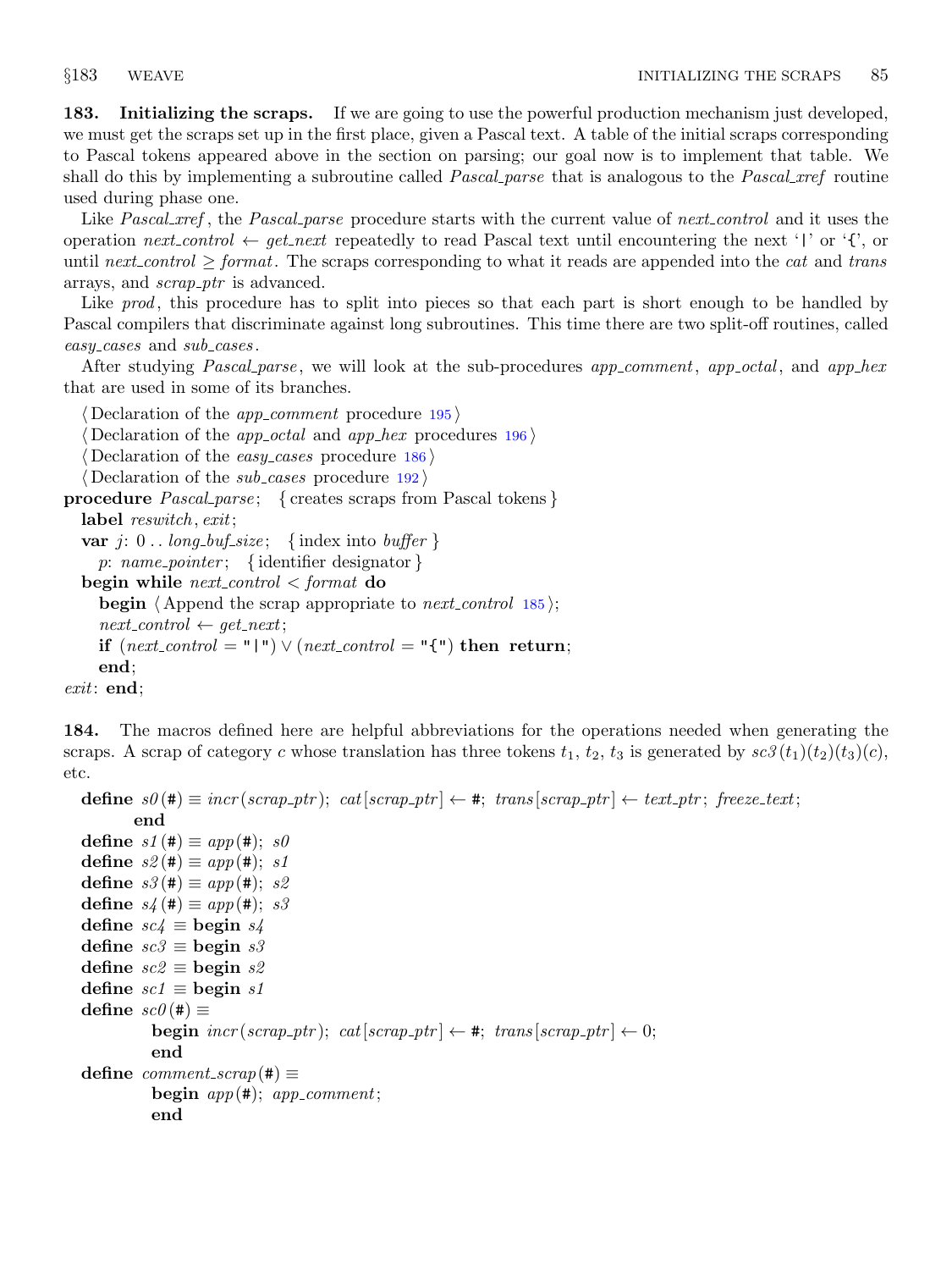<span id="page-70-0"></span>183. Initializing the scraps. If we are going to use the powerful production mechanism just developed, we must get the scraps set up in the first place, given a Pascal text. A table of the initial scraps corresponding to Pascal tokens appeared above in the section on parsing; our goal now is to implement that table. We shall do this by implementing a subroutine called *Pascal parse* that is analogous to the *Pascal xref* routine used during phase one.

Like Pascal ref, the Pascal parse procedure starts with the current value of next control and it uses the operation next control  $\leftarrow$  get next repeatedly to read Pascal text until encountering the next '|' or '{', or until next\_control  $\geq$  format. The scraps corresponding to what it reads are appended into the cat and trans arrays, and *scrap\_ptr* is advanced.

Like prod, this procedure has to split into pieces so that each part is short enough to be handled by Pascal compilers that discriminate against long subroutines. This time there are two split-off routines, called easy\_cases and sub\_cases.

After studying *Pascal parse*, we will look at the sub-procedures *app comment*, *app octal*, and *app hex* that are used in some of its branches.

 $\langle$  Declaration of the *app\_comment* procedure [195](#page-74-0) $\rangle$ 

Declaration of the *app\_octal* and *app\_hex* procedures  $196$ 

Declaration of the easy cases procedure  $186$ 

 $\langle$  Declaration of the *sub cases* procedure [192](#page-73-0) $\rangle$ 

```
procedure Pascal_parse; { creates scraps from Pascal tokens }
  label reswitch, exit;
```

```
var j: 0 \dots \text{long_buf\_size}; {index into buffer }
```
p: name\_pointer; { identifier designator }

```
begin while next-control \leq format do
```

```
begin \langle Append the scrap appropriate to next control185\rangle;
next_{control} \leftarrow get_{next};
```
if  $(next_{control} = "\r") \vee (next_{control} = "\r")$  then return;

```
end;
```

```
exit: end;
```
184. The macros defined here are helpful abbreviations for the operations needed when generating the scraps. A scrap of category c whose translation has three tokens  $t_1, t_2, t_3$  is generated by  $\mathfrak{so}(t_1)(t_2)(t_3)(c)$ , etc.

```
define s\theta(#) \equiv incr(scrap_ptr); cat[scrap_ptr] \leftarrow #; trans [scrap_ptr] \leftarrow text_ptr; freeze_text;
         end
define s1 (\#) \equiv app(\#); s0define s2 (\#) \equiv app(\#); \; s1define s3(\#) \equiv app(\#); s2define s_4(\textbf{\#}) \equiv app(\textbf{\#}); s3define sc\ell \equiv begin s\elldefine sc3 \equiv begin s3define sc2 \equiv begin s2define \mathit{sc1} \equiv \text{begin } \mathit{sl}define sc\theta (#) \equivbegin \text{incr}(scrap\_ptr); \text{cat}[scrap\_ptr] \leftarrow #; \text{trans}[scrap\_ptr] \leftarrow 0;
            end
define comment\_scrap(\#) \equivbegin app(*); app{}_comment;end
```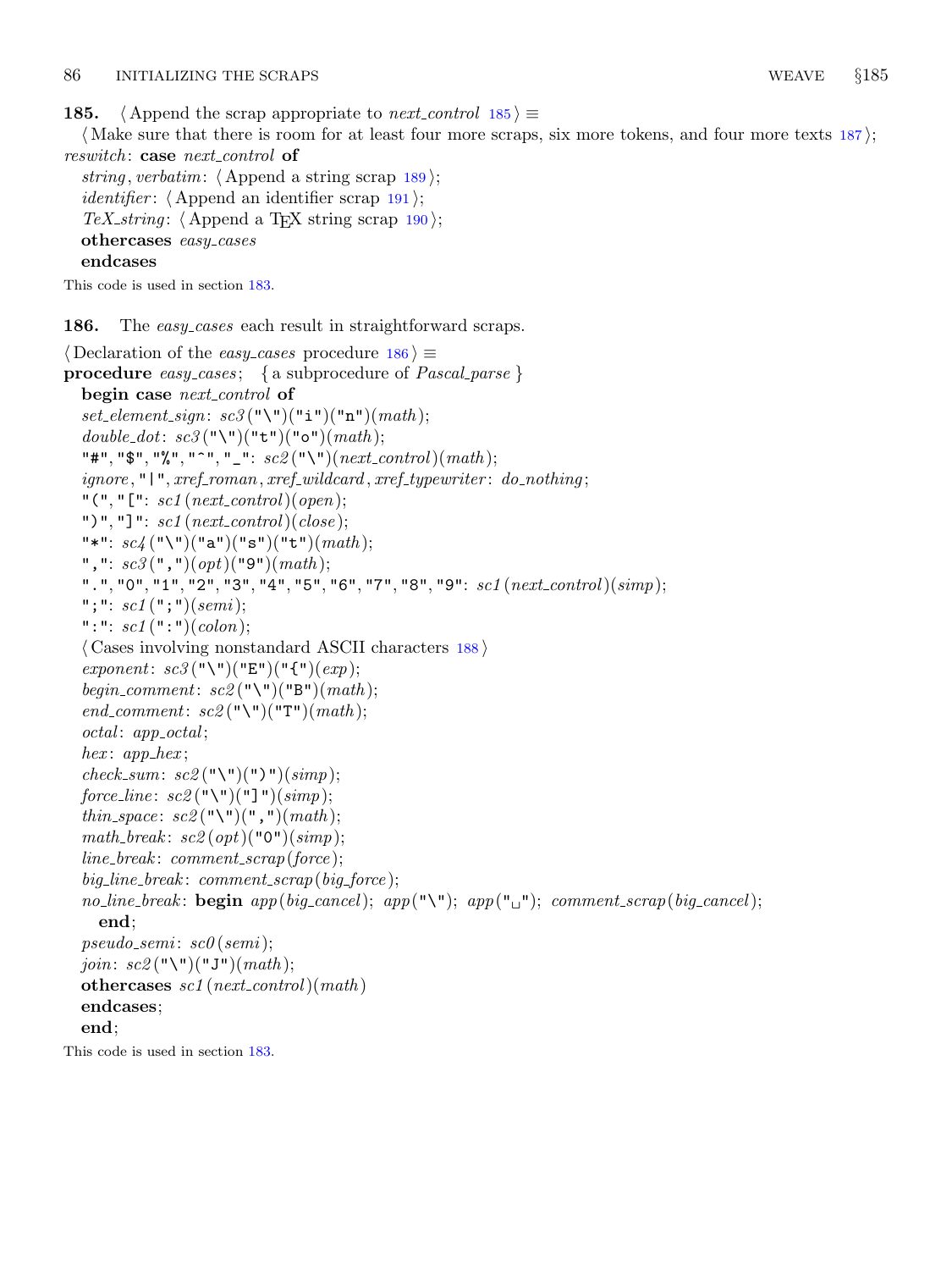<span id="page-71-0"></span>**185.**  $\langle$  Append the scrap appropriate to next control 185  $\rangle \equiv$ 

(Make sure that there is room for at least four more scraps, six more tokens, and four more texts  $187$ ); reswitch: case next\_control of

```
string, verbatim: \langle189\rangle;
identifier: \langle191\rangle;
TeX_string: \langle190\rangle;
othercases easy_cases
endcases
```
This code is used in section [183.](#page-70-0)

186. The easy-cases each result in straightforward scraps.

```
\langle Declaration of the easy_cases procedure 186\rangle \equivprocedure easy_cases; { a subprocedure of Pascal\_parse}
  begin case next_control of
  set_element_sign: sc3("\\"')("i")("n")(math);double_dot: sc3("\\}'')("t")("o")(math);"#", "$", "%", "^", "_": sc2 ("\")(next_control)(math);
  \mathit{ignore}, "\mid", \mathit{xref\_roman}, \mathit{xref\_wildcard}, \mathit{xref\_typewriter}: \mathit{do\_nothing};"(", "[": \mathit{sc1}(\mathit{next\_control})(open);")", "]": \mathit{sc1}(\textit{next\_control})(\textit{close});
  "*": \mathit{sc}_4 ("\")("a")("s")("t")(math);
  ", ": \mathit{sc3}(", ")(\mathit{opt})("9")(\mathit{math});
  ".", "0", "1", "2", "3", "4", "5", "6", "7", "8", "9": \; sc1(\mathit{next\_control})(simp);"; ": sc1(";")(semi);": ": \; scl\; (":")(\; colon);\langle188\rangleexponent: sc3("\\"|("E")("f") (exp);begin_comment: sc2("\\"')("B") (math);end_comment: sc2("\\"')("T") (math);octal: app_octal;
  hex: app_hex;
  check_sum: sc2 ("\")(")")(simp);
  force_line: sc2 ("\")("]")(simp);
  thin_space: sc2 ("\")(",")(math);
  math_break: sc2(\varphi t)("0")(simp);
  line\_break: comment\_scrap(force);big\_line\_break: comment\_scrap(big\_force);no_line_break: begin app(big\_cancel); app("\\`'); app("\\`''); comp("\\`''); common\_error(big\_cancel);end;
  pseudo\_semi: sc0 (semi);join: sc2 ("\")("J")(math);
  othercases \mathit{sc1} (next_control)(math)
  endcases;
  end;
```
This code is used in section [183.](#page-70-0)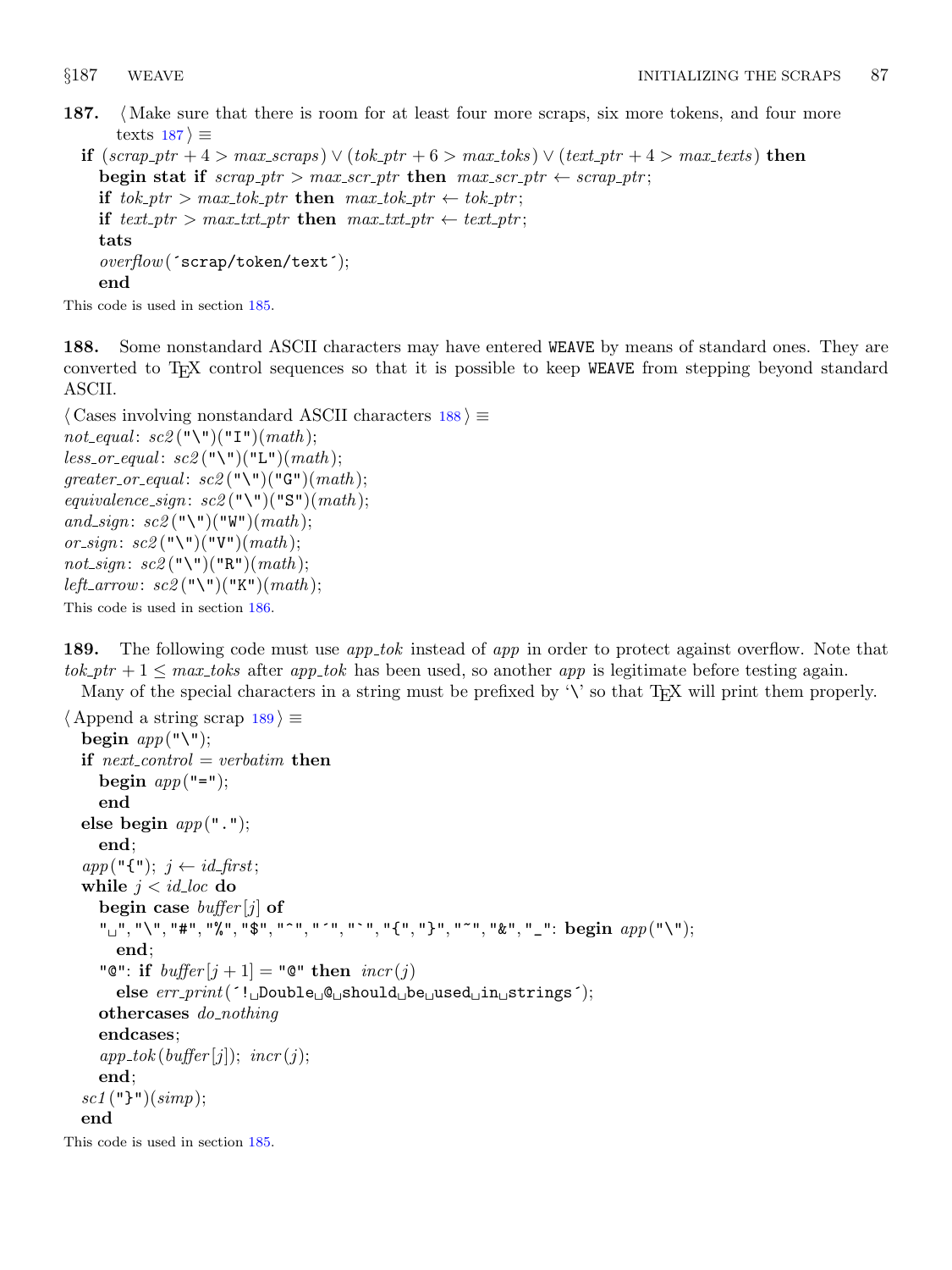<span id="page-72-0"></span>187. (Make sure that there is room for at least four more scraps, six more tokens, and four more texts  $187$   $\equiv$ 

```
if (\textit{scrap\_ptr} + 4 > \textit{max\_scraps}) \vee (\textit{tok\_ptr} + 6 > \textit{max\_toks}) \vee (\textit{text\_ptr} + 4 > \textit{max\_texts}) then
   begin stat if scrap\_ptr > max\_scr\_ptr then max\_scr\_ptr \leftarrow scrap\_ptr;
   if tok\_ptr > max\_tok\_ptr then max\_tok\_ptr \leftarrow tok\_ptr;if text\_ptr > max.txt\_ptr then max.txt\_ptr \leftarrow text\_ptr;tats
   overflow(´scrap/token/text´);
   end
```
This code is used in section [185.](#page-71-0)

188. Some nonstandard ASCII characters may have entered WEAVE by means of standard ones. They are converted to TEX control sequences so that it is possible to keep WEAVE from stepping beyond standard ASCII.

```
\langle Cases involving nonstandard ASCII characters 188\rangle \equivnot_equal: sc2("\\}'')("I")(math);less\_or\_equal: sc2("\\"()("L") (math);greater\_or\_equal: sc2("\\"')("G") (math);equivalence_sign: sc2("\\"')("S") (math);and_sign: sc2("\\}'')("W") (math);
or_sign: sc2 ("\")("V")(math);
not_sign: sc2 ("\")("R")(math);
left_arrow: sc2("\\")("K") (math);
This code is used in section 186.
```
189. The following code must use *app\_tok* instead of *app* in order to protect against overflow. Note that  $tok\_ptr + 1 \leq max\_toks$  after app tok has been used, so another app is legitimate before testing again. Many of the special characters in a string must be prefixed by  $\forall$  so that T<sub>EX</sub> will print them properly.

```
\langle Append a string scrap 189\rangle \equivbegin app("\\if next\_control = verbatim then
      begin app("=":
      end
  else begin app(".");end;
   app("{\{\}^\prime\}$; j \leftarrow id\_first;while j < id\_loc do
      begin case buffer[j] of
      " " ", "\mathcal{N}", "\mathcal{N}", "\mathcal{S}", "\mathcal{N}", "\mathcal{N}"", "\mathcal{N}", "\mathcal{N}", "\mathcal{N}"", "\mathcal{N}"", "\mathcal{S}"", "\mathcal{N}""; begin \mathit{app} ("\mathcal{N}"");
         end;
      "\mathbb{C}": if buffer[j+1] = " \mathbb{C}" then incr(j)else err print(´! Double @ should be used in strings´);
      othercases do_nothing
      endcases;
      app\_tok(buffer[j]); incr(j);end;
   sc1 ("}")(simp);
   end
This code is used in section 185.
```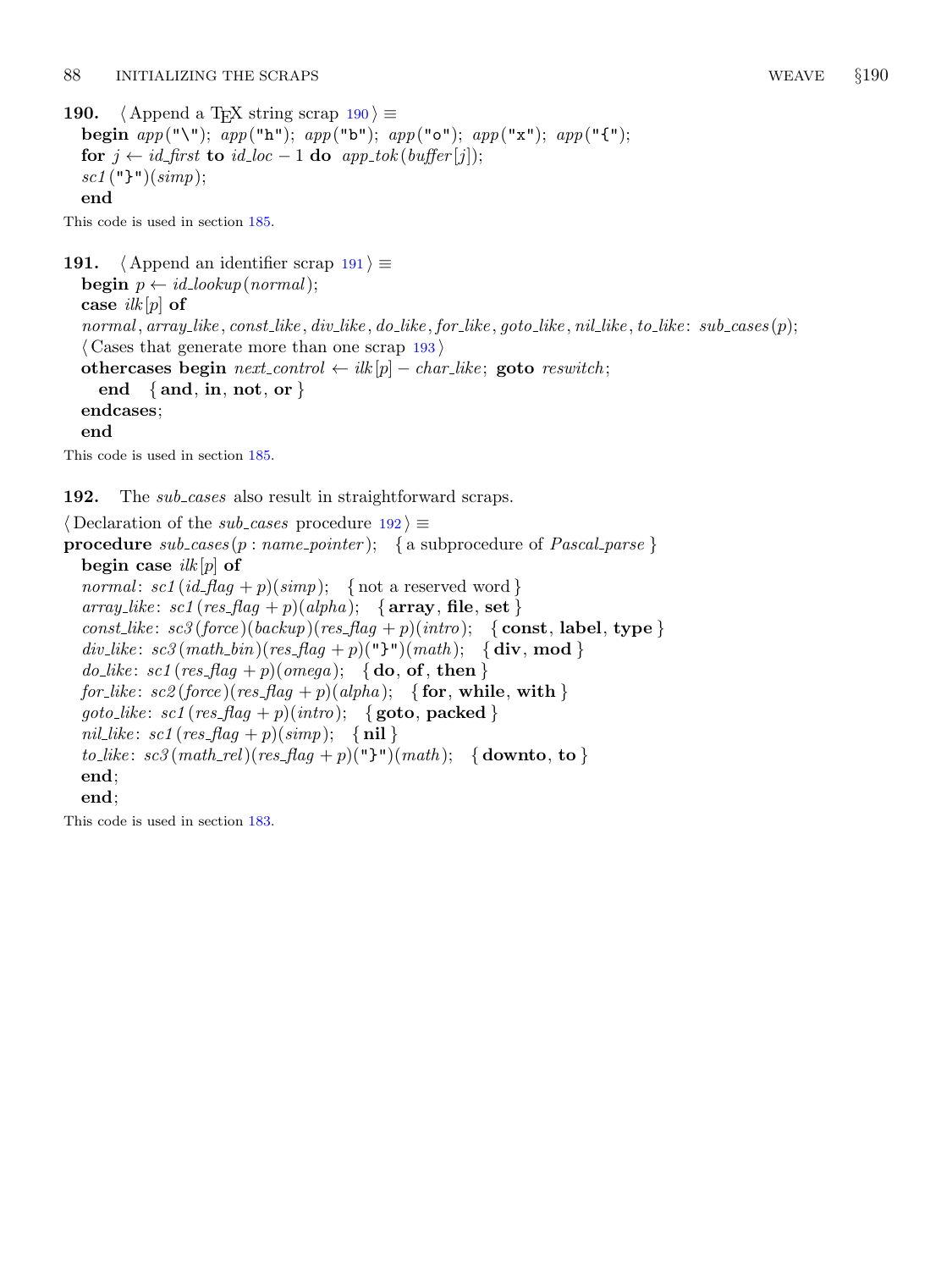<span id="page-73-0"></span>190.  $\langle$  Append a T<sub>E</sub>X string scrap 190 $\rangle \equiv$ begin  $app("\\'')$ ;  $app("h")$ ;  $app("b")$ ;  $app("o")$ ;  $app("x")$ ;  $app("f")$ ; for  $j \leftarrow id_{\text{f}} f$  to  $id_{\text{f}} loc - 1$  do  $app_{\text{f}} \left( b \right) \left( \text{f}} f e \right)$ ;  $sc1$  ("}")( $simp$ ); end

This code is used in section [185.](#page-71-0)

191. (Append an identifier scrap  $191$ )  $\equiv$ **begin**  $p \leftarrow id\_lookup(normal);$ case  $ilk[p]$  of normal,  $array$ like, const like, div like, do like, for like, goto like, nil like, to like: sub cases (p);  $\langle$  Cases that generate more than one scrap [193](#page-74-0) $\rangle$ othercases begin  $next\_control \leftarrow ilk[p] - char\_like$ ; goto reswitch; end  $\{$  and, in, not, or  $\}$ endcases; end This code is used in section [185.](#page-71-0)

192. The *sub\_cases* also result in straightforward scraps.

 $\langle$  Declaration of the *sub cases* procedure  $192$   $\equiv$ **procedure**  $subcases (p : name\_pointer);$  { a subprocedure of *Pascal parse* } begin case  $ilk[p]$  of normal:  $\text{sc} 1 (\text{id}_{\text{f}} \text{lag} + p)(\text{simp});$  { not a reserved word } array\_like: sc1 (res\_flag + p)(alpha); { $array, file, set$ } const like:  $sc3(force)(backup)(res_flag + p)(intro);$  { const, label, type }  $div\_like$ :  $sc3(math\_bin)(res\_flag + p)$ ("}") $(math);$  {div, mod}  $do\_like: \, sc1 \, (res\_flag + p) \, (omega); \, \{ do, of, then \}$ for like:  $\mathit{sc2}(\mathit{force})(\mathit{res}\_\mathit{flag} + p)(\mathit{alpha}); \quad \{\textbf{for}, \textbf{while}, \textbf{with}\}\$ goto\_like: sc1 (res\_flag + p)(intro); { goto, packed } nil like:  $sc1(res_{\text{mag}} + p)(simp);$  {nil} to\_like:  $sc3(math_{rel})(res_{flag} + p)("\}") (math); \{down to, to\}$ end; end;

This code is used in section [183.](#page-70-0)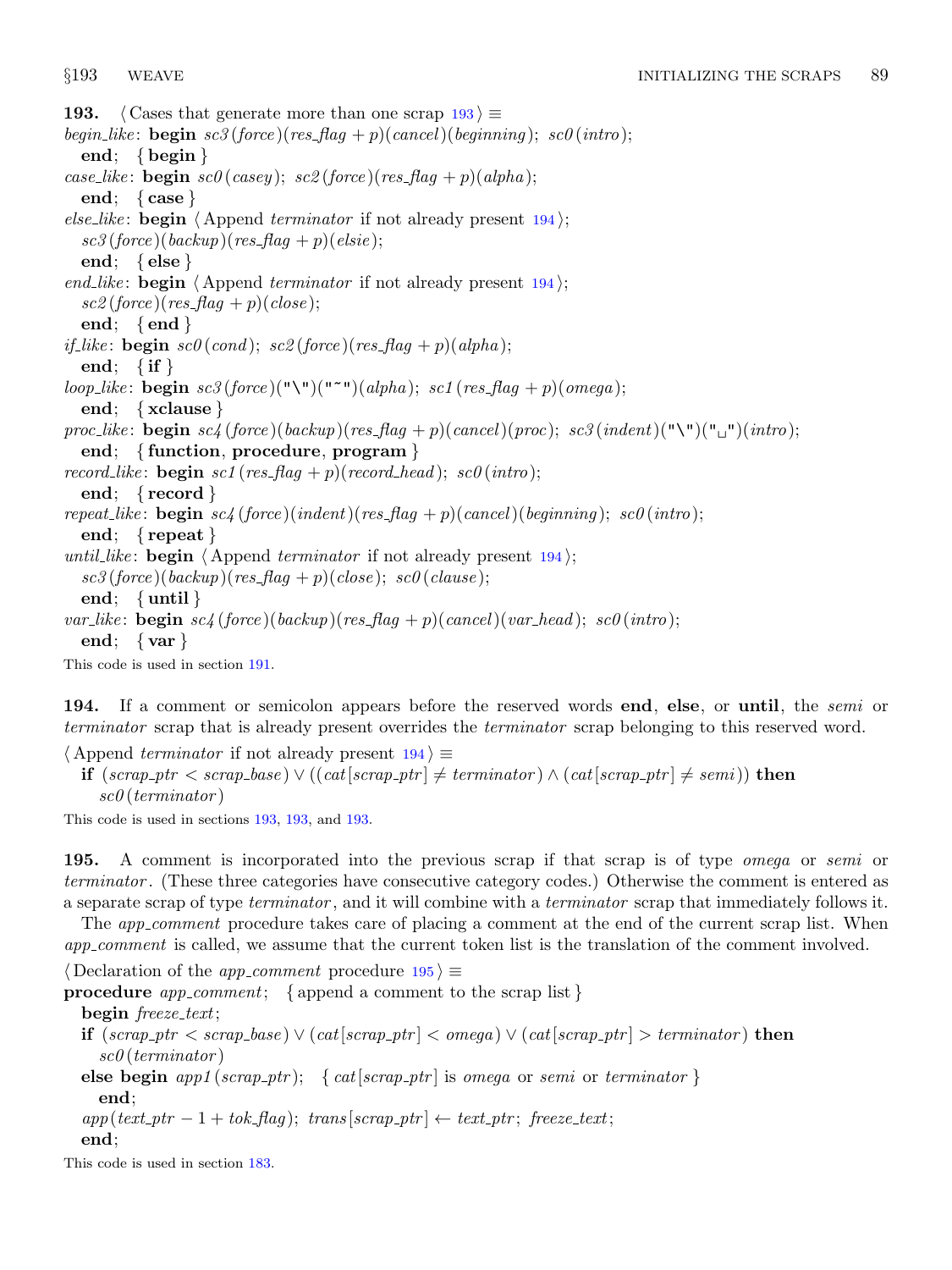<span id="page-74-0"></span>193. (Cases that generate more than one scrap  $193$ )  $\equiv$ begin\_like: **begin**  $sc3 (force) (res\_flag + p)(cancel) (beginning); sc0 (intro);$ end; { begin } case\_like: **begin**  $sc\theta$  (casey);  $sc\theta$  (force)(res\_flaq + p)(alpha); end; { case } else like: **begin**  $\langle$  Append *terminator* if not already present 194 $\rangle$ ;  $sc3 (force) (backup) (res\_flag + p) (else);$ end; { else } end like: begin  $\langle$  Append terminator if not already present 194 $\rangle$ ;  $\mathit{sc2}$  (force)(res\_flag + p)(close); end; {end } *if like*: **begin**  $sc\theta$  (*cond*);  $sc\theta$  (*force*)(*res\_flag* + p)(*alpha*); end; { if } loop\_like: begin  $sc3(force)("\'')("''')(alpha); sc1(res_flag + p)(omega);$ end; { xclause } proc\_like: **begin**  $sc4$  (force)(backup)(res\_flag + p)(cancel)(proc);  $sc3$  (indent)("\")("<sub>\"</sub>")(intro); end; { function, procedure, program } record like: **begin** sc1 (res\_flag + p)(record\_head); sc0 (intro); end; { record } repeat like: begin sc4 (force)(indent)(res flag + p)(cancel)(beginning); sc0(intro); end; { repeat } until like: begin  $\langle$  Append terminator if not already present 194 $\rangle$ ;  $\mathit{sc3}(\mathit{force})(\mathit{backward})(\mathit{res}\_\mathit{flag} + p)(\mathit{close}); \ \mathit{sc0}(\mathit{clause});$ end; { until } var\_like: begin  $sc4$  (force)(backup)(res\_flag + p)(cancel)(var\_head);  $sc0$ (intro); end; { $var$ } This code is used in section [191.](#page-73-0)

194. If a comment or semicolon appears before the reserved words end, else, or until, the *semi* or terminator scrap that is already present overrides the terminator scrap belonging to this reserved word.

 $\langle$  Append *terminator* if not already present 194 $\rangle \equiv$ 

**if**  $(scrap\_ptr < scrap\_base) ∨ ((cat[scrap\_ptr] ≠ terminator) ∧ (cat[scrap\_ptr] ≠ semi))$  then sc0 (terminator )

This code is used in sections 193, 193, and 193.

195. A comment is incorporated into the previous scrap if that scrap is of type *omega* or *semi* or terminator . (These three categories have consecutive category codes.) Otherwise the comment is entered as a separate scrap of type terminator , and it will combine with a terminator scrap that immediately follows it.

The *app\_comment* procedure takes care of placing a comment at the end of the current scrap list. When app\_comment is called, we assume that the current token list is the translation of the comment involved.

 $\langle$  Declaration of the *app\_comment* procedure 195 $\rangle \equiv$ 

**procedure** app\_comment; { append a comment to the scrap list}

begin freeze\_text;

- **if**  $(scrap\_ptr < scrap\_base) ∨ (cat[scrap\_ptr] < omega) ∨ (cat[scrap\_ptr] > terminator)$  then  $sc\theta$  (terminator)
- else begin app1 (scrap\_ptr); { cat [scrap\_ptr] is omega or semi or terminator } end;

 $app(text\_ptr-1 + tok\_flag);$  trans  $[strap\_ptr] \leftarrow text\_ptr;$  freeze\_text; end;

This code is used in section [183.](#page-70-0)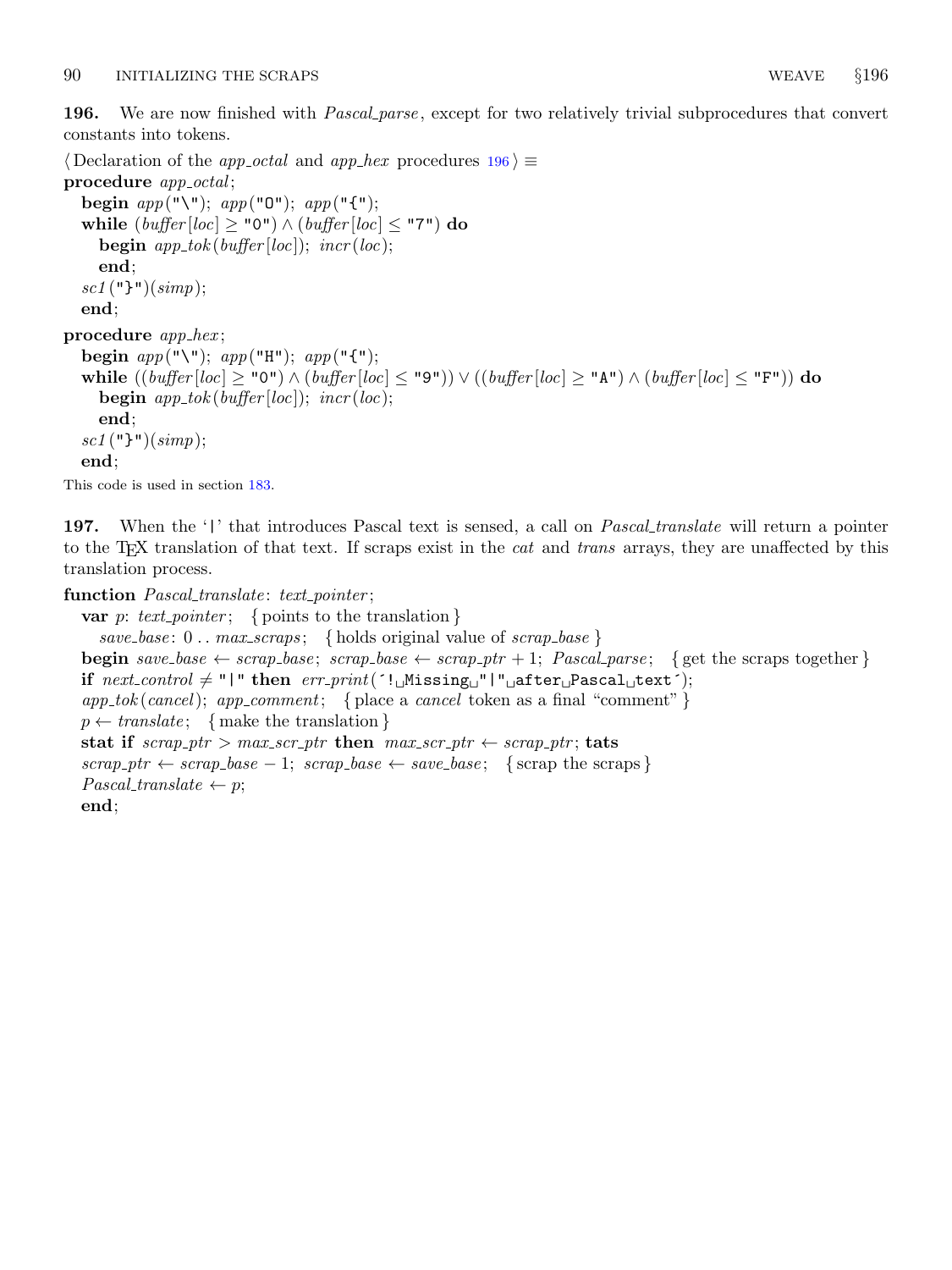<span id="page-75-0"></span>196. We are now finished with *Pascal parse*, except for two relatively trivial subprocedures that convert constants into tokens.

 $\langle$  Declaration of the *app\_octal* and *app\_hex* procedures 196 $\rangle \equiv$ procedure *app\_octal*; begin  $app("\\$ while  $(buffer[loc] \geq "0") \wedge (buffer[loc] \leq "7")$  do **begin**  $app\_tok(buffer[loc])$ ;  $incr(loc)$ ; end;  $sc1$  ("}")( $simp$ ); end; procedure  $app\_hex$ ; begin  $app("\\$ while  $((buffer[loc] ≥ "0") ∧ (buffer[loc] ≤ "9")) ∨ ((buffer[loc] ≥ "A") ∧ (buffer[loc] ≤ "F"))$  do **begin**  $app\_tok(buffer[loc])$ ;  $incr(loc)$ ; end;  $sc1$  ("}")( $simp$ ); end;

This code is used in section [183.](#page-70-0)

197. When the '|' that introduces Pascal text is sensed, a call on *Pascal translate* will return a pointer to the T<sub>EX</sub> translation of that text. If scraps exist in the *cat* and *trans* arrays, they are unaffected by this translation process.

function Pascal\_translate: text\_pointer;

```
var p: text pointer; { points to the translation }
  save\text{-}base: 0 \ldots \text{max\_scraps}; { holds original value of scrap\text{-}base }
begin save_base \leftarrow scrap_base; scrap_base \leftarrow scrap_ptr + 1; Pascal_parse; {get the scraps together}
if next-control \neq "\text{'" then } err-print' ('\text{!}Missing "|" after Pascal text');
app\_tok(cancel); app\_comment; \{ place a \ cancel token as a final "comment" \}p \leftarrow translate; \{ make the translation\}stat if scrap\_ptr > max\_scr\_ptr then max\_scr\_ptr \leftarrow scrap\_ptr; tats
scrap_ptr \leftarrow scrap_base – 1; scrap_base \leftarrow save_base; { scrap the scraps }
Pascal\_translate \leftarrow p;end;
```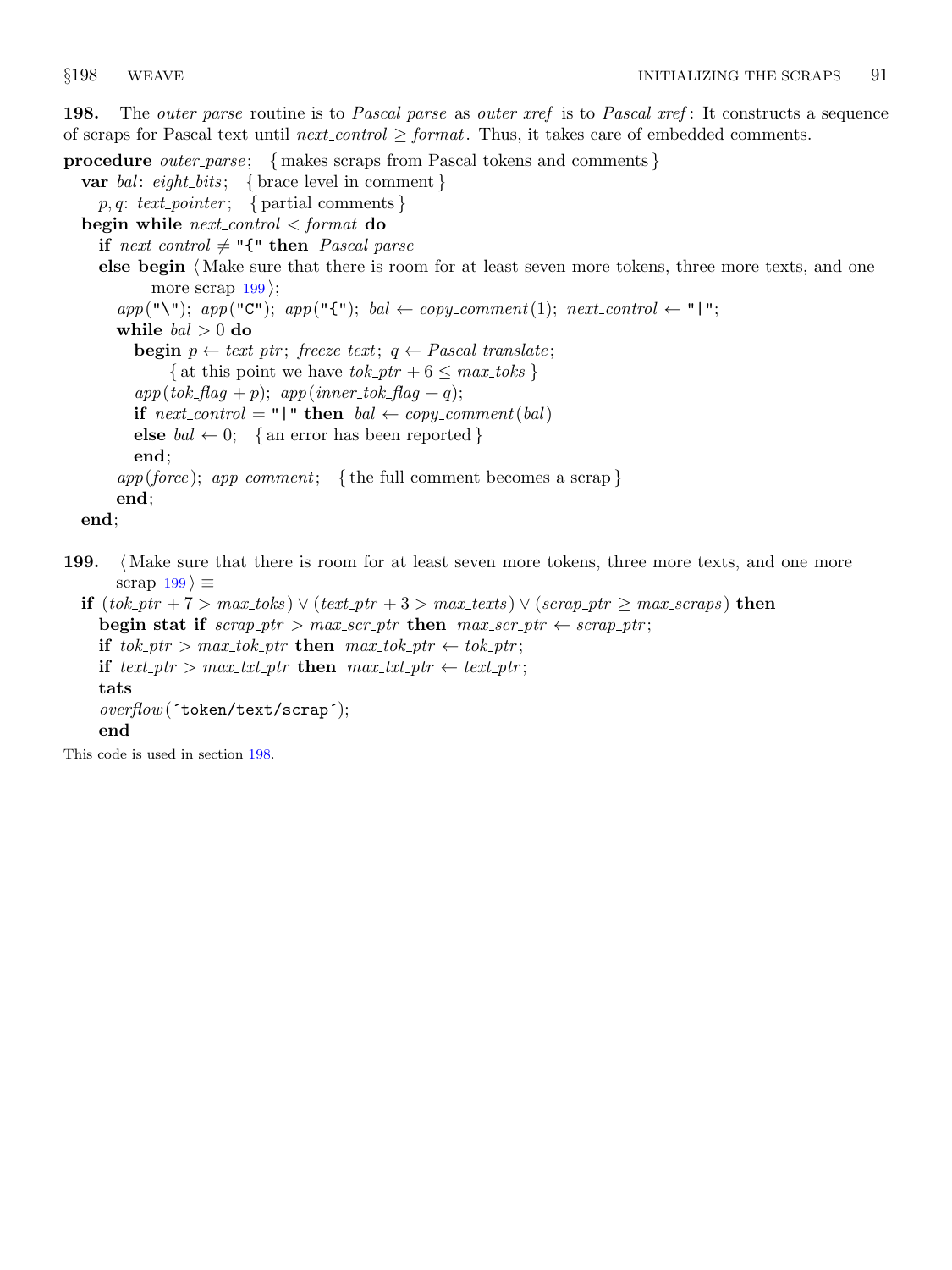<span id="page-76-0"></span>198. The *outer-parse* routine is to *Pascal-parse* as *outer-xref* is to *Pascal-xref*: It constructs a sequence of scraps for Pascal text until next control  $\geq$  format. Thus, it takes care of embedded comments.

procedure *outer\_parse*; { makes scraps from Pascal tokens and comments } var bal: eight\_bits; { brace level in comment }  $p, q: \text{text\_pointer}; \{ \text{partial comments} \}$ begin while  $next-control < format$  do if  $next\_control \neq "{$ " then  $Pascal\_parse$ else begin  $\langle$  Make sure that there is room for at least seven more tokens, three more texts, and one more scrap  $199$ ;  $app("\\ "); app("C"); app("{\cdot}"); ball \leftarrow copy{}_comment(1); next\_control \leftarrow "|".$ while  $bal > 0$  do begin  $p \leftarrow \text{text}, \text{if } \text{reeze} \cdot \text{text}; \text{ } q \leftarrow \text{Pascal} \cdot \text{translate};$ { at this point we have  $tok\_ptr + 6 \leq max\_toks$  }  $app(tok_flag + p);$   $app(inner\_tok_flag + q);$ if  $next\_control = "\mid"$  then  $bal \leftarrow copy\_comment(bal)$ else  $bal \leftarrow 0$ ; { an error has been reported } end;  $app(force);$  app\_comment; {the full comment becomes a scrap} end; end;

199. (Make sure that there is room for at least seven more tokens, three more texts, and one more scrap  $199$   $\equiv$ 

if  $(tok\_ptr + 7 > max\_toks)$  ∨  $(text\_ptr + 3 > max\_texts)$  ∨  $(scrap\_ptr \geq max\_scraps)$  then begin stat if  $scrap\_ptr > max\_scr\_ptr$  then  $max\_scr\_ptr \leftarrow scrap\_ptr;$ if  $tok\_ptr > max\_tok\_ptr$  then  $max\_tok\_ptr \leftarrow tok\_ptr;$ if text ptr > max\_txt\_ptr then max\_txt\_ptr  $\leftarrow$  text\_ptr; tats overflow(´token/text/scrap´); end

This code is used in section 198.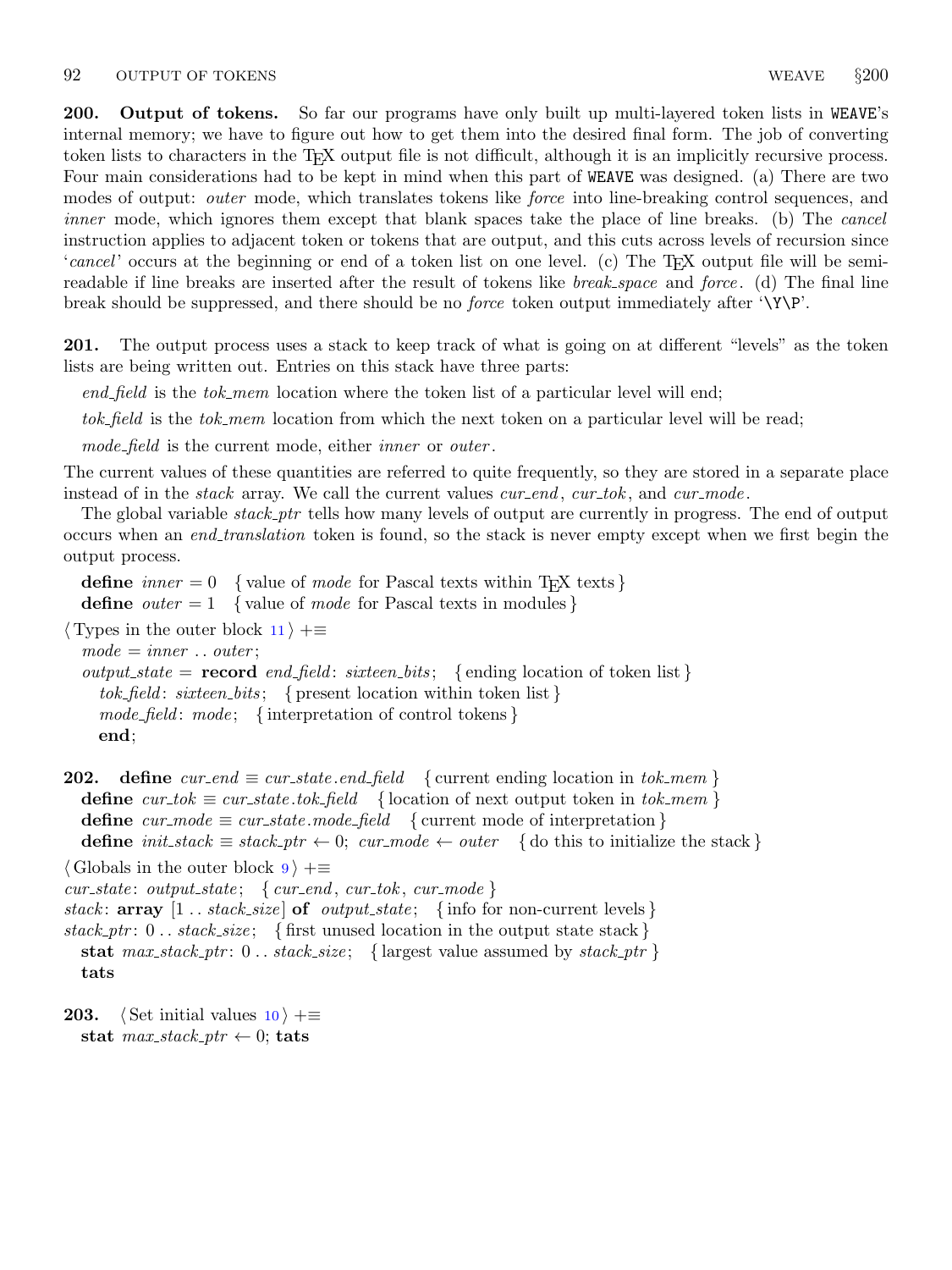<span id="page-77-0"></span>200. Output of tokens. So far our programs have only built up multi-layered token lists in WEAVE's internal memory; we have to figure out how to get them into the desired final form. The job of converting token lists to characters in the TEX output file is not difficult, although it is an implicitly recursive process. Four main considerations had to be kept in mind when this part of WEAVE was designed. (a) There are two modes of output: *outer* mode, which translates tokens like *force* into line-breaking control sequences, and inner mode, which ignores them except that blank spaces take the place of line breaks. (b) The *cancel* instruction applies to adjacent token or tokens that are output, and this cuts across levels of recursion since 'cancel' occurs at the beginning or end of a token list on one level. (c) The T<sub>E</sub>X output file will be semireadable if line breaks are inserted after the result of tokens like *break\_space* and *force*. (d) The final line break should be suppressed, and there should be no *force* token output immediately after '\Y\P'.

201. The output process uses a stack to keep track of what is going on at different "levels" as the token lists are being written out. Entries on this stack have three parts:

 $end_{field}$  is the  $tok_{mem}$  location where the token list of a particular level will end;

tok field is the tok mem location from which the next token on a particular level will be read;

mode\_field is the current mode, either *inner* or *outer*.

The current values of these quantities are referred to quite frequently, so they are stored in a separate place instead of in the *stack* array. We call the current values  $cur\_end$ ,  $cur\_tok$ , and  $cur\_mode$ .

The global variable *stack\_ptr* tells how many levels of output are currently in progress. The end of output occurs when an *end\_translation* token is found, so the stack is never empty except when we first begin the output process.

define  $inner = 0$  {value of mode for Pascal texts within T<sub>E</sub>X texts } define *outer*  $= 1$  { value of *mode* for Pascal texts in modules }

 $\langle$  Types in the outer block [11](#page-4-0)  $\rangle$  +≡

 $mode = inner \dots outer;$  $output\_state = record \text{ } end\_field: \text{ } sixteen\_bits; \text{ } \{ \text{ } ending \text{ } location \text{ } of \text{ } token \text{ } list \}$ tok-field: sixteen bits; { present location within token list}  $\textit{mode}\$ :  $\textit{mode}$ ; { interpretation of control tokens } end;

```
202. define cur\_end \equiv cur\_state.end\_field { current ending location in tok_mem }
  define cur\_tok \equiv cur\_state.\textit{tok}\_\textit{field} { location of next output token in tok\_\textit{mem} }
  define cur-mode \equiv cur-state mode-field { current mode of interpretation }
  define init\_stack \equiv stack\_ptr \leftarrow 0; cur\_mode \leftarrow outer { do this to initialize the stack }
```
 $\langle$  Globals in the outer block  $9 \rangle + \equiv$  $9 \rangle + \equiv$ 

```
cur\_state: output_state; { cur\_end, cur\_tok, cur\_mode }
stack: array [1.. stack_size of output_state; {info for non-current levels}
stack\_ptr: 0 \dots stack\_size; \{ first unused location in the output state stack }
  stat max\_stack\_ptr: 0.. stack\_size; { largest value assumed by stack\_ptr}
  tats
```

```
203. \langle10 \rangle +≡
  stat max stack ptr \leftarrow 0; tats
```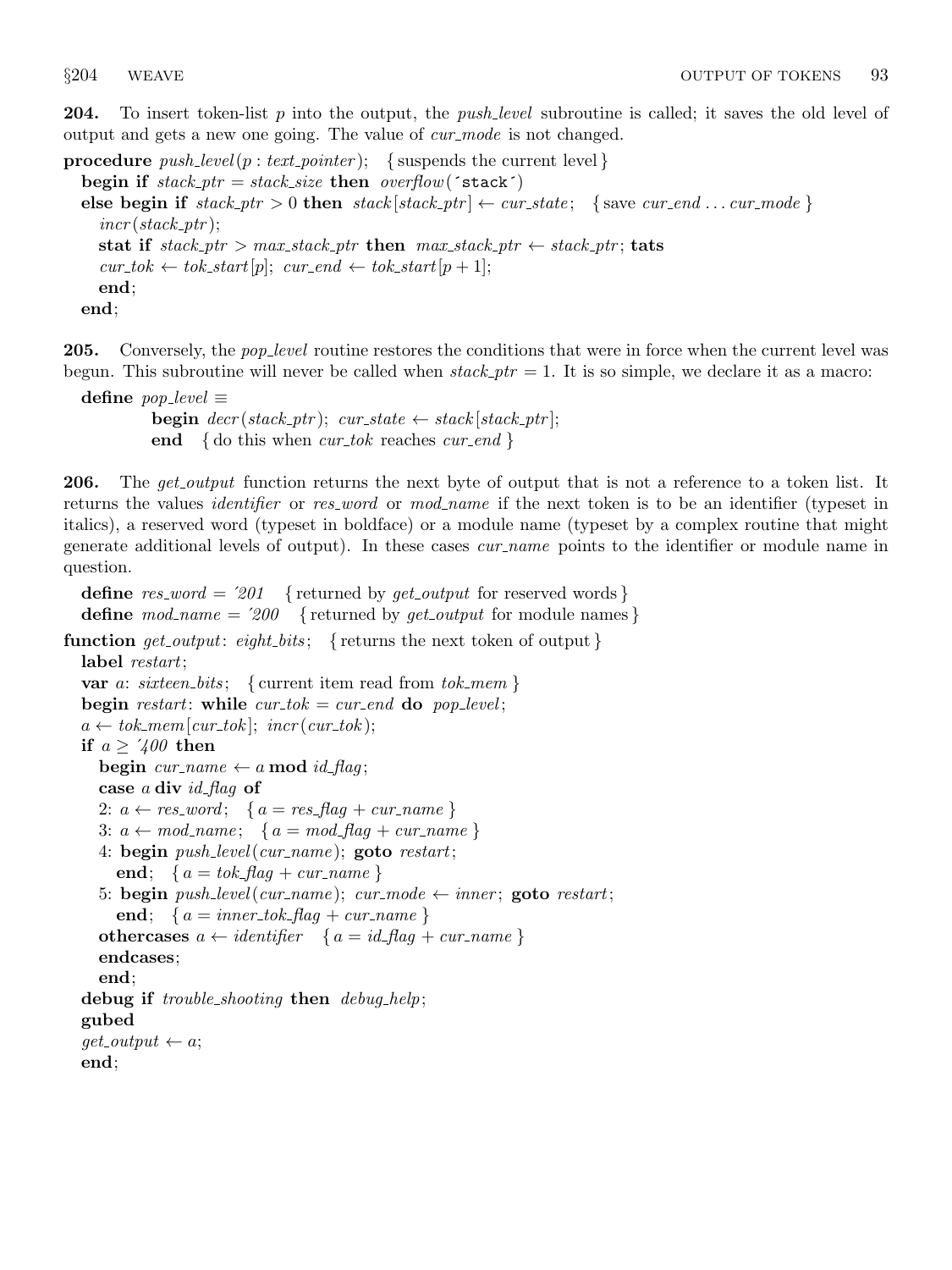<span id="page-78-0"></span>**204.** To insert token-list  $p$  into the output, the *push-level* subroutine is called; it saves the old level of output and gets a new one going. The value of *cur mode* is not changed.

procedure  $push\_level(p: text\_pointer);$  {suspends the current level} begin if  $stack\_ptr = stack\_size$  then  $overflow('stack')$ else begin if  $stack\_ptr > 0$  then  $stack\_ptr] \leftarrow cur\_state$ ; {save cur\_end ... cur\_mode}  $incr (stack\_ptr);$ stat if  $stack\_ptr > max\_stack\_ptr$  then  $max\_stack\_ptr \leftarrow stack\_ptr;$  tats  $cur\_tok \leftarrow tok\_start[p]; \; cur\_end \leftarrow tok\_start[p+1];$ end; end;

205. Conversely, the *pop-level* routine restores the conditions that were in force when the current level was begun. This subroutine will never be called when  $stack\_ptr = 1$ . It is so simple, we declare it as a macro:

```
define pop\_level \equivbegin decr(state\_ptr); cur\_state \leftarrow stack[stack\_ptr];end { do this when cur_tok reaches cur_end }
```
206. The get output function returns the next byte of output that is not a reference to a token list. It returns the values *identifier* or res word or mod name if the next token is to be an identifier (typeset in italics), a reserved word (typeset in boldface) or a module name (typeset by a complex routine that might generate additional levels of output). In these cases *cur-name* points to the identifier or module name in question.

define  $res\_word = '201$  { returned by  $get\_output$  for reserved words } define  $mod\_name = 200$  { returned by  $get\_output$  for module names } **function**  $get\_output:$  eight\_bits; { returns the next token of output } label restart; var a: sixteen\_bits; { current item read from  $tok\_mem$  } begin restart: while  $cur\_tok = cur\_end$  do pop\_level;  $a \leftarrow tok\_mem[cur\_tok];$  incr(cur\_tok); if  $a \geq 700$  then begin  $cur_name \leftarrow a \mod id\_flag;$ case a div id  $flag$  of 2:  $a \leftarrow res\_word; \{ a = res\_flag + cur\_name \}$ 3:  $a \leftarrow mod_name; \{a = mod\_flag + cur_name\}$ 4: begin *push\_level*(*cur\_name*); goto *restart*; end;  $\{a = tok\_flag + cur_name\}$ 5: begin push\_level(cur\_name); cur\_mode  $\leftarrow$  inner; goto restart; end;  $\{a = inner\_tok\_flag + cur_name\}$ othercases  $a \leftarrow identifier \{ a = id_{-}\text{flag} + cur_{-}\}$ endcases; end; debug if *trouble\_shooting* then *debug\_help*;

## gubed

 $get\_output \leftarrow a;$ end;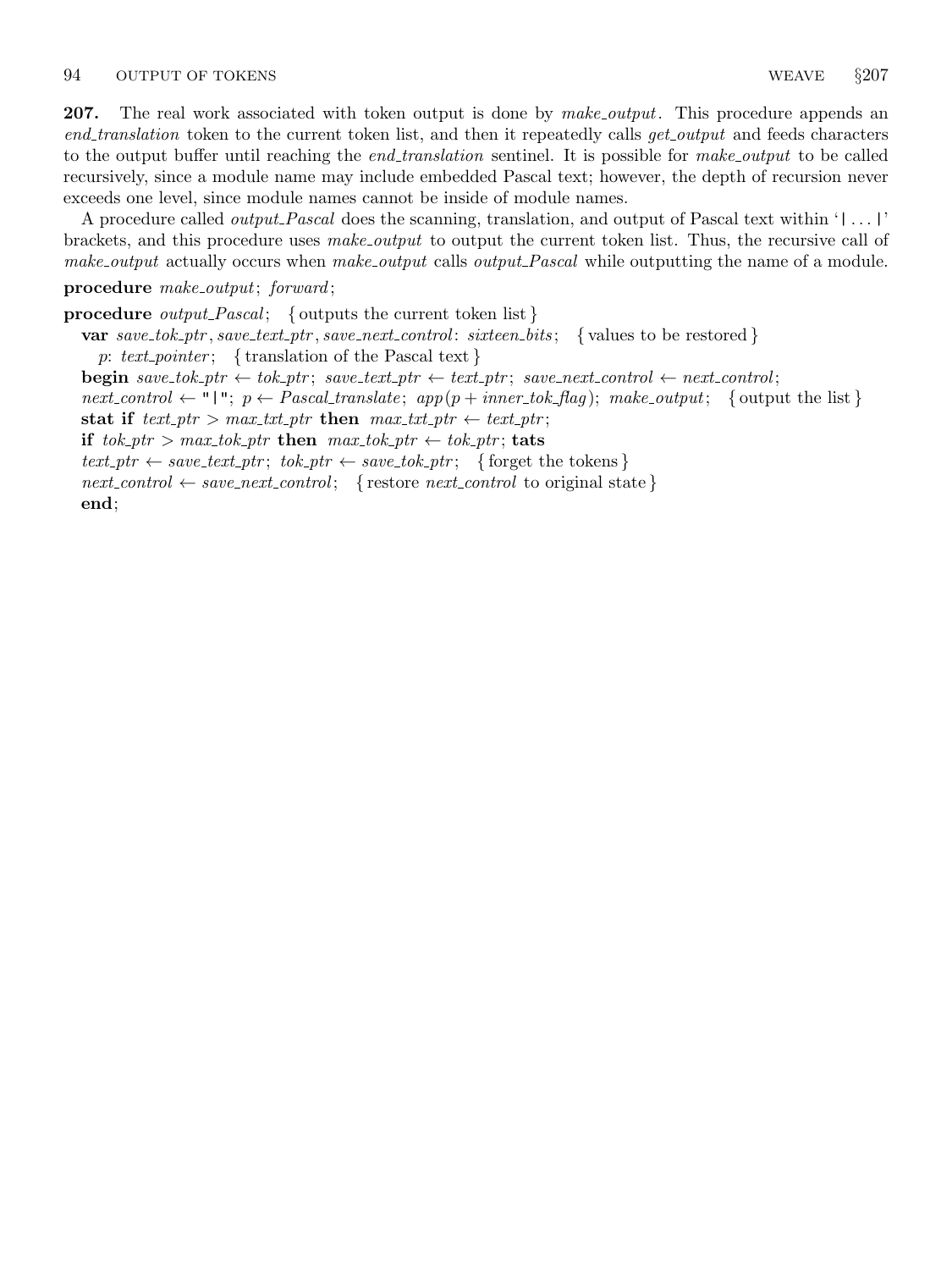<span id="page-79-0"></span>**207.** The real work associated with token output is done by *make output*. This procedure appends an end translation token to the current token list, and then it repeatedly calls get output and feeds characters to the output buffer until reaching the *end\_translation* sentinel. It is possible for *make\_output* to be called recursively, since a module name may include embedded Pascal text; however, the depth of recursion never exceeds one level, since module names cannot be inside of module names.

A procedure called output Pascal does the scanning, translation, and output of Pascal text within '| . . . |' brackets, and this procedure uses *make\_output* to output the current token list. Thus, the recursive call of make\_output actually occurs when make\_output calls output\_Pascal while outputting the name of a module.

## procedure make\_output; forward;

**procedure** *output\_Pascal*; { outputs the current token list } var  $save\_tok\_ptr$ ,  $save\_text\_ptr$ ,  $save\_next\_control$ :  $sixteen\_bits$ ; {values to be restored} p: text pointer; { translation of the Pascal text } **begin** save\_tok\_ptr  $\leftarrow$  tok\_ptr; save\_text\_ptr  $\leftarrow$  text\_ptr; save\_next\_control  $\leftarrow$  next\_control; next control  $\leftarrow$  "|";  $p \leftarrow Pascal\_translate$ ; app $(p + inner\_tok\_flag)$ ; make output; { output the list} stat if  $text\_ptr > max\_txt\_ptr$  then  $max\_txt\_ptr \leftarrow text\_ptr;$ if  $tok\_ptr > max\_tok\_ptr$  then  $max\_tok\_ptr \leftarrow tok\_ptr$ ; tats  $text\_ptr \leftarrow save\_text\_ptr; tok\_ptr \leftarrow save\_tok\_ptr;$  { forget the tokens }  $next-control \leftarrow save.next-control;$  { restore *next\_control* to original state } end;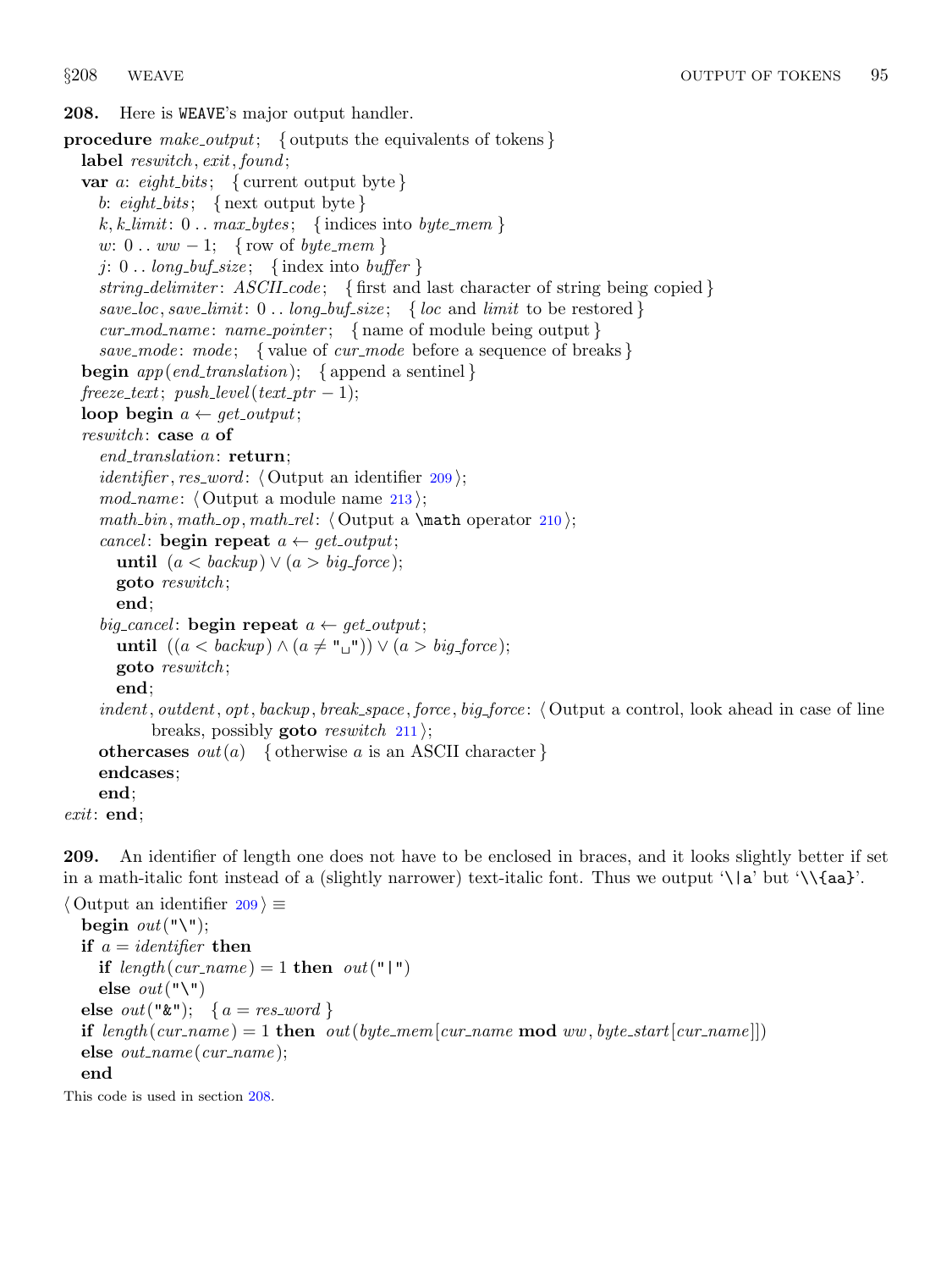<span id="page-80-0"></span>208. Here is WEAVE's major output handler.

```
procedure make_output; { outputs the equivalents of tokens }
  label reswitch, exit, found;
  var a: eight_bits; { current output byte }
    b: \{eight\} \{ next output byte \}k, k-limit: 0 \ldots max_b \, y \, t \, \text{s}; {indices into \text{byte\_mem} }
    w: 0 \ldots ww - 1; { row of byte_mem }
    j: 0... long_buf\_size; {index into buffer }
    string delimiter: ASCII\_code; { first and last character of string being copied }
    save_loc, save_limit: 0 \ldots long_buf\_size; { loc and limit to be restored }
    cur\_mod_name: name\_pointer; \{ name of module being output\}save_mode: mode; { value of cur_mode before a sequence of breaks }
  begin app(end\_translation); {append a sentinel}
  freeze\_text; push\_level(text\_ptr-1);loop begin a \leftarrow get\_output;reswitch: case \alpha of
    end_{translation}: return;
    identifier, res_word: \langle Output an identifier 209\rangle;
    213 \rangle;math bin, math op, math rel: \langle210 \rangle;
    cancel: begin repeat a \leftarrow get\_output;until (a < \text{backup}) \vee (a > \text{big-force});goto reswitch ;
       end;
    big_cancel: begin repeat a \leftarrow get\_output;until ((a < \text{backward}) \land (a \neq "\sqcup") \lor (a > \text{big-force});goto reswitch ;
       end;
    indent, outdent, opt, backup, break_space, force, big_force: \langle Output a control, look ahead in case of line
           breaks, possibly goto reswitch 211;
    othercases out(a) { otherwise a is an ASCII character }
    endcases;
    end;
exit: end;
```
209. An identifier of length one does not have to be enclosed in braces, and it looks slightly better if set in a math-italic font instead of a (slightly narrower) text-italic font. Thus we output '\|a' but '\\{aa}'.

```
\langle Output an identifier 209 \rangle \equivbegin out ("\");
  if a = identifier then
    if length(cur_name) = 1 then out("|")else out("\\ \n'else out("&"); {a = res\_word}
  if length (cur name) = 1 then out (byte mem [cur name mod ww, byte start [cur name]])
  else out_name(cur_name);end
```
This code is used in section 208.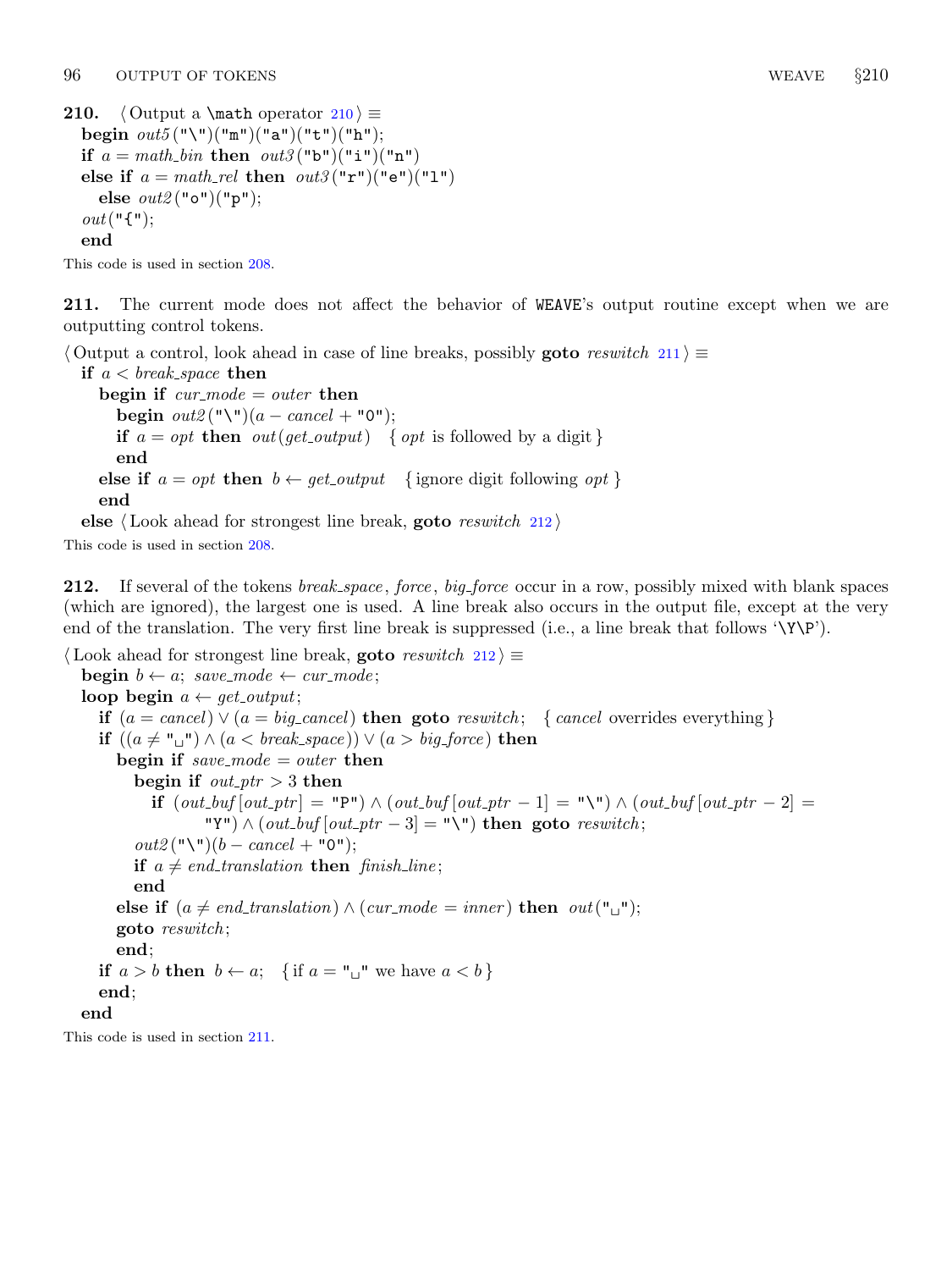```
210. \langle Output a \math operator 210 \rangle \equivbegin out5("\\")("\texttt{m"})("\texttt{a"})("\texttt{t"})("\texttt{h"});if a = math\_bin then out3("b")("i")("n")else if a = math_{rel} then out3("r")("e")("l")else out2("o")("p");
  out("{\{\}'},end
```
This code is used in section [208.](#page-80-0)

211. The current mode does not affect the behavior of WEAVE's output routine except when we are outputting control tokens.

 $\Diamond$  Output a control, look ahead in case of line breaks, possibly **goto** reswitch 211 $\rangle \equiv$ 

if  $a < \text{break\_space}$  then begin if  $cur\_mode = outer$  then begin  $out2$  ("\")(a – cancel + "0"); if  $a = opt$  then  $out(qet\_output)$  { opt is followed by a digit} end else if  $a = opt$  then  $b \leftarrow get\_output$  {ignore digit following *opt*} end

else  $\langle$  Look ahead for strongest line break, goto *reswitch* 212 $\rangle$ 

This code is used in section [208.](#page-80-0)

212. If several of the tokens *break\_space*, *force*, *big\_force* occur in a row, possibly mixed with blank spaces (which are ignored), the largest one is used. A line break also occurs in the output file, except at the very end of the translation. The very first line break is suppressed (i.e., a line break that follows '\Y\P').

```
\langle Look ahead for strongest line break, goto reswitch 212\rangle \equivbegin b \leftarrow a; save_mode \leftarrow cur_mode;
  loop begin a \leftarrow get\_output;if (a = \text{cancel}) \vee (a = \text{big-cancel}) then goto reswitch; { cancel overrides everything }
     if ((a \neq "\sqcup") \land (a < break\_space)) \lor (a > big\_force) then
       begin if save_mode = outer then
          begin if out\_ptr > 3 then
             if (out_buf[out_ptr] = "P") \wedge (out_buf[out_ptr - 1] = "\"\) \wedge (out_buf[out_ptr - 2] =(\forall \Psi) \wedge (out\_buf[out\_ptr-3] = \Psi \wedge \Psi) then goto reswitch;
          out2 ("\")(b – cancel + "0");
          if a \neq end\_translation then finish line;
          end
       else if (a \neq end\_translation) \wedge (cur\_mode = inner) then out("_1");
       goto reswitch ;
       end;
     if a > b then b \leftarrow a; { if a = "\sqcup" we have a < b}
     end;
  end
```
This code is used in section 211.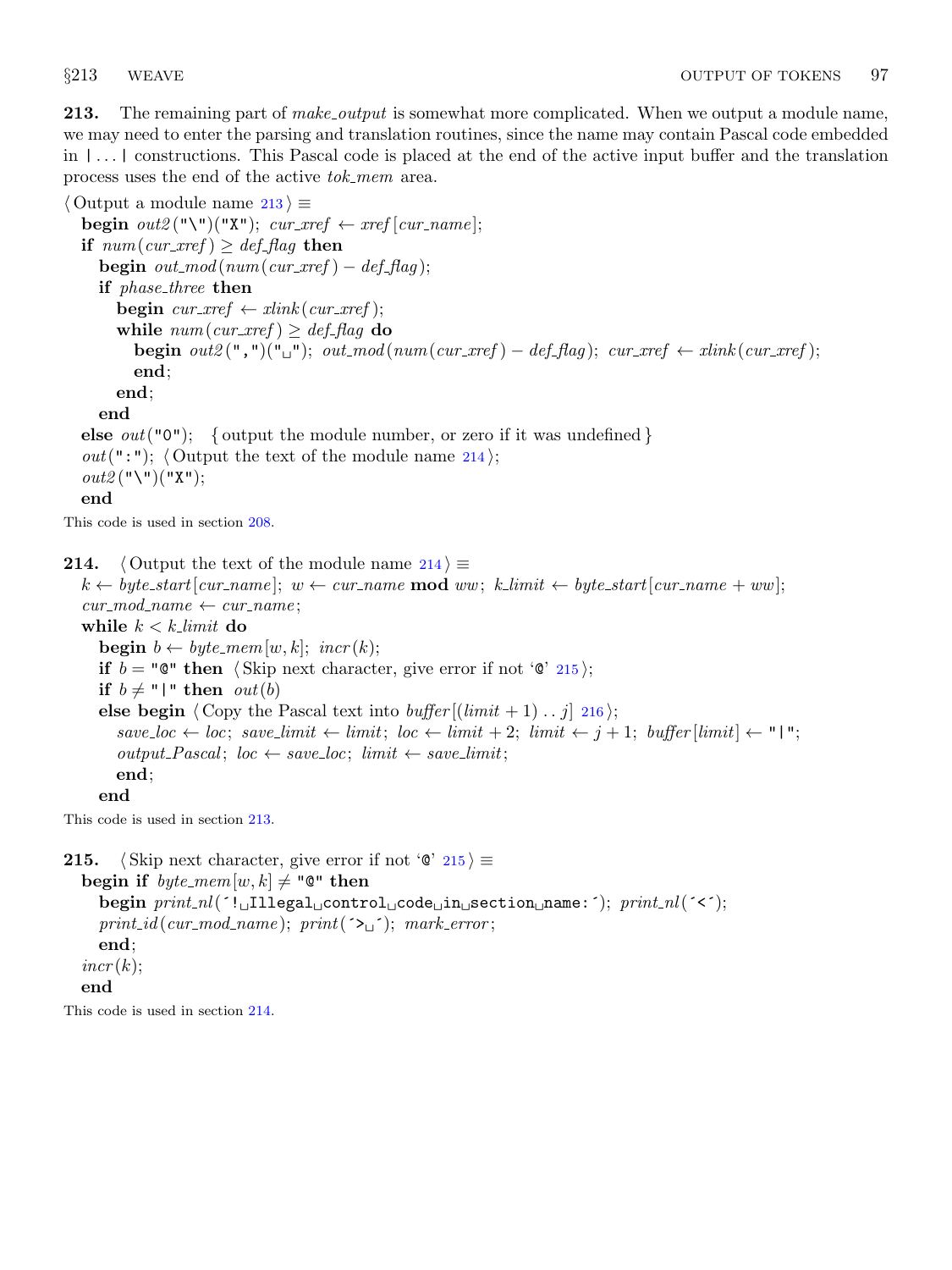<span id="page-82-0"></span>**213.** The remaining part of *make\_output* is somewhat more complicated. When we output a module name, we may need to enter the parsing and translation routines, since the name may contain Pascal code embedded in | . . . | constructions. This Pascal code is placed at the end of the active input buffer and the translation process uses the end of the active tok mem area.

 $\langle$  Output a module name 213  $\rangle \equiv$ begin  $out2$  ("\")("X"); cur\_xref  $\leftarrow$  xref [cur\_name]; if  $num(cur\_xref) \geq def\_flag$  then begin  $out\_mod(num.cur\_xref) - def\_flag);$ if *phase\_three* then **begin**  $cur\_xref \leftarrow xlink(cur\_xref);$ while  $num(cur\_xref) \geq def\_flag$  do begin  $out2(",")(" \sqcup")$ ;  $out2mod(num(cur\_xref) - def\_flag)$ ;  $cur\_xref \leftarrow xlink(cur\_xref)$ ; end; end; end **else**  $out("0")$ ; { output the module number, or zero if it was undefined } *out*(":"); (Output the text of the module name 214);  $out2$  ("\")("X"); end This code is used in section [208.](#page-80-0) 214.  $\langle$  Output the text of the module name 214 $\rangle \equiv$  $k \leftarrow byte.start[cur_name]; w \leftarrow cur_name \textbf{ mod } ww; k-limit \leftarrow byte.start[cur_name + ww];$ 

 $cur\_mod\_name \leftarrow cur\_name;$ while  $k < k$ -limit do **begin**  $b \leftarrow byte\_mem[w, k];$   $incr(k);$ if  $b = \texttt{"C" then }$  (Skip next character, give error if not ' $\texttt{C" 215}$ ); if  $b \neq$  "|" then *out*(*b*) else begin  $\langle$  Copy the Pascal text into *buffer*  $[(limit + 1) \dots j]$  [216](#page-83-0) $\rangle$ ;  $save\_loc \leftarrow loc; save\_limit \leftarrow limit; loc \leftarrow limit + 2; limit \leftarrow j + 1; buffer[limit] \leftarrow "1";$  $output\_Pascal; loc \leftarrow save\_loc; limit \leftarrow save\_limit;$ end; end

This code is used in section 213.

```
215. (Skip next character, give error if not '\mathcal{C}' 215) \equivbegin if byte\_mem[w, k] \neq "@" then
      begin \text{print\_nl}(\text{``l}_\sqcup\text{II1}legal_\sqcupcontrol_\sqcupcode_\sqcupin_\sqcupsection_\sqcupname:´); \text{print\_nl}(\text{``&f~)};
      print_id(cur_model_name); print(\infty, \cdot) ; mark_error;end;
   incr(k);end
```
This code is used in section 214.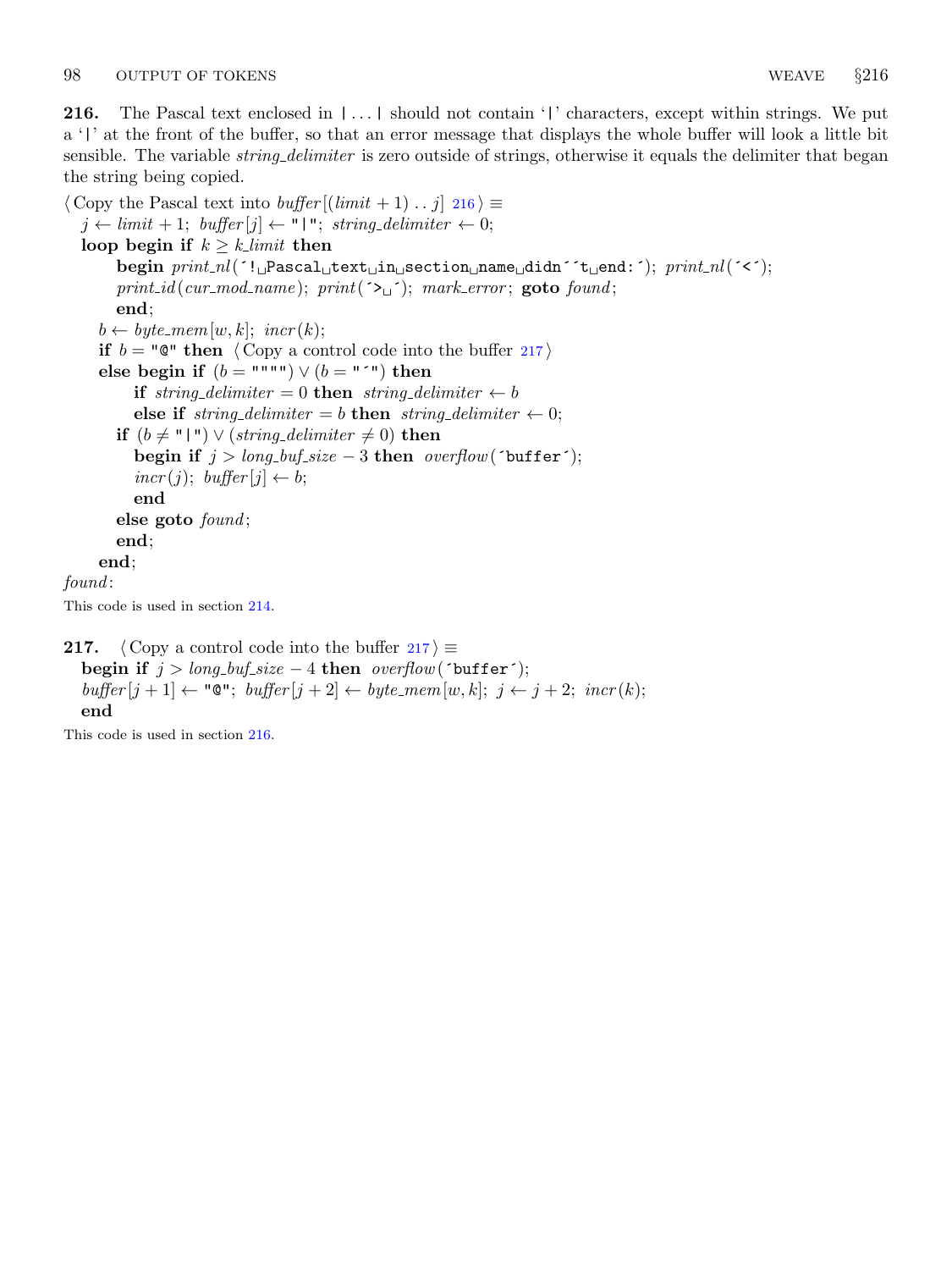end

This code is used in section 216.

<span id="page-83-0"></span>216. The Pascal text enclosed in  $|\ldots|$  should not contain '|' characters, except within strings. We put a '|' at the front of the buffer, so that an error message that displays the whole buffer will look a little bit sensible. The variable *string delimiter* is zero outside of strings, otherwise it equals the delimiter that began the string being copied.

```
\langle Copy the Pascal text into buffer [(limit + 1) \dots j] 216\rangle \equivj \leftarrow limit + 1; \text{ buffer}[j] \leftarrow "\mid" ; \text{ string-delimiter} \leftarrow 0;loop begin if k \geq k limit then
        begin <i>projmin\_nl</i>(<sup>1</sup> \cup Pascal_Utext<sub>u</sub>section\_name_Uddn' 't_Uend;'); <i>print.nl</i>(<sup>1</sup> \langleprint_id(cur_mod_name); print(\rightarrow \rightarrow); mark_error; goto found;
        end;
     b \leftarrow byte\_mem[w, k]; incr(k);
     if b = \text{``} \mathbb{Q}^{\text{''}} then \langle Copy a control code into the buffer 217 \rangleelse begin if (b = """") \vee (b = "^") then
           if string-delimiter = 0 then string-delimiter \leftarrow belse if string delimiter = b then string delimiter \leftarrow 0;
        if (b ≠ "|") \vee (string\_delimiter ≠ 0) then
           begin if j > long_buf\_size - 3 then overflow(\text{`buffer'});
           \text{incr}(j); \text{buffer}[j] \leftarrow b;
           end
        else goto found;
        end;
     end;
found:
This code is used in section 214.
217. (Copy a control code into the buffer 217) \equivbegin if j > long_buf\_size - 4 then overflow(\text{`buffer'});
```
 $buffer[j + 1] \leftarrow "Q"; buffer[j + 2] \leftarrow byte\_mem[w, k]; j \leftarrow j + 2; incr(k);$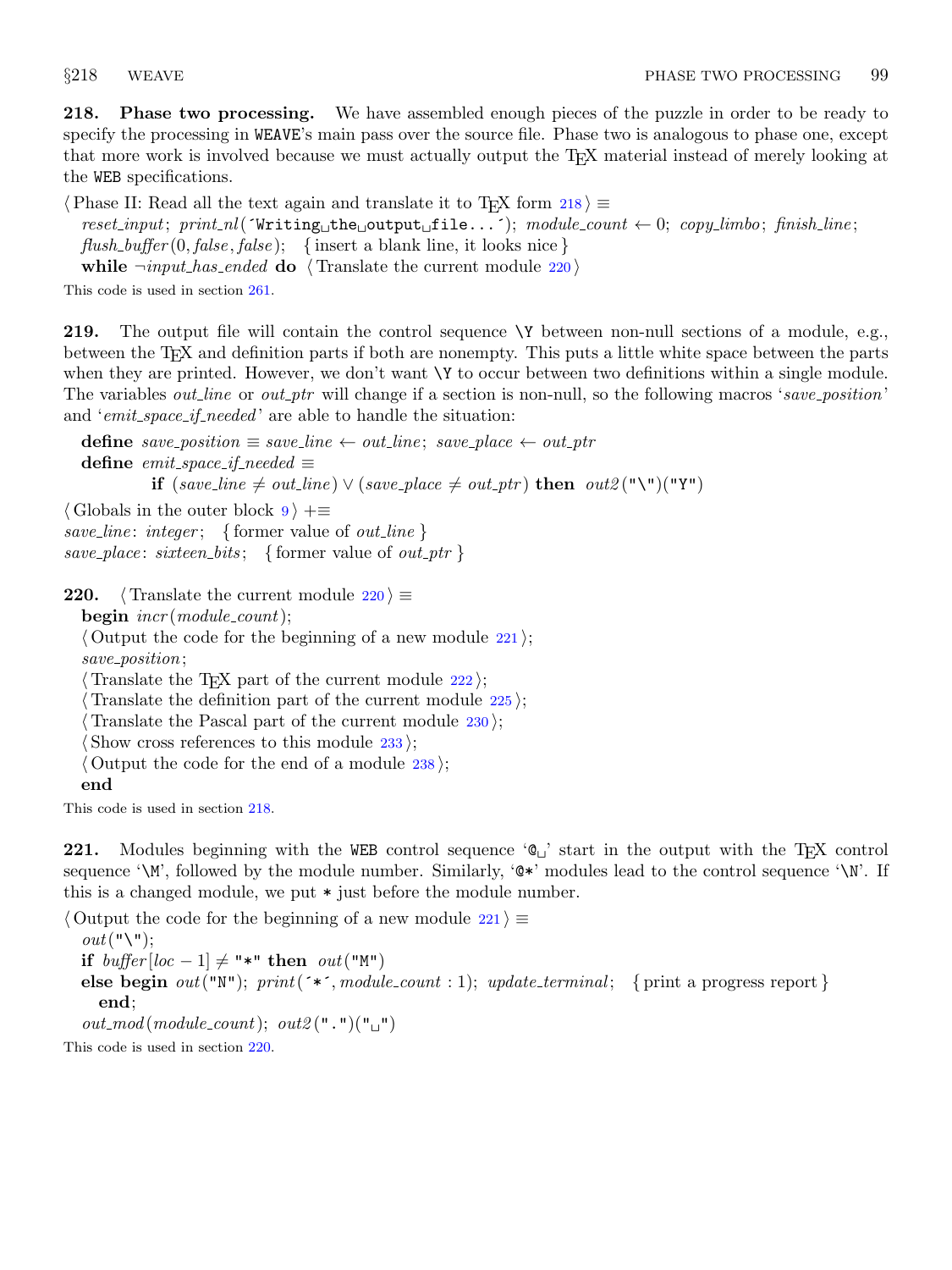<span id="page-84-0"></span>218. Phase two processing. We have assembled enough pieces of the puzzle in order to be ready to specify the processing in WEAVE's main pass over the source file. Phase two is analogous to phase one, except that more work is involved because we must actually output the T<sub>E</sub>X material instead of merely looking at the WEB specifications.

 $\langle$  Phase II: Read all the text again and translate it to TEX form 218 $\rangle \equiv$ 

 $reset-input; print.nl('Writing_the_output_ffile...'); module_count \leftarrow 0; copyu, finish-line;$  $flush_buffer(0, false, false);$  {insert a blank line, it looks nice } while  $\lnot input\_has\_ended$  do  $\langle$  Translate the current module 220  $\rangle$ 

This code is used in section [261.](#page-98-0)

219. The output file will contain the control sequence \Y between non-null sections of a module, e.g., between the TEX and definition parts if both are nonempty. This puts a little white space between the parts when they are printed. However, we don't want  $\Upsilon$  to occur between two definitions within a single module. The variables *out line* or *out ptr* will change if a section is non-null, so the following macros 'save position' and '*emit\_space\_if\_needed*' are able to handle the situation:

define save\_position  $\equiv$  save\_line  $\leftarrow$  out\_line; save\_place  $\leftarrow$  out\_ptr define emit\_space\_if\_needed  $\equiv$ **if** (save\_line  $\neq$  out\_line) ∨ (save\_place  $\neq$  out\_ptr) **then** out2("\")("Y")

 $\langle$  Globals in the outer block [9](#page-3-0)  $\rangle$  +=

save\_line: integer; { former value of *out\_line* }

save\_place: sixteen\_bits; { former value of *out\_ptr* }

220.  $\langle$  Translate the current module 220  $\rangle \equiv$ 

 $\mathbf{begin} \text{ }$  incr(module\_count);

 $\langle$  Output the code for the beginning of a new module  $221$ ;

save\_position;

 $\langle$  Translate the T<sub>EX</sub> part of the current module [222](#page-85-0) $\rangle$ ;

 $\langle$  Translate the definition part of the current module [225](#page-86-0) $\rangle$ ;

Translate the Pascal part of the current module  $230$ ;

Show cross references to this module  $233$ ;

 $\langle$  Output the code for the end of a module [238](#page-90-0) $\rangle$ ;

end

This code is used in section 218.

221. Modules beginning with the WEB control sequence  $\mathcal{C}_{\omega}$  start in the output with the T<sub>E</sub>X control sequence '\M', followed by the module number. Similarly, ' $\mathbb{Q}^*$ ' modules lead to the control sequence '\N'. If this is a changed module, we put \* just before the module number.

 $\langle$  Output the code for the beginning of a new module 221  $\rangle \equiv$ 

 $out("\\ \$ if buffer[loc - 1]  $\neq$  "\*" then out("M") else begin out ("N"); print ( $\ast \ast$ , module\_count : 1); update\_terminal; { print a progress report } end;  $out\_mod(module\_count); out2(" "")(" "$ 

This code is used in section 220.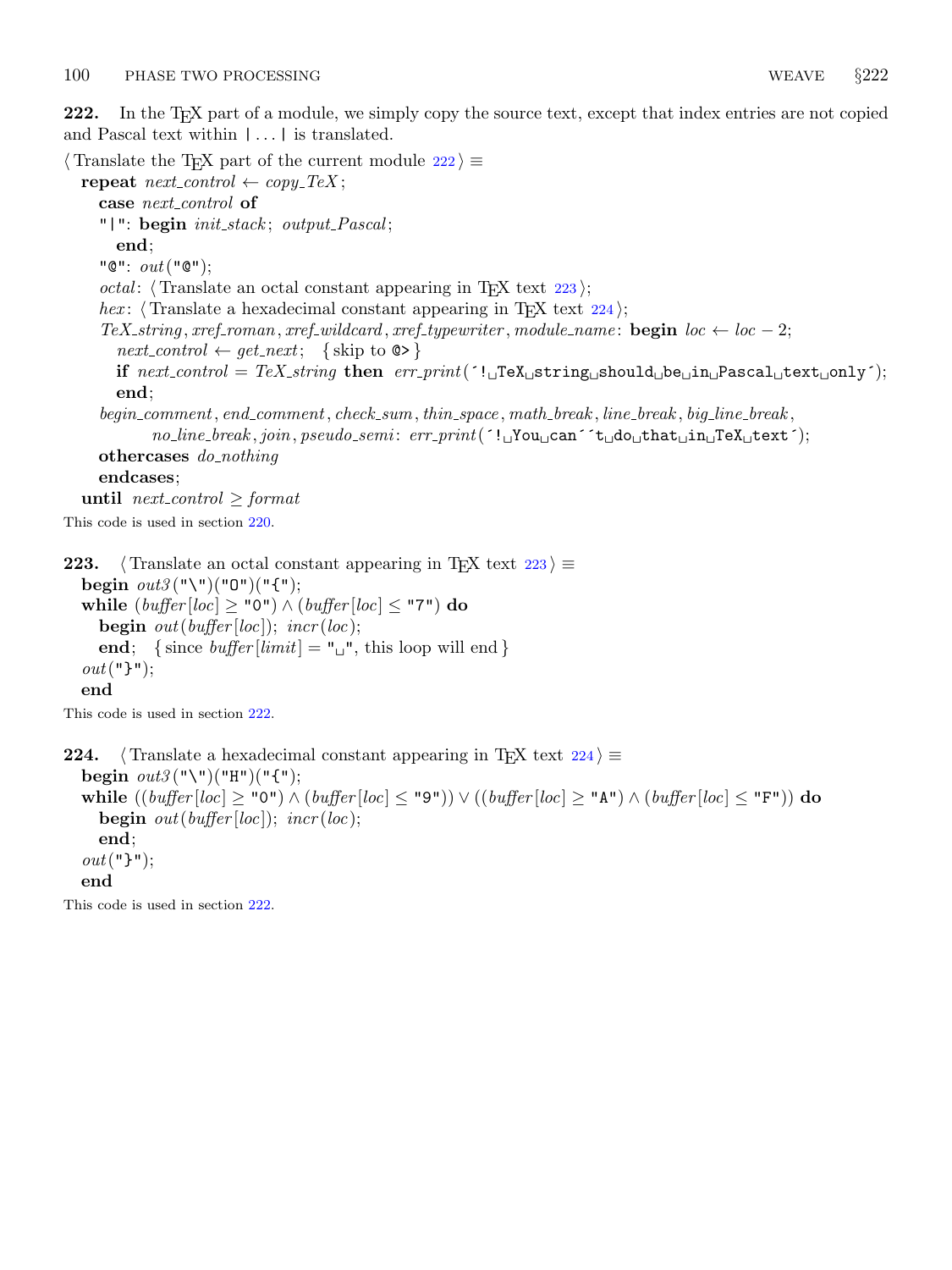<span id="page-85-0"></span>222. In the T<sub>E</sub>X part of a module, we simply copy the source text, except that index entries are not copied and Pascal text within  $|\dots|$  is translated.

 $\langle$  Translate the TEX part of the current module 222 $\rangle \equiv$ repeat  $next-control \leftarrow copy\_Text;$ case next\_control of "|": begin init\_stack; output\_Pascal; end; " $\mathbb{C}$ ":  $out(" $\mathbb{C}$ ");$ *octal*:  $\langle$  Translate an octal constant appearing in T<sub>F</sub>X text 223 $\rangle$ ; hex:  $\langle$  Translate a hexadecimal constant appearing in T<sub>E</sub>X text 224 $\rangle$ ;  $Tex\_string, xref\_roman, xref\_wildcard, xref\_typewriter, module_name: begin loc \leftarrow loc - 2;$  $next_{control} \leftarrow get_{next}; \{\text{skip to } \text{\textcircled{\&}}\}$ if  $next-control = TeX\_string$  then  $err\_print('!\_J\text{PEX}\_string\_should\_be\_in\_Pascal\_text\_only');$ end; begin\_comment, end\_comment, check\_sum, thin\_space, math\_break, line\_break, big\_line\_break,  $no\_line\_break, join, pseudo.sem: err\_print($ '!<sub>u</sub>You<sub>u</sub>can<sup> $\sim$ </sup>t<sub>u</sub>do<sub>u</sub>that<sub>u</sub>In<sub>u</sub>TeX<sub>u</sub>text<sup>-</sup>); othercases *do\_nothing* endcases; until next\_control  $\geq$  format

This code is used in section [220.](#page-84-0)

223. (Translate an octal constant appearing in TEX text  $223$ )  $\equiv$ begin  $out3("\\"()"0")("{}"$ ; while  $(buffer[loc] \geq "0") \wedge (buffer[loc] \leq "7")$  do **begin** out(buffer[loc]); incr(loc); end; { since *buffer* [*limit*] = " $\vert$ ", this loop will end }  $out("}$ "); end

This code is used in section 222.

224.  $\langle$  Translate a hexadecimal constant appearing in TEX text 224 $\rangle \equiv$ begin  $out3("\\"()"H")("'''')$ ; while  $((buffer[loc] ≥ "0") ∧ (buffer[loc] ≤ "9")) ∨ ((buffer[loc] ≥ "A") ∧ (buffer[loc] ≤ "F"))$  do **begin** out(buffer[loc]); incr(loc); end;  $out("}$ "); end

This code is used in section 222.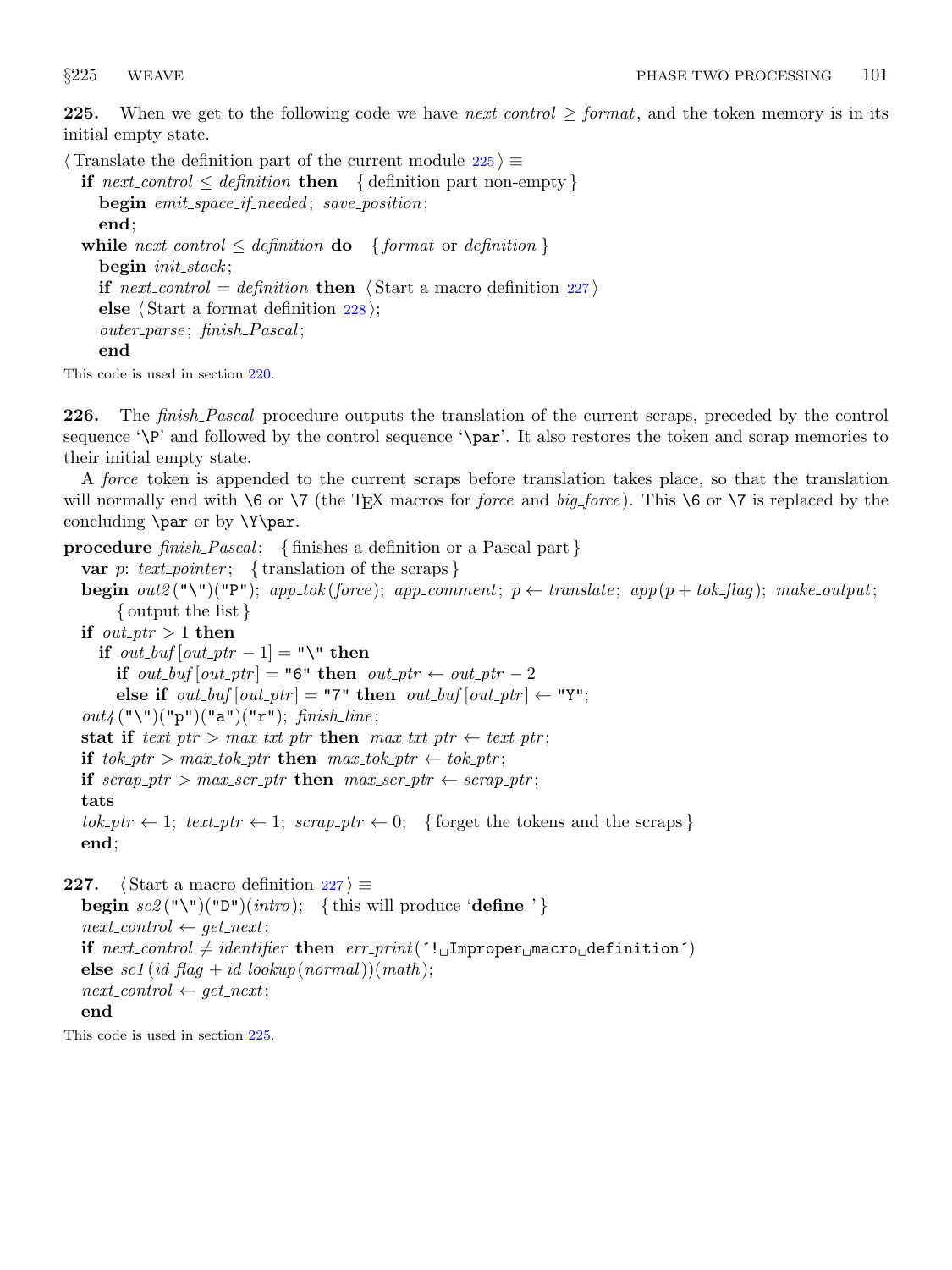<span id="page-86-0"></span>225. When we get to the following code we have next control  $\geq$  format, and the token memory is in its initial empty state.

 $\langle$  Translate the definition part of the current module 225  $\rangle \equiv$ 

```
if next control \leq definition then { definition part non-empty }
  begin emit_space_if_needed; save_position;
  end;
while next_control \leq definition do { format or definition }
  begin{align} \n\text{begin} \nikz \n\end{align}if next control = definition then \langle Start a macro definition 227\rangleelse \langle228\rangle;
  outer_parse; finish_Pascal;
  end
```
This code is used in section [220.](#page-84-0)

**226.** The *finish\_Pascal* procedure outputs the translation of the current scraps, preceded by the control sequence ' $\P$ ' and followed by the control sequence ' $\parrow$ . It also restores the token and scrap memories to their initial empty state.

A force token is appended to the current scraps before translation takes place, so that the translation will normally end with  $6$  or  $7$  (the TEX macros for *force* and *big-force*). This  $6$  or  $7$  is replaced by the concluding \par or by \Y\par.

**procedure** finish Pascal; { finishes a definition or a Pascal part } var p: text\_pointer; { translation of the scraps } begin  $out2$  ("\")("P"); app\_tok (force); app\_comment;  $p \leftarrow translate$ ; app( $p + tok\_flag$ ); make\_output; { output the list } if  $out\_ptr > 1$  then if *out\_buf*  $\left[ \text{out\_ptr} - 1 \right] = "\Psi$  then if out\_buf  $[out\_ptr] = "6"$  then out\_ptr  $\leftarrow out\_ptr - 2$ else if  $out_buf[out_ptr] = "7"$  then  $out_buf[out_ptr] \leftarrow "Y"$ ;  $out4$  ("\")("p")("a")("r"); finish\_line; stat if  $text\_ptr > max\_txt\_ptr$  then  $max\_txt\_ptr \leftarrow text\_ptr;$ if  $tok\_ptr > max\_tok\_ptr$  then  $max\_tok\_ptr \leftarrow tok\_ptr;$ if  $scrap\_ptr > max\_scr\_ptr$  then  $max\_scr\_ptr \leftarrow scrap\_ptr;$ tats  $tok\_ptr \leftarrow 1$ ;  $text\_ptr \leftarrow 1$ ;  $scrap\_ptr \leftarrow 0$ ; { forget the tokens and the scraps } end; 227. (Start a macro definition  $227$ )  $\equiv$ begin  $\text{sc2}(\text{``}\text{``}\text{''})\text{``} \text{''}$ )( $\text{intr}\text{o}$ ); {this will produce 'define '}  $next_{control} \leftarrow get_{next};$ 

if  $next-control \neq identifier$  then  $err\_print('! \Box \text{Improper} \text{macro} \Delta \text{definition'})$ else  $\mathit{sc1}(\mathit{id}\_\mathit{flag} + \mathit{id}\_\mathit{lookup}(\mathit{normal}))(\mathit{math});$  $next_{control} \leftarrow get_{next};$ end

This code is used in section 225.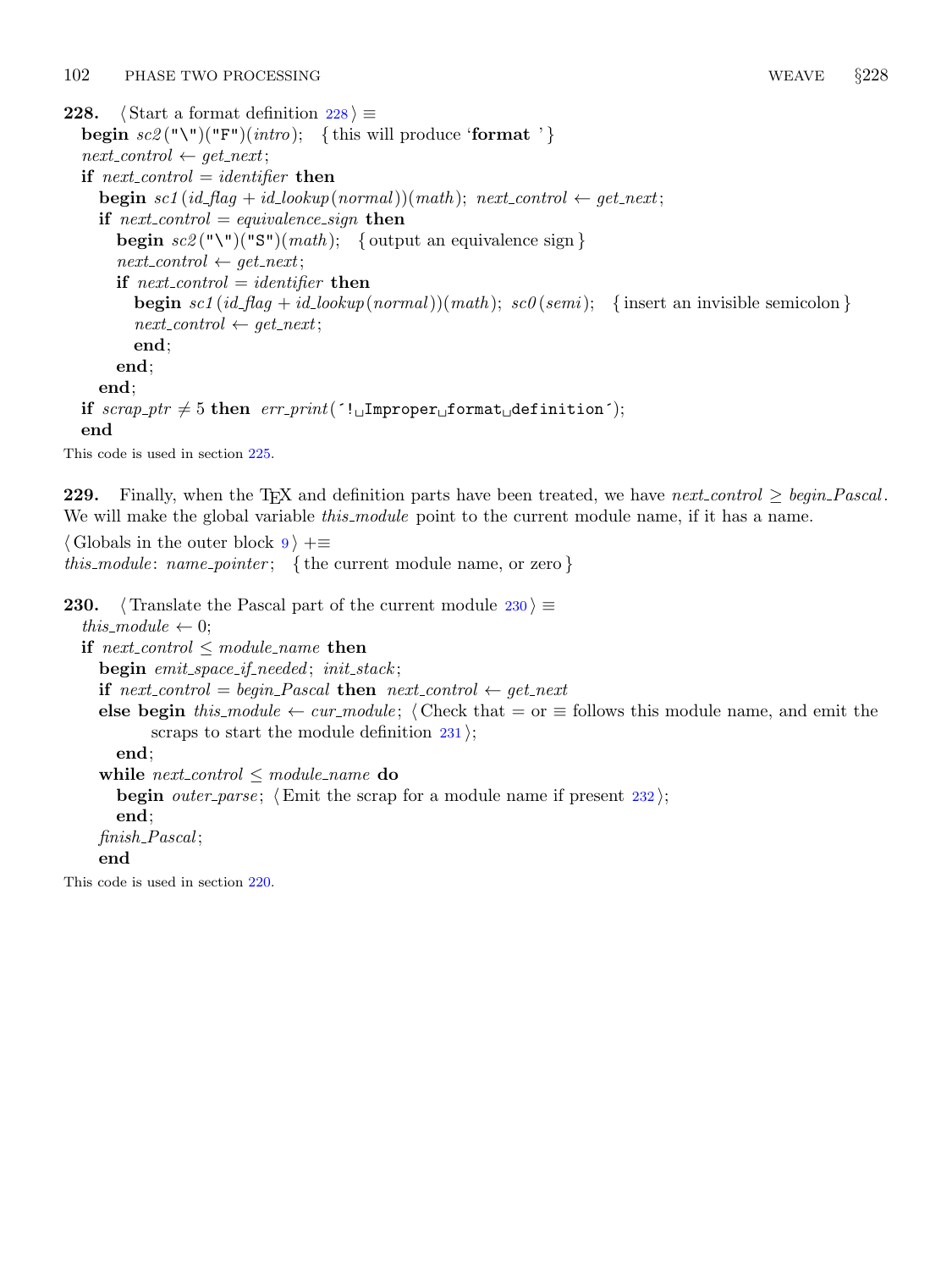<span id="page-87-0"></span>228.  $\langle$  Start a format definition 228  $\rangle \equiv$ **begin**  $\text{sc2}(\sqrt[n]{\sqrt{m}})$  ( $\text{im}(\sqrt[n]{m}$ ); {this will produce '**format**'}  $next_{control} \leftarrow get_{next};$ if  $next-control = identifier$  then **begin** sc1 (id\_flag + id\_lookup(normal))(math); next\_control  $\leftarrow$  get\_next; if next-control = equivalence-sign then **begin**  $\text{sc2}(\text{``}\text{''})(\text{''S''})(\text{math});$  { output an equivalence sign }  $next\_control \leftarrow get\_next;$ if  $next_{control} = identifier$  then **begin** sc1 (id\_flag + id\_lookup(normal))(math); sc0(semi); { insert an invisible semicolon }  $next_{control} \leftarrow get_{next};$ end; end; end; if  $scrap\_ptr \neq 5$  then  $err\_print('! \Box \text{Improper} \Box \text{format} \Box \text{definition}');$ end

This code is used in section [225.](#page-86-0)

229. Finally, when the TFX and definition parts have been treated, we have next control  $\geq$  begin Pascal. We will make the global variable *this module* point to the current module name, if it has a name.

 $\langle$  Globals in the outer block  $9$   $\rangle$  +≡ this module: name pointer; { the current module name, or zero }

```
230. \langle Translate the Pascal part of the current module 230 \rangle \equivthis_module \leftarrow 0;
  if next_control \leq module_name then
    begin emit_space_if_needed; init_stack;
    if next control = begin Pascal then next control \leftarrow get next
    else begin this module ← cur module; (Check that = or \equiv follows this module name, and emit the
           scraps to start the module definition 231;
      end;
    while next_control \leq module_name do
      begin outer-parse; \langle232\rangle;
      end;
    finish_Pascal:
    end
```
This code is used in section [220.](#page-84-0)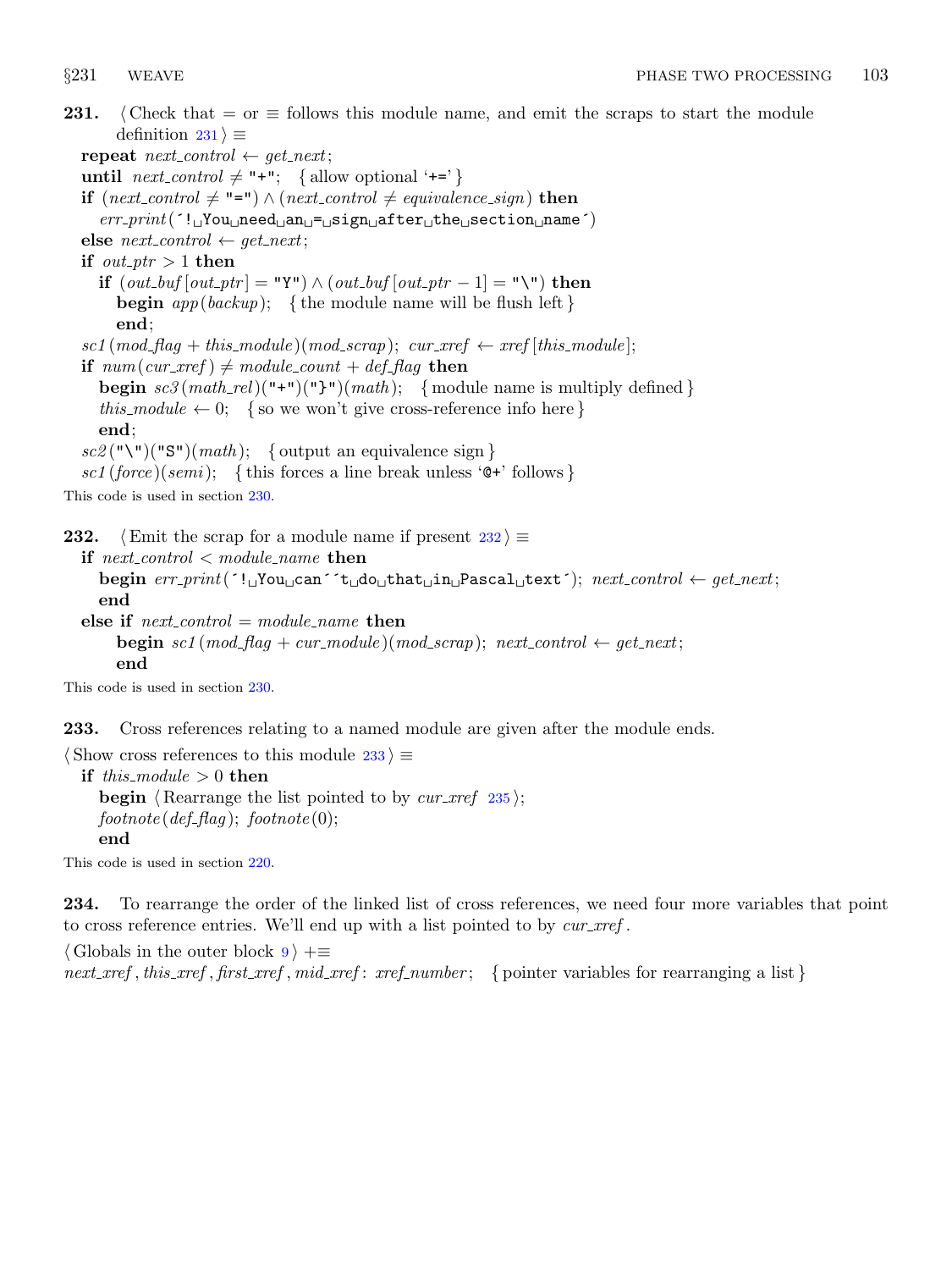<span id="page-88-0"></span>231.  $\langle$  Check that = or  $\equiv$  follows this module name, and emit the scraps to start the module definition  $231$   $\equiv$ 

repeat  $next_{control} \leftarrow get_{next};$ until  $next-control \neq "+";$  { allow optional '+=' } **if** (next\_control  $\neq$  "=") ∧ (next\_control  $\neq$  equivalence\_sign) **then**  $err\_print($  $'!$ <sub> $\cup$ </sub>You $\cup$ need $\cup$ an $\cup$ = $\cup$ sign $\cup$ after $\cup$ the $\cup$ section $\cup$ name $'$ ) else  $next_{control} \leftarrow get_{next};$ if  $out\_ptr > 1$  then **if**  $(out\_buf[out\_ptr] = "Y") \wedge (out\_buf[out\_ptr-1] = "\"')$  then **begin**  $app(backup);$  { the module name will be flush left } end;  $scl \, (mod\_flag + this\_module) \, (mod\_scrap); \, \, curr\_xref \leftarrow xref [this\_module];$ if  $num(cur\_xref) \neq module\_count + def\_flag$  then **begin**  $sc3(math_{rel})(\text{''+''})(\text{''})\text{''})$ (math); { module name is multiply defined } this module  $\leftarrow 0$ ; { so we won't give cross-reference info here } end;  $\mathit{sc2}$  ("\")("S")(*math*); { output an equivalence sign }  $\mathit{sc1}(\mathit{force})(\mathit{semi}); \{ \text{this forces a line break unless 'Q+'} follows} \}$ 

This code is used in section [230.](#page-87-0)

232.  $\langle$  Emit the scrap for a module name if present 232  $\rangle \equiv$ 

if next\_control  $\lt$  module\_name then begin  $err\_print('! \cup \text{You} \cup can 't \cup do \cup that \cup in \cup \text{Pascal}\cup text'); next\_control \leftarrow get.next;$ end else if  $next_{control} = module_name$  then **begin** sc1 (mod\_flag + cur\_module)(mod\_scrap); next\_control  $\leftarrow$  get\_next; end

This code is used in section [230.](#page-87-0)

233. Cross references relating to a named module are given after the module ends.

 $\langle$  Show cross references to this module 233  $\rangle \equiv$ if this module  $> 0$  then **begin**  $\langle$  Rearrange the list pointed to by *cur\_xref* [235](#page-89-0) $\rangle$ ;  $footnote (def_flag);$   $footnote(0);$ end

This code is used in section [220.](#page-84-0)

234. To rearrange the order of the linked list of cross references, we need four more variables that point to cross reference entries. We'll end up with a list pointed to by  $cur\_xref$ .

 $\langle$  Globals in the outer block [9](#page-3-0)  $\rangle$  +≡ next xref, this xref, first xref, mid xref: xref number; { pointer variables for rearranging a list}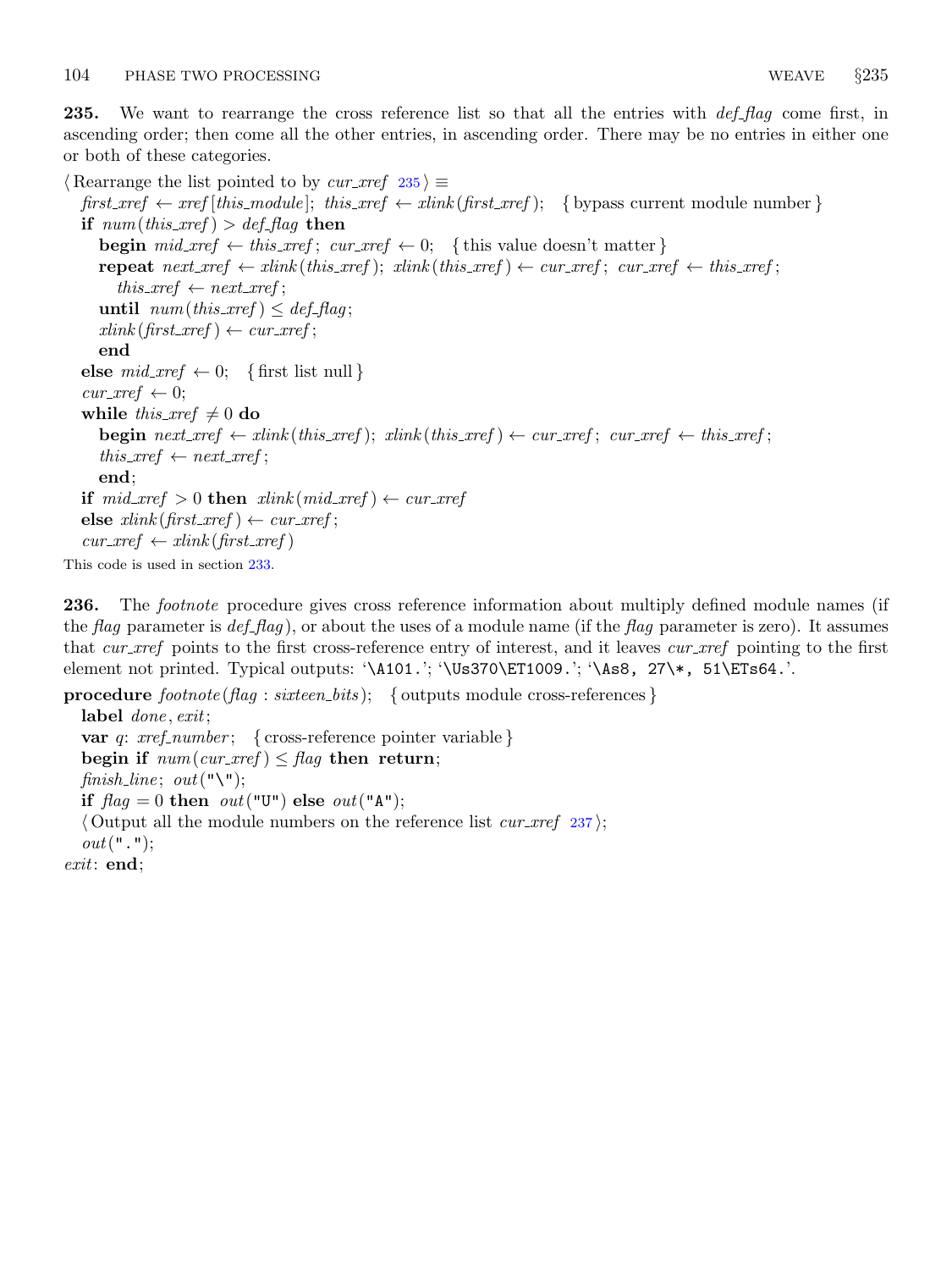<span id="page-89-0"></span>235. We want to rearrange the cross reference list so that all the entries with  $\det_{f} flag$  come first, in ascending order; then come all the other entries, in ascending order. There may be no entries in either one or both of these categories.

 $\langle$  Rearrange the list pointed to by *cur\_xref* 235 $\rangle \equiv$ first  $xref \leftarrow xref$  [this module]; this  $xref \leftarrow xlink$  (first  $xref$ ); { by pass current module number } if  $num(this\_xref) > def_{flag}$  then **begin**  $mid\_xref \leftarrow this\_xref$ ;  $cur\_xref \leftarrow 0$ ; {this value doesn't matter} repeat  $next\_xref \leftarrow xlink(this\_xref); xlink(this\_xref) \leftarrow cur\_xref; cur\_xref \leftarrow this\_xref;$  $this\_xref \leftarrow next\_xref;$ until  $num(this\_xref) \leq def_{-f}lag;$  $xlink(first\_xref) \leftarrow cur\_xref;$ end else  $mid\_xref \leftarrow 0;$  {first list null }  $cur\_xref \leftarrow 0$ ; while this  $xref \neq 0$  do **begin** next\_xref  $\leftarrow$  xlink (this\_xref); xlink (this\_xref)  $\leftarrow$  cur\_xref; cur\_xref  $\leftarrow$  this\_xref;  $this\_xref \leftarrow next\_xref;$ end; if  $mid\_xref > 0$  then  $xlink(mid\_xref) \leftarrow cur\_xref$ else  $xlink(first\_xref) \leftarrow cur\_xref;$  $cur\_xref \leftarrow xlink(first\_xref)$ This code is used in section [233.](#page-88-0)

236. The *footnote* procedure gives cross reference information about multiply defined module names (if the flag parameter is  $def_flag$ , or about the uses of a module name (if the flag parameter is zero). It assumes that cur *xref* points to the first cross-reference entry of interest, and it leaves cur *xref* pointing to the first element not printed. Typical outputs: '\A101.'; '\Us370\ET1009.'; '\As8, 27\\*, 51\ETs64.'.

procedure  $footnote (flag: sixteen\_bits);$  { outputs module cross-references } label done, exit; var q:  $xref_number$ ; { cross-reference pointer variable } begin if  $num(cur\_xref) \leq flag$  then return; finish\_line; out("\"); if  $flag = 0$  then  $out("U")$  else  $out("A")$ ;  $\langle$  Output all the module numbers on the reference list *cur xref* [237](#page-90-0) $\rangle$ ;  $out(" "$ exit: end;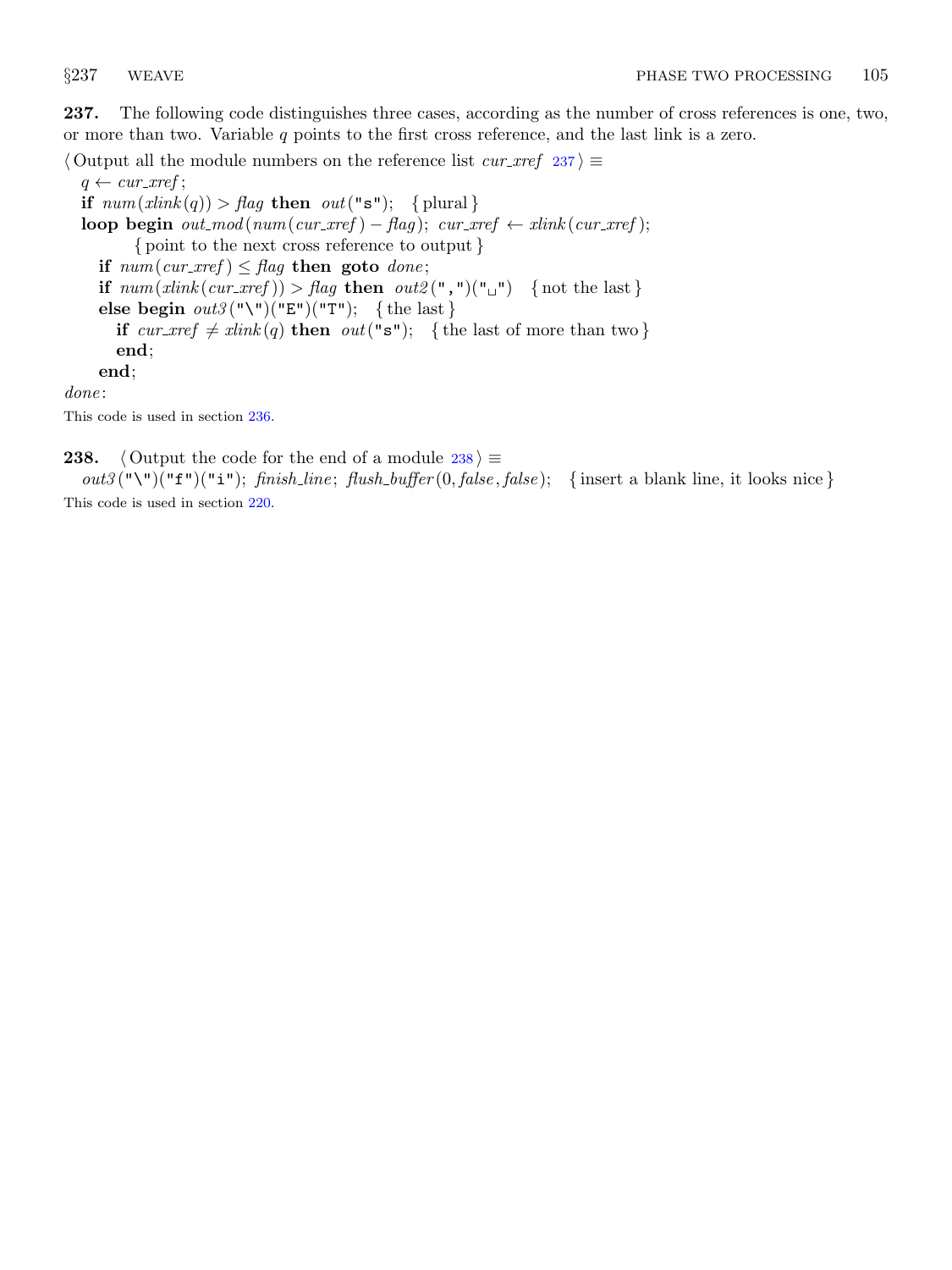<span id="page-90-0"></span>237. The following code distinguishes three cases, according as the number of cross references is one, two, or more than two. Variable  $q$  points to the first cross reference, and the last link is a zero.

 $\langle$  Output all the module numbers on the reference list *cur\_xref*  $237$   $\equiv$  $q \leftarrow cur\_xref;$ if  $num(xlink(q)) > flag$  then  $out("s")$ ; {plural}

loop begin  $out_{\text{mod}}(num(cur_{\text{arc}}) - flag); cur_{\text{arc}} \leftarrow xlink(cur_{\text{arc}})$ ; { point to the next cross reference to output } if  $num(cur\_xref) \leq flag$  then goto done; if  $num(xlink(cur\_xref)) > flag$  then  $out2(",")("_"')$  {not the last} else begin  $out3("\\")("E")("T")$ ; {the last} if  $cur\_xref \neq xlink(q)$  then  $out("s")$ ; {the last of more than two} end; end;

done:

This code is used in section [236.](#page-89-0)

238.  $\langle$  Output the code for the end of a module 238  $\rangle \equiv$  $out3$  ("\")("f")("i"); finish\_line; flush\_buffer (0, false, false); {insert a blank line, it looks nice}

This code is used in section [220.](#page-84-0)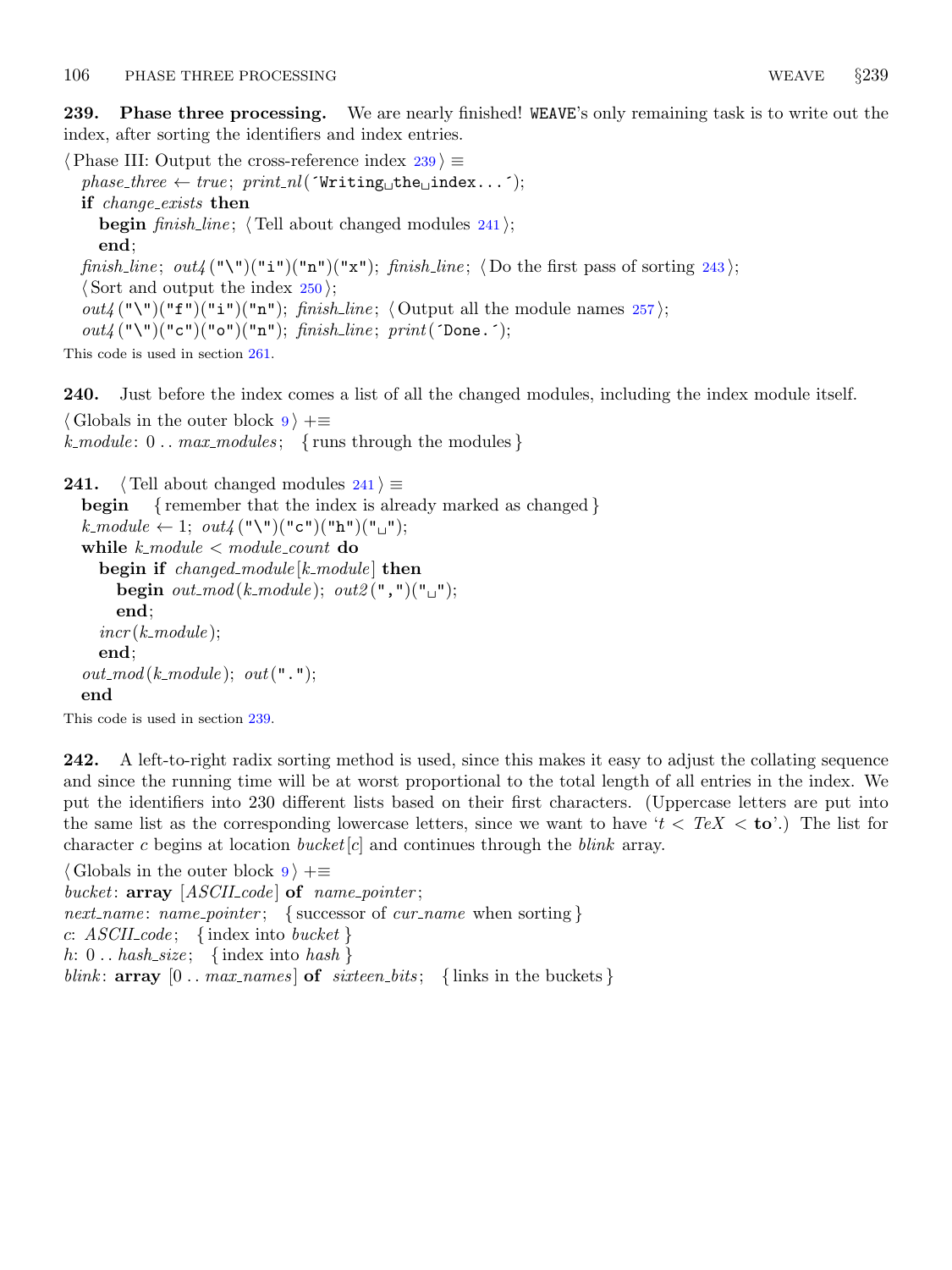<span id="page-91-0"></span>239. Phase three processing. We are nearly finished! WEAVE's only remaining task is to write out the index, after sorting the identifiers and index entries.

 $\langle$  Phase III: Output the cross-reference index 239  $\rangle \equiv$  $phase\_three \leftarrow true; print\_nl('Writing\_the\_index...');$ if change exists then **begin** finish line;  $\langle$  Tell about changed modules 241 $\rangle$ ; end; finish\_line; out/("\")("i")("n")("x"); finish\_line;  $\langle$  Do the first pass of sorting [243](#page-92-0));  $\langle$  Sort and output the index [250](#page-93-0) $\rangle$ ;  $out_4(\mathbf{``}\mathbf{``})(\mathbf{``}f\mathbf{''})(\mathbf{``}i\mathbf{``}) (\mathbf{``}n\mathbf{``})$ ; finish line;  $\langle$  Output all the module names [257](#page-95-0) $\rangle$ ;  $out_4$  ("\")("c")("o")("n"); finish\_line; print ('Done.');

This code is used in section [261.](#page-98-0)

240. Just before the index comes a list of all the changed modules, including the index module itself.  $\langle$  Globals in the outer block [9](#page-3-0)  $\rangle$  +≡ k\_module:  $0 \ldots$  max\_modules; {runs through the modules}

```
241. \langle Tell about changed modules 241 \rangle \equivbegin { remember that the index is already marked as changed }
  k\text{--}module \leftarrow 1; out4("\\"("c")("b")("b")("j");
```
while  $k$ -module  $<$  module-count do begin if  $changed\_module[k\_module]$  then begin out\_mod(k\_module); out2(",")(" $\sqcup$ "); end;  $incr(k \text{.} module);$ end;  $out_{\mathit{mod}}(k_{\mathit{module}}); out(" \cdot");$ end

This code is used in section 239.

242. A left-to-right radix sorting method is used, since this makes it easy to adjust the collating sequence and since the running time will be at worst proportional to the total length of all entries in the index. We put the identifiers into 230 different lists based on their first characters. (Uppercase letters are put into the same list as the corresponding lowercase letters, since we want to have ' $t < T e X <$  to'.) The list for character c begins at location *bucket*  $|c|$  and continues through the *blink* array.

 $\langle$  Globals in the outer block [9](#page-3-0)  $\rangle$  +≡ bucket:  $array [ASCH_code]$  of name\_pointer; next\_name: name\_pointer; { successor of cur\_name when sorting } c:  $ASCILcode$ ; {index into bucket} h:  $0$ ... hash\_size; {index into hash} blink:  $array [0..max\_names]$  of  $s$ ixteen bits; {links in the buckets}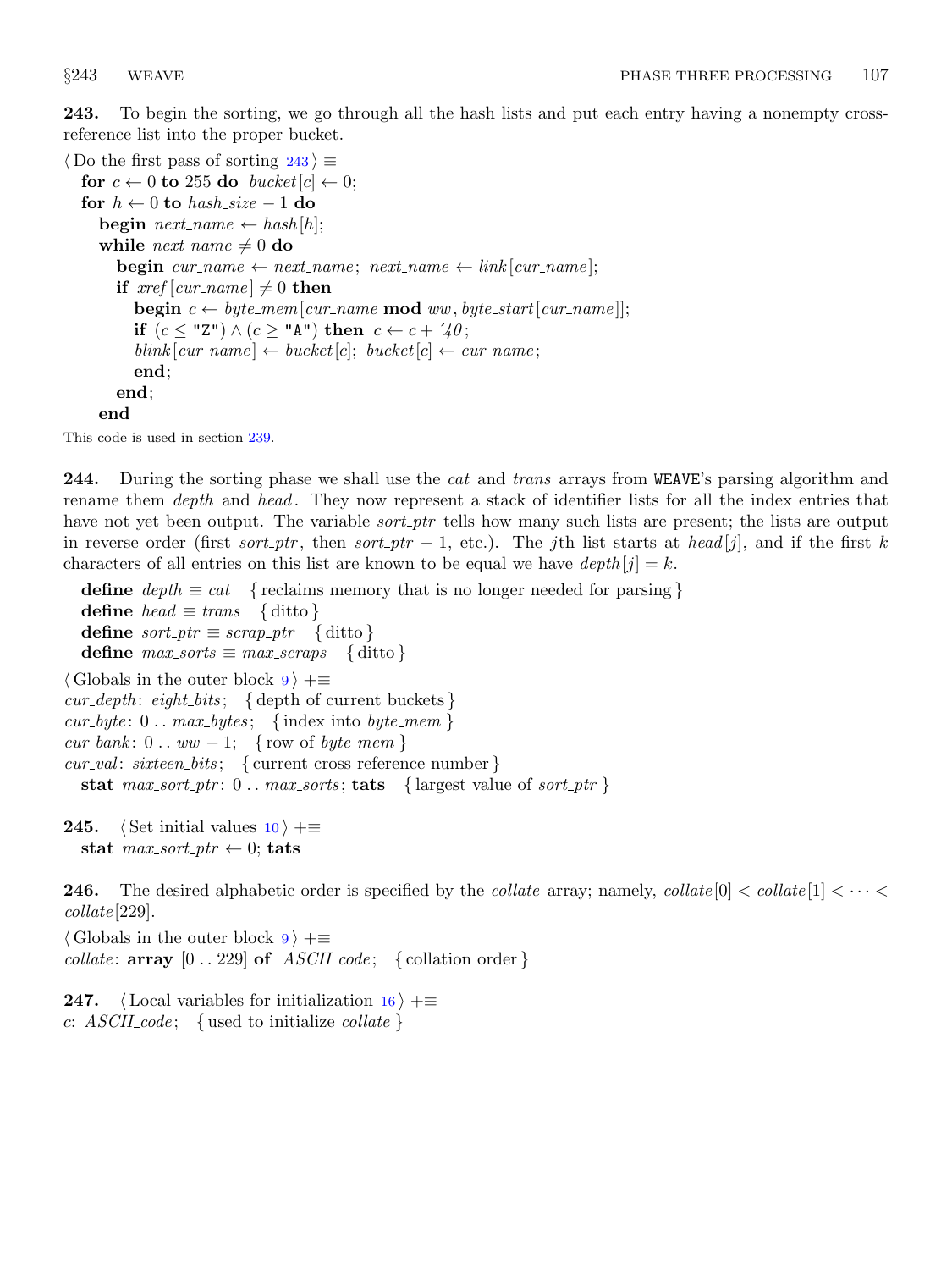<span id="page-92-0"></span>243. To begin the sorting, we go through all the hash lists and put each entry having a nonempty crossreference list into the proper bucket.

```
\langle Do the first pass of sorting 243 \rangle \equivfor c \leftarrow 0 to 255 do bucket [c] \leftarrow 0;
  for h \leftarrow 0 to hash_size -1 do
     begin next_name \leftarrow hash[h];while next_name \neq 0 do
        begin cur_name \leftarrow next_name; next_name \leftarrow link |cur_name|;
        if xref[cur_name] \neq 0 then
            begin c \leftarrow byte\_mem|cur_name \mod{ww}, byte\_start|cur_name|;
            if (c \leq "Z") \wedge (c \geq "A") then c \leftarrow c + 2\gamma;
            \text{blink}[\text{cur_name}] \leftarrow \text{bucket}[c]; \text{ bucket}[c] \leftarrow \text{cur_name};end;
        end;
     end
```
This code is used in section [239.](#page-91-0)

244. During the sorting phase we shall use the *cat* and *trans* arrays from WEAVE's parsing algorithm and rename them *depth* and *head*. They now represent a stack of identifier lists for all the index entries that have not yet been output. The variable *sort\_ptr* tells how many such lists are present; the lists are output in reverse order (first sort ptr, then sort ptr – 1, etc.). The jth list starts at head [j], and if the first k characters of all entries on this list are known to be equal we have  $depth[j] = k$ .

define  $depth \equiv cat$  { reclaims memory that is no longer needed for parsing } define  $head \equiv trans$  { ditto } define  $sort\_ptr \equiv scrap\_ptr \{$ ditto } define  $max\_sorts \equiv max\_scraps$  { ditto }  $\langle$  Globals in the outer block  $9 \rangle + \equiv$  $9 \rangle + \equiv$  $cur\_depth:$  eight\_bits; { depth of current buckets }  $cur\_byte: 0 \ldots max\_bytes; \{ index into byte\_mem \}$  $cur\_bank: 0...ww-1; \{row of byte\_mem\}$  $cur\_val:$  sixteen\_bits; { current cross reference number} stat  $max.sort{\text -}ptr: 0 \dots max{\text -}sorts$ ; tats { largest value of sort\_ptr }

**245.**  $\langle$  Set initial values [10](#page-3-0)  $\rangle$  +≡ stat  $max.sort\_ptr \leftarrow 0$ ; tats

**246.** The desired alphabetic order is specified by the *collate* array; namely, *collate*  $[0] < \text{collate}[1] < \cdots <$ collate [229].

 $\langle$  Globals in the outer block [9](#page-3-0)  $\rangle$  += collate:  $array [0.. 229]$  of  $ASCII_code; \{ collaboration order\}$ 

**247.**  $\langle$  Local variables for initialization [16](#page-7-0)  $\rangle$  +≡ c:  $\text{ASCII\_code}$ ; { used to initialize collate }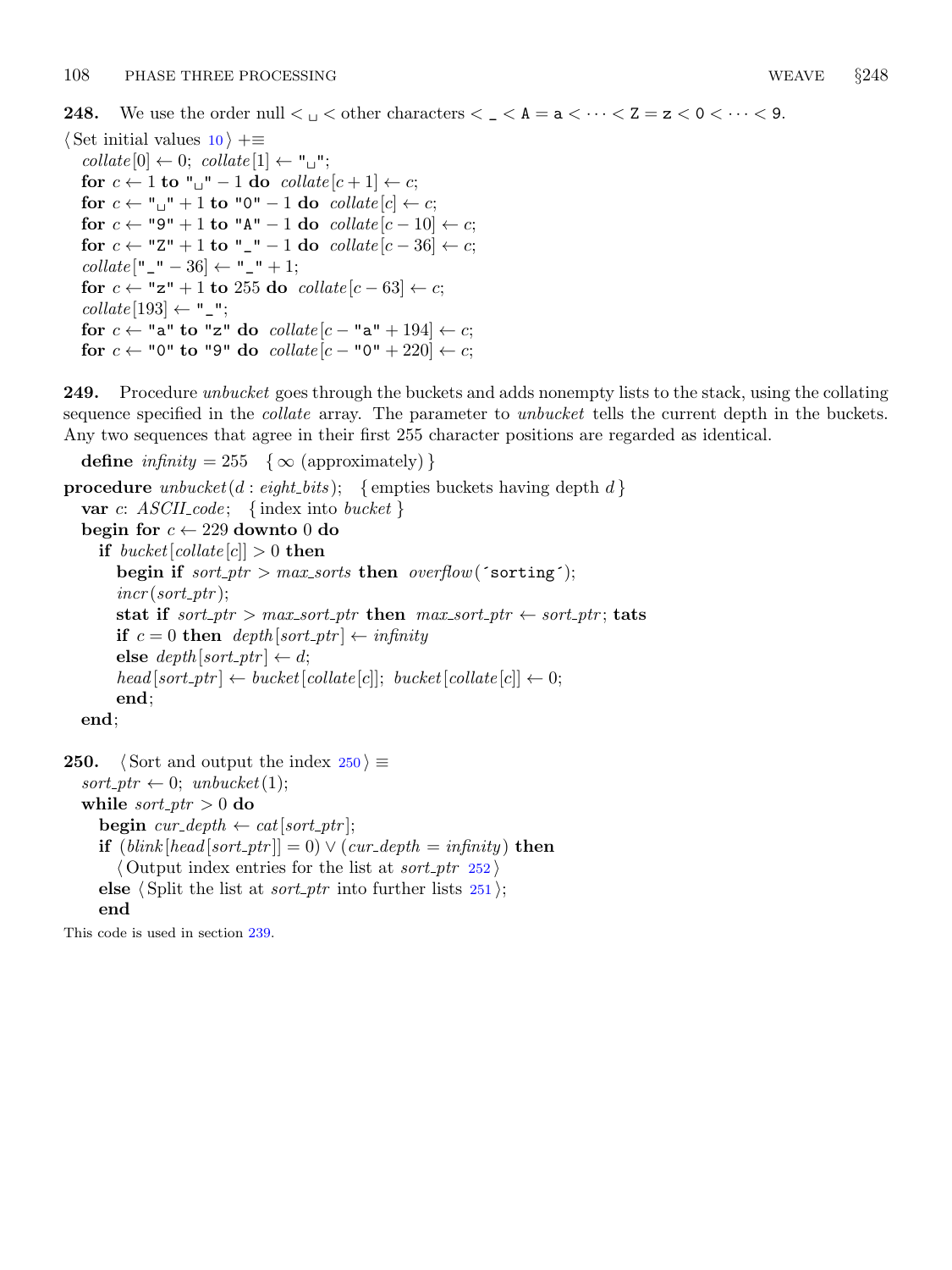<span id="page-93-0"></span>**248.** We use the order null  $\lt_{\sqcup} \lt$  other characters  $\lt_{\sqcup} \lt$  A =  $a \lt \cdots \lt 2 = z \lt 0 \lt \cdots \lt 9$ .

 $\langle$  Set initial values  $10 \rangle$  $10 \rangle$  +≡  $collate [0] \leftarrow 0; collate [1] \leftarrow "u";$ for  $c \leftarrow 1$  to " $\cup$ " – 1 do collate  $[c + 1] \leftarrow c$ ; for  $c \leftarrow$  " $\sqcup$ " + 1 to "0" – 1 do collate  $[c] \leftarrow c$ ; for  $c \leftarrow$  "9" + 1 to "A" – 1 do  $collate [c - 10] \leftarrow c;$ for  $c \leftarrow$  "Z" + 1 to "\_" – 1 do collate  $[c - 36] \leftarrow c$ ;  $collate$  ["  $_$  "  $-$  36]  $\leftarrow$  " $_$  "  $+$  1; for  $c \leftarrow$  "z" + 1 to 255 do collate  $[c - 63] \leftarrow c$ ;  $collate$  [193]  $\leftarrow$  "\_"; for  $c \leftarrow$  "a" to "z" do  $collate [c - "a" + 194] \leftarrow c;$ for  $c \leftarrow$  "0" to "9" do  $collate [c - "0" + 220] \leftarrow c;$ 

249. Procedure *unbucket* goes through the buckets and adds nonempty lists to the stack, using the collating sequence specified in the *collate* array. The parameter to *unbucket* tells the current depth in the buckets. Any two sequences that agree in their first 255 character positions are regarded as identical.

define  $\text{infinity} = 255 \quad \{\infty \text{ (approximately)}\}$ 

**procedure** unbucket(d : eight\_bits); { empties buckets having depth d} var c:  $ASCII\_{code}$ ; {index into bucket } begin for  $c \leftarrow 229$  downto 0 do if  $bucket[collect] > 0$  then begin if  $sort\_ptr > max\_sorts$  then  $overflow('sorting');$  $incr (sort\_ptr);$ stat if  $sort\_ptr > max.sort\_ptr$  then  $max\_sort\_ptr \leftarrow sort\_ptr$ ; tats if  $c = 0$  then  $depth|sort\_ptr| \leftarrow infinity$ else  $depth[sort\_ptr] \leftarrow d;$  $head[sort\_ptr] \leftarrow bucket[collect][c]$ ;  $bucket[collect][c] \leftarrow 0$ ; end; end;

```
250. Sort and output the index 250 \gesort\_ptr \leftarrow 0; unbucket(1);while sort\_ptr > 0 do
    begin cur\_depth \leftarrow cat[sort\_ptr];
    if (blink[head[sort\_ptr]] = 0) \vee (cur\_depth = infinity) then
       \langle Output index entries for the list at sort_ptr252 \rangleelse \langle Split the list at sort_ptr251\rangle;
    end
```
This code is used in section [239.](#page-91-0)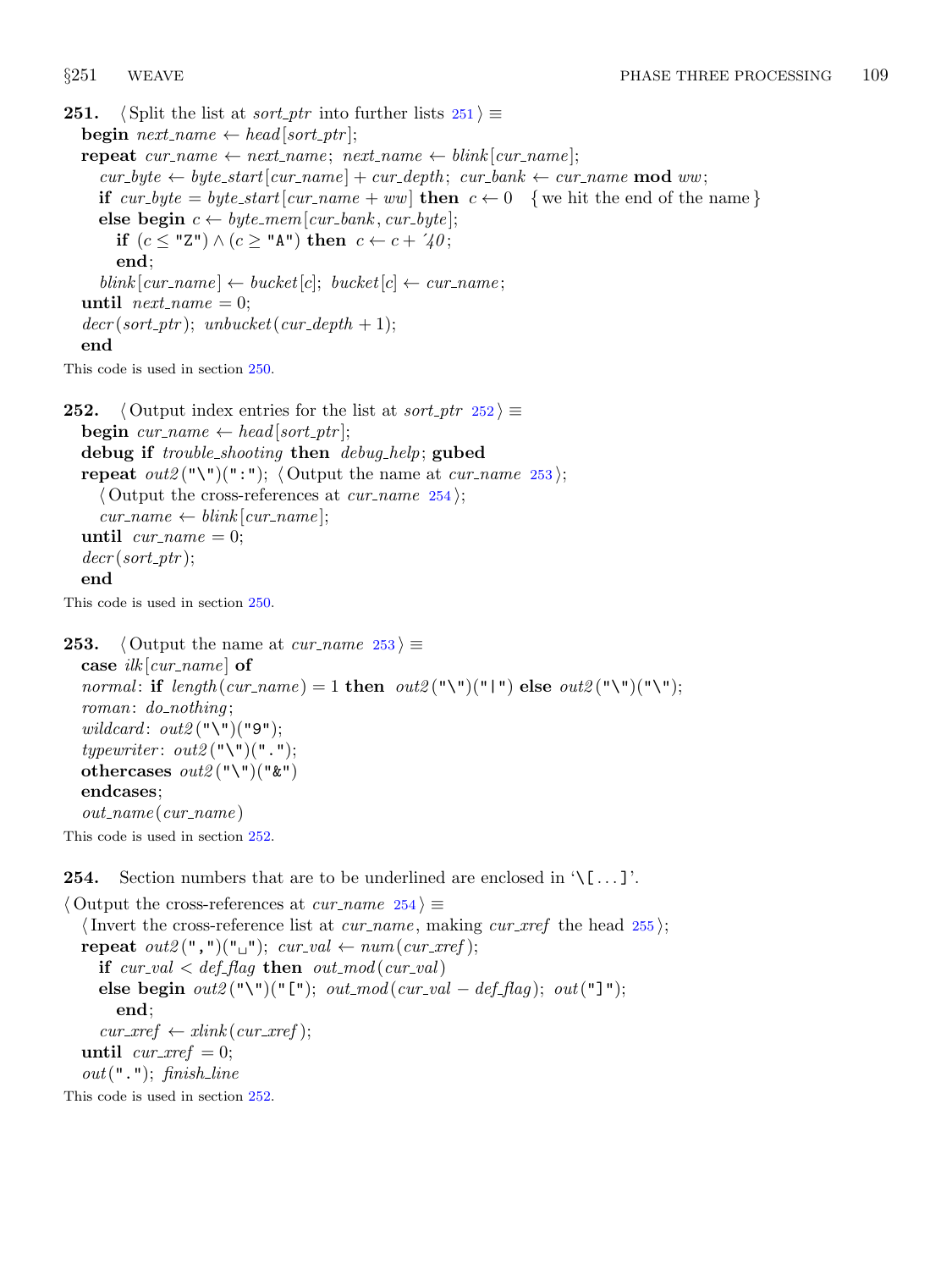```
251. (Split the list at sort_ptr into further lists 251 \equivbegin next_name \leftarrow head[sort\_ptr];
   repeat cur_name \leftarrow next_name; next_name \leftarrow blink [cur_name];
      cur\_byte \leftarrow byte\_start[cur\_name] + cur\_depth; cur\_bank \leftarrow cur\_name \textbf{ mod } ww;if cur byte = byte_start [cur_name + ww] then c \leftarrow 0 { we hit the end of the name}
      else begin c \leftarrow byte\_mem[cur\_bank, cur\_byte];if (c \leq "Z") \wedge (c \geq "A") then c \leftarrow c + 2\sqrt{a};
         end;
      \textit{blind} \left[ \textit{cur_name} \right] \leftarrow \textit{bucket} \left[ c \right]; \textit{bucket} \left[ c \right] \leftarrow \textit{cur_name};until next_name = 0;decr (sort\_ptr); unbucket (cur\_depth + 1);end
```
This code is used in section [250.](#page-93-0)

```
252. \langle Output index entries for the list at sort ptr 252\rangle \equivbegin cur_name \leftarrow head[sort\_ptr];
  debug if trouble shooting then debug help; gubed
  repeat out2("\\"')(":"); \langle Output the name at cur_name 253 \rangle;\langle Output the cross-references at cur_name 254\rangle;
     cur_name \leftarrow \text{blink}[\text{cur_name}];until cur_name = 0;decr (sort\_ptr);end
This code is used in section 250.
```

```
253. \langle Output the name at cur_name 253\rangle \equivcase ilk[cur_name] of
  normal: if length(cur_name) = 1 then out2("\\"|") else out2("\\"|")"("\'|");
  roman: do\_nothing;
  wildcard: out2 ("\")("9");
  typewriter: out2("\\"')("."othercases out2 ("\")(" &")
  endcases;
  out_name(cur_name)This code is used in section 252.
```
**254.** Section numbers that are to be underlined are enclosed in  $\{\ldots\}$ .

 $\langle$  Output the cross-references at *cur name*  $254 \rangle \equiv$ (Invert the cross-reference list at *cur\_name*, making *cur\_xref* the head  $255$ ); repeat  $out2(","")("_"); cur_val \leftarrow num(cur\_xref);$ if  $cur\_val < def\_flag$  then  $out\_mod(cur\_val)$ else begin  $out2$  ("\")("[");  $out\_mod$  ( $cur\_val - def\_flag$ );  $out$  ("]"); end;  $cur\_xref \leftarrow xlink(cur\_xref);$ until  $cur\_xref = 0$ ;  $out(" . ");$  finish\_line

This code is used in section 252.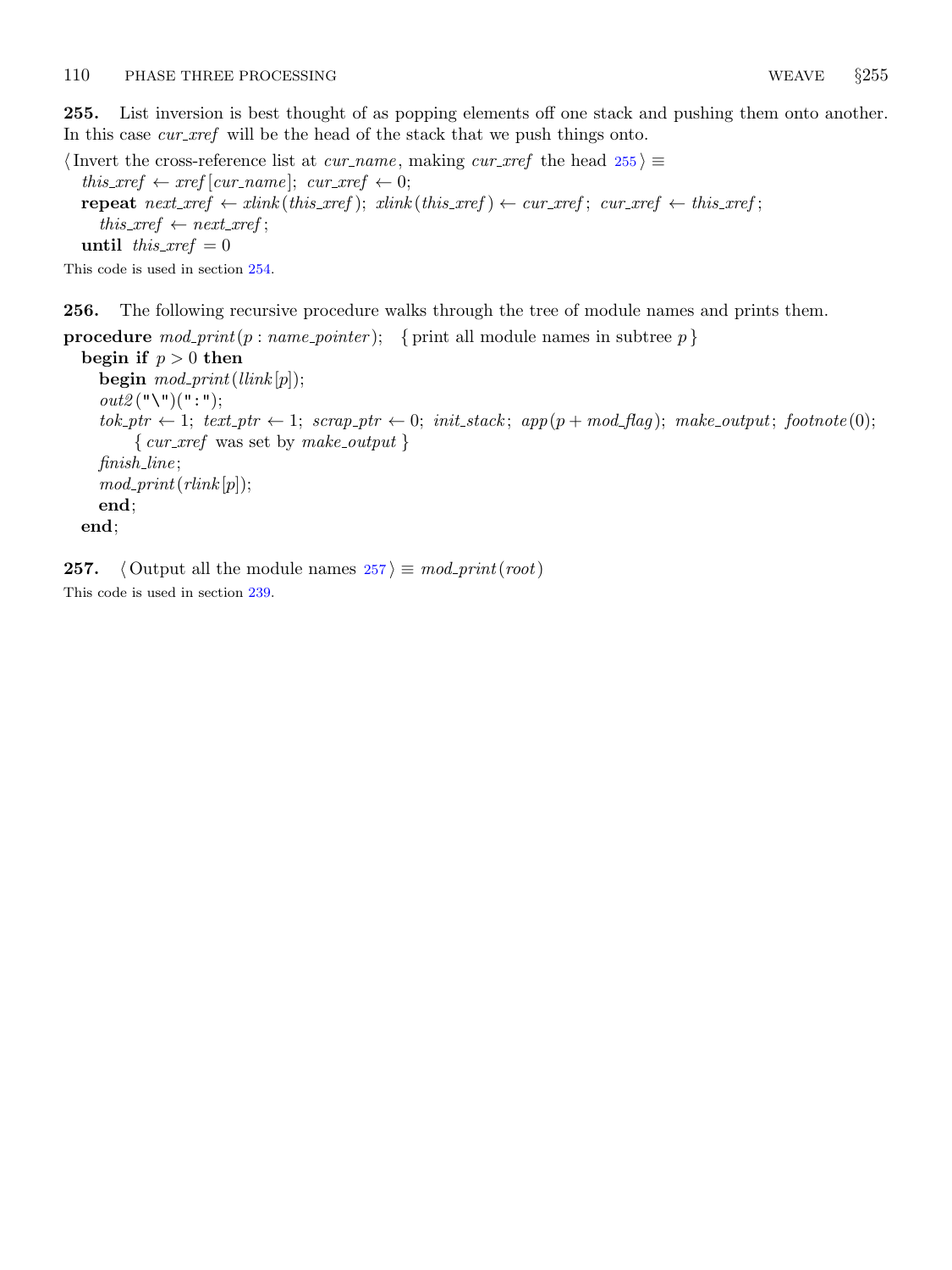<span id="page-95-0"></span>255. List inversion is best thought of as popping elements off one stack and pushing them onto another. In this case *cur\_xref* will be the head of the stack that we push things onto.

 $\langle$  Invert the cross-reference list at *cur\_name*, making *cur\_xref* the head  $255 \ge$ this\_xref  $\leftarrow$  xref [cur\_name]; cur\_xref  $\leftarrow$  0; repeat  $next\_xref \leftarrow xlink(this\_xref); xlink(this\_xref) \leftarrow cur\_xref; cur\_xref \leftarrow this\_xref;$  $this\_xref \leftarrow next\_xref;$ until this  $xref = 0$ 

This code is used in section [254.](#page-94-0)

256. The following recursive procedure walks through the tree of module names and prints them.

**procedure**  $\text{mod\_print}(p : \text{name\_pointer})$ ; { print all module names in subtree p }

begin if  $p > 0$  then begin  $mod\_print(llink[p])$ ;  $out2("\\")("::")$ ;  $tok\_ptr \leftarrow 1; text\_ptr \leftarrow 1; scrap\_ptr \leftarrow 0; init\_stack; app(p + mod\_flag); make\_output; footnote(0);$  $\{ \text{cur\_xref} \text{ was set by } \text{make\_output} \}$ finish line ;  $mod\_print(rlink[p]);$ end; end;

**257.**  $\langle$  Output all the module names  $257 \rangle \equiv \text{mod\_print}(\text{root})$ This code is used in section [239.](#page-91-0)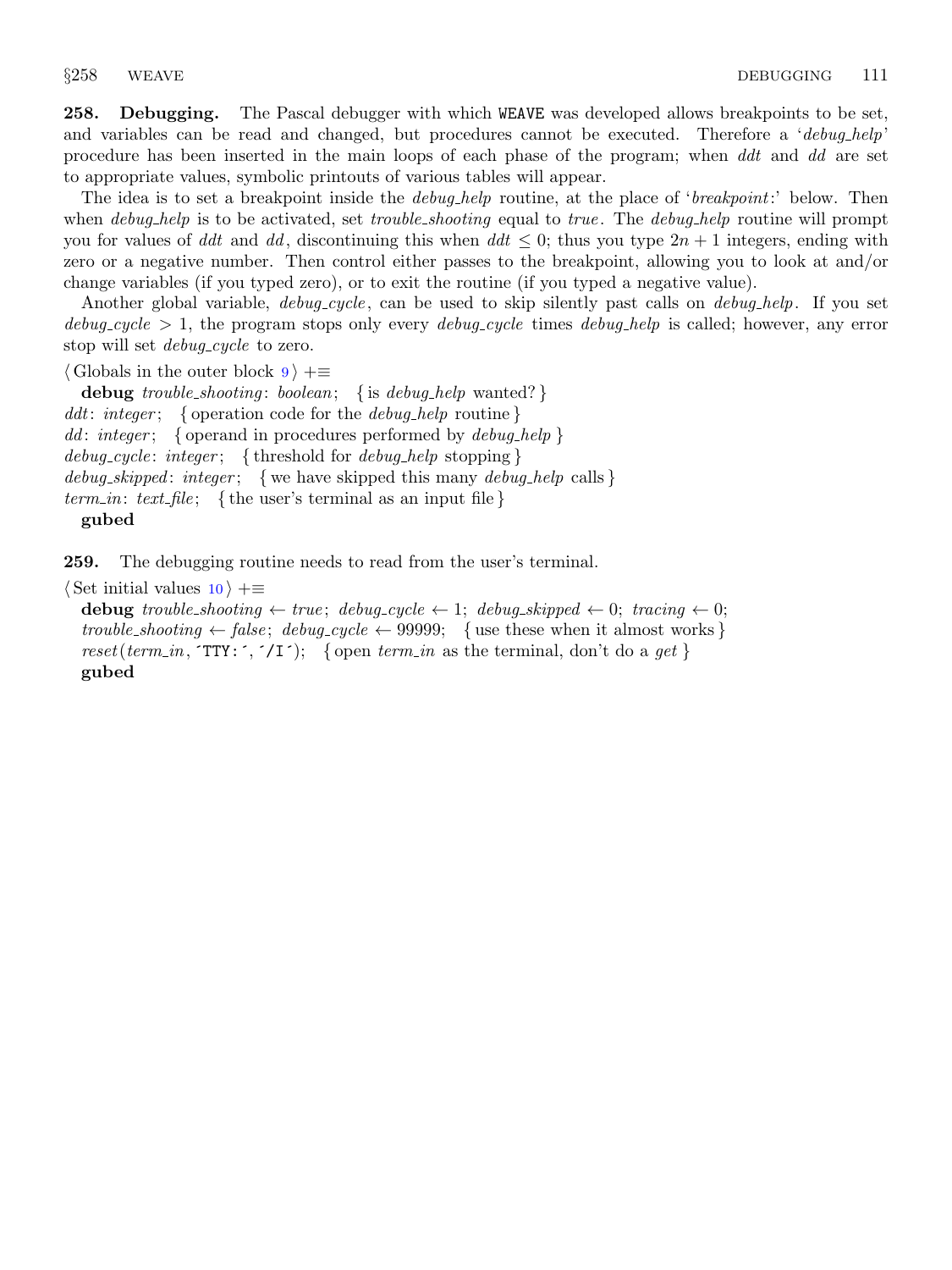<span id="page-96-0"></span>258. Debugging. The Pascal debugger with which WEAVE was developed allows breakpoints to be set, and variables can be read and changed, but procedures cannot be executed. Therefore a 'debug help' procedure has been inserted in the main loops of each phase of the program; when ddt and dd are set to appropriate values, symbolic printouts of various tables will appear.

The idea is to set a breakpoint inside the *debug-help* routine, at the place of '*breakpoint*:' below. Then when *debug-help* is to be activated, set *trouble-shooting* equal to *true*. The *debug-help* routine will prompt you for values of ddt and dd, discontinuing this when  $dd \leq 0$ ; thus you type  $2n + 1$  integers, ending with zero or a negative number. Then control either passes to the breakpoint, allowing you to look at and/or change variables (if you typed zero), or to exit the routine (if you typed a negative value).

Another global variable, *debug\_cycle*, can be used to skip silently past calls on *debug\_help*. If you set  $debug\_cycle > 1$ , the program stops only every  $debug\_cycle$  times  $debug\_help$  is called; however, any error stop will set *debug\_cycle* to zero.

 $\langle$  Globals in the outer block  $9 \rangle + \equiv$  $9 \rangle + \equiv$ 

debug trouble\_shooting: boolean; { is debug\_help wanted? } ddt: integer; { operation code for the *debug\_help* routine } dd: integer; { operand in procedures performed by  $\text{debug\_help}$  } debug\_cycle: integer; { threshold for debug\_help stopping } debug\_skipped: integer; {we have skipped this many debug\_help calls} term in: text file; {the user's terminal as an input file} gubed

259. The debugging routine needs to read from the user's terminal.

 $\langle$  Set initial values [10](#page-3-0)  $\rangle$  +≡

debug trouble shooting  $\leftarrow$  true; debug cycle  $\leftarrow$  1; debug skipped  $\leftarrow$  0; tracing  $\leftarrow$  0; trouble\_shooting  $\leftarrow$  false; debug\_cycle  $\leftarrow$  99999; {use these when it almost works} reset(term\_in,  $TTY: \tilde{\phantom{a}}$ ,  $\tilde{\phantom{a}}$  (17); { open term in as the terminal, don't do a get } gubed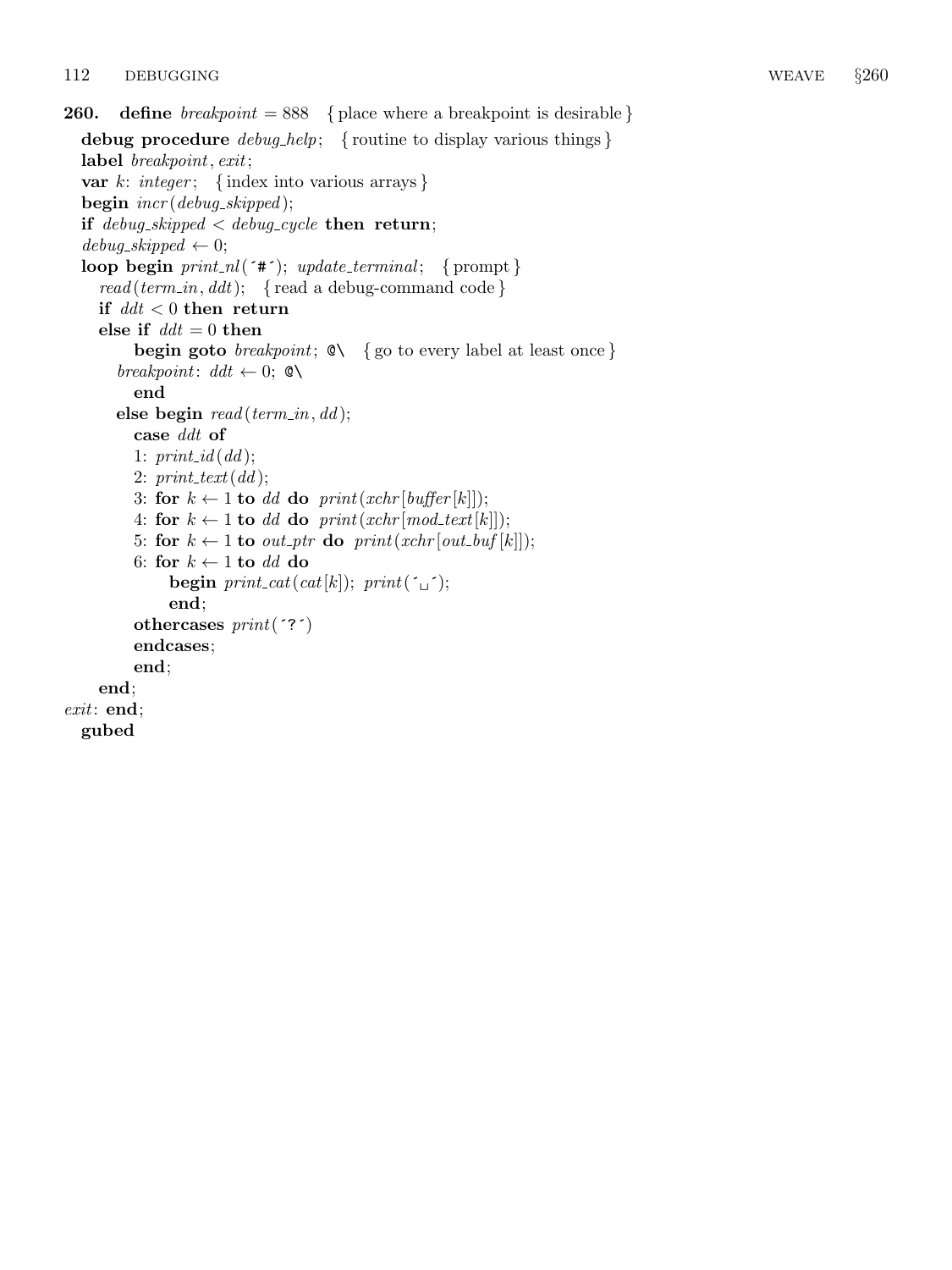```
260. define breakpoint = 888 { place where a breakpoint is desirable }
  debug procedure \text{debug\_help}; { routine to display various things }
  label breakpoint, exit;
  var k: integer; { index into various arrays }
  begin \text{incr}(debug\_skipped);if debug-skipped \langle debug-cycle then return;
  debug\_skipped \leftarrow 0;loop begin print\_nl (*#*); update_terminal; {prompt}
    read(term_in, ddt); {read a debug-command code}
    if ddt < 0 then return
    else if ddt = 0 then
         begin goto breakpoint; \&\setminus\{go to every label at least once }
       breakpoint: ddt \leftarrow 0; \mathbb{Q} \setminusend
       else begin read(term_in, dd);case ddt of
         1: print_id(dd);2: print\_text(id);3: for k \leftarrow 1 to dd do print(xchr[buffer[k]]);
         4: for k \leftarrow 1 to dd do print(xchr[mod_text[k]]);
         5: for k \leftarrow 1 to out_ptr do print(xchr[out_buf[k]]);
         6: for k \leftarrow 1 to dd do
              begin print\_cat(cat[k]); print(\tilde{\ }_i);
              end;
         othercases print('?')endcases;
         end;
    end;
exit: end;
  gubed
```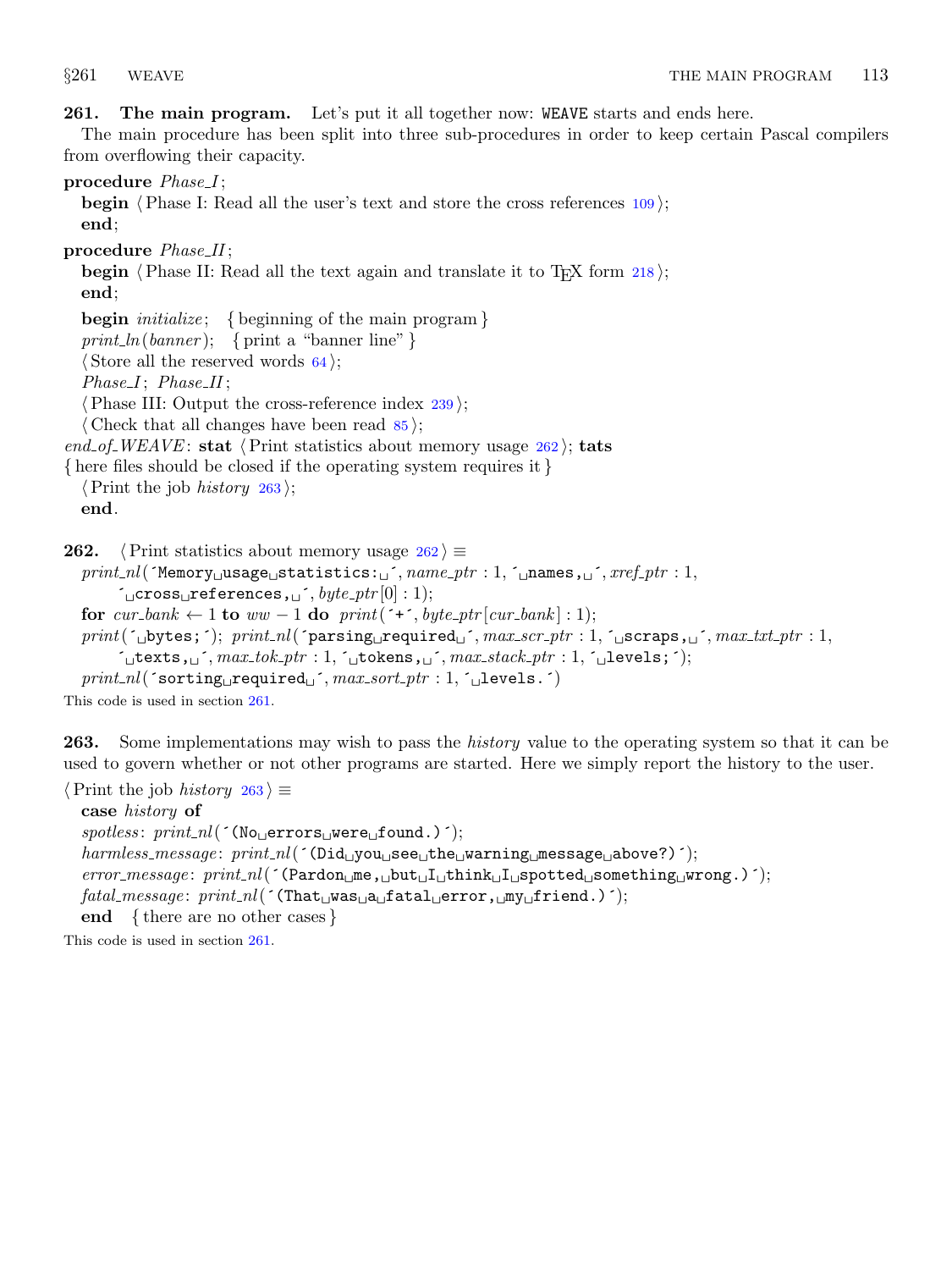<span id="page-98-0"></span>261. The main program. Let's put it all together now: WEAVE starts and ends here.

The main procedure has been split into three sub-procedures in order to keep certain Pascal compilers from overflowing their capacity.

## procedure  $Phase.I;$

**begin**  $\langle$  Phase I: Read all the user's text and store the cross references  $109$ ; end;

procedure  $Phase\_II$ ;

begin  $\langle$  Phase II: Read all the text again and translate it to T<sub>E</sub>X form [218](#page-84-0) $\rangle$ ; end;

**begin** *initialize*; { beginning of the main program } print\_ln(banner); { print a "banner line" }  $\langle$  Store all the reserved words [64](#page-20-0) $\rangle$ ;

 $Phase I$ ;  $Phase II$ ;

 $\langle$  Phase III: Output the cross-reference index [239](#page-91-0) $\rangle$ ;

 $\langle$  Check that all changes have been read  $\langle 85 \rangle$  $\langle 85 \rangle$  $\langle 85 \rangle$ ;

end of WEAVE: stat  $\langle$  Print statistics about memory usage 262 $\rangle$ ; tats

{ here files should be closed if the operating system requires it }

 $\langle$  Print the job *history* 263 ; end.

262.  $\langle$  Print statistics about memory usage 262 $\rangle \equiv$ 

```
print\_nl ('Memory usage statistics: \frac{1}{l}, name ptr : 1, \frac{1}{l} names, \frac{1}{l}, xref\_ptr : 1,
       \sim cross references, \sim \sim, byte ptr[0] : 1);
for cur_bank \leftarrow 1 to ww - 1 do print(\rightarrow, byte_ptr |cur_0| : 1);
\mathit{print(\texttt{`_bbytes};\texttt{`})}; \ \mathit{print\_nl}(\texttt{`parsing\_required\_',} \textit{max\_scr\_ptr} : 1, \texttt{`_bscripts}, \texttt{`_j",} \textit{max\_txt\_rl} : 1,\tau_{\sqcup}texts,\sqcup, max\_tok\_ptr : 1, \tau_{\sqcup}tokens,\sqcup, max\_stack\_ptr : 1, \tau_{\sqcup}levels;\tau);
print\_nl('sorting\_required\_', max\_sort\_ptr : 1, '\_levels.')
```
This code is used in section 261.

**263.** Some implementations may wish to pass the *history* value to the operating system so that it can be used to govern whether or not other programs are started. Here we simply report the history to the user.

 $\langle$  Print the job *history* 263  $\rangle \equiv$ case history of  $spotless: print\_nl($  ( $No<sub>U</sub>errors<sub>U</sub>were<sub>U</sub>found.)$ );  $harmless_message: print.nl('(Did<sub>u</sub> you<sub>u</sub>see<sub>u</sub>the<sub>u</sub>warning<sub>u</sub>message<sub>u</sub>above?)');$  $error$ - $message: print.nl('(Pardon<sub>u</sub>me, <sub>u</sub>but<sub>u</sub>I<sub>u</sub>think<sub>u</sub>I<sub>u</sub>spotted<sub>u</sub>something<sub>u</sub>wrong.)');$  $\mathit{fatal\_message:}\ print\_nl($  (That $\text{u}$ was $\text{u}$ a $\text{u}$ fatal $\text{u}$ error, $\text{u}$ my $\text{u}$ friend.)  $^{\circ}$ ); end { there are no other cases }

This code is used in section 261.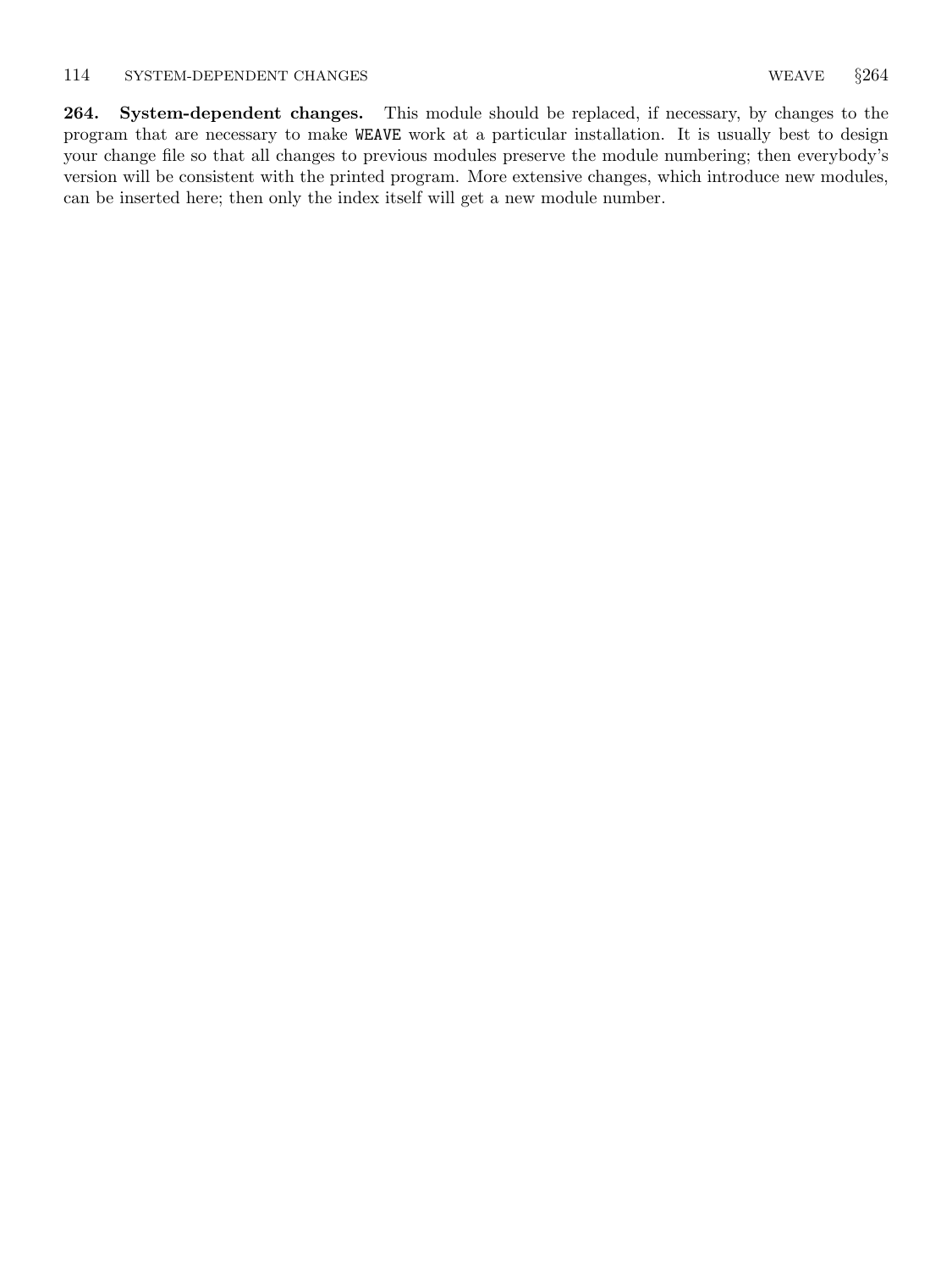<span id="page-99-0"></span>264. System-dependent changes. This module should be replaced, if necessary, by changes to the program that are necessary to make WEAVE work at a particular installation. It is usually best to design your change file so that all changes to previous modules preserve the module numbering; then everybody's version will be consistent with the printed program. More extensive changes, which introduce new modules, can be inserted here; then only the index itself will get a new module number.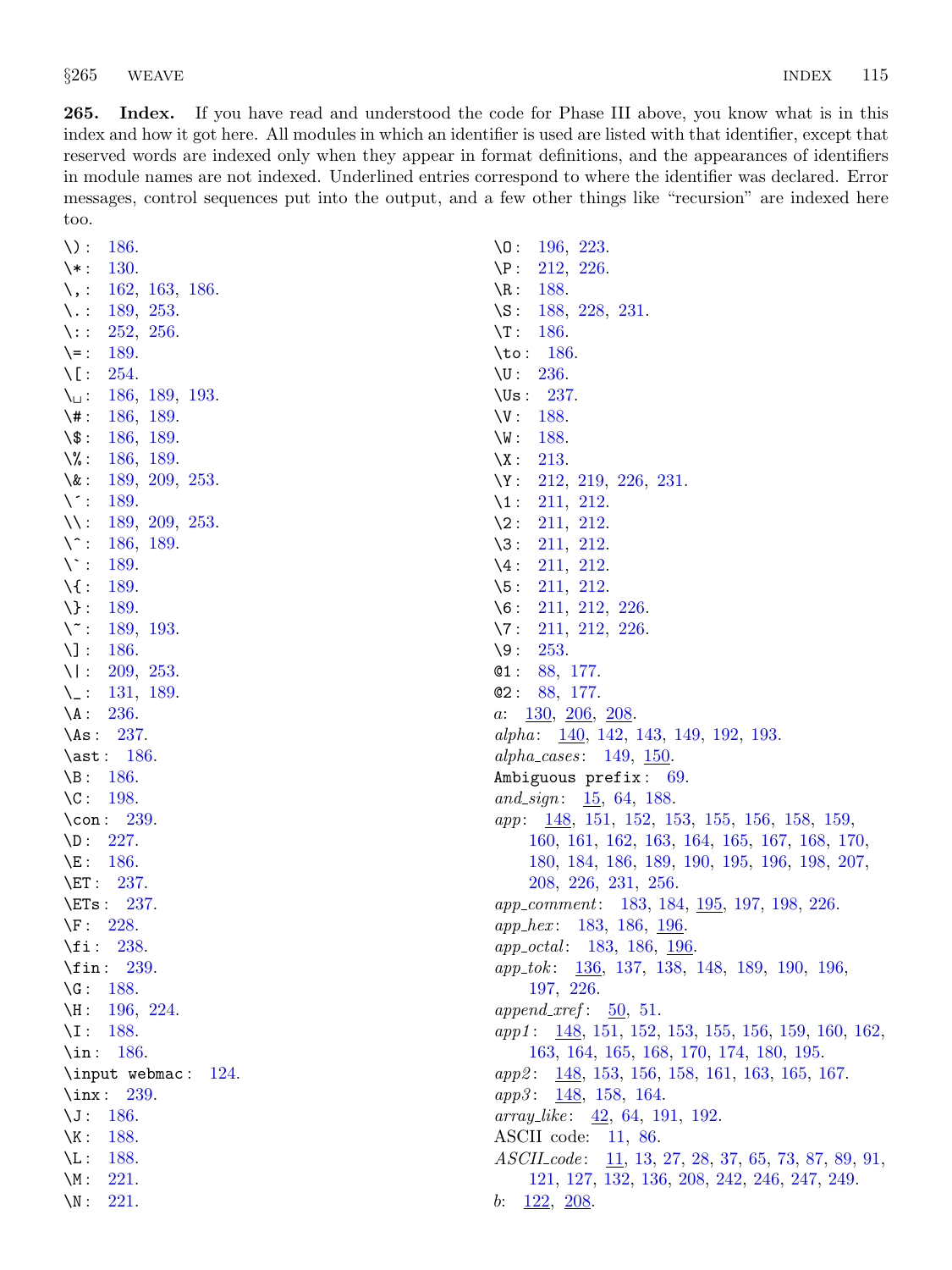265. Index. If you have read and understood the code for Phase III above, you know what is in this index and how it got here. All modules in which an identifier is used are listed with that identifier, except that reserved words are indexed only when they appear in format definitions, and the appearances of identifiers in module names are not indexed. Underlined entries correspond to where the identifier was declared. Error messages, control sequences put into the output, and a few other things like "recursion" are indexed here too.

| \):<br><b>186.</b>                    | $\setminus 0$ :<br>196, 223.                                                                   |
|---------------------------------------|------------------------------------------------------------------------------------------------|
| 130.<br>$\setminus *$ :               | 212, 226.<br>$\P$ :                                                                            |
| 162, 163, 186.<br>\, :                | $\setminus R$ :<br>188.                                                                        |
| 189, 253.<br>$\setminus \cdot$        | 188, 228, 231.<br>$\setminus$ S:                                                               |
| 252, 256.<br>$\setminus:$             | $\setminus T$ :<br>186.                                                                        |
| $\setminus$ = :<br>189.               | $\to$ :<br>-186.                                                                               |
| $\setminus$ [ :<br>254.               | $\setminus U$ :<br><b>236.</b>                                                                 |
| 186, 189, 193.<br>\⊔∶                 | $\big\setminus U$ s:<br>237.                                                                   |
| $\backslash$ # :<br>186, 189.         | $\vee$ :<br>188.                                                                               |
| $\setminus$ \$:<br>186, 189.          | $\setminus W$ :<br>188.                                                                        |
| \% :<br>186, 189.                     | $\setminus X$ :<br>213.                                                                        |
| $\setminus \&$ :<br>189, 209, 253.    | $\setminus Y$ :<br>212, 219, 226, 231.                                                         |
| $\setminus$ :<br>189.                 | $\setminus$ 1:<br>211, 212.                                                                    |
| $\setminus$ :<br>189, 209, 253.       | $\backslash 2$ :<br>211, 212.                                                                  |
| $\setminus \hat{ }$ :<br>186, 189.    | $\sqrt{3}$ :<br>211, 212.                                                                      |
| $\setminus \cdot$ :<br>189.           | $\setminus 4$ :<br>211, 212.                                                                   |
| $\setminus \{$ :<br>189.              | $\sqrt{5}$ :<br>211, 212.                                                                      |
| $\setminus$ :<br>189.                 | $\setminus 6$ :<br>211, 212, 226.                                                              |
| $\setminus \tilde{\ }$ :<br>189, 193. | $\setminus 7$ :<br>211, 212, 226.                                                              |
| $\setminus$ ] :<br>186.               | $\backslash 9:$<br>253.                                                                        |
| $\setminus$ :<br>209, 253.            | @1:<br>88, 177.                                                                                |
| 131, 189.<br>$\setminus \_$ :         | @2:<br>88, 177.                                                                                |
| $\Lambda$ :<br><b>236.</b>            | 130, 206, 208<br>a:                                                                            |
| \As: $237$ .                          | alpha: $\frac{140}{142}$ , 142, 143, 149, 192, 193.                                            |
| $\ast: 186.$                          | <i>alpha_cases</i> : 149, 150.                                                                 |
| $\B. 186.$                            | Ambiguous prefix: 69.                                                                          |
| $\setminus C$ :<br>198.               | and_sign: $\frac{15}{64}$ , 64, 188.                                                           |
| $\cong$ 239.                          | <i>app</i> : <u>148</u> , 151, 152, 153, 155, 156, 158, 159,                                   |
| 227.<br>$\Delta D$ :                  | 160, 161, 162, 163, 164, 165, 167, 168, 170,                                                   |
| $\setminus E$ :<br>186.               | 180, 184, 186, 189, 190, 195, 196, 198, 207,                                                   |
| $\E_1: 237.$                          | 208, 226, 231, 256.                                                                            |
| $\E{Ts}: 237.$                        | <i>app_comment</i> : 183, 184, <u>195</u> , 197, 198, 226.                                     |
| $\Gamma$ :<br><b>228.</b>             | <i>app_hex</i> : 183, 186, 196.                                                                |
| $\setminus$ fi: 238.                  | <i>app_octal:</i> 183, 186, 196.                                                               |
| $\binom{1}{1}$ : 239.                 | <i>app_tok</i> : <u>136</u> , 137, 138, 148, 189, 190, 196,                                    |
| 188.<br>$\setminus G$ :               | 197, 226.                                                                                      |
| $\forall H: 196, 224.$                | append_xref: $\frac{50}{51}$ .                                                                 |
| $\Upsilon$ : 188.                     | $app1: \quad \underline{148}, \, 151, \, 152, \, 153, \, 155, \, 156, \, 159, \, 160, \, 162,$ |
| \in: $186$ .                          | 163, 164, 165, 168, 170, 174, 180, 195.                                                        |
| \input webmac: $124$ .                | app2: 148, 153, 156, 158, 161, 163, 165, 167.                                                  |
| $\tan: 239.$                          | app3: 148, 158, 164.                                                                           |
| $\setminus J$ :<br>186.               | $array\_\!\!like: \quad \underline{42}, \ 64, \ 191, \ 192.$                                   |
| $\backslash K$ :<br>188.              | ASCII code: $11, 86$ .                                                                         |
| $\backslash$ L:<br>188.               | $ASCII\_code: \underline{11}, 13, 27, 28, 37, 65, 73, 87, 89, 91,$                             |
| $\setminus M$ :<br>221.               | 121, 127, 132, 136, 208, 242, 246, 247, 249.                                                   |
| $\setminus N$ :<br>221.               | $b: \quad \underline{122}, \ \underline{208}.$                                                 |
|                                       |                                                                                                |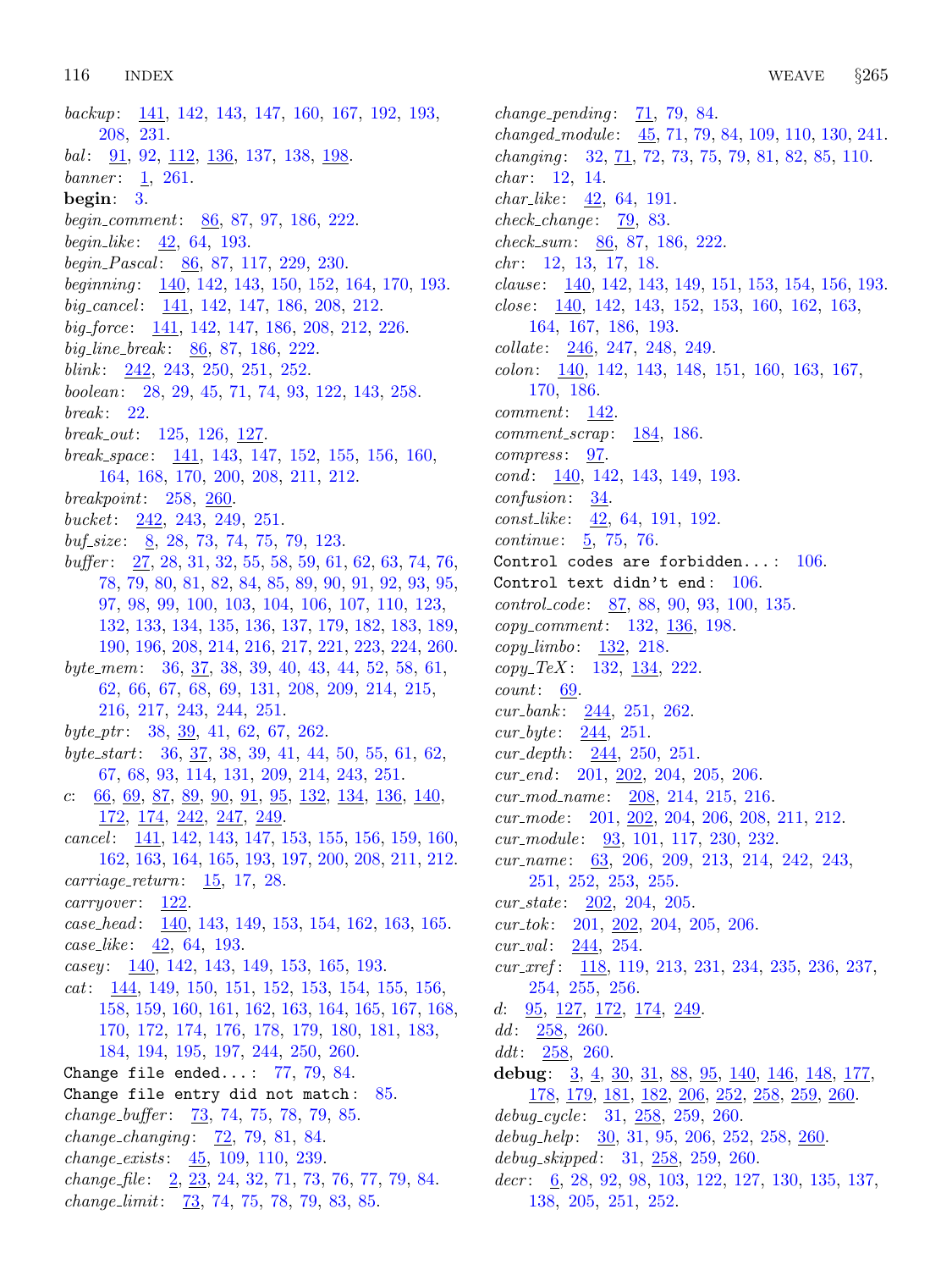backup: [141,](#page-51-0) [142](#page-52-0), [143](#page-54-0), [147](#page-58-0), [160](#page-63-0), [167](#page-65-0), [192,](#page-73-0) [193,](#page-74-0) [208,](#page-80-0) [231](#page-88-0).  $bal: \quad \underline{91}, \ 92, \ \underline{112}, \ \underline{136}, \ 137, \ 138, \ \underline{198}.$  $bal: \quad \underline{91}, \ 92, \ \underline{112}, \ \underline{136}, \ 137, \ 138, \ \underline{198}.$  $bal: \quad \underline{91}, \ 92, \ \underline{112}, \ \underline{136}, \ 137, \ 138, \ \underline{198}.$  $bal: \quad \underline{91}, \ 92, \ \underline{112}, \ \underline{136}, \ 137, \ 138, \ \underline{198}.$  $bal: \quad \underline{91}, \ 92, \ \underline{112}, \ \underline{136}, \ 137, \ 138, \ \underline{198}.$  $bal: \quad \underline{91}, \ 92, \ \underline{112}, \ \underline{136}, \ 137, \ 138, \ \underline{198}.$  $bal: \quad \underline{91}, \ 92, \ \underline{112}, \ \underline{136}, \ 137, \ 138, \ \underline{198}.$  $bal: \quad \underline{91}, \ 92, \ \underline{112}, \ \underline{136}, \ 137, \ 138, \ \underline{198}.$  $bal: \quad \underline{91}, \ 92, \ \underline{112}, \ \underline{136}, \ 137, \ 138, \ \underline{198}.$ banner: [1](#page-1-0), [261](#page-98-0). begin: [3](#page-1-0). begin comment: [86](#page-28-0), [87,](#page-29-0) [97,](#page-34-0) [186](#page-71-0), [222](#page-85-0). *begin\_like*:  $42, 64, 193$  $42, 64, 193$  $42, 64, 193$  $42, 64, 193$ . begin Pascal:  $86, 87, 117, 229, 230$  $86, 87, 117, 229, 230$  $86, 87, 117, 229, 230$  $86, 87, 117, 229, 230$  $86, 87, 117, 229, 230$  $86, 87, 117, 229, 230$  $86, 87, 117, 229, 230$  $86, 87, 117, 229, 230$  $86, 87, 117, 229, 230$ . beginning : [140](#page-50-0), [142](#page-52-0), [143](#page-54-0), [150,](#page-61-0) [152,](#page-61-0) [164,](#page-65-0) [170,](#page-66-0) [193.](#page-74-0) big\_cancel: [141](#page-51-0), [142,](#page-52-0) [147](#page-58-0), [186,](#page-71-0) [208](#page-80-0), [212.](#page-81-0)  $big-force: \quad \underline{141}, \, 142, \, 147, \, 186, \, 208, \, 212, \, 226.$  $big-force: \quad \underline{141}, \, 142, \, 147, \, 186, \, 208, \, 212, \, 226.$  $big-force: \quad \underline{141}, \, 142, \, 147, \, 186, \, 208, \, 212, \, 226.$  $big-force: \quad \underline{141}, \, 142, \, 147, \, 186, \, 208, \, 212, \, 226.$  $big-force: \quad \underline{141}, \, 142, \, 147, \, 186, \, 208, \, 212, \, 226.$  $big-force: \quad \underline{141}, \, 142, \, 147, \, 186, \, 208, \, 212, \, 226.$  $big-force: \quad \underline{141}, \, 142, \, 147, \, 186, \, 208, \, 212, \, 226.$  $big-force: \quad \underline{141}, \, 142, \, 147, \, 186, \, 208, \, 212, \, 226.$  $big-force: \quad \underline{141}, \, 142, \, 147, \, 186, \, 208, \, 212, \, 226.$  $big-force: \quad \underline{141}, \, 142, \, 147, \, 186, \, 208, \, 212, \, 226.$  $big-force: \quad \underline{141}, \, 142, \, 147, \, 186, \, 208, \, 212, \, 226.$  $big-force: \quad \underline{141}, \, 142, \, 147, \, 186, \, 208, \, 212, \, 226.$  $big-force: \quad \underline{141}, \, 142, \, 147, \, 186, \, 208, \, 212, \, 226.$  $big-force: \quad \underline{141}, \, 142, \, 147, \, 186, \, 208, \, 212, \, 226.$ big line break:  $86, 87, 186, 222$  $86, 87, 186, 222$  $86, 87, 186, 222$  $86, 87, 186, 222$  $86, 87, 186, 222$  $86, 87, 186, 222$ . blink:  $242, 243, 250, 251, 252.$  $242, 243, 250, 251, 252.$  $242, 243, 250, 251, 252.$  $242, 243, 250, 251, 252.$  $242, 243, 250, 251, 252.$  $242, 243, 250, 251, 252.$  $242, 243, 250, 251, 252.$  $242, 243, 250, 251, 252.$  $242, 243, 250, 251, 252.$  $242, 243, 250, 251, 252.$ boolean: [28](#page-9-0), [29](#page-10-0), [45,](#page-14-0) [71,](#page-23-0) [74](#page-23-0), [93,](#page-32-0) [122,](#page-42-0) [143](#page-54-0), [258.](#page-96-0)  $break: 22.$  $break: 22.$  $break: 22.$  $break\_out: 125, 126, 127.$  $break\_out: 125, 126, 127.$  $break\_out: 125, 126, 127.$  $break\_out: 125, 126, 127.$  $break\_out: 125, 126, 127.$  $break\_out: 125, 126, 127.$  $break\_out: 125, 126, 127.$ break\_space:  $141, 143, 147, 152, 155, 156, 160,$  $141, 143, 147, 152, 155, 156, 160,$  $141, 143, 147, 152, 155, 156, 160,$  $141, 143, 147, 152, 155, 156, 160,$  $141, 143, 147, 152, 155, 156, 160,$  $141, 143, 147, 152, 155, 156, 160,$  $141, 143, 147, 152, 155, 156, 160,$  $141, 143, 147, 152, 155, 156, 160,$  $141, 143, 147, 152, 155, 156, 160,$  $141, 143, 147, 152, 155, 156, 160,$  $141, 143, 147, 152, 155, 156, 160,$  $141, 143, 147, 152, 155, 156, 160,$  $141, 143, 147, 152, 155, 156, 160,$  $141, 143, 147, 152, 155, 156, 160,$ [164,](#page-65-0) [168,](#page-65-0) [170](#page-66-0), [200](#page-77-0), [208,](#page-80-0) [211,](#page-81-0) [212](#page-81-0). breakpoint: [258,](#page-96-0) [260](#page-97-0). bucket:  $242, 243, 249, 251.$  $242, 243, 249, 251.$  $242, 243, 249, 251.$  $242, 243, 249, 251.$  $242, 243, 249, 251.$  $242, 243, 249, 251.$  $242, 243, 249, 251.$  $242, 243, 249, 251.$  $\textit{buf\_size}: \quad 8, \, 28, \, 73, \, 74, \, 75, \, 79, \, 123.$  $\textit{buf\_size}: \quad 8, \, 28, \, 73, \, 74, \, 75, \, 79, \, 123.$  $\textit{buf\_size}: \quad 8, \, 28, \, 73, \, 74, \, 75, \, 79, \, 123.$  $\textit{buf\_size}: \quad 8, \, 28, \, 73, \, 74, \, 75, \, 79, \, 123.$  $\textit{buf\_size}: \quad 8, \, 28, \, 73, \, 74, \, 75, \, 79, \, 123.$  $\textit{buf\_size}: \quad 8, \, 28, \, 73, \, 74, \, 75, \, 79, \, 123.$  $\textit{buf\_size}: \quad 8, \, 28, \, 73, \, 74, \, 75, \, 79, \, 123.$  $\textit{buf\_size}: \quad 8, \, 28, \, 73, \, 74, \, 75, \, 79, \, 123.$  $\textit{buf\_size}: \quad 8, \, 28, \, 73, \, 74, \, 75, \, 79, \, 123.$  $\textit{buf\_size}: \quad 8, \, 28, \, 73, \, 74, \, 75, \, 79, \, 123.$  $\textit{buf\_size}: \quad 8, \, 28, \, 73, \, 74, \, 75, \, 79, \, 123.$  $\textit{buf\_size}: \quad 8, \, 28, \, 73, \, 74, \, 75, \, 79, \, 123.$  $\textit{buf\_size}: \quad 8, \, 28, \, 73, \, 74, \, 75, \, 79, \, 123.$  $\textit{buf\_size}: \quad 8, \, 28, \, 73, \, 74, \, 75, \, 79, \, 123.$ buffer: [27](#page-9-0), [28,](#page-9-0) [31](#page-10-0), [32](#page-11-0), [55,](#page-17-0) [58](#page-17-0), [59](#page-17-0), [61,](#page-18-0) [62](#page-18-0), [63,](#page-19-0) [74,](#page-23-0) [76](#page-24-0), [78,](#page-24-0) [79,](#page-25-0) [80,](#page-26-0) [81,](#page-26-0) [82,](#page-26-0) [84,](#page-27-0) [85,](#page-27-0) [89,](#page-30-0) [90](#page-30-0), [91](#page-31-0), [92](#page-31-0), [93](#page-32-0), [95](#page-33-0), [97,](#page-34-0) [98,](#page-34-0) [99](#page-34-0), [100,](#page-35-0) [103](#page-36-0), [104,](#page-36-0) [106,](#page-37-0) [107](#page-37-0), [110,](#page-38-0) [123](#page-43-0), [132,](#page-46-0) [133,](#page-46-0) [134](#page-46-0), [135](#page-47-0), [136,](#page-47-0) [137](#page-48-0), [179](#page-68-0), [182,](#page-69-0) [183,](#page-70-0) [189](#page-72-0), [190,](#page-73-0) [196,](#page-75-0) [208](#page-80-0), [214](#page-82-0), [216,](#page-83-0) [217](#page-83-0), [221](#page-84-0), [223,](#page-85-0) [224,](#page-85-0) [260](#page-97-0). byte mem: [36,](#page-12-0) [37](#page-12-0), [38,](#page-12-0) [39,](#page-12-0) [40](#page-12-0), [43,](#page-13-0) [44](#page-14-0), [52,](#page-15-0) [58](#page-17-0), [61,](#page-18-0) [62,](#page-18-0) [66,](#page-21-0) [67](#page-21-0), [68](#page-22-0), [69](#page-22-0), [131](#page-45-0), [208](#page-80-0), [209,](#page-80-0) [214,](#page-82-0) [215,](#page-82-0) [216,](#page-83-0) [217](#page-83-0), [243](#page-92-0), [244,](#page-92-0) [251](#page-94-0). byte\_ptr:  $38, 39, 41, 62, 67, 262$  $38, 39, 41, 62, 67, 262$  $38, 39, 41, 62, 67, 262$  $38, 39, 41, 62, 67, 262$  $38, 39, 41, 62, 67, 262$  $38, 39, 41, 62, 67, 262$  $38, 39, 41, 62, 67, 262$  $38, 39, 41, 62, 67, 262$  $38, 39, 41, 62, 67, 262$  $38, 39, 41, 62, 67, 262$ . byte start: [36](#page-12-0), [37,](#page-12-0) [38](#page-12-0), [39,](#page-12-0) [41,](#page-12-0) [44](#page-14-0), [50,](#page-15-0) [55](#page-17-0), [61,](#page-18-0) [62,](#page-18-0) [67,](#page-21-0) [68](#page-22-0), [93,](#page-32-0) [114](#page-40-0), [131,](#page-45-0) [209](#page-80-0), [214](#page-82-0), [243,](#page-92-0) [251](#page-94-0). c:  $66, 69, 87, 89, 90, 91, 95, 132, 134, 136, 140,$  $66, 69, 87, 89, 90, 91, 95, 132, 134, 136, 140,$  $66, 69, 87, 89, 90, 91, 95, 132, 134, 136, 140,$  $66, 69, 87, 89, 90, 91, 95, 132, 134, 136, 140,$  $66, 69, 87, 89, 90, 91, 95, 132, 134, 136, 140,$  $66, 69, 87, 89, 90, 91, 95, 132, 134, 136, 140,$  $66, 69, 87, 89, 90, 91, 95, 132, 134, 136, 140,$  $66, 69, 87, 89, 90, 91, 95, 132, 134, 136, 140,$  $66, 69, 87, 89, 90, 91, 95, 132, 134, 136, 140,$  $66, 69, 87, 89, 90, 91, 95, 132, 134, 136, 140,$  $66, 69, 87, 89, 90, 91, 95, 132, 134, 136, 140,$  $66, 69, 87, 89, 90, 91, 95, 132, 134, 136, 140,$  $66, 69, 87, 89, 90, 91, 95, 132, 134, 136, 140,$  $66, 69, 87, 89, 90, 91, 95, 132, 134, 136, 140,$  $66, 69, 87, 89, 90, 91, 95, 132, 134, 136, 140,$  $66, 69, 87, 89, 90, 91, 95, 132, 134, 136, 140,$  $66, 69, 87, 89, 90, 91, 95, 132, 134, 136, 140,$  $66, 69, 87, 89, 90, 91, 95, 132, 134, 136, 140,$  $66, 69, 87, 89, 90, 91, 95, 132, 134, 136, 140,$  $66, 69, 87, 89, 90, 91, 95, 132, 134, 136, 140,$  $66, 69, 87, 89, 90, 91, 95, 132, 134, 136, 140,$ [172,](#page-66-0) [174](#page-67-0), [242](#page-91-0), [247,](#page-92-0) [249](#page-93-0). cancel: [141](#page-51-0), [142,](#page-52-0) [143,](#page-54-0) [147](#page-58-0), [153](#page-62-0), [155,](#page-62-0) [156,](#page-62-0) [159,](#page-63-0) [160](#page-63-0), [162,](#page-64-0) [163,](#page-64-0) [164](#page-65-0), [165](#page-65-0), [193,](#page-74-0) [197](#page-75-0), [200](#page-77-0), [208,](#page-80-0) [211,](#page-81-0) [212](#page-81-0). carriage return: [15](#page-6-0), [17,](#page-7-0) [28.](#page-9-0)  $carry over: 122.$  $carry over: 122.$  $carry over: 122.$ case head : [140](#page-50-0), [143](#page-54-0), [149](#page-60-0), [153](#page-62-0), [154](#page-62-0), [162](#page-64-0), [163,](#page-64-0) [165.](#page-65-0) case like : [42](#page-13-0), [64,](#page-20-0) [193](#page-74-0). casey : [140,](#page-50-0) [142](#page-52-0), [143,](#page-54-0) [149](#page-60-0), [153,](#page-62-0) [165,](#page-65-0) [193](#page-74-0).  $cat: \underline{144}, 149, 150, 151, 152, 153, 154, 155, 156,$  $cat: \underline{144}, 149, 150, 151, 152, 153, 154, 155, 156,$  $cat: \underline{144}, 149, 150, 151, 152, 153, 154, 155, 156,$  $cat: \underline{144}, 149, 150, 151, 152, 153, 154, 155, 156,$  $cat: \underline{144}, 149, 150, 151, 152, 153, 154, 155, 156,$  $cat: \underline{144}, 149, 150, 151, 152, 153, 154, 155, 156,$  $cat: \underline{144}, 149, 150, 151, 152, 153, 154, 155, 156,$  $cat: \underline{144}, 149, 150, 151, 152, 153, 154, 155, 156,$  $cat: \underline{144}, 149, 150, 151, 152, 153, 154, 155, 156,$  $cat: \underline{144}, 149, 150, 151, 152, 153, 154, 155, 156,$  $cat: \underline{144}, 149, 150, 151, 152, 153, 154, 155, 156,$  $cat: \underline{144}, 149, 150, 151, 152, 153, 154, 155, 156,$  $cat: \underline{144}, 149, 150, 151, 152, 153, 154, 155, 156,$  $cat: \underline{144}, 149, 150, 151, 152, 153, 154, 155, 156,$  $cat: \underline{144}, 149, 150, 151, 152, 153, 154, 155, 156,$  $cat: \underline{144}, 149, 150, 151, 152, 153, 154, 155, 156,$  $cat: \underline{144}, 149, 150, 151, 152, 153, 154, 155, 156,$ [158,](#page-63-0) [159,](#page-63-0) [160](#page-63-0), [161](#page-63-0), [162,](#page-64-0) [163](#page-64-0), [164](#page-65-0), [165,](#page-65-0) [167,](#page-65-0) [168](#page-65-0), [170,](#page-66-0) [172,](#page-66-0) [174,](#page-67-0) [176,](#page-67-0) [178,](#page-68-0) [179,](#page-68-0) [180,](#page-69-0) [181](#page-69-0), [183](#page-70-0), [184,](#page-70-0) [194,](#page-74-0) [195](#page-74-0), [197](#page-75-0), [244,](#page-92-0) [250,](#page-93-0) [260](#page-97-0). Change file ended...:  $77, 79, 84$  $77, 79, 84$  $77, 79, 84$  $77, 79, 84$  $77, 79, 84$ . Change file entry did not match : [85.](#page-27-0) change\_buffer: [73](#page-23-0), [74](#page-23-0), [75,](#page-24-0) [78,](#page-24-0) [79](#page-25-0), [85](#page-27-0). change changing : [72](#page-23-0), [79](#page-25-0), [81,](#page-26-0) [84.](#page-27-0) change exists : [45,](#page-14-0) [109,](#page-38-0) [110,](#page-38-0) [239.](#page-91-0) change file:  $2, 23, 24, 32, 71, 73, 76, 77, 79, 84.$  $2, 23, 24, 32, 71, 73, 76, 77, 79, 84.$  $2, 23, 24, 32, 71, 73, 76, 77, 79, 84.$  $2, 23, 24, 32, 71, 73, 76, 77, 79, 84.$  $2, 23, 24, 32, 71, 73, 76, 77, 79, 84.$  $2, 23, 24, 32, 71, 73, 76, 77, 79, 84.$  $2, 23, 24, 32, 71, 73, 76, 77, 79, 84.$  $2, 23, 24, 32, 71, 73, 76, 77, 79, 84.$  $2, 23, 24, 32, 71, 73, 76, 77, 79, 84.$  $2, 23, 24, 32, 71, 73, 76, 77, 79, 84.$  $2, 23, 24, 32, 71, 73, 76, 77, 79, 84.$  $2, 23, 24, 32, 71, 73, 76, 77, 79, 84.$  $2, 23, 24, 32, 71, 73, 76, 77, 79, 84.$  $2, 23, 24, 32, 71, 73, 76, 77, 79, 84.$  $2, 23, 24, 32, 71, 73, 76, 77, 79, 84.$  $2, 23, 24, 32, 71, 73, 76, 77, 79, 84.$  $2, 23, 24, 32, 71, 73, 76, 77, 79, 84.$  $2, 23, 24, 32, 71, 73, 76, 77, 79, 84.$  $2, 23, 24, 32, 71, 73, 76, 77, 79, 84.$  $change\_limit: 73, 74, 75, 78, 79, 83, 85.$  $change\_limit: 73, 74, 75, 78, 79, 83, 85.$  $change\_limit: 73, 74, 75, 78, 79, 83, 85.$  $change\_limit: 73, 74, 75, 78, 79, 83, 85.$  $change\_limit: 73, 74, 75, 78, 79, 83, 85.$  $change\_limit: 73, 74, 75, 78, 79, 83, 85.$  $change\_limit: 73, 74, 75, 78, 79, 83, 85.$  $change\_limit: 73, 74, 75, 78, 79, 83, 85.$  $change\_limit: 73, 74, 75, 78, 79, 83, 85.$  $change\_limit: 73, 74, 75, 78, 79, 83, 85.$  $change\_limit: 73, 74, 75, 78, 79, 83, 85.$  $change\_limit: 73, 74, 75, 78, 79, 83, 85.$  $change\_limit: 73, 74, 75, 78, 79, 83, 85.$  $change\_limit: 73, 74, 75, 78, 79, 83, 85.$  $change\_limit: 73, 74, 75, 78, 79, 83, 85.$ 

 $change\_pending: 71, 79, 84.$  $change\_pending: 71, 79, 84.$  $change\_pending: 71, 79, 84.$  $change\_pending: 71, 79, 84.$  $change\_pending: 71, 79, 84.$  $change\_pending: 71, 79, 84.$  $changed\_module: \quad 45, 71, 79, 84, 109, 110, 130, 241.$  $changed\_module: \quad 45, 71, 79, 84, 109, 110, 130, 241.$  $changed\_module: \quad 45, 71, 79, 84, 109, 110, 130, 241.$  $changed\_module: \quad 45, 71, 79, 84, 109, 110, 130, 241.$  $changed\_module: \quad 45, 71, 79, 84, 109, 110, 130, 241.$  $changed\_module: \quad 45, 71, 79, 84, 109, 110, 130, 241.$  $changed\_module: \quad 45, 71, 79, 84, 109, 110, 130, 241.$  $changed\_module: \quad 45, 71, 79, 84, 109, 110, 130, 241.$  $changed\_module: \quad 45, 71, 79, 84, 109, 110, 130, 241.$  $changed\_module: \quad 45, 71, 79, 84, 109, 110, 130, 241.$  $changed\_module: \quad 45, 71, 79, 84, 109, 110, 130, 241.$  $changed\_module: \quad 45, 71, 79, 84, 109, 110, 130, 241.$  $changed\_module: \quad 45, 71, 79, 84, 109, 110, 130, 241.$  $changed\_module: \quad 45, 71, 79, 84, 109, 110, 130, 241.$  $changed\_module: \quad 45, 71, 79, 84, 109, 110, 130, 241.$  $changed\_module: \quad 45, 71, 79, 84, 109, 110, 130, 241.$  $changed\_module: \quad 45, 71, 79, 84, 109, 110, 130, 241.$ changing: [32](#page-11-0), [71](#page-23-0), [72,](#page-23-0) [73,](#page-23-0) [75,](#page-24-0) [79](#page-25-0), [81](#page-26-0), [82](#page-26-0), [85,](#page-27-0) [110.](#page-38-0)  $char: 12, 14.$  $char: 12, 14.$  $char: 12, 14.$  $char: 12, 14.$  $char: 12, 14.$  $char\_like: \underline{42}, 64, 191.$  $char\_like: \underline{42}, 64, 191.$  $char\_like: \underline{42}, 64, 191.$  $char\_like: \underline{42}, 64, 191.$  $char\_like: \underline{42}, 64, 191.$  $char\_like: \underline{42}, 64, 191.$  $check\_change: 79, 83.$  $check\_change: 79, 83.$  $check\_change: 79, 83.$  $check\_change: 79, 83.$ check sum: [86](#page-28-0), [87](#page-29-0), [186,](#page-71-0) [222.](#page-85-0)  $chr: 12, 13, 17, 18.$  $chr: 12, 13, 17, 18.$  $chr: 12, 13, 17, 18.$  $chr: 12, 13, 17, 18.$  $chr: 12, 13, 17, 18.$  $chr: 12, 13, 17, 18.$  $chr: 12, 13, 17, 18.$  $chr: 12, 13, 17, 18.$  $chr: 12, 13, 17, 18.$ clause : [140](#page-50-0), [142,](#page-52-0) [143,](#page-54-0) [149](#page-60-0), [151](#page-61-0), [153,](#page-62-0) [154,](#page-62-0) [156](#page-62-0), [193](#page-74-0). close : [140,](#page-50-0) [142](#page-52-0), [143](#page-54-0), [152,](#page-61-0) [153](#page-62-0), [160](#page-63-0), [162,](#page-64-0) [163,](#page-64-0) [164,](#page-65-0) [167](#page-65-0), [186,](#page-71-0) [193.](#page-74-0) collate : [246,](#page-92-0) [247,](#page-92-0) [248](#page-93-0), [249.](#page-93-0) colon: [140](#page-50-0), [142,](#page-52-0) [143,](#page-54-0) [148,](#page-59-0) [151](#page-61-0), [160](#page-63-0), [163,](#page-64-0) [167,](#page-65-0) [170,](#page-66-0) [186.](#page-71-0)  $comment: \quad \underline{142}.$  $comment: \quad \underline{142}.$  $comment: \quad \underline{142}.$  $comment\_scrap: 184, 186.$  $comment\_scrap: 184, 186.$  $comment\_scrap: 184, 186.$  $comment\_scrap: 184, 186.$  $comment\_scrap: 184, 186.$ compress: [97.](#page-34-0) cond: [140](#page-50-0), [142](#page-52-0), [143](#page-54-0), [149](#page-60-0), [193.](#page-74-0) confusion: [34.](#page-11-0)  $const\_like: \quad 42, \, 64, \, 191, \, 192.$  $const\_like: \quad 42, \, 64, \, 191, \, 192.$  $const\_like: \quad 42, \, 64, \, 191, \, 192.$  $const\_like: \quad 42, \, 64, \, 191, \, 192.$  $const\_like: \quad 42, \, 64, \, 191, \, 192.$  $const\_like: \quad 42, \, 64, \, 191, \, 192.$  $const\_like: \quad 42, \, 64, \, 191, \, 192.$  $const\_like: \quad 42, \, 64, \, 191, \, 192.$  $const\_like: \quad 42, \, 64, \, 191, \, 192.$ continue : [5,](#page-2-0) [75](#page-24-0), [76](#page-24-0). Control codes are forbidden...:  $106$ . Control text didn't end:  $106$ . control code : [87](#page-29-0), [88](#page-29-0), [90,](#page-30-0) [93,](#page-32-0) [100](#page-35-0), [135.](#page-47-0) copy\_comment: [132,](#page-46-0) [136,](#page-47-0) [198](#page-76-0).  $copy\_limbo: 132, 218.$  $copy\_limbo: 132, 218.$  $copy\_limbo: 132, 218.$  $copy\_limbo: 132, 218.$  $copy\_limbo: 132, 218.$  $copy\_TeX: 132, 134, 222.$  $copy\_TeX: 132, 134, 222.$  $copy\_TeX: 132, 134, 222.$  $copy\_TeX: 132, 134, 222.$  $copy\_TeX: 132, 134, 222.$  $copy\_TeX: 132, 134, 222.$ count: [69.](#page-22-0)  $cur\_bank: \quad \underline{244}, \; 251, \; 262.$  $cur\_bank: \quad \underline{244}, \; 251, \; 262.$  $cur\_bank: \quad \underline{244}, \; 251, \; 262.$  $cur\_bank: \quad \underline{244}, \; 251, \; 262.$  $cur\_bank: \quad \underline{244}, \; 251, \; 262.$  $cur\_bank: \quad \underline{244}, \; 251, \; 262.$  $cur\_bank: \quad \underline{244}, \; 251, \; 262.$  $cur\_byte: \quad 244, \; 251.$  $cur\_byte: \quad 244, \; 251.$  $cur\_byte: \quad 244, \; 251.$  $cur\_byte: \quad 244, \; 251.$  $cur\_depth: 244, 250, 251.$  $cur\_depth: 244, 250, 251.$  $cur\_depth: 244, 250, 251.$  $cur\_depth: 244, 250, 251.$  $cur\_depth: 244, 250, 251.$  $cur\_depth: 244, 250, 251.$  $cur\_end$ : [201](#page-77-0), [202](#page-77-0), [204](#page-78-0), [205](#page-78-0), [206](#page-78-0). cur\_mod\_name: [208,](#page-80-0) [214](#page-82-0), [215](#page-82-0), [216](#page-83-0). cur mode : [201](#page-77-0), [202](#page-77-0), [204,](#page-78-0) [206](#page-78-0), [208](#page-80-0), [211,](#page-81-0) [212](#page-81-0). cur module : [93](#page-32-0), [101,](#page-35-0) [117,](#page-41-0) [230,](#page-87-0) [232](#page-88-0). cur\_name: [63](#page-19-0), [206,](#page-78-0) [209,](#page-80-0) [213](#page-82-0), [214,](#page-82-0) [242,](#page-91-0) [243](#page-92-0), [251,](#page-94-0) [252](#page-94-0), [253,](#page-94-0) [255.](#page-95-0)  $cur\_state: \quad 202, 204, 205.$  $cur\_state: \quad 202, 204, 205.$  $cur\_state: \quad 202, 204, 205.$  $cur\_state: \quad 202, 204, 205.$  $cur\_state: \quad 202, 204, 205.$  $cur\_state: \quad 202, 204, 205.$  $cur\_tok$ : [201,](#page-77-0) [202,](#page-77-0) [204,](#page-78-0) [205,](#page-78-0) [206.](#page-78-0)  $cur\_val: 244, 254.$  $cur\_val: 244, 254.$  $cur\_val: 244, 254.$  $cur\_val: 244, 254.$  $cur\_val: 244, 254.$ cur\_xref: [118](#page-41-0), [119,](#page-41-0) [213](#page-82-0), [231,](#page-88-0) [234](#page-88-0), [235,](#page-89-0) [236](#page-89-0), [237,](#page-90-0) [254,](#page-94-0) [255,](#page-95-0) [256.](#page-95-0) d: [95,](#page-33-0) [127](#page-44-0), [172,](#page-66-0) [174,](#page-67-0) [249](#page-93-0).  $dd: 258, 260.$  $dd: 258, 260.$  $dd: 258, 260.$  $dd: 258, 260.$  $dd: 258, 260.$ ddt: [258,](#page-96-0) [260.](#page-97-0) debug: [3](#page-1-0), [4](#page-1-0), [30,](#page-10-0) [31,](#page-10-0) [88](#page-29-0), [95,](#page-33-0) [140,](#page-50-0) [146](#page-57-0), [148,](#page-59-0) [177,](#page-67-0) [178,](#page-68-0) [179](#page-68-0), [181](#page-69-0), [182,](#page-69-0) [206,](#page-78-0) [252](#page-94-0), [258](#page-96-0), [259,](#page-96-0) [260.](#page-97-0) debug\_cycle:  $31, 258, 259, 260$  $31, 258, 259, 260$  $31, 258, 259, 260$  $31, 258, 259, 260$  $31, 258, 259, 260$  $31, 258, 259, 260$  $31, 258, 259, 260$ . debug help:  $\frac{30}{31}$  $\frac{30}{31}$  $\frac{30}{31}$ , [95,](#page-33-0) [206](#page-78-0), [252,](#page-94-0) [258](#page-96-0), [260.](#page-97-0) debug\_skipped:  $31, 258, 259, 260$  $31, 258, 259, 260$  $31, 258, 259, 260$  $31, 258, 259, 260$  $31, 258, 259, 260$  $31, 258, 259, 260$ .  $decr: 6, 28, 92, 98, 103, 122, 127, 130, 135, 137,$  $decr: 6, 28, 92, 98, 103, 122, 127, 130, 135, 137,$  $decr: 6, 28, 92, 98, 103, 122, 127, 130, 135, 137,$  $decr: 6, 28, 92, 98, 103, 122, 127, 130, 135, 137,$  $decr: 6, 28, 92, 98, 103, 122, 127, 130, 135, 137,$  $decr: 6, 28, 92, 98, 103, 122, 127, 130, 135, 137,$  $decr: 6, 28, 92, 98, 103, 122, 127, 130, 135, 137,$  $decr: 6, 28, 92, 98, 103, 122, 127, 130, 135, 137,$  $decr: 6, 28, 92, 98, 103, 122, 127, 130, 135, 137,$  $decr: 6, 28, 92, 98, 103, 122, 127, 130, 135, 137,$  $decr: 6, 28, 92, 98, 103, 122, 127, 130, 135, 137,$  $decr: 6, 28, 92, 98, 103, 122, 127, 130, 135, 137,$  $decr: 6, 28, 92, 98, 103, 122, 127, 130, 135, 137,$  $decr: 6, 28, 92, 98, 103, 122, 127, 130, 135, 137,$  $decr: 6, 28, 92, 98, 103, 122, 127, 130, 135, 137,$  $decr: 6, 28, 92, 98, 103, 122, 127, 130, 135, 137,$  $decr: 6, 28, 92, 98, 103, 122, 127, 130, 135, 137,$  $decr: 6, 28, 92, 98, 103, 122, 127, 130, 135, 137,$  $decr: 6, 28, 92, 98, 103, 122, 127, 130, 135, 137,$  $decr: 6, 28, 92, 98, 103, 122, 127, 130, 135, 137,$ [138,](#page-48-0) [205](#page-78-0), [251,](#page-94-0) [252.](#page-94-0)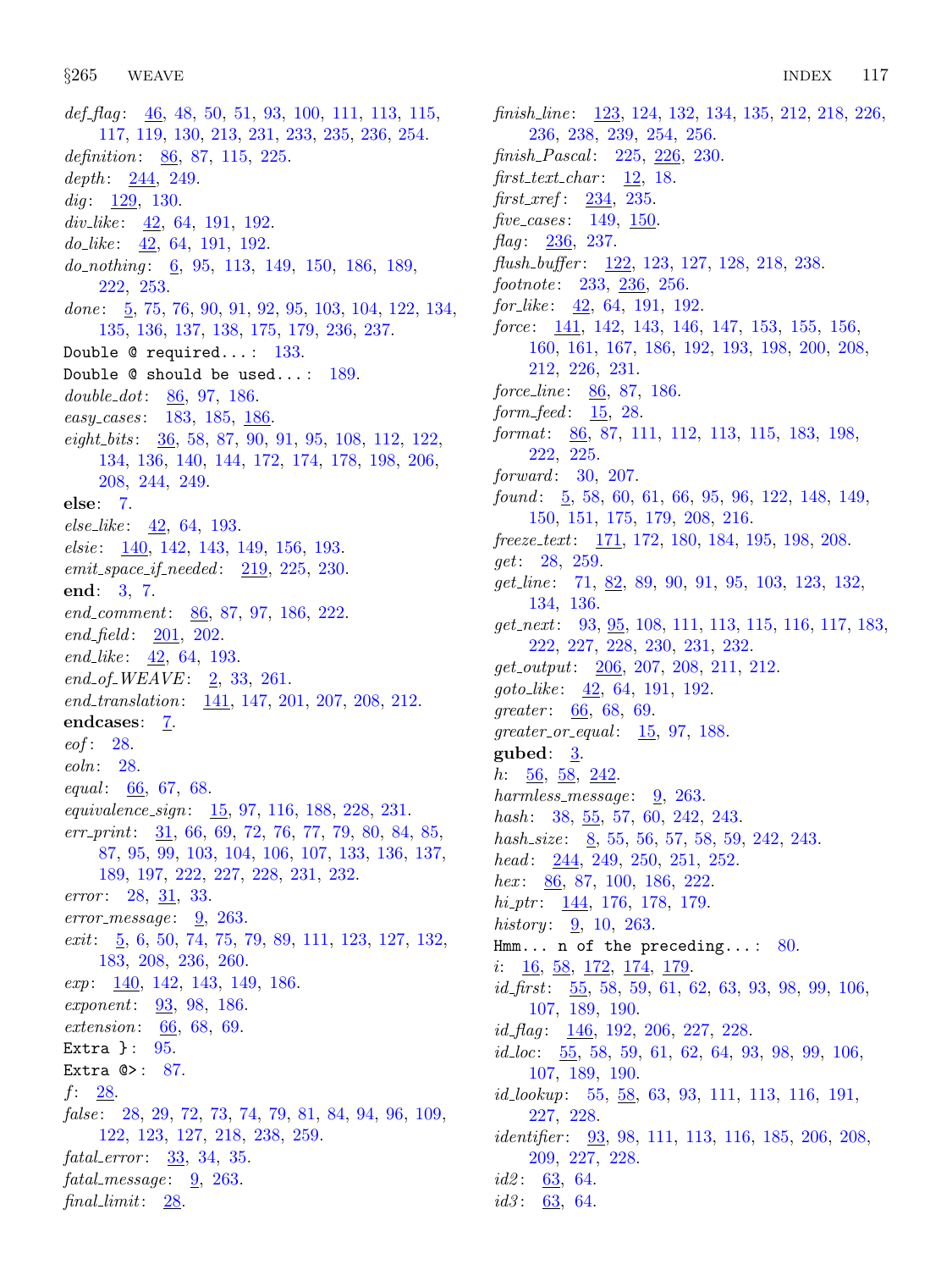[117,](#page-41-0) [119](#page-41-0), [130](#page-44-0), [213,](#page-82-0) [231,](#page-88-0) [233](#page-88-0), [235](#page-89-0), [236,](#page-89-0) [254.](#page-94-0) definition:  $86, 87, 115, 225$  $86, 87, 115, 225$  $86, 87, 115, 225$  $86, 87, 115, 225$  $86, 87, 115, 225$  $86, 87, 115, 225$ . depth:  $244, 249$  $244, 249$  $244, 249$ . dig:  $\frac{129}{130}$ . div<sub>-like</sub>:  $\frac{42}{64}$  $\frac{42}{64}$  $\frac{42}{64}$ , [191,](#page-73-0) [192](#page-73-0). do like:  $\frac{42}{64}$  $\frac{42}{64}$  $\frac{42}{64}$ ,  $\frac{64}{191}$  $\frac{64}{191}$  $\frac{64}{191}$ ,  $\frac{192}{64}$ . do<sub>nothing</sub>: [6](#page-2-0), [95](#page-33-0), [113](#page-40-0), [149](#page-60-0), [150](#page-61-0), [186](#page-71-0), [189](#page-72-0), [222,](#page-85-0) [253](#page-94-0). done:  $\frac{5}{9}$  $\frac{5}{9}$  $\frac{5}{9}$ , [75](#page-24-0), [76,](#page-24-0) [90,](#page-30-0) [91,](#page-31-0) [92,](#page-31-0) [95](#page-33-0), [103](#page-36-0), [104](#page-36-0), [122](#page-42-0), [134](#page-46-0), [135,](#page-47-0) [136](#page-47-0), [137,](#page-48-0) [138](#page-48-0), [175,](#page-67-0) [179](#page-68-0), [236,](#page-89-0) [237](#page-90-0). Double @ required...: [133](#page-46-0). Double  $@$  should be used...:  $189$ . double dot: [86,](#page-28-0) [97](#page-34-0), [186.](#page-71-0) easy\_cases: [183,](#page-70-0) [185](#page-71-0), [186](#page-71-0). eight bits : [36](#page-12-0), [58](#page-17-0), [87,](#page-29-0) [90,](#page-30-0) [91](#page-31-0), [95](#page-33-0), [108,](#page-38-0) [112,](#page-39-0) [122,](#page-42-0) [134,](#page-46-0) [136,](#page-47-0) [140,](#page-50-0) [144,](#page-56-0) [172,](#page-66-0) [174,](#page-67-0) [178,](#page-68-0) [198](#page-76-0), [206](#page-78-0), [208,](#page-80-0) [244,](#page-92-0) [249.](#page-93-0) else: [7](#page-2-0).  $else\_like: 42, 64, 193.$  $else\_like: 42, 64, 193.$  $else\_like: 42, 64, 193.$  $else\_like: 42, 64, 193.$  $else\_like: 42, 64, 193.$  $else\_like: 42, 64, 193.$  $else\_like: 42, 64, 193.$ elsie: [140,](#page-50-0) [142,](#page-52-0) [143,](#page-54-0) [149](#page-60-0), [156](#page-62-0), [193](#page-74-0).  $emit\_space\_if\_needed: 219, 225, 230.$  $emit\_space\_if\_needed: 219, 225, 230.$  $emit\_space\_if\_needed: 219, 225, 230.$  $emit\_space\_if\_needed: 219, 225, 230.$  $emit\_space\_if\_needed: 219, 225, 230.$  $emit\_space\_if\_needed: 219, 225, 230.$ end: [3](#page-1-0), [7.](#page-2-0)  $end\_comment: \underline{86}, 87, 97, 186, 222.$  $end\_comment: \underline{86}, 87, 97, 186, 222.$  $end\_comment: \underline{86}, 87, 97, 186, 222.$  $end\_comment: \underline{86}, 87, 97, 186, 222.$  $end\_comment: \underline{86}, 87, 97, 186, 222.$  $end\_comment: \underline{86}, 87, 97, 186, 222.$  $end\_comment: \underline{86}, 87, 97, 186, 222.$  $end\_comment: \underline{86}, 87, 97, 186, 222.$  $end\_comment: \underline{86}, 87, 97, 186, 222.$  $end\_comment: \underline{86}, 87, 97, 186, 222.$  $end\_comment: \underline{86}, 87, 97, 186, 222.$  $end_{field}$ :  $201, 202$  $201, 202$ . end\_like:  $\frac{42}{5}$ , [64](#page-20-0), [193.](#page-74-0)  $end_{of\_WEAVE}: 2, 33, 261.$  $end_{of\_WEAVE}: 2, 33, 261.$  $end_{of\_WEAVE}: 2, 33, 261.$  $end_{of\_WEAVE}: 2, 33, 261.$  $end_{of\_WEAVE}: 2, 33, 261.$  $end_{of\_WEAVE}: 2, 33, 261.$ end\_translation: [141](#page-51-0), [147,](#page-58-0) [201,](#page-77-0) [207](#page-79-0), [208,](#page-80-0) [212.](#page-81-0) endcases: [7](#page-2-0).  $eof: 28$ . eoln: [28](#page-9-0). equal:  $66, 67, 68$  $66, 67, 68$  $66, 67, 68$  $66, 67, 68$ . equivalence sign: [15](#page-6-0), [97](#page-34-0), [116,](#page-41-0) [188](#page-72-0), [228,](#page-87-0) [231.](#page-88-0)  $err\_print: \quad \underline{31}, \ 66, \ 69, \ 72, \ 76, \ 77, \ 79, \ 80, \ 84, \ 85,$  $err\_print: \quad \underline{31}, \ 66, \ 69, \ 72, \ 76, \ 77, \ 79, \ 80, \ 84, \ 85,$  $err\_print: \quad \underline{31}, \ 66, \ 69, \ 72, \ 76, \ 77, \ 79, \ 80, \ 84, \ 85,$  $err\_print: \quad \underline{31}, \ 66, \ 69, \ 72, \ 76, \ 77, \ 79, \ 80, \ 84, \ 85,$  $err\_print: \quad \underline{31}, \ 66, \ 69, \ 72, \ 76, \ 77, \ 79, \ 80, \ 84, \ 85,$  $err\_print: \quad \underline{31}, \ 66, \ 69, \ 72, \ 76, \ 77, \ 79, \ 80, \ 84, \ 85,$  $err\_print: \quad \underline{31}, \ 66, \ 69, \ 72, \ 76, \ 77, \ 79, \ 80, \ 84, \ 85,$  $err\_print: \quad \underline{31}, \ 66, \ 69, \ 72, \ 76, \ 77, \ 79, \ 80, \ 84, \ 85,$  $err\_print: \quad \underline{31}, \ 66, \ 69, \ 72, \ 76, \ 77, \ 79, \ 80, \ 84, \ 85,$  $err\_print: \quad \underline{31}, \ 66, \ 69, \ 72, \ 76, \ 77, \ 79, \ 80, \ 84, \ 85,$  $err\_print: \quad \underline{31}, \ 66, \ 69, \ 72, \ 76, \ 77, \ 79, \ 80, \ 84, \ 85,$  $err\_print: \quad \underline{31}, \ 66, \ 69, \ 72, \ 76, \ 77, \ 79, \ 80, \ 84, \ 85,$  $err\_print: \quad \underline{31}, \ 66, \ 69, \ 72, \ 76, \ 77, \ 79, \ 80, \ 84, \ 85,$  $err\_print: \quad \underline{31}, \ 66, \ 69, \ 72, \ 76, \ 77, \ 79, \ 80, \ 84, \ 85,$  $err\_print: \quad \underline{31}, \ 66, \ 69, \ 72, \ 76, \ 77, \ 79, \ 80, \ 84, \ 85,$  $err\_print: \quad \underline{31}, \ 66, \ 69, \ 72, \ 76, \ 77, \ 79, \ 80, \ 84, \ 85,$  $err\_print: \quad \underline{31}, \ 66, \ 69, \ 72, \ 76, \ 77, \ 79, \ 80, \ 84, \ 85,$  $err\_print: \quad \underline{31}, \ 66, \ 69, \ 72, \ 76, \ 77, \ 79, \ 80, \ 84, \ 85,$  $err\_print: \quad \underline{31}, \ 66, \ 69, \ 72, \ 76, \ 77, \ 79, \ 80, \ 84, \ 85,$  $err\_print: \quad \underline{31}, \ 66, \ 69, \ 72, \ 76, \ 77, \ 79, \ 80, \ 84, \ 85,$ [87,](#page-29-0) [95,](#page-33-0) [99](#page-34-0), [103,](#page-36-0) [104](#page-36-0), [106,](#page-37-0) [107,](#page-37-0) [133](#page-46-0), [136,](#page-47-0) [137](#page-48-0), [189,](#page-72-0) [197,](#page-75-0) [222](#page-85-0), [227](#page-86-0), [228,](#page-87-0) [231,](#page-88-0) [232](#page-88-0). *error*:  $28, 31, 33$  $28, 31, 33$  $28, 31, 33$  $28, 31, 33$ .  $error\_message: \quad 9, \quad 263.$  $error\_message: \quad 9, \quad 263.$  $error\_message: \quad 9, \quad 263.$  $error\_message: \quad 9, \quad 263.$  $error\_message: \quad 9, \quad 263.$  $exit: \underline{5}, 6, 50, 74, 75, 79, 89, 111, 123, 127, 132,$  $exit: \underline{5}, 6, 50, 74, 75, 79, 89, 111, 123, 127, 132,$  $exit: \underline{5}, 6, 50, 74, 75, 79, 89, 111, 123, 127, 132,$  $exit: \underline{5}, 6, 50, 74, 75, 79, 89, 111, 123, 127, 132,$  $exit: \underline{5}, 6, 50, 74, 75, 79, 89, 111, 123, 127, 132,$  $exit: \underline{5}, 6, 50, 74, 75, 79, 89, 111, 123, 127, 132,$  $exit: \underline{5}, 6, 50, 74, 75, 79, 89, 111, 123, 127, 132,$  $exit: \underline{5}, 6, 50, 74, 75, 79, 89, 111, 123, 127, 132,$  $exit: \underline{5}, 6, 50, 74, 75, 79, 89, 111, 123, 127, 132,$  $exit: \underline{5}, 6, 50, 74, 75, 79, 89, 111, 123, 127, 132,$  $exit: \underline{5}, 6, 50, 74, 75, 79, 89, 111, 123, 127, 132,$  $exit: \underline{5}, 6, 50, 74, 75, 79, 89, 111, 123, 127, 132,$  $exit: \underline{5}, 6, 50, 74, 75, 79, 89, 111, 123, 127, 132,$  $exit: \underline{5}, 6, 50, 74, 75, 79, 89, 111, 123, 127, 132,$  $exit: \underline{5}, 6, 50, 74, 75, 79, 89, 111, 123, 127, 132,$ [183,](#page-70-0) [208](#page-80-0), [236](#page-89-0), [260.](#page-97-0) exp: [140](#page-50-0), [142](#page-52-0), [143,](#page-54-0) [149,](#page-60-0) [186.](#page-71-0) exponent: [93](#page-32-0), [98,](#page-34-0) [186](#page-71-0). extension: [66](#page-21-0), [68](#page-22-0), [69.](#page-22-0) Extra } : [95](#page-33-0). Extra  $\mathbb{Q}$ : [87.](#page-29-0) f:  $28$ . false: [28](#page-9-0), [29,](#page-10-0) [72,](#page-23-0) [73](#page-23-0), [74,](#page-23-0) [79](#page-25-0), [81](#page-26-0), [84,](#page-27-0) [94](#page-32-0), [96,](#page-33-0) [109](#page-38-0), [122,](#page-42-0) [123,](#page-43-0) [127,](#page-44-0) [218,](#page-84-0) [238,](#page-90-0) [259.](#page-96-0)  $fatal_error: 33, 34, 35.$  $fatal_error: 33, 34, 35.$  $fatal_error: 33, 34, 35.$  $fatal_error: 33, 34, 35.$  $fatal_error: 33, 34, 35.$  $fatal_error: 33, 34, 35.$  $fatal_message: 9, 263.$  $fatal_message: 9, 263.$  $fatal_message: 9, 263.$  $fatal_message: 9, 263.$  $fatal_message: 9, 263.$ final\_limit: [28.](#page-9-0)

def flag:  $\frac{46}{100}$  $\frac{46}{100}$  $\frac{46}{100}$  $\frac{46}{100}$  $\frac{46}{100}$ , [48,](#page-14-0) [50,](#page-15-0) [51,](#page-15-0) [93,](#page-32-0) 100, [111](#page-39-0), [113](#page-40-0), [115](#page-40-0),

finish\_line: [123,](#page-43-0) [124,](#page-43-0) [132](#page-46-0), [134](#page-46-0), [135](#page-47-0), [212,](#page-81-0) [218,](#page-84-0) [226,](#page-86-0) [236,](#page-89-0) [238](#page-90-0), [239](#page-91-0), [254,](#page-94-0) [256](#page-95-0).  $finish\_Pascal: 225, 226, 230.$  $finish\_Pascal: 225, 226, 230.$  $finish\_Pascal: 225, 226, 230.$  $finish\_Pascal: 225, 226, 230.$  $finish\_Pascal: 225, 226, 230.$  $finish\_Pascal: 225, 226, 230.$  $finish\_Pascal: 225, 226, 230.$  $first\_text\_char: 12, 18.$  $first\_text\_char: 12, 18.$  $first\_text\_char: 12, 18.$  $first\_text\_char: 12, 18.$  $first\_text\_char: 12, 18.$ first xref : [234](#page-88-0), [235.](#page-89-0) five\_cases:  $149, 150$  $149, 150$  $149, 150$ . flag:  $236, 237$  $236, 237$ . flush\_buffer: [122](#page-42-0), [123,](#page-43-0) [127](#page-44-0), [128,](#page-44-0) [218](#page-84-0), [238.](#page-90-0)  $footnote: 233, 236, 256.$  $footnote: 233, 236, 256.$  $footnote: 233, 236, 256.$  $footnote: 233, 236, 256.$  $footnote: 233, 236, 256.$  $footnote: 233, 236, 256.$ for like: [42,](#page-13-0) [64](#page-20-0), [191](#page-73-0), [192.](#page-73-0) force: [141](#page-51-0), [142,](#page-52-0) [143](#page-54-0), [146](#page-57-0), [147,](#page-58-0) [153](#page-62-0), [155](#page-62-0), [156,](#page-62-0) [160,](#page-63-0) [161,](#page-63-0) [167,](#page-65-0) [186,](#page-71-0) [192,](#page-73-0) [193,](#page-74-0) [198](#page-76-0), [200](#page-77-0), [208](#page-80-0), [212,](#page-81-0) [226,](#page-86-0) [231.](#page-88-0) force line:  $86, 87, 186$  $86, 87, 186$  $86, 87, 186$  $86, 87, 186$ .  $form\_feed:$   $15, 28.$  $15, 28.$  $15, 28.$ format: [86](#page-28-0), [87](#page-29-0), [111,](#page-39-0) [112](#page-39-0), [113,](#page-40-0) [115](#page-40-0), [183](#page-70-0), [198,](#page-76-0) [222,](#page-85-0) [225.](#page-86-0)  $forward: 30, 207.$  $forward: 30, 207.$  $forward: 30, 207.$  $forward: 30, 207.$ found:  $\frac{5}{9}$  $\frac{5}{9}$  $\frac{5}{9}$ , [58](#page-17-0), [60](#page-18-0), [61](#page-18-0), [66](#page-21-0), [95](#page-33-0), [96,](#page-33-0) [122,](#page-42-0) [148,](#page-59-0) [149,](#page-60-0) [150,](#page-61-0) [151,](#page-61-0) [175,](#page-67-0) [179,](#page-68-0) [208,](#page-80-0) [216.](#page-83-0) freeze\_text: [171,](#page-66-0) [172,](#page-66-0) [180](#page-69-0), [184,](#page-70-0) [195,](#page-74-0) [198](#page-76-0), [208](#page-80-0). get: [28,](#page-9-0) [259.](#page-96-0)  $get\_line: 71, 82, 89, 90, 91, 95, 103, 123, 132,$  $get\_line: 71, 82, 89, 90, 91, 95, 103, 123, 132,$  $get\_line: 71, 82, 89, 90, 91, 95, 103, 123, 132,$  $get\_line: 71, 82, 89, 90, 91, 95, 103, 123, 132,$  $get\_line: 71, 82, 89, 90, 91, 95, 103, 123, 132,$  $get\_line: 71, 82, 89, 90, 91, 95, 103, 123, 132,$  $get\_line: 71, 82, 89, 90, 91, 95, 103, 123, 132,$  $get\_line: 71, 82, 89, 90, 91, 95, 103, 123, 132,$  $get\_line: 71, 82, 89, 90, 91, 95, 103, 123, 132,$  $get\_line: 71, 82, 89, 90, 91, 95, 103, 123, 132,$  $get\_line: 71, 82, 89, 90, 91, 95, 103, 123, 132,$  $get\_line: 71, 82, 89, 90, 91, 95, 103, 123, 132,$  $get\_line: 71, 82, 89, 90, 91, 95, 103, 123, 132,$  $get\_line: 71, 82, 89, 90, 91, 95, 103, 123, 132,$  $get\_line: 71, 82, 89, 90, 91, 95, 103, 123, 132,$  $get\_line: 71, 82, 89, 90, 91, 95, 103, 123, 132,$  $get\_line: 71, 82, 89, 90, 91, 95, 103, 123, 132,$  $get\_line: 71, 82, 89, 90, 91, 95, 103, 123, 132,$  $get\_line: 71, 82, 89, 90, 91, 95, 103, 123, 132,$ [134,](#page-46-0) [136.](#page-47-0)  $get\_next:$  [93](#page-32-0), [95](#page-33-0), [108](#page-38-0), [111](#page-39-0), [113](#page-40-0), [115](#page-40-0), [116](#page-41-0), [117](#page-41-0), [183](#page-70-0), [222,](#page-85-0) [227,](#page-86-0) [228,](#page-87-0) [230,](#page-87-0) [231,](#page-88-0) [232.](#page-88-0) get output: [206,](#page-78-0) [207,](#page-79-0) [208](#page-80-0), [211](#page-81-0), [212](#page-81-0).  $goto\_like: \quad \underline{42}, \ 64, \ 191, \ 192.$  $goto\_like: \quad \underline{42}, \ 64, \ 191, \ 192.$  $goto\_like: \quad \underline{42}, \ 64, \ 191, \ 192.$  $goto\_like: \quad \underline{42}, \ 64, \ 191, \ 192.$  $goto\_like: \quad \underline{42}, \ 64, \ 191, \ 192.$  $goto\_like: \quad \underline{42}, \ 64, \ 191, \ 192.$  $goto\_like: \quad \underline{42}, \ 64, \ 191, \ 192.$  $goto\_like: \quad \underline{42}, \ 64, \ 191, \ 192.$  $goto\_like: \quad \underline{42}, \ 64, \ 191, \ 192.$ greater:  $66, 68, 69$  $66, 68, 69$  $66, 68, 69$  $66, 68, 69$  $66, 68, 69$ .  $greater_0$ r $_0$ equal:  $15, 97, 188$  $15, 97, 188$  $15, 97, 188$  $15, 97, 188$  $15, 97, 188$ . gubed:  $3$ . h:  $\frac{56}{56}$  $\frac{56}{56}$  $\frac{56}{56}$ ,  $\frac{58}{242}$  $\frac{58}{242}$  $\frac{58}{242}$  $\frac{58}{242}$  $\frac{58}{242}$ . harmless\_message:  $9, 263$  $9, 263$ . hash: [38](#page-12-0), [55](#page-17-0), [57,](#page-17-0) [60,](#page-18-0) [242,](#page-91-0) [243.](#page-92-0) hash\_size:  $8, 55, 56, 57, 58, 59, 242, 243$  $8, 55, 56, 57, 58, 59, 242, 243$  $8, 55, 56, 57, 58, 59, 242, 243$  $8, 55, 56, 57, 58, 59, 242, 243$  $8, 55, 56, 57, 58, 59, 242, 243$  $8, 55, 56, 57, 58, 59, 242, 243$  $8, 55, 56, 57, 58, 59, 242, 243$  $8, 55, 56, 57, 58, 59, 242, 243$  $8, 55, 56, 57, 58, 59, 242, 243$  $8, 55, 56, 57, 58, 59, 242, 243$  $8, 55, 56, 57, 58, 59, 242, 243$  $8, 55, 56, 57, 58, 59, 242, 243$  $8, 55, 56, 57, 58, 59, 242, 243$  $8, 55, 56, 57, 58, 59, 242, 243$  $8, 55, 56, 57, 58, 59, 242, 243$ . head:  $244, 249, 250, 251, 252.$  $244, 249, 250, 251, 252.$  $244, 249, 250, 251, 252.$  $244, 249, 250, 251, 252.$  $244, 249, 250, 251, 252.$  $244, 249, 250, 251, 252.$  $244, 249, 250, 251, 252.$  $244, 249, 250, 251, 252.$  $244, 249, 250, 251, 252.$  $244, 249, 250, 251, 252.$ hex: [86,](#page-28-0) [87,](#page-29-0) [100](#page-35-0), [186,](#page-71-0) [222.](#page-85-0)  $hi\_ptr$ :  $\underline{144}$ , [176,](#page-67-0) [178](#page-68-0), [179.](#page-68-0) *history*:  $\frac{9}{20}$ , [10](#page-3-0), [263](#page-98-0). Hmm... n of the preceding...:  $80$ . i: [16](#page-7-0), [58,](#page-17-0) [172](#page-66-0), [174,](#page-67-0) [179.](#page-68-0) id first: [55](#page-17-0), [58](#page-17-0), [59,](#page-17-0) [61,](#page-18-0) [62,](#page-18-0) [63,](#page-19-0) [93,](#page-32-0) [98,](#page-34-0) [99,](#page-34-0) [106,](#page-37-0) [107,](#page-37-0) [189,](#page-72-0) [190.](#page-73-0)  $id_{\mathcal{I}}$ flag: [146](#page-57-0), [192](#page-73-0), [206](#page-78-0), [227](#page-86-0), [228](#page-87-0).  $id\_loc: \quad 55, 58, 59, 61, 62, 64, 93, 98, 99, 106,$  $id\_loc: \quad 55, 58, 59, 61, 62, 64, 93, 98, 99, 106,$  $id\_loc: \quad 55, 58, 59, 61, 62, 64, 93, 98, 99, 106,$  $id\_loc: \quad 55, 58, 59, 61, 62, 64, 93, 98, 99, 106,$  $id\_loc: \quad 55, 58, 59, 61, 62, 64, 93, 98, 99, 106,$  $id\_loc: \quad 55, 58, 59, 61, 62, 64, 93, 98, 99, 106,$  $id\_loc: \quad 55, 58, 59, 61, 62, 64, 93, 98, 99, 106,$  $id\_loc: \quad 55, 58, 59, 61, 62, 64, 93, 98, 99, 106,$  $id\_loc: \quad 55, 58, 59, 61, 62, 64, 93, 98, 99, 106,$  $id\_loc: \quad 55, 58, 59, 61, 62, 64, 93, 98, 99, 106,$  $id\_loc: \quad 55, 58, 59, 61, 62, 64, 93, 98, 99, 106,$  $id\_loc: \quad 55, 58, 59, 61, 62, 64, 93, 98, 99, 106,$  $id\_loc: \quad 55, 58, 59, 61, 62, 64, 93, 98, 99, 106,$  $id\_loc: \quad 55, 58, 59, 61, 62, 64, 93, 98, 99, 106,$  $id\_loc: \quad 55, 58, 59, 61, 62, 64, 93, 98, 99, 106,$  $id\_loc: \quad 55, 58, 59, 61, 62, 64, 93, 98, 99, 106,$  $id\_loc: \quad 55, 58, 59, 61, 62, 64, 93, 98, 99, 106,$  $id\_loc: \quad 55, 58, 59, 61, 62, 64, 93, 98, 99, 106,$  $id\_loc: \quad 55, 58, 59, 61, 62, 64, 93, 98, 99, 106,$  $id\_loc: \quad 55, 58, 59, 61, 62, 64, 93, 98, 99, 106,$  $id\_loc: \quad 55, 58, 59, 61, 62, 64, 93, 98, 99, 106,$ [107,](#page-37-0) [189,](#page-72-0) [190.](#page-73-0) *id\_lookup*: [55,](#page-17-0) <u>[58](#page-17-0)</u>, [63,](#page-19-0) [93](#page-32-0), [111,](#page-39-0) [113,](#page-40-0) [116](#page-41-0), [191,](#page-73-0) [227,](#page-86-0) [228.](#page-87-0) *identifier*:  $\frac{93}{98}$  $\frac{93}{98}$  $\frac{93}{98}$  $\frac{93}{98}$  $\frac{93}{98}$ ,  $\frac{98}{111}$  $\frac{98}{111}$  $\frac{98}{111}$ ,  $\frac{113}{116}$ ,  $\frac{185}{185}$ ,  $\frac{206}{108}$  $\frac{206}{108}$  $\frac{206}{108}$ , [209,](#page-80-0) [227,](#page-86-0) [228.](#page-87-0)  $id2: 63, 64.$  $id2: 63, 64.$  $id2: 63, 64.$  $id2: 63, 64.$ *id3* :  $63, 64$  $63, 64$ .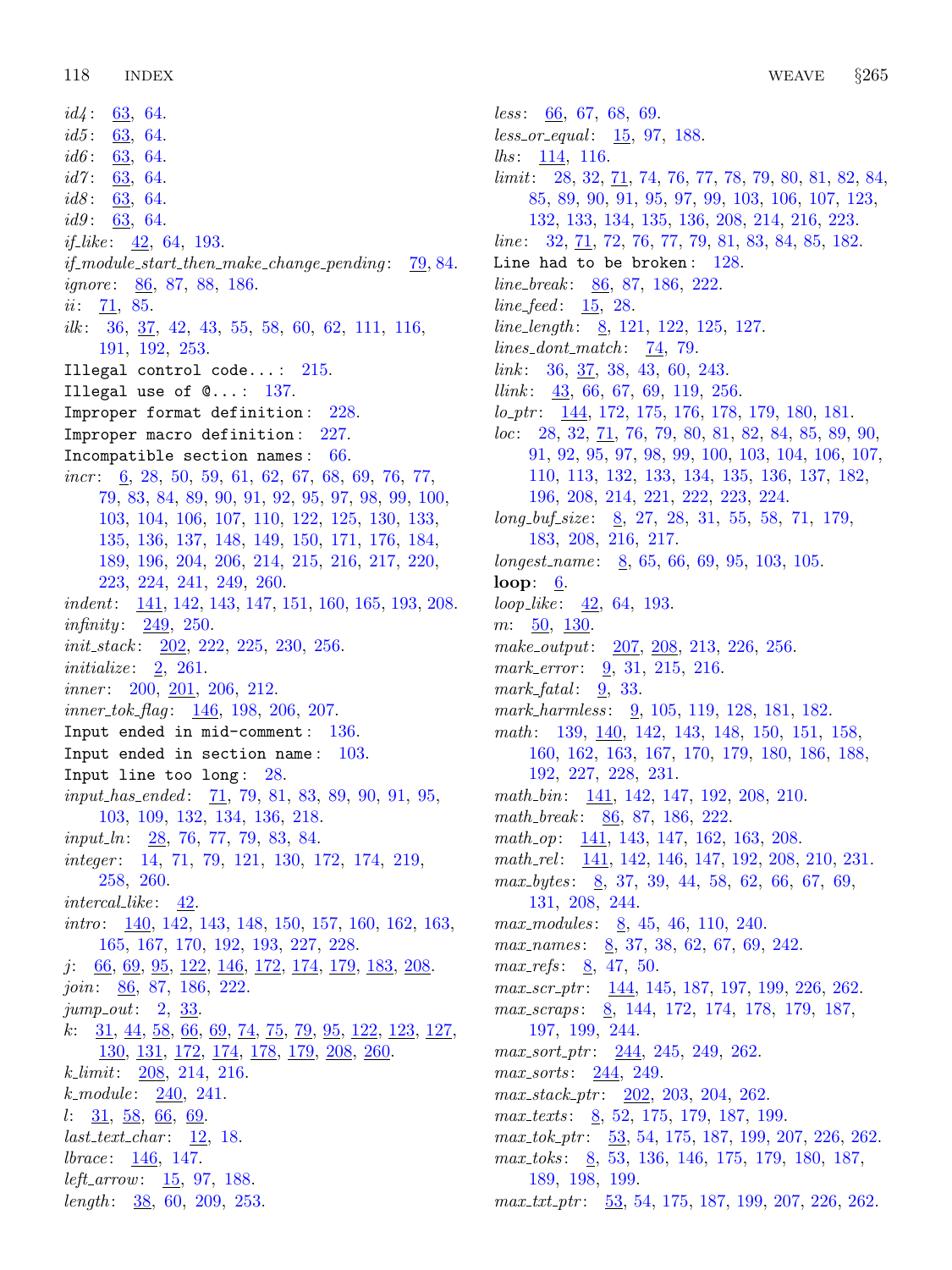$id4$ : [63,](#page-19-0) [64.](#page-20-0) *id5* :  $63, 64$  $63, 64$ .  $id6: 63, 64.$  $id6: 63, 64.$  $id6: 63, 64.$  $id6: 63, 64.$ id7:  $\frac{63}{5}$ , [64.](#page-20-0) id8:  $\frac{63}{63}$ , [64.](#page-20-0)  $id9: 63, 64.$  $id9: 63, 64.$  $id9: 63, 64.$  $id9: 63, 64.$ *if like*:  $42, 64, 193$  $42, 64, 193$  $42, 64, 193$  $42, 64, 193$  $42, 64, 193$ .  $if_{\text{model}\text{-}start_{\text{-}}then_{\text{-}}make_{\text{-}}change_{\text{-}}pending:~~79,84.$  $if_{\text{model}\text{-}start_{\text{-}}then_{\text{-}}make_{\text{-}}change_{\text{-}}pending:~~79,84.$  $if_{\text{model}\text{-}start_{\text{-}}then_{\text{-}}make_{\text{-}}change_{\text{-}}pending:~~79,84.$  $if_{\text{model}\text{-}start_{\text{-}}then_{\text{-}}make_{\text{-}}change_{\text{-}}pending:~~79,84.$  $if_{\text{model}\text{-}start_{\text{-}}then_{\text{-}}make_{\text{-}}change_{\text{-}}pending:~~79,84.$ ignore: [86,](#page-28-0) [87](#page-29-0), [88,](#page-29-0) [186](#page-71-0). *ii*: [71](#page-23-0), [85.](#page-27-0) ilk : [36](#page-12-0), [37](#page-12-0), [42,](#page-13-0) [43](#page-13-0), [55,](#page-17-0) [58](#page-17-0), [60](#page-18-0), [62,](#page-18-0) [111](#page-39-0), [116,](#page-41-0) [191,](#page-73-0) [192,](#page-73-0) [253.](#page-94-0) Illegal control code...:  $215$ . Illegal use of  $\mathbb{Q} \ldots$ : [137](#page-48-0). Improper format definition: [228.](#page-87-0) Improper macro definition: [227.](#page-86-0) Incompatible section names : [66.](#page-21-0) *incr*:  $\underline{6}$ , 28, 50, 59, 61, 62, 67, 68, 69, 7[6,](#page-2-0) [77](#page-24-0), [79,](#page-25-0) [83](#page-26-0), [84,](#page-27-0) [89](#page-30-0), [90,](#page-30-0) [91](#page-31-0), [92,](#page-31-0) [95](#page-33-0), [97,](#page-34-0) [98](#page-34-0), [99,](#page-34-0) [100](#page-35-0), [103,](#page-36-0) [104,](#page-36-0) [106,](#page-37-0) [107,](#page-37-0) [110,](#page-38-0) [122,](#page-42-0) [125,](#page-43-0) [130](#page-44-0), [133](#page-46-0), [135,](#page-47-0) [136,](#page-47-0) [137,](#page-48-0) [148,](#page-59-0) [149,](#page-60-0) [150,](#page-61-0) [171,](#page-66-0) [176](#page-67-0), [184](#page-70-0), [189,](#page-72-0) [196,](#page-75-0) [204,](#page-78-0) [206,](#page-78-0) [214,](#page-82-0) [215,](#page-82-0) [216,](#page-83-0) [217](#page-83-0), [220](#page-84-0), [223,](#page-85-0) [224](#page-85-0), [241](#page-91-0), [249,](#page-93-0) [260](#page-97-0). indent: [141](#page-51-0), [142,](#page-52-0) [143,](#page-54-0) [147](#page-58-0), [151,](#page-61-0) [160](#page-63-0), [165](#page-65-0), [193,](#page-74-0) [208](#page-80-0). *infinity*:  $249, 250$  $249, 250$ .  $init\_stack: \underline{202}, 222, 225, 230, 256.$  $init\_stack: \underline{202}, 222, 225, 230, 256.$  $init\_stack: \underline{202}, 222, 225, 230, 256.$  $init\_stack: \underline{202}, 222, 225, 230, 256.$  $init\_stack: \underline{202}, 222, 225, 230, 256.$  $init\_stack: \underline{202}, 222, 225, 230, 256.$  $init\_stack: \underline{202}, 222, 225, 230, 256.$  $init\_stack: \underline{202}, 222, 225, 230, 256.$  $init\_stack: \underline{202}, 222, 225, 230, 256.$ initialize:  $2, 261$  $2, 261$  $2, 261$ .  $inner: 200, 201, 206, 212.$  $inner: 200, 201, 206, 212.$  $inner: 200, 201, 206, 212.$  $inner: 200, 201, 206, 212.$  $inner: 200, 201, 206, 212.$  $inner: 200, 201, 206, 212.$  $inner: 200, 201, 206, 212.$  $inner: 200, 201, 206, 212.$  $inner: 200, 201, 206, 212.$  $inner\_tok\_flag: \quad \underline{146}$ , [198,](#page-76-0) [206,](#page-78-0) [207.](#page-79-0) Input ended in mid−comment : [136.](#page-47-0) Input ended in section name : [103.](#page-36-0) Input line too long : [28](#page-9-0).  $input\_has\_ended: \quad 71, 79, 81, 83, 89, 90, 91, 95,$  $input\_has\_ended: \quad 71, 79, 81, 83, 89, 90, 91, 95,$  $input\_has\_ended: \quad 71, 79, 81, 83, 89, 90, 91, 95,$  $input\_has\_ended: \quad 71, 79, 81, 83, 89, 90, 91, 95,$  $input\_has\_ended: \quad 71, 79, 81, 83, 89, 90, 91, 95,$  $input\_has\_ended: \quad 71, 79, 81, 83, 89, 90, 91, 95,$  $input\_has\_ended: \quad 71, 79, 81, 83, 89, 90, 91, 95,$  $input\_has\_ended: \quad 71, 79, 81, 83, 89, 90, 91, 95,$  $input\_has\_ended: \quad 71, 79, 81, 83, 89, 90, 91, 95,$  $input\_has\_ended: \quad 71, 79, 81, 83, 89, 90, 91, 95,$  $input\_has\_ended: \quad 71, 79, 81, 83, 89, 90, 91, 95,$  $input\_has\_ended: \quad 71, 79, 81, 83, 89, 90, 91, 95,$  $input\_has\_ended: \quad 71, 79, 81, 83, 89, 90, 91, 95,$  $input\_has\_ended: \quad 71, 79, 81, 83, 89, 90, 91, 95,$  $input\_has\_ended: \quad 71, 79, 81, 83, 89, 90, 91, 95,$  $input\_has\_ended: \quad 71, 79, 81, 83, 89, 90, 91, 95,$  $input\_has\_ended: \quad 71, 79, 81, 83, 89, 90, 91, 95,$ [103,](#page-36-0) [109,](#page-38-0) [132,](#page-46-0) [134,](#page-46-0) [136,](#page-47-0) [218.](#page-84-0) input ln: [28](#page-9-0), [76](#page-24-0), [77](#page-24-0), [79](#page-25-0), [83](#page-26-0), [84.](#page-27-0) integer : [14,](#page-6-0) [71](#page-23-0), [79,](#page-25-0) [121,](#page-42-0) [130](#page-44-0), [172,](#page-66-0) [174](#page-67-0), [219](#page-84-0), [258,](#page-96-0) [260](#page-97-0).  $interval$ *like* :  $42$ . intro: [140,](#page-50-0) [142,](#page-52-0) [143,](#page-54-0) [148](#page-59-0), [150](#page-61-0), [157,](#page-62-0) [160,](#page-63-0) [162,](#page-64-0) [163](#page-64-0), [165,](#page-65-0) [167,](#page-65-0) [170](#page-66-0), [192](#page-73-0), [193,](#page-74-0) [227,](#page-86-0) [228](#page-87-0). j: [66](#page-21-0), [69,](#page-22-0) [95,](#page-33-0) [122](#page-42-0), [146](#page-57-0), [172](#page-66-0), [174,](#page-67-0) [179,](#page-68-0) [183](#page-70-0), [208](#page-80-0). join: [86,](#page-28-0) [87](#page-29-0), [186,](#page-71-0) [222](#page-85-0).  $jump_out: 2, 33.$  $jump_out: 2, 33.$  $jump_out: 2, 33.$  $jump_out: 2, 33.$  $jump_out: 2, 33.$  $k: \quad \underline{31}, \underline{44}, \underline{58}, \underline{66}, \underline{69}, \underline{74}, \underline{75}, \underline{79}, \underline{95}, \underline{122}, \underline{123}, \underline{127},$  $k: \quad \underline{31}, \underline{44}, \underline{58}, \underline{66}, \underline{69}, \underline{74}, \underline{75}, \underline{79}, \underline{95}, \underline{122}, \underline{123}, \underline{127},$  $k: \quad \underline{31}, \underline{44}, \underline{58}, \underline{66}, \underline{69}, \underline{74}, \underline{75}, \underline{79}, \underline{95}, \underline{122}, \underline{123}, \underline{127},$  $k: \quad \underline{31}, \underline{44}, \underline{58}, \underline{66}, \underline{69}, \underline{74}, \underline{75}, \underline{79}, \underline{95}, \underline{122}, \underline{123}, \underline{127},$  $k: \quad \underline{31}, \underline{44}, \underline{58}, \underline{66}, \underline{69}, \underline{74}, \underline{75}, \underline{79}, \underline{95}, \underline{122}, \underline{123}, \underline{127},$  $k: \quad \underline{31}, \underline{44}, \underline{58}, \underline{66}, \underline{69}, \underline{74}, \underline{75}, \underline{79}, \underline{95}, \underline{122}, \underline{123}, \underline{127},$  $k: \quad \underline{31}, \underline{44}, \underline{58}, \underline{66}, \underline{69}, \underline{74}, \underline{75}, \underline{79}, \underline{95}, \underline{122}, \underline{123}, \underline{127},$  $k: \quad \underline{31}, \underline{44}, \underline{58}, \underline{66}, \underline{69}, \underline{74}, \underline{75}, \underline{79}, \underline{95}, \underline{122}, \underline{123}, \underline{127},$  $k: \quad \underline{31}, \underline{44}, \underline{58}, \underline{66}, \underline{69}, \underline{74}, \underline{75}, \underline{79}, \underline{95}, \underline{122}, \underline{123}, \underline{127},$  $k: \quad \underline{31}, \underline{44}, \underline{58}, \underline{66}, \underline{69}, \underline{74}, \underline{75}, \underline{79}, \underline{95}, \underline{122}, \underline{123}, \underline{127},$  $k: \quad \underline{31}, \underline{44}, \underline{58}, \underline{66}, \underline{69}, \underline{74}, \underline{75}, \underline{79}, \underline{95}, \underline{122}, \underline{123}, \underline{127},$  $k: \quad \underline{31}, \underline{44}, \underline{58}, \underline{66}, \underline{69}, \underline{74}, \underline{75}, \underline{79}, \underline{95}, \underline{122}, \underline{123}, \underline{127},$  $k: \quad \underline{31}, \underline{44}, \underline{58}, \underline{66}, \underline{69}, \underline{74}, \underline{75}, \underline{79}, \underline{95}, \underline{122}, \underline{123}, \underline{127},$  $k: \quad \underline{31}, \underline{44}, \underline{58}, \underline{66}, \underline{69}, \underline{74}, \underline{75}, \underline{79}, \underline{95}, \underline{122}, \underline{123}, \underline{127},$  $k: \quad \underline{31}, \underline{44}, \underline{58}, \underline{66}, \underline{69}, \underline{74}, \underline{75}, \underline{79}, \underline{95}, \underline{122}, \underline{123}, \underline{127},$  $k: \quad \underline{31}, \underline{44}, \underline{58}, \underline{66}, \underline{69}, \underline{74}, \underline{75}, \underline{79}, \underline{95}, \underline{122}, \underline{123}, \underline{127},$  $k: \quad \underline{31}, \underline{44}, \underline{58}, \underline{66}, \underline{69}, \underline{74}, \underline{75}, \underline{79}, \underline{95}, \underline{122}, \underline{123}, \underline{127},$ [130,](#page-44-0) [131](#page-45-0), [172,](#page-66-0) [174](#page-67-0), [178,](#page-68-0) [179](#page-68-0), [208,](#page-80-0) [260](#page-97-0).  $k\_limit: \quad 208, 214, 216.$  $k\_limit: \quad 208, 214, 216.$  $k\_limit: \quad 208, 214, 216.$  $k\_limit: \quad 208, 214, 216.$  $k\_limit: \quad 208, 214, 216.$  $k\_limit: \quad 208, 214, 216.$  $k$ *module*:  $240, 241$  $240, 241$  $240, 241$ . l:  $31, 58, 66, 69$  $31, 58, 66, 69$  $31, 58, 66, 69$  $31, 58, 66, 69$  $31, 58, 66, 69$  $31, 58, 66, 69$ .  $last\_text\_char:$  [12](#page-5-0), [18](#page-7-0). *lbrace*:  $146, 147$  $146, 147$  $146, 147$ . *left\_arrow:*  $15, 97, 188$  $15, 97, 188$  $15, 97, 188$  $15, 97, 188$  $15, 97, 188$ . length:  $\frac{38}{60}$  $\frac{38}{60}$  $\frac{38}{60}$ ,  $\frac{60}{209}$ ,  $\frac{253}{60}$  $\frac{253}{60}$  $\frac{253}{60}$ .

*less*:  $66, 67, 68, 69$  $66, 67, 68, 69$  $66, 67, 68, 69$  $66, 67, 68, 69$  $66, 67, 68, 69$  $66, 67, 68, 69$  $66, 67, 68, 69$ .  $less\_or\_equal: 15, 97, 188.$  $less\_or\_equal: 15, 97, 188.$  $less\_or\_equal: 15, 97, 188.$  $less\_or\_equal: 15, 97, 188.$  $less\_or\_equal: 15, 97, 188.$  $less\_or\_equal: 15, 97, 188.$  $\textit{llhs}$ : [114,](#page-40-0) [116.](#page-41-0)  $limit: 28, 32, 71, 74, 76, 77, 78, 79, 80, 81, 82, 84,$  $limit: 28, 32, 71, 74, 76, 77, 78, 79, 80, 81, 82, 84,$  $limit: 28, 32, 71, 74, 76, 77, 78, 79, 80, 81, 82, 84,$  $limit: 28, 32, 71, 74, 76, 77, 78, 79, 80, 81, 82, 84,$  $limit: 28, 32, 71, 74, 76, 77, 78, 79, 80, 81, 82, 84,$  $limit: 28, 32, 71, 74, 76, 77, 78, 79, 80, 81, 82, 84,$  $limit: 28, 32, 71, 74, 76, 77, 78, 79, 80, 81, 82, 84,$  $limit: 28, 32, 71, 74, 76, 77, 78, 79, 80, 81, 82, 84,$  $limit: 28, 32, 71, 74, 76, 77, 78, 79, 80, 81, 82, 84,$  $limit: 28, 32, 71, 74, 76, 77, 78, 79, 80, 81, 82, 84,$  $limit: 28, 32, 71, 74, 76, 77, 78, 79, 80, 81, 82, 84,$  $limit: 28, 32, 71, 74, 76, 77, 78, 79, 80, 81, 82, 84,$  $limit: 28, 32, 71, 74, 76, 77, 78, 79, 80, 81, 82, 84,$  $limit: 28, 32, 71, 74, 76, 77, 78, 79, 80, 81, 82, 84,$  $limit: 28, 32, 71, 74, 76, 77, 78, 79, 80, 81, 82, 84,$  $limit: 28, 32, 71, 74, 76, 77, 78, 79, 80, 81, 82, 84,$  $limit: 28, 32, 71, 74, 76, 77, 78, 79, 80, 81, 82, 84,$  $limit: 28, 32, 71, 74, 76, 77, 78, 79, 80, 81, 82, 84,$  $limit: 28, 32, 71, 74, 76, 77, 78, 79, 80, 81, 82, 84,$  $limit: 28, 32, 71, 74, 76, 77, 78, 79, 80, 81, 82, 84,$  $limit: 28, 32, 71, 74, 76, 77, 78, 79, 80, 81, 82, 84,$  $limit: 28, 32, 71, 74, 76, 77, 78, 79, 80, 81, 82, 84,$  $limit: 28, 32, 71, 74, 76, 77, 78, 79, 80, 81, 82, 84,$  $limit: 28, 32, 71, 74, 76, 77, 78, 79, 80, 81, 82, 84,$ [85,](#page-27-0) [89](#page-30-0), [90,](#page-30-0) [91](#page-31-0), [95](#page-33-0), [97,](#page-34-0) [99](#page-34-0), [103,](#page-36-0) [106](#page-37-0), [107,](#page-37-0) [123](#page-43-0), [132,](#page-46-0) [133](#page-46-0), [134](#page-46-0), [135,](#page-47-0) [136,](#page-47-0) [208](#page-80-0), [214](#page-82-0), [216,](#page-83-0) [223.](#page-85-0)  $line: 32, 71, 72, 76, 77, 79, 81, 83, 84, 85, 182.$  $line: 32, 71, 72, 76, 77, 79, 81, 83, 84, 85, 182.$  $line: 32, 71, 72, 76, 77, 79, 81, 83, 84, 85, 182.$  $line: 32, 71, 72, 76, 77, 79, 81, 83, 84, 85, 182.$  $line: 32, 71, 72, 76, 77, 79, 81, 83, 84, 85, 182.$  $line: 32, 71, 72, 76, 77, 79, 81, 83, 84, 85, 182.$  $line: 32, 71, 72, 76, 77, 79, 81, 83, 84, 85, 182.$  $line: 32, 71, 72, 76, 77, 79, 81, 83, 84, 85, 182.$  $line: 32, 71, 72, 76, 77, 79, 81, 83, 84, 85, 182.$  $line: 32, 71, 72, 76, 77, 79, 81, 83, 84, 85, 182.$  $line: 32, 71, 72, 76, 77, 79, 81, 83, 84, 85, 182.$  $line: 32, 71, 72, 76, 77, 79, 81, 83, 84, 85, 182.$  $line: 32, 71, 72, 76, 77, 79, 81, 83, 84, 85, 182.$  $line: 32, 71, 72, 76, 77, 79, 81, 83, 84, 85, 182.$  $line: 32, 71, 72, 76, 77, 79, 81, 83, 84, 85, 182.$  $line: 32, 71, 72, 76, 77, 79, 81, 83, 84, 85, 182.$  $line: 32, 71, 72, 76, 77, 79, 81, 83, 84, 85, 182.$  $line: 32, 71, 72, 76, 77, 79, 81, 83, 84, 85, 182.$  $line: 32, 71, 72, 76, 77, 79, 81, 83, 84, 85, 182.$  $line: 32, 71, 72, 76, 77, 79, 81, 83, 84, 85, 182.$  $line: 32, 71, 72, 76, 77, 79, 81, 83, 84, 85, 182.$  $line: 32, 71, 72, 76, 77, 79, 81, 83, 84, 85, 182.$  $line: 32, 71, 72, 76, 77, 79, 81, 83, 84, 85, 182.$ Line had to be broken:  $128$ .  $line\_break: 86, 87, 186, 222.$  $line\_break: 86, 87, 186, 222.$  $line\_break: 86, 87, 186, 222.$  $line\_break: 86, 87, 186, 222.$  $line\_break: 86, 87, 186, 222.$  $line\_break: 86, 87, 186, 222.$  $line\_break: 86, 87, 186, 222.$  $line\_break: 86, 87, 186, 222.$  $line\_break: 86, 87, 186, 222.$  $line\_feed:$  [15,](#page-6-0) [28.](#page-9-0)  $line_length: 8, 121, 122, 125, 127.$  $line_length: 8, 121, 122, 125, 127.$  $line_length: 8, 121, 122, 125, 127.$  $line_length: 8, 121, 122, 125, 127.$  $line_length: 8, 121, 122, 125, 127.$  $line_length: 8, 121, 122, 125, 127.$  $line_length: 8, 121, 122, 125, 127.$  $line_length: 8, 121, 122, 125, 127.$  $line_length: 8, 121, 122, 125, 127.$  $line_length: 8, 121, 122, 125, 127.$  $lines\_dont\_match: 74, 79.$  $lines\_dont\_match: 74, 79.$  $lines\_dont\_match: 74, 79.$  $lines\_dont\_match: 74, 79.$  $link: 36, 37, 38, 43, 60, 243.$  $link: 36, 37, 38, 43, 60, 243.$  $link: 36, 37, 38, 43, 60, 243.$  $link: 36, 37, 38, 43, 60, 243.$  $link: 36, 37, 38, 43, 60, 243.$  $link: 36, 37, 38, 43, 60, 243.$  $link: 36, 37, 38, 43, 60, 243.$  $link: 36, 37, 38, 43, 60, 243.$  $link: 36, 37, 38, 43, 60, 243.$  $link: 36, 37, 38, 43, 60, 243.$  $link: 36, 37, 38, 43, 60, 243.$  $link: 36, 37, 38, 43, 60, 243.$  $link: 36, 37, 38, 43, 60, 243.$ *llink*:  $\frac{43}{66}$  $\frac{43}{66}$  $\frac{43}{66}$  $\frac{43}{66}$  $\frac{43}{66}$ , [67](#page-21-0), [69](#page-22-0), [119,](#page-41-0) [256.](#page-95-0)  $lo_p tr: \quad 144, 172, 175, 176, 178, 179, 180, 181.$  $lo_p tr: \quad 144, 172, 175, 176, 178, 179, 180, 181.$  $lo_p tr: \quad 144, 172, 175, 176, 178, 179, 180, 181.$  $lo_p tr: \quad 144, 172, 175, 176, 178, 179, 180, 181.$  $lo_p tr: \quad 144, 172, 175, 176, 178, 179, 180, 181.$  $lo_p tr: \quad 144, 172, 175, 176, 178, 179, 180, 181.$  $lo_p tr: \quad 144, 172, 175, 176, 178, 179, 180, 181.$  $lo_p tr: \quad 144, 172, 175, 176, 178, 179, 180, 181.$  $lo_p tr: \quad 144, 172, 175, 176, 178, 179, 180, 181.$  $lo_p tr: \quad 144, 172, 175, 176, 178, 179, 180, 181.$  $lo_p tr: \quad 144, 172, 175, 176, 178, 179, 180, 181.$  $lo_p tr: \quad 144, 172, 175, 176, 178, 179, 180, 181.$  $lo_p tr: \quad 144, 172, 175, 176, 178, 179, 180, 181.$  $lo_p tr: \quad 144, 172, 175, 176, 178, 179, 180, 181.$  $lo_p tr: \quad 144, 172, 175, 176, 178, 179, 180, 181.$  $lo_p tr: \quad 144, 172, 175, 176, 178, 179, 180, 181.$  $lo_p tr: \quad 144, 172, 175, 176, 178, 179, 180, 181.$ loc: [28](#page-9-0), [32,](#page-11-0) [71](#page-23-0), [76,](#page-24-0) [79](#page-25-0), [80,](#page-26-0) [81](#page-26-0), [82,](#page-26-0) [84](#page-27-0), [85,](#page-27-0) [89,](#page-30-0) [90](#page-30-0), [91,](#page-31-0) [92](#page-31-0), [95](#page-33-0), [97,](#page-34-0) [98](#page-34-0), [99](#page-34-0), [100,](#page-35-0) [103](#page-36-0), [104](#page-36-0), [106,](#page-37-0) [107,](#page-37-0) [110,](#page-38-0) [113,](#page-40-0) [132,](#page-46-0) [133,](#page-46-0) [134,](#page-46-0) [135,](#page-47-0) [136](#page-47-0), [137](#page-48-0), [182](#page-69-0), [196,](#page-75-0) [208,](#page-80-0) [214](#page-82-0), [221](#page-84-0), [222,](#page-85-0) [223,](#page-85-0) [224](#page-85-0).  $long_buf\_size$ :  $8, 27, 28, 31, 55, 58, 71, 179,$  $8, 27, 28, 31, 55, 58, 71, 179,$  $8, 27, 28, 31, 55, 58, 71, 179,$  $8, 27, 28, 31, 55, 58, 71, 179,$  $8, 27, 28, 31, 55, 58, 71, 179,$  $8, 27, 28, 31, 55, 58, 71, 179,$  $8, 27, 28, 31, 55, 58, 71, 179,$  $8, 27, 28, 31, 55, 58, 71, 179,$  $8, 27, 28, 31, 55, 58, 71, 179,$  $8, 27, 28, 31, 55, 58, 71, 179,$  $8, 27, 28, 31, 55, 58, 71, 179,$  $8, 27, 28, 31, 55, 58, 71, 179,$  $8, 27, 28, 31, 55, 58, 71, 179,$  $8, 27, 28, 31, 55, 58, 71, 179,$  $8, 27, 28, 31, 55, 58, 71, 179,$ [183,](#page-70-0) [208](#page-80-0), [216,](#page-83-0) [217.](#page-83-0)  $longest_name: \underline{8}, 65, 66, 69, 95, 103, 105.$  $longest_name: \underline{8}, 65, 66, 69, 95, 103, 105.$  $longest_name: \underline{8}, 65, 66, 69, 95, 103, 105.$  $longest_name: \underline{8}, 65, 66, 69, 95, 103, 105.$  $longest_name: \underline{8}, 65, 66, 69, 95, 103, 105.$  $longest_name: \underline{8}, 65, 66, 69, 95, 103, 105.$  $longest_name: \underline{8}, 65, 66, 69, 95, 103, 105.$  $longest_name: \underline{8}, 65, 66, 69, 95, 103, 105.$  $longest_name: \underline{8}, 65, 66, 69, 95, 103, 105.$  $longest_name: \underline{8}, 65, 66, 69, 95, 103, 105.$  $longest_name: \underline{8}, 65, 66, 69, 95, 103, 105.$  $longest_name: \underline{8}, 65, 66, 69, 95, 103, 105.$ loop: [6.](#page-2-0)  $loop\_like: \quad 42, \, 64, \, 193.$  $loop\_like: \quad 42, \, 64, \, 193.$  $loop\_like: \quad 42, \, 64, \, 193.$  $loop\_like: \quad 42, \, 64, \, 193.$  $loop\_like: \quad 42, \, 64, \, 193.$  $loop\_like: \quad 42, \, 64, \, 193.$  $m: \underline{50}, \underline{130}.$  $m: \underline{50}, \underline{130}.$  $m: \underline{50}, \underline{130}.$ make\_output: [207,](#page-79-0) [208](#page-80-0), [213](#page-82-0), [226,](#page-86-0) [256](#page-95-0).  $mark\_error: \underline{9}, 31, 215, 216.$  $mark\_error: \underline{9}, 31, 215, 216.$  $mark\_error: \underline{9}, 31, 215, 216.$  $mark\_error: \underline{9}, 31, 215, 216.$  $mark\_error: \underline{9}, 31, 215, 216.$  $mark\_error: \underline{9}, 31, 215, 216.$  $mark\_error: \underline{9}, 31, 215, 216.$ mark\_fatal:  $\frac{9}{33}$ . mark\_harmless: [9](#page-3-0), [105,](#page-36-0) [119](#page-41-0), [128,](#page-44-0) [181](#page-69-0), [182.](#page-69-0) math: [139,](#page-49-0) [140,](#page-50-0) [142](#page-52-0), [143](#page-54-0), [148,](#page-59-0) [150,](#page-61-0) [151](#page-61-0), [158](#page-63-0), [160,](#page-63-0) [162,](#page-64-0) [163,](#page-64-0) [167,](#page-65-0) [170,](#page-66-0) [179,](#page-68-0) [180](#page-69-0), [186](#page-71-0), [188](#page-72-0), [192,](#page-73-0) [227](#page-86-0), [228,](#page-87-0) [231.](#page-88-0) math<sub>-</sub>bin: [141](#page-51-0), [142](#page-52-0), [147,](#page-58-0) [192](#page-73-0), [208,](#page-80-0) [210.](#page-81-0) math\_break:  $86, 87, 186, 222$  $86, 87, 186, 222$  $86, 87, 186, 222$  $86, 87, 186, 222$  $86, 87, 186, 222$  $86, 87, 186, 222$  $86, 87, 186, 222$ . math<sub>-0</sub>p: [141](#page-51-0), [143,](#page-54-0) [147,](#page-58-0) [162](#page-64-0), [163,](#page-64-0) [208.](#page-80-0) math rel: [141](#page-51-0), [142](#page-52-0), [146,](#page-57-0) [147,](#page-58-0) [192,](#page-73-0) [208,](#page-80-0) [210](#page-81-0), [231](#page-88-0). max\_bytes: [8,](#page-3-0) [37,](#page-12-0) [39](#page-12-0), [44,](#page-14-0) [58](#page-17-0), [62,](#page-18-0) [66](#page-21-0), [67](#page-21-0), [69,](#page-22-0) [131,](#page-45-0) [208,](#page-80-0) [244.](#page-92-0) max\_modules: [8,](#page-3-0) [45,](#page-14-0) [46,](#page-14-0) [110,](#page-38-0) [240.](#page-91-0) max\_names: [8](#page-3-0), [37,](#page-12-0) [38](#page-12-0), [62](#page-18-0), [67,](#page-21-0) [69](#page-22-0), [242](#page-91-0).  $max\_refs: 8, 47, 50.$  $max\_refs: 8, 47, 50.$  $max\_refs: 8, 47, 50.$  $max\_refs: 8, 47, 50.$  $max\_refs: 8, 47, 50.$  $max\_refs: 8, 47, 50.$  $max\_refs: 8, 47, 50.$ max\_scr\_ptr: [144,](#page-56-0) [145](#page-56-0), [187](#page-72-0), [197,](#page-75-0) [199,](#page-76-0) [226,](#page-86-0) [262](#page-98-0). max scraps: [8](#page-3-0), [144,](#page-56-0) [172](#page-66-0), [174,](#page-67-0) [178](#page-68-0), [179](#page-68-0), [187,](#page-72-0) [197,](#page-75-0) [199,](#page-76-0) [244.](#page-92-0) max\_sort\_ptr:  $244, 245, 249, 262$  $244, 245, 249, 262$  $244, 245, 249, 262$  $244, 245, 249, 262$  $244, 245, 249, 262$  $244, 245, 249, 262$ . max\_sorts: [244](#page-92-0), [249.](#page-93-0) max\_stack\_ptr: [202,](#page-77-0) [203,](#page-77-0) [204](#page-78-0), [262](#page-98-0).  $max\_texts: 8, 52, 175, 179, 187, 199.$  $max\_texts: 8, 52, 175, 179, 187, 199.$  $max\_texts: 8, 52, 175, 179, 187, 199.$  $max\_texts: 8, 52, 175, 179, 187, 199.$  $max\_texts: 8, 52, 175, 179, 187, 199.$  $max\_texts: 8, 52, 175, 179, 187, 199.$  $max\_texts: 8, 52, 175, 179, 187, 199.$  $max\_texts: 8, 52, 175, 179, 187, 199.$  $max\_texts: 8, 52, 175, 179, 187, 199.$  $max\_texts: 8, 52, 175, 179, 187, 199.$  $max\_texts: 8, 52, 175, 179, 187, 199.$  $max\_texts: 8, 52, 175, 179, 187, 199.$  $max\_texts: 8, 52, 175, 179, 187, 199.$ max\_tok\_ptr: [53](#page-16-0), [54](#page-16-0), [175](#page-67-0), [187](#page-72-0), [199](#page-76-0), [207](#page-79-0), [226,](#page-86-0) [262.](#page-98-0) max toks: [8,](#page-3-0) [53,](#page-16-0) [136,](#page-47-0) [146](#page-57-0), [175](#page-67-0), [179](#page-68-0), [180,](#page-69-0) [187,](#page-72-0) [189,](#page-72-0) [198,](#page-76-0) [199.](#page-76-0) max txt ptr: [53](#page-16-0), [54](#page-16-0), [175](#page-67-0), [187,](#page-72-0) [199,](#page-76-0) [207,](#page-79-0) [226,](#page-86-0) [262.](#page-98-0)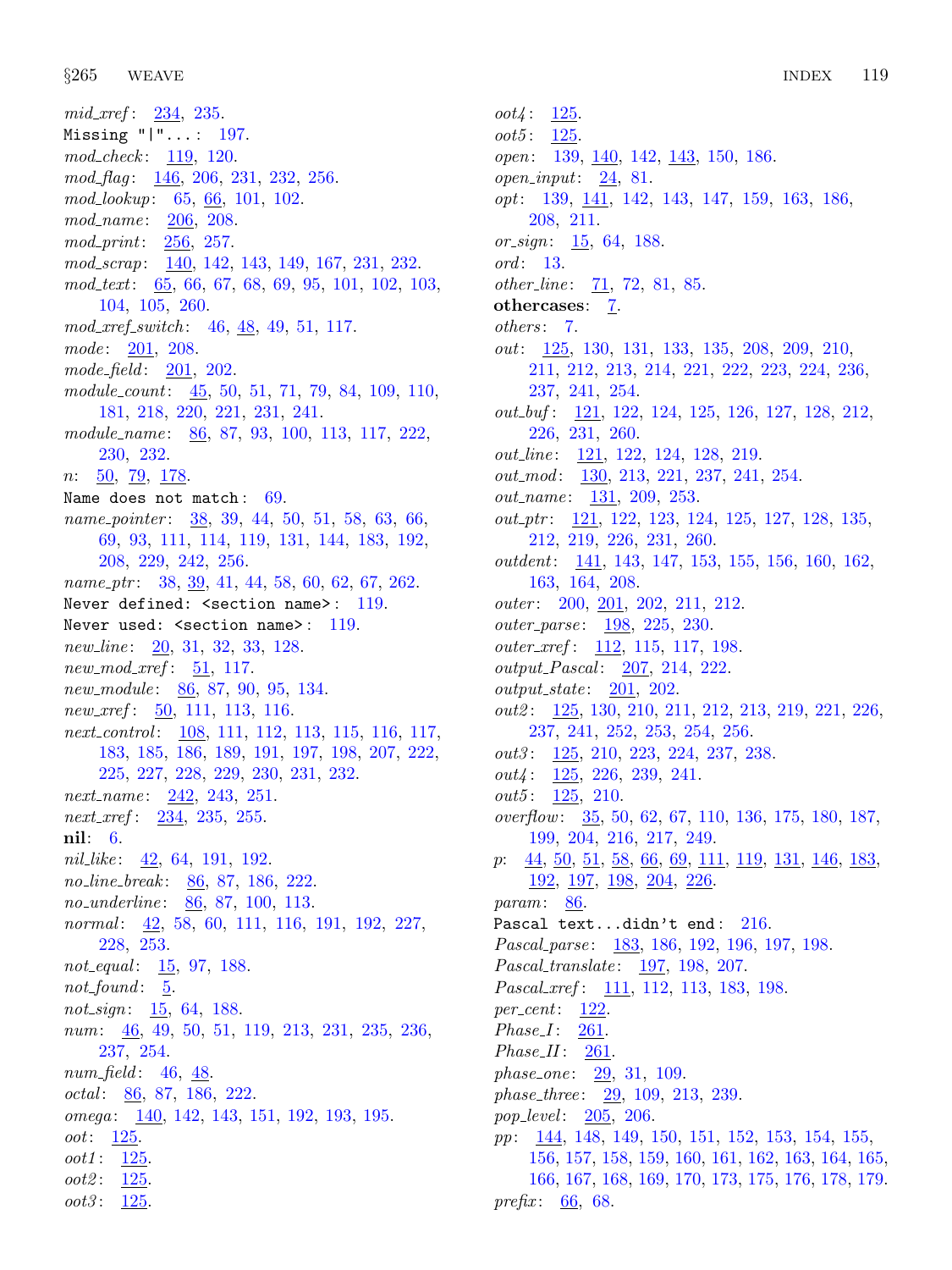*oot3*:  $125$ .

mid xref:  $234, 235$  $234, 235$ . Missing "|"... : [197.](#page-75-0) mod\_check: [119,](#page-41-0) [120](#page-41-0).  $mod\_flag: \quad \underline{146}$  $mod\_flag: \quad \underline{146}$  $mod\_flag: \quad \underline{146}$ , [206,](#page-78-0) [231,](#page-88-0) [232,](#page-88-0) [256.](#page-95-0) mod\_lookup: [65,](#page-21-0) [66,](#page-21-0) [101,](#page-35-0) [102](#page-35-0). mod\_name: [206,](#page-78-0) [208.](#page-80-0) mod print: [256,](#page-95-0) [257.](#page-95-0) mod\_scrap: [140,](#page-50-0) [142](#page-52-0), [143](#page-54-0), [149,](#page-60-0) [167](#page-65-0), [231](#page-88-0), [232.](#page-88-0) mod\_text: [65](#page-21-0), [66](#page-21-0), [67](#page-21-0), [68](#page-22-0), [69,](#page-22-0) [95,](#page-33-0) [101,](#page-35-0) [102,](#page-35-0) [103](#page-36-0), [104,](#page-36-0) [105,](#page-36-0) [260.](#page-97-0) mod\_xref\_switch: [46,](#page-14-0) [48,](#page-14-0) [49](#page-14-0), [51](#page-15-0), [117.](#page-41-0)  $mode: \frac{201}{208}.$  $mode: \frac{201}{208}.$  $mode: \frac{201}{208}.$  $mode: \frac{201}{208}.$  $mode: \frac{201}{208}.$  $mode\_field: \quad 201, \; 202.$  $mode\_field: \quad 201, \; 202.$  $mode\_field: \quad 201, \; 202.$  $mode\_field: \quad 201, \; 202.$ module\_count:  $\underline{45}$ , [50,](#page-15-0) [51](#page-15-0), [71](#page-23-0), [79](#page-25-0), [84](#page-27-0), [109](#page-38-0), [110](#page-38-0), [181,](#page-69-0) [218,](#page-84-0) [220,](#page-84-0) [221,](#page-84-0) [231,](#page-88-0) [241.](#page-91-0) module\_name: [86](#page-28-0), [87,](#page-29-0) [93](#page-32-0), [100](#page-35-0), [113,](#page-40-0) [117](#page-41-0), [222](#page-85-0), [230,](#page-87-0) [232](#page-88-0). *n*:  $\frac{50}{79}$ ,  $\frac{178}{7}$ . Name does not match: [69](#page-22-0). name\_pointer: [38,](#page-12-0) [39](#page-12-0), [44,](#page-14-0) [50](#page-15-0), [51,](#page-15-0) [58](#page-17-0), [63,](#page-19-0) [66](#page-21-0), [69,](#page-22-0) [93](#page-32-0), [111,](#page-39-0) [114](#page-40-0), [119,](#page-41-0) [131](#page-45-0), [144,](#page-56-0) [183,](#page-70-0) [192](#page-73-0), [208,](#page-80-0) [229](#page-87-0), [242](#page-91-0), [256.](#page-95-0) name ptr: [38,](#page-12-0) [39](#page-12-0), [41,](#page-12-0) [44,](#page-14-0) [58](#page-17-0), [60,](#page-18-0) [62,](#page-18-0) [67](#page-21-0), [262.](#page-98-0) Never defined:  $\leq$  section name>: [119](#page-41-0). Never used:  $\leq$  section name>: [119.](#page-41-0) new line:  $20, 31, 32, 33, 128$  $20, 31, 32, 33, 128$  $20, 31, 32, 33, 128$  $20, 31, 32, 33, 128$  $20, 31, 32, 33, 128$  $20, 31, 32, 33, 128$  $20, 31, 32, 33, 128$  $20, 31, 32, 33, 128$ . new mod xref:  $51, 117$  $51, 117$ . new\_module: [86,](#page-28-0) [87,](#page-29-0) [90,](#page-30-0) [95,](#page-33-0) [134.](#page-46-0) new\_xref: [50,](#page-15-0) [111,](#page-39-0) [113](#page-40-0), [116](#page-41-0). next\_control: [108](#page-38-0), [111](#page-39-0), [112](#page-39-0), [113,](#page-40-0) [115,](#page-40-0) [116,](#page-41-0) [117](#page-41-0), [183,](#page-70-0) [185,](#page-71-0) [186,](#page-71-0) [189,](#page-72-0) [191,](#page-73-0) [197,](#page-75-0) [198,](#page-76-0) [207](#page-79-0), [222](#page-85-0), [225,](#page-86-0) [227,](#page-86-0) [228](#page-87-0), [229](#page-87-0), [230,](#page-87-0) [231,](#page-88-0) [232](#page-88-0). next\_name:  $242, 243, 251$  $242, 243, 251$  $242, 243, 251$  $242, 243, 251$ . next\_xref: [234](#page-88-0), [235](#page-89-0), [255.](#page-95-0) nil: [6](#page-2-0). nil like:  $\frac{42}{64}$  $\frac{42}{64}$  $\frac{42}{64}$ , [191](#page-73-0), [192.](#page-73-0) no\_line\_break: [86](#page-28-0), [87](#page-29-0), [186](#page-71-0), [222](#page-85-0). no underline: [86,](#page-28-0) [87](#page-29-0), [100](#page-35-0), [113](#page-40-0). normal: [42,](#page-13-0) [58](#page-17-0), [60](#page-18-0), [111,](#page-39-0) [116](#page-41-0), [191,](#page-73-0) [192](#page-73-0), [227,](#page-86-0) [228,](#page-87-0) [253](#page-94-0). not equal:  $15, 97, 188$  $15, 97, 188$  $15, 97, 188$  $15, 97, 188$ .  $not\_found: 5.$  $not\_found: 5.$  $not\_found: 5.$ not\_sign:  $\frac{15}{64}$ , [188](#page-72-0). num: [46](#page-14-0), [49](#page-14-0), [50,](#page-15-0) [51,](#page-15-0) [119](#page-41-0), [213,](#page-82-0) [231,](#page-88-0) [235](#page-89-0), [236](#page-89-0), [237,](#page-90-0) [254](#page-94-0). num field:  $46, 48$  $46, 48$ . octal:  $86, 87, 186, 222$  $86, 87, 186, 222$  $86, 87, 186, 222$  $86, 87, 186, 222$  $86, 87, 186, 222$  $86, 87, 186, 222$ . omega: [140,](#page-50-0) [142](#page-52-0), [143,](#page-54-0) [151](#page-61-0), [192,](#page-73-0) [193](#page-74-0), [195.](#page-74-0) oot: [125](#page-43-0). oot1 : [125.](#page-43-0) oot2: [125.](#page-43-0)

 $oot4: 125.$  $oot4: 125.$ *oot5*:  $125$ . open: [139,](#page-49-0) [140,](#page-50-0) [142](#page-52-0), [143](#page-54-0), [150](#page-61-0), [186](#page-71-0).  $open\_input: \underline{24}, 81.$  $open\_input: \underline{24}, 81.$  $open\_input: \underline{24}, 81.$  $open\_input: \underline{24}, 81.$ opt: [139,](#page-49-0) [141](#page-51-0), [142,](#page-52-0) [143,](#page-54-0) [147](#page-58-0), [159](#page-63-0), [163,](#page-64-0) [186](#page-71-0), [208,](#page-80-0) [211.](#page-81-0) or\_sign:  $15, 64, 188$  $15, 64, 188$  $15, 64, 188$  $15, 64, 188$ . ord: [13](#page-5-0).  $other\_line: 71, 72, 81, 85.$  $other\_line: 71, 72, 81, 85.$  $other\_line: 71, 72, 81, 85.$  $other\_line: 71, 72, 81, 85.$  $other\_line: 71, 72, 81, 85.$  $other\_line: 71, 72, 81, 85.$  $other\_line: 71, 72, 81, 85.$  $other\_line: 71, 72, 81, 85.$ othercases: [7.](#page-2-0) others: [7](#page-2-0). out: [125,](#page-43-0) [130,](#page-44-0) [131](#page-45-0), [133,](#page-46-0) [135,](#page-47-0) [208](#page-80-0), [209,](#page-80-0) [210,](#page-81-0) [211,](#page-81-0) [212,](#page-81-0) [213,](#page-82-0) [214,](#page-82-0) [221,](#page-84-0) [222,](#page-85-0) [223](#page-85-0), [224](#page-85-0), [236](#page-89-0), [237,](#page-90-0) [241,](#page-91-0) [254.](#page-94-0)  $out\_buf: \underline{121}, 122, 124, 125, 126, 127, 128, 212,$  $out\_buf: \underline{121}, 122, 124, 125, 126, 127, 128, 212,$  $out\_buf: \underline{121}, 122, 124, 125, 126, 127, 128, 212,$  $out\_buf: \underline{121}, 122, 124, 125, 126, 127, 128, 212,$  $out\_buf: \underline{121}, 122, 124, 125, 126, 127, 128, 212,$  $out\_buf: \underline{121}, 122, 124, 125, 126, 127, 128, 212,$  $out\_buf: \underline{121}, 122, 124, 125, 126, 127, 128, 212,$  $out\_buf: \underline{121}, 122, 124, 125, 126, 127, 128, 212,$  $out\_buf: \underline{121}, 122, 124, 125, 126, 127, 128, 212,$  $out\_buf: \underline{121}, 122, 124, 125, 126, 127, 128, 212,$  $out\_buf: \underline{121}, 122, 124, 125, 126, 127, 128, 212,$  $out\_buf: \underline{121}, 122, 124, 125, 126, 127, 128, 212,$  $out\_buf: \underline{121}, 122, 124, 125, 126, 127, 128, 212,$  $out\_buf: \underline{121}, 122, 124, 125, 126, 127, 128, 212,$ [226,](#page-86-0) [231,](#page-88-0) [260.](#page-97-0) out\_line: [121](#page-42-0), [122](#page-42-0), [124](#page-43-0), [128,](#page-44-0) [219.](#page-84-0) out\_mod: [130](#page-44-0), [213](#page-82-0), [221,](#page-84-0) [237](#page-90-0), [241](#page-91-0), [254.](#page-94-0) out\_name: [131,](#page-45-0) [209](#page-80-0), [253.](#page-94-0)  $out\_ptr$ : [121](#page-42-0), [122](#page-42-0), [123,](#page-43-0) [124,](#page-43-0) [125](#page-43-0), [127](#page-44-0), [128](#page-44-0), [135,](#page-47-0) [212,](#page-81-0) [219](#page-84-0), [226](#page-86-0), [231,](#page-88-0) [260](#page-97-0). outdent: [141](#page-51-0), [143](#page-54-0), [147,](#page-58-0) [153,](#page-62-0) [155](#page-62-0), [156,](#page-62-0) [160,](#page-63-0) [162](#page-64-0), [163,](#page-64-0) [164,](#page-65-0) [208.](#page-80-0) outer:  $200, 201, 202, 211, 212$  $200, 201, 202, 211, 212$  $200, 201, 202, 211, 212$  $200, 201, 202, 211, 212$  $200, 201, 202, 211, 212$  $200, 201, 202, 211, 212$  $200, 201, 202, 211, 212$  $200, 201, 202, 211, 212$  $200, 201, 202, 211, 212$ . outer<sub>-parse: 198</sub>, [225,](#page-86-0) [230](#page-87-0).  $outer\_xref: 112, 115, 117, 198.$  $outer\_xref: 112, 115, 117, 198.$  $outer\_xref: 112, 115, 117, 198.$  $outer\_xref: 112, 115, 117, 198.$  $outer\_xref: 112, 115, 117, 198.$  $outer\_xref: 112, 115, 117, 198.$  $outer\_xref: 112, 115, 117, 198.$  $outer\_xref: 112, 115, 117, 198.$ output\_Pascal: [207,](#page-79-0) [214](#page-82-0), [222](#page-85-0).  $output\_state: 201, 202.$  $output\_state: 201, 202.$  $output\_state: 201, 202.$  $output\_state: 201, 202.$ out2 : [125](#page-43-0), [130,](#page-44-0) [210,](#page-81-0) [211](#page-81-0), [212](#page-81-0), [213,](#page-82-0) [219,](#page-84-0) [221](#page-84-0), [226](#page-86-0), [237,](#page-90-0) [241,](#page-91-0) [252,](#page-94-0) [253,](#page-94-0) [254,](#page-94-0) [256.](#page-95-0) out3: [125](#page-43-0), [210](#page-81-0), [223](#page-85-0), [224,](#page-85-0) [237,](#page-90-0) [238.](#page-90-0)  $out4$ :  $125, 226, 239, 241$  $125, 226, 239, 241$  $125, 226, 239, 241$  $125, 226, 239, 241$  $125, 226, 239, 241$  $125, 226, 239, 241$ .  $out5: \frac{125}{200}.$  $out5: \frac{125}{200}.$  $out5: \frac{125}{200}.$ overflow: [35](#page-11-0), [50,](#page-15-0) [62](#page-18-0), [67,](#page-21-0) [110,](#page-38-0) [136](#page-47-0), [175,](#page-67-0) [180](#page-69-0), [187,](#page-72-0) [199,](#page-76-0) [204](#page-78-0), [216](#page-83-0), [217,](#page-83-0) [249](#page-93-0). p: [44,](#page-14-0) [50](#page-15-0), [51,](#page-15-0) [58,](#page-17-0) [66](#page-21-0), [69,](#page-22-0) [111](#page-39-0), [119,](#page-41-0) [131,](#page-45-0) [146](#page-57-0), [183,](#page-70-0) [192,](#page-73-0) [197](#page-75-0), [198](#page-76-0), [204,](#page-78-0) [226](#page-86-0). param: [86.](#page-28-0) Pascal text...didn't end: [216](#page-83-0). Pascal parse: [183,](#page-70-0) [186](#page-71-0), [192,](#page-73-0) [196](#page-75-0), [197](#page-75-0), [198.](#page-76-0) Pascal translate : [197](#page-75-0), [198,](#page-76-0) [207.](#page-79-0) Pascal\_xref: [111,](#page-39-0) [112](#page-39-0), [113](#page-40-0), [183,](#page-70-0) [198.](#page-76-0)  $per\_cent:$  [122.](#page-42-0)  $Phase I: 261.$  $Phase I: 261.$  $Phase II: 261$ . phase\_one: [29,](#page-10-0) [31](#page-10-0), [109.](#page-38-0) phase three : [29](#page-10-0), [109](#page-38-0), [213](#page-82-0), [239.](#page-91-0) pop\_level:  $205, 206$  $205, 206$  $205, 206$ . pp: [144,](#page-56-0) [148,](#page-59-0) [149](#page-60-0), [150](#page-61-0), [151,](#page-61-0) [152,](#page-61-0) [153](#page-62-0), [154](#page-62-0), [155,](#page-62-0) [156,](#page-62-0) [157,](#page-62-0) [158](#page-63-0), [159,](#page-63-0) [160,](#page-63-0) [161](#page-63-0), [162](#page-64-0), [163,](#page-64-0) [164,](#page-65-0) [165](#page-65-0), [166,](#page-65-0) [167,](#page-65-0) [168](#page-65-0), [169,](#page-65-0) [170,](#page-66-0) [173](#page-66-0), [175](#page-67-0), [176,](#page-67-0) [178,](#page-68-0) [179](#page-68-0). prefix:  $66, 68$  $66, 68$  $66, 68$ .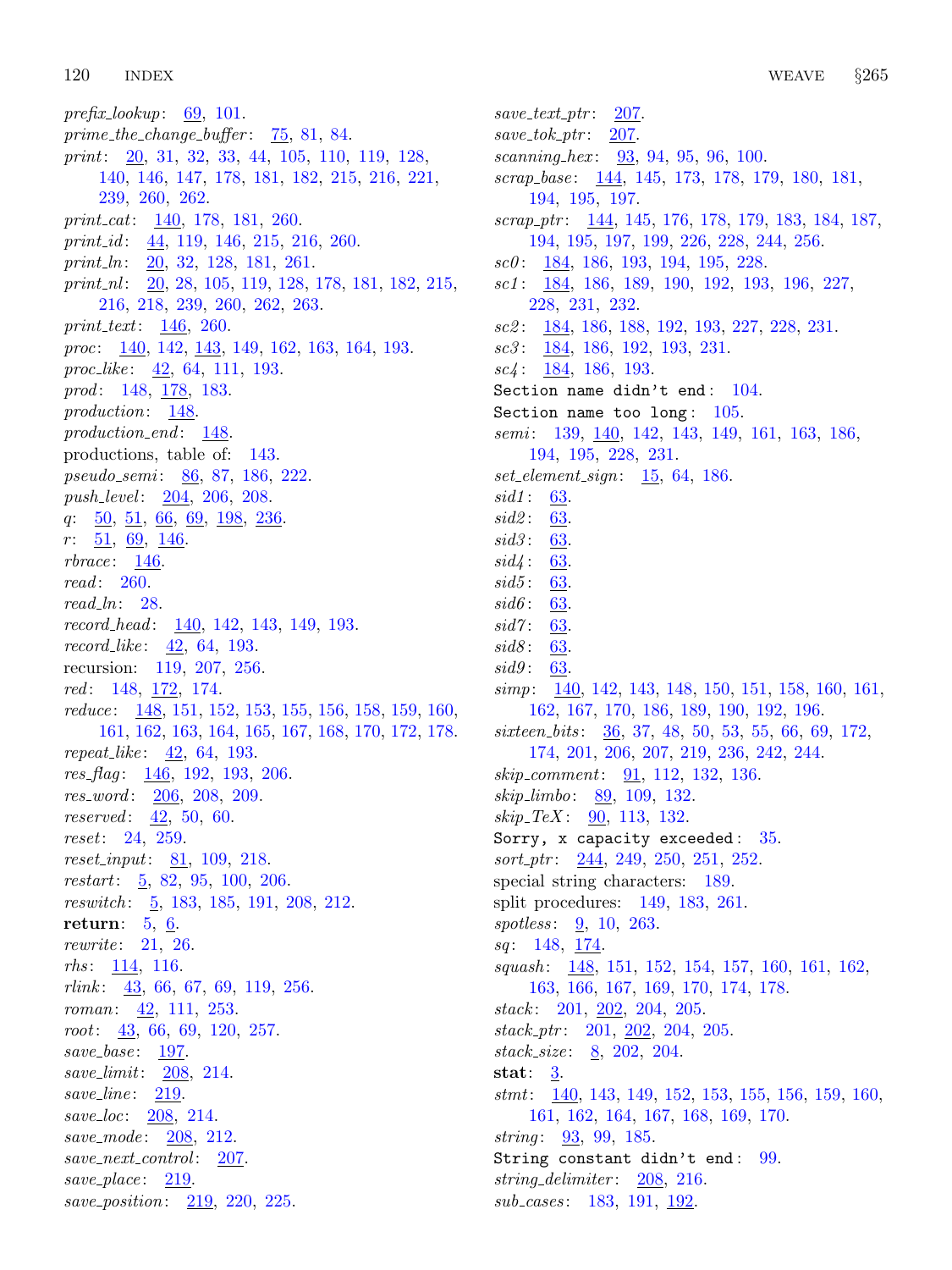prefix lookup:  $69, 101$  $69, 101$ . prime the change buffer :  $75, 81, 84$  $75, 81, 84$  $75, 81, 84$  $75, 81, 84$  $75, 81, 84$ . print: [20](#page-8-0), [31,](#page-10-0) [32](#page-11-0), [33,](#page-11-0) [44](#page-14-0), [105,](#page-36-0) [110,](#page-38-0) [119](#page-41-0), [128,](#page-44-0) [140,](#page-50-0) [146,](#page-57-0) [147,](#page-58-0) [178,](#page-68-0) [181,](#page-69-0) [182,](#page-69-0) [215,](#page-82-0) [216](#page-83-0), [221](#page-84-0), [239,](#page-91-0) [260,](#page-97-0) [262.](#page-98-0) print\_cat: [140,](#page-50-0) [178,](#page-68-0) [181,](#page-69-0) [260](#page-97-0). print id: [44](#page-14-0), [119](#page-41-0), [146,](#page-57-0) [215,](#page-82-0) [216](#page-83-0), [260](#page-97-0). print  $\ln$ : [20](#page-8-0), [32](#page-11-0), [128](#page-44-0), [181](#page-69-0), [261](#page-98-0). print  $nl$ :  $20$ ,  $28$ ,  $105$ ,  $119$ ,  $128$ ,  $178$ ,  $181$ ,  $182$ ,  $215$ , [216,](#page-83-0) [218,](#page-84-0) [239,](#page-91-0) [260,](#page-97-0) [262,](#page-98-0) [263.](#page-98-0) print\_text:  $146$ , [260.](#page-97-0) proc: [140,](#page-50-0) [142](#page-52-0), [143](#page-54-0), [149,](#page-60-0) [162](#page-64-0), [163](#page-64-0), [164,](#page-65-0) [193](#page-74-0). proc<sub>-like</sub>:  $\frac{42}{64}$  $\frac{42}{64}$  $\frac{42}{64}$ , [111,](#page-39-0) [193](#page-74-0). prod: [148,](#page-59-0) [178](#page-68-0), [183](#page-70-0). production: [148](#page-59-0). production\_end: [148.](#page-59-0) productions, table of: [143](#page-54-0). pseudo\_semi: [86](#page-28-0), [87](#page-29-0), [186](#page-71-0), [222](#page-85-0). push\_level: [204](#page-78-0), [206,](#page-78-0) [208](#page-80-0).  $q: \underline{50}, \underline{51}, \underline{66}, \underline{69}, \underline{198}, \underline{236}.$  $q: \underline{50}, \underline{51}, \underline{66}, \underline{69}, \underline{198}, \underline{236}.$  $q: \underline{50}, \underline{51}, \underline{66}, \underline{69}, \underline{198}, \underline{236}.$  $q: \underline{50}, \underline{51}, \underline{66}, \underline{69}, \underline{198}, \underline{236}.$  $q: \underline{50}, \underline{51}, \underline{66}, \underline{69}, \underline{198}, \underline{236}.$  $q: \underline{50}, \underline{51}, \underline{66}, \underline{69}, \underline{198}, \underline{236}.$  $q: \underline{50}, \underline{51}, \underline{66}, \underline{69}, \underline{198}, \underline{236}.$  $q: \underline{50}, \underline{51}, \underline{66}, \underline{69}, \underline{198}, \underline{236}.$  $q: \underline{50}, \underline{51}, \underline{66}, \underline{69}, \underline{198}, \underline{236}.$  $r: \underline{51}, \underline{69}, \underline{146}.$  $r: \underline{51}, \underline{69}, \underline{146}.$  $r: \underline{51}, \underline{69}, \underline{146}.$  $rbrace: 146.$  $rbrace: 146.$  $rbrace: 146.$ read: [260](#page-97-0). read ln: [28.](#page-9-0)  $record\_head: \quad 140, 142, 143, 149, 193.$  $record\_head: \quad 140, 142, 143, 149, 193.$  $record\_head: \quad 140, 142, 143, 149, 193.$  $record\_head: \quad 140, 142, 143, 149, 193.$  $record\_head: \quad 140, 142, 143, 149, 193.$  $record\_head: \quad 140, 142, 143, 149, 193.$  $record\_head: \quad 140, 142, 143, 149, 193.$  $record\_head: \quad 140, 142, 143, 149, 193.$  $record\_head: \quad 140, 142, 143, 149, 193.$  $record\_head: \quad 140, 142, 143, 149, 193.$  $record\_head: \quad 140, 142, 143, 149, 193.$ record like : [42](#page-13-0), [64,](#page-20-0) [193](#page-74-0). recursion: [119](#page-41-0), [207,](#page-79-0) [256.](#page-95-0) red: [148](#page-59-0), <u>172</u>, [174.](#page-67-0) reduce : [148,](#page-59-0) [151](#page-61-0), [152](#page-61-0), [153,](#page-62-0) [155,](#page-62-0) [156](#page-62-0), [158,](#page-63-0) [159,](#page-63-0) [160](#page-63-0), [161,](#page-63-0) [162,](#page-64-0) [163](#page-64-0), [164](#page-65-0), [165,](#page-65-0) [167](#page-65-0), [168](#page-65-0), [170,](#page-66-0) [172,](#page-66-0) [178](#page-68-0). repeat\_like:  $42, 64, 193$  $42, 64, 193$  $42, 64, 193$  $42, 64, 193$ .  $res_{flag}: 146, 192, 193, 206.$  $res_{flag}: 146, 192, 193, 206.$  $res_{flag}: 146, 192, 193, 206.$  $res_{flag}: 146, 192, 193, 206.$  $res_{flag}: 146, 192, 193, 206.$  $res_{flag}: 146, 192, 193, 206.$  $res_{flag}: 146, 192, 193, 206.$  $res_{flag}: 146, 192, 193, 206.$  $res_{flag}: 146, 192, 193, 206.$ res\_word: [206,](#page-78-0) [208](#page-80-0), [209.](#page-80-0) *reserved*:  $42, 50, 60$  $42, 50, 60$  $42, 50, 60$  $42, 50, 60$ . reset: [24](#page-8-0), [259](#page-96-0).  $reset\_input: 81, 109, 218.$  $reset\_input: 81, 109, 218.$  $reset\_input: 81, 109, 218.$  $reset\_input: 81, 109, 218.$  $reset\_input: 81, 109, 218.$  $reset\_input: 81, 109, 218.$  $reset\_input: 81, 109, 218.$ restart:  $\frac{5}{9}$  $\frac{5}{9}$  $\frac{5}{9}$ , [82,](#page-26-0) [95,](#page-33-0) [100](#page-35-0), [206.](#page-78-0) reswitch:  $\frac{5}{9}$ , 183, 18[5,](#page-2-0) [191](#page-73-0), [208](#page-80-0), [212.](#page-81-0) return: [5](#page-2-0), [6](#page-2-0). rewrite: [21,](#page-8-0) [26.](#page-9-0) rhs : [114](#page-40-0), [116](#page-41-0).  $rlink: \quad \underline{43}, \ 66, \ 67, \ 69, \ 119, \ 256.$  $rlink: \quad \underline{43}, \ 66, \ 67, \ 69, \ 119, \ 256.$  $rlink: \quad \underline{43}, \ 66, \ 67, \ 69, \ 119, \ 256.$  $rlink: \quad \underline{43}, \ 66, \ 67, \ 69, \ 119, \ 256.$  $rlink: \quad \underline{43}, \ 66, \ 67, \ 69, \ 119, \ 256.$  $rlink: \quad \underline{43}, \ 66, \ 67, \ 69, \ 119, \ 256.$  $rlink: \quad \underline{43}, \ 66, \ 67, \ 69, \ 119, \ 256.$  $rlink: \quad \underline{43}, \ 66, \ 67, \ 69, \ 119, \ 256.$  $rlink: \quad \underline{43}, \ 66, \ 67, \ 69, \ 119, \ 256.$  $rlink: \quad \underline{43}, \ 66, \ 67, \ 69, \ 119, \ 256.$  $rlink: \quad \underline{43}, \ 66, \ 67, \ 69, \ 119, \ 256.$  $rlink: \quad \underline{43}, \ 66, \ 67, \ 69, \ 119, \ 256.$ roman: [42,](#page-13-0) [111](#page-39-0), [253.](#page-94-0) root: [43,](#page-13-0) [66](#page-21-0), [69,](#page-22-0) [120,](#page-41-0) [257](#page-95-0). save\_base: [197.](#page-75-0) save limit: [208](#page-80-0), [214.](#page-82-0) save\_line: [219.](#page-84-0) save loc: [208](#page-80-0), [214](#page-82-0). save\_mode: [208](#page-80-0), [212.](#page-81-0) save\_next\_control: [207](#page-79-0). save\_place: [219](#page-84-0). save\_position: [219,](#page-84-0) [220](#page-84-0), [225](#page-86-0).

 $save\_text\_ptr: 207$  $save\_text\_ptr: 207$ .  $save\_tok\_ptr$ : [207](#page-79-0). scanning hex : [93](#page-32-0), [94,](#page-32-0) [95,](#page-33-0) [96,](#page-33-0) [100.](#page-35-0) scrap\_base: [144,](#page-56-0) [145](#page-56-0), [173](#page-66-0), [178,](#page-68-0) [179,](#page-68-0) [180](#page-69-0), [181](#page-69-0), [194,](#page-74-0) [195,](#page-74-0) [197.](#page-75-0)  $scrap\_ptr$ :  $144, 145, 176, 178, 179, 183, 184, 187,$  $144, 145, 176, 178, 179, 183, 184, 187,$  $144, 145, 176, 178, 179, 183, 184, 187,$  $144, 145, 176, 178, 179, 183, 184, 187,$  $144, 145, 176, 178, 179, 183, 184, 187,$  $144, 145, 176, 178, 179, 183, 184, 187,$  $144, 145, 176, 178, 179, 183, 184, 187,$  $144, 145, 176, 178, 179, 183, 184, 187,$  $144, 145, 176, 178, 179, 183, 184, 187,$  $144, 145, 176, 178, 179, 183, 184, 187,$  $144, 145, 176, 178, 179, 183, 184, 187,$  $144, 145, 176, 178, 179, 183, 184, 187,$  $144, 145, 176, 178, 179, 183, 184, 187,$  $144, 145, 176, 178, 179, 183, 184, 187,$  $144, 145, 176, 178, 179, 183, 184, 187,$  $144, 145, 176, 178, 179, 183, 184, 187,$ [194,](#page-74-0) [195](#page-74-0), [197,](#page-75-0) [199](#page-76-0), [226,](#page-86-0) [228](#page-87-0), [244,](#page-92-0) [256](#page-95-0).  $\textit{sc0}:$  [184](#page-70-0), [186](#page-71-0), [193](#page-74-0), [194](#page-74-0), [195,](#page-74-0) [228.](#page-87-0) sc1: [184](#page-70-0), [186,](#page-71-0) [189,](#page-72-0) [190](#page-73-0), [192,](#page-73-0) [193,](#page-74-0) [196](#page-75-0), [227,](#page-86-0) [228,](#page-87-0) [231,](#page-88-0) [232.](#page-88-0) sc2 : [184](#page-70-0), [186,](#page-71-0) [188](#page-72-0), [192](#page-73-0), [193,](#page-74-0) [227](#page-86-0), [228,](#page-87-0) [231](#page-88-0).  $\textit{sc3}:$  [184](#page-70-0), [186](#page-71-0), [192,](#page-73-0) [193,](#page-74-0) [231](#page-88-0).  $\mathit{sc4}: 184, 186, 193.$  $\mathit{sc4}: 184, 186, 193.$  $\mathit{sc4}: 184, 186, 193.$  $\mathit{sc4}: 184, 186, 193.$  $\mathit{sc4}: 184, 186, 193.$  $\mathit{sc4}: 184, 186, 193.$ Section name didn't end: [104](#page-36-0). Section name too long: [105.](#page-36-0) semi: [139](#page-49-0), [140](#page-50-0), [142,](#page-52-0) [143](#page-54-0), [149](#page-60-0), [161,](#page-63-0) [163](#page-64-0), [186](#page-71-0), [194,](#page-74-0) [195](#page-74-0), [228,](#page-87-0) [231.](#page-88-0)  $set_{element\_sign}$ :  $\underline{15}$ , [64](#page-20-0), [186](#page-71-0). sid1: [63.](#page-19-0) sid2 : [63.](#page-19-0) sid3: [63.](#page-19-0) sid4 : [63.](#page-19-0) sid5: [63.](#page-19-0) sid6: [63.](#page-19-0)  $sid7: 63.$  $sid7: 63.$ sid8: [63.](#page-19-0) sid9: [63.](#page-19-0) simp: [140](#page-50-0), [142](#page-52-0), [143,](#page-54-0) [148,](#page-59-0) [150](#page-61-0), [151](#page-61-0), [158](#page-63-0), [160,](#page-63-0) [161,](#page-63-0) [162,](#page-64-0) [167](#page-65-0), [170,](#page-66-0) [186](#page-71-0), [189,](#page-72-0) [190](#page-73-0), [192,](#page-73-0) [196](#page-75-0). sixteen\_bits: [36,](#page-12-0) [37,](#page-12-0) [48,](#page-14-0) [50,](#page-15-0) [53](#page-16-0), [55](#page-17-0), [66](#page-21-0), [69,](#page-22-0) [172,](#page-66-0) [174,](#page-67-0) [201](#page-77-0), [206,](#page-78-0) [207](#page-79-0), [219,](#page-84-0) [236](#page-89-0), [242,](#page-91-0) [244](#page-92-0).  $skip\_commont: 91, 112, 132, 136.$  $skip\_commont: 91, 112, 132, 136.$  $skip\_commont: 91, 112, 132, 136.$  $skip\_commont: 91, 112, 132, 136.$  $skip\_commont: 91, 112, 132, 136.$  $skip\_commont: 91, 112, 132, 136.$  $skip\_commont: 91, 112, 132, 136.$  $skip\_commont: 91, 112, 132, 136.$  $skip\_commont: 91, 112, 132, 136.$  $skip\_limbo: 89, 109, 132.$  $skip\_limbo: 89, 109, 132.$  $skip\_limbo: 89, 109, 132.$  $skip\_limbo: 89, 109, 132.$  $skip\_limbo: 89, 109, 132.$  $skip\_limbo: 89, 109, 132.$  $skip\_limbo: 89, 109, 132.$  $skip\_TER: 90, 113, 132.$  $skip\_TER: 90, 113, 132.$  $skip\_TER: 90, 113, 132.$  $skip\_TER: 90, 113, 132.$  $skip\_TER: 90, 113, 132.$  $skip\_TER: 90, 113, 132.$ Sorry, x capacity exceeded : [35.](#page-11-0)  $sort\_ptr: \quad 244, 249, 250, 251, 252.$  $sort\_ptr: \quad 244, 249, 250, 251, 252.$  $sort\_ptr: \quad 244, 249, 250, 251, 252.$  $sort\_ptr: \quad 244, 249, 250, 251, 252.$  $sort\_ptr: \quad 244, 249, 250, 251, 252.$  $sort\_ptr: \quad 244, 249, 250, 251, 252.$  $sort\_ptr: \quad 244, 249, 250, 251, 252.$  $sort\_ptr: \quad 244, 249, 250, 251, 252.$  $sort\_ptr: \quad 244, 249, 250, 251, 252.$  $sort\_ptr: \quad 244, 249, 250, 251, 252.$  $sort\_ptr: \quad 244, 249, 250, 251, 252.$ special string characters: [189](#page-72-0). split procedures: [149,](#page-60-0) [183,](#page-70-0) [261.](#page-98-0) spotless: [9](#page-3-0), [10](#page-3-0), [263.](#page-98-0)  $sq: 148, 174.$  $sq: 148, 174.$  $sq: 148, 174.$  $sq: 148, 174.$ squash: [148](#page-59-0), [151](#page-61-0), [152](#page-61-0), [154,](#page-62-0) [157,](#page-62-0) [160,](#page-63-0) [161,](#page-63-0) [162,](#page-64-0) [163,](#page-64-0) [166,](#page-65-0) [167](#page-65-0), [169](#page-65-0), [170,](#page-66-0) [174,](#page-67-0) [178](#page-68-0).  $stack: 201, 202, 204, 205.$  $stack: 201, 202, 204, 205.$  $stack: 201, 202, 204, 205.$  $stack: 201, 202, 204, 205.$  $stack: 201, 202, 204, 205.$  $stack: 201, 202, 204, 205.$  $stack: 201, 202, 204, 205.$  $stack: 201, 202, 204, 205.$ stack ptr:  $201, 202, 204, 205$  $201, 202, 204, 205$  $201, 202, 204, 205$  $201, 202, 204, 205$  $201, 202, 204, 205$  $201, 202, 204, 205$ .  $stack\_size: 8, 202, 204.$  $stack\_size: 8, 202, 204.$  $stack\_size: 8, 202, 204.$  $stack\_size: 8, 202, 204.$  $stack\_size: 8, 202, 204.$  $stack\_size: 8, 202, 204.$  $stack\_size: 8, 202, 204.$ stat: [3](#page-1-0). stmt: [140,](#page-50-0) [143](#page-54-0), [149](#page-60-0), [152,](#page-61-0) [153](#page-62-0), [155](#page-62-0), [156,](#page-62-0) [159,](#page-63-0) [160](#page-63-0), [161,](#page-63-0) [162,](#page-64-0) [164](#page-65-0), [167](#page-65-0), [168,](#page-65-0) [169,](#page-65-0) [170](#page-66-0). string: [93,](#page-32-0) [99,](#page-34-0) [185](#page-71-0). String constant didn't end: [99.](#page-34-0) string\_delimiter: [208](#page-80-0), [216.](#page-83-0) sub cases: [183,](#page-70-0) [191,](#page-73-0) [192](#page-73-0).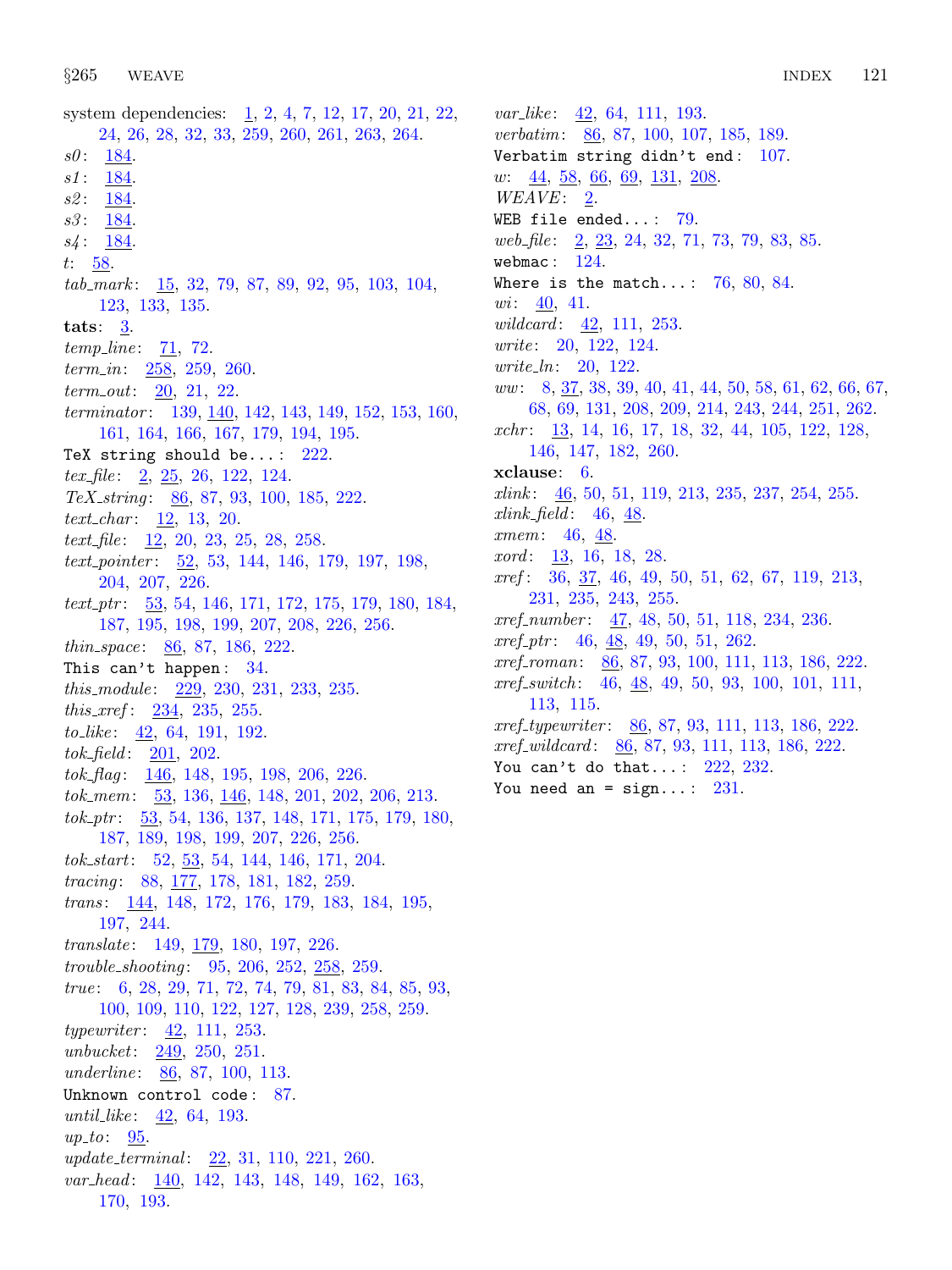system dependencies: [1,](#page-1-0) [2,](#page-1-0) [4,](#page-1-0) [7,](#page-2-0) [12,](#page-5-0) [17,](#page-7-0) [20,](#page-8-0) [21](#page-8-0), [22](#page-8-0), [24,](#page-8-0) [26](#page-9-0), [28,](#page-9-0) [32,](#page-11-0) [33](#page-11-0), [259](#page-96-0), [260,](#page-97-0) [261,](#page-98-0) [263](#page-98-0), [264.](#page-99-0)  $s0: 184.$  $s0: 184.$ s1: [184.](#page-70-0) s2: [184.](#page-70-0)  $s3: 184.$  $s3: 184.$  $s4: 184.$  $s4: 184.$ t:  $58$ .  $tab\_mark: 15, 32, 79, 87, 89, 92, 95, 103, 104,$  $tab\_mark: 15, 32, 79, 87, 89, 92, 95, 103, 104,$  $tab\_mark: 15, 32, 79, 87, 89, 92, 95, 103, 104,$  $tab\_mark: 15, 32, 79, 87, 89, 92, 95, 103, 104,$  $tab\_mark: 15, 32, 79, 87, 89, 92, 95, 103, 104,$  $tab\_mark: 15, 32, 79, 87, 89, 92, 95, 103, 104,$  $tab\_mark: 15, 32, 79, 87, 89, 92, 95, 103, 104,$  $tab\_mark: 15, 32, 79, 87, 89, 92, 95, 103, 104,$  $tab\_mark: 15, 32, 79, 87, 89, 92, 95, 103, 104,$  $tab\_mark: 15, 32, 79, 87, 89, 92, 95, 103, 104,$  $tab\_mark: 15, 32, 79, 87, 89, 92, 95, 103, 104,$  $tab\_mark: 15, 32, 79, 87, 89, 92, 95, 103, 104,$  $tab\_mark: 15, 32, 79, 87, 89, 92, 95, 103, 104,$  $tab\_mark: 15, 32, 79, 87, 89, 92, 95, 103, 104,$  $tab\_mark: 15, 32, 79, 87, 89, 92, 95, 103, 104,$  $tab\_mark: 15, 32, 79, 87, 89, 92, 95, 103, 104,$  $tab\_mark: 15, 32, 79, 87, 89, 92, 95, 103, 104,$  $tab\_mark: 15, 32, 79, 87, 89, 92, 95, 103, 104,$  $tab\_mark: 15, 32, 79, 87, 89, 92, 95, 103, 104,$ [123,](#page-43-0) [133,](#page-46-0) [135.](#page-47-0) tats:  $3$ .  $temp\_line: 71, 72.$  $temp\_line: 71, 72.$  $temp\_line: 71, 72.$  $temp\_line: 71, 72.$  $temp\_line: 71, 72.$ term\_in:  $258, 259, 260$  $258, 259, 260$  $258, 259, 260$  $258, 259, 260$ .  $term\_out: 20, 21, 22.$  $term\_out: 20, 21, 22.$  $term\_out: 20, 21, 22.$  $term\_out: 20, 21, 22.$  $term\_out: 20, 21, 22.$  $term\_out: 20, 21, 22.$  $term\_out: 20, 21, 22.$ terminator: [139,](#page-49-0)  $\underline{140}$ , [142](#page-52-0), [143](#page-54-0), [149,](#page-60-0) [152,](#page-61-0) [153](#page-62-0), [160](#page-63-0), [161,](#page-63-0) [164,](#page-65-0) [166](#page-65-0), [167](#page-65-0), [179,](#page-68-0) [194,](#page-74-0) [195](#page-74-0). TeX string should be...:  $222$ . tex file:  $2, 25, 26, 122, 124$  $2, 25, 26, 122, 124$  $2, 25, 26, 122, 124$  $2, 25, 26, 122, 124$  $2, 25, 26, 122, 124$  $2, 25, 26, 122, 124$  $2, 25, 26, 122, 124$  $2, 25, 26, 122, 124$ . TeX<sub>-</sub>string: [86,](#page-28-0) [87,](#page-29-0) [93](#page-32-0), [100](#page-35-0), [185,](#page-71-0) [222](#page-85-0).  $text_{char}: 12, 13, 20.$  $text_{char}: 12, 13, 20.$  $text_{char}: 12, 13, 20.$  $text_{char}: 12, 13, 20.$  $text_{char}: 12, 13, 20.$  $text_{char}: 12, 13, 20.$  $text_{char}: 12, 13, 20.$ text file:  $\frac{12}{20}$  $\frac{12}{20}$  $\frac{12}{20}$  $\frac{12}{20}$  $\frac{12}{20}$ , 20, [23](#page-8-0), [25](#page-8-0), [28](#page-9-0), [258](#page-96-0). text<sub>-pointer</sub>:  $\underline{52}$  $\underline{52}$  $\underline{52}$ , [53,](#page-16-0) [144](#page-56-0), [146,](#page-57-0) [179](#page-68-0), [197,](#page-75-0) [198](#page-76-0), [204,](#page-78-0) [207,](#page-79-0) [226.](#page-86-0) text<sub>-ptr</sub>:  $\underline{53}$  $\underline{53}$  $\underline{53}$ , [54](#page-16-0), [146,](#page-57-0) [171,](#page-66-0) [172,](#page-66-0) [175,](#page-67-0) [179](#page-68-0), [180](#page-69-0), [184](#page-70-0), [187,](#page-72-0) [195](#page-74-0), [198,](#page-76-0) [199](#page-76-0), [207,](#page-79-0) [208](#page-80-0), [226,](#page-86-0) [256](#page-95-0). thin space: [86](#page-28-0), [87](#page-29-0), [186,](#page-71-0) [222.](#page-85-0) This can't happen:  $34$ . this *module* : [229](#page-87-0), [230](#page-87-0), [231,](#page-88-0) [233,](#page-88-0) [235](#page-89-0). *this\_xref* :  $234$ , [235,](#page-89-0) [255](#page-95-0). to like : [42,](#page-13-0) [64](#page-20-0), [191,](#page-73-0) [192](#page-73-0). tok field : [201,](#page-77-0) [202](#page-77-0).  $tok_flag: \quad \underline{146}$  $tok_flag: \quad \underline{146}$  $tok_flag: \quad \underline{146}$ , [148,](#page-59-0) [195,](#page-74-0) [198](#page-76-0), [206](#page-78-0), [226.](#page-86-0) tok mem: [53](#page-16-0), [136,](#page-47-0) [146,](#page-57-0) [148](#page-59-0), [201](#page-77-0), [202](#page-77-0), [206,](#page-78-0) [213.](#page-82-0) tok ptr : [53,](#page-16-0) [54,](#page-16-0) [136](#page-47-0), [137](#page-48-0), [148,](#page-59-0) [171,](#page-66-0) [175](#page-67-0), [179](#page-68-0), [180,](#page-69-0) [187,](#page-72-0) [189,](#page-72-0) [198](#page-76-0), [199](#page-76-0), [207,](#page-79-0) [226,](#page-86-0) [256](#page-95-0).  $tok\_start: 52, 53, 54, 144, 146, 171, 204.$  $tok\_start: 52, 53, 54, 144, 146, 171, 204.$  $tok\_start: 52, 53, 54, 144, 146, 171, 204.$  $tok\_start: 52, 53, 54, 144, 146, 171, 204.$  $tok\_start: 52, 53, 54, 144, 146, 171, 204.$  $tok\_start: 52, 53, 54, 144, 146, 171, 204.$  $tok\_start: 52, 53, 54, 144, 146, 171, 204.$  $tok\_start: 52, 53, 54, 144, 146, 171, 204.$  $tok\_start: 52, 53, 54, 144, 146, 171, 204.$  $tok\_start: 52, 53, 54, 144, 146, 171, 204.$  $tok\_start: 52, 53, 54, 144, 146, 171, 204.$  $tok\_start: 52, 53, 54, 144, 146, 171, 204.$  $tok\_start: 52, 53, 54, 144, 146, 171, 204.$  $tok\_start: 52, 53, 54, 144, 146, 171, 204.$  $tok\_start: 52, 53, 54, 144, 146, 171, 204.$ tracing: [88,](#page-29-0) [177,](#page-67-0) [178,](#page-68-0) [181](#page-69-0), [182](#page-69-0), [259.](#page-96-0) trans: [144,](#page-56-0) [148](#page-59-0), [172](#page-66-0), [176,](#page-67-0) [179,](#page-68-0) [183](#page-70-0), [184](#page-70-0), [195,](#page-74-0) [197,](#page-75-0) [244](#page-92-0).  $translate: 149, 179, 180, 197, 226.$  $translate: 149, 179, 180, 197, 226.$  $translate: 149, 179, 180, 197, 226.$  $translate: 149, 179, 180, 197, 226.$  $translate: 149, 179, 180, 197, 226.$  $translate: 149, 179, 180, 197, 226.$  $translate: 149, 179, 180, 197, 226.$  $translate: 149, 179, 180, 197, 226.$  $translate: 149, 179, 180, 197, 226.$  $translate: 149, 179, 180, 197, 226.$ trouble shooting : [95](#page-33-0), [206,](#page-78-0) [252](#page-94-0), [258](#page-96-0), [259.](#page-96-0) true: [6](#page-2-0), [28,](#page-9-0) [29](#page-10-0), [71,](#page-23-0) [72](#page-23-0), [74](#page-23-0), [79,](#page-25-0) [81](#page-26-0), [83,](#page-26-0) [84](#page-27-0), [85,](#page-27-0) [93,](#page-32-0) [100,](#page-35-0) [109](#page-38-0), [110](#page-38-0), [122,](#page-42-0) [127,](#page-44-0) [128](#page-44-0), [239](#page-91-0), [258,](#page-96-0) [259.](#page-96-0)  $typewriter: \underline{42}, 111, 253.$  $typewriter: \underline{42}, 111, 253.$  $typewriter: \underline{42}, 111, 253.$  $typewriter: \underline{42}, 111, 253.$  $typewriter: \underline{42}, 111, 253.$ unbucket: [249](#page-93-0), [250,](#page-93-0) [251.](#page-94-0) underline: [86,](#page-28-0) [87,](#page-29-0) [100](#page-35-0), [113](#page-40-0). Unknown control code: [87](#page-29-0). until like:  $\frac{42}{64}$  $\frac{42}{64}$  $\frac{42}{64}$ , [64,](#page-20-0) [193](#page-74-0).  $up\_to$ : [95](#page-33-0). update\_terminal: [22](#page-8-0), [31](#page-10-0), [110,](#page-38-0) [221](#page-84-0), [260](#page-97-0). var\_head: [140](#page-50-0), [142,](#page-52-0) [143](#page-54-0), [148](#page-59-0), [149,](#page-60-0) [162](#page-64-0), [163,](#page-64-0) [170,](#page-66-0) [193](#page-74-0).

 $var\_like: \quad 42, \, 64, \, 111, \, 193.$  $var\_like: \quad 42, \, 64, \, 111, \, 193.$  $var\_like: \quad 42, \, 64, \, 111, \, 193.$  $var\_like: \quad 42, \, 64, \, 111, \, 193.$  $var\_like: \quad 42, \, 64, \, 111, \, 193.$  $var\_like: \quad 42, \, 64, \, 111, \, 193.$  $var\_like: \quad 42, \, 64, \, 111, \, 193.$  $var\_like: \quad 42, \, 64, \, 111, \, 193.$  $var\_like: \quad 42, \, 64, \, 111, \, 193.$ verbatim: [86,](#page-28-0) [87,](#page-29-0) [100,](#page-35-0) [107](#page-37-0), [185](#page-71-0), [189.](#page-72-0) Verbatim string didn't end:  $107$ . w:  $\frac{44}{58}$  $\frac{44}{58}$  $\frac{44}{58}$  $\frac{44}{58}$  $\frac{44}{58}$ ,  $\frac{66}{69}$ ,  $\frac{69}{131}$  $\frac{69}{131}$  $\frac{69}{131}$ ,  $\frac{208}{69}$  $\frac{208}{69}$  $\frac{208}{69}$  $WEAVE: \underline{2}$ . WEB file ended...:  $79$ . web file:  $\frac{2}{5}$  $\frac{2}{5}$  $\frac{2}{5}$ ,  $\frac{23}{5}$ ,  $\frac{24}{5}$  $\frac{24}{5}$  $\frac{24}{5}$ ,  $\frac{32}{5}$ ,  $\frac{71}{73}$  $\frac{71}{73}$  $\frac{71}{73}$ ,  $\frac{79}{5}$  $\frac{79}{5}$  $\frac{79}{5}$ ,  $\frac{83}{5}$ ,  $\frac{85}{5}$  $\frac{85}{5}$  $\frac{85}{5}$ . webmac:  $124$ . Where is the match...:  $76, 80, 84$  $76, 80, 84$  $76, 80, 84$  $76, 80, 84$  $76, 80, 84$ .  $wi: \underline{40}$ , [41](#page-12-0). wildcard: [42](#page-13-0), [111](#page-39-0), [253.](#page-94-0) write: [20,](#page-8-0) [122](#page-42-0), [124](#page-43-0). write\_ln: [20,](#page-8-0) [122](#page-42-0). ww: [8](#page-3-0), [37](#page-12-0), [38,](#page-12-0) [39,](#page-12-0) [40](#page-12-0), [41](#page-12-0), [44,](#page-14-0) [50,](#page-15-0) [58](#page-17-0), [61](#page-18-0), [62,](#page-18-0) [66,](#page-21-0) [67](#page-21-0), [68,](#page-22-0) [69,](#page-22-0) [131](#page-45-0), [208](#page-80-0), [209](#page-80-0), [214](#page-82-0), [243,](#page-92-0) [244,](#page-92-0) [251,](#page-94-0) [262.](#page-98-0) xchr: [13,](#page-5-0) [14,](#page-6-0) [16,](#page-7-0) [17,](#page-7-0) [18,](#page-7-0) [32,](#page-11-0) [44](#page-14-0), [105](#page-36-0), [122](#page-42-0), [128](#page-44-0), [146,](#page-57-0) [147](#page-58-0), [182,](#page-69-0) [260.](#page-97-0) xclause: [6](#page-2-0).  $xlink: \quad 46, 50, 51, 119, 213, 235, 237, 254, 255.$  $xlink: \quad 46, 50, 51, 119, 213, 235, 237, 254, 255.$  $xlink: \quad 46, 50, 51, 119, 213, 235, 237, 254, 255.$  $xlink: \quad 46, 50, 51, 119, 213, 235, 237, 254, 255.$  $xlink: \quad 46, 50, 51, 119, 213, 235, 237, 254, 255.$  $xlink: \quad 46, 50, 51, 119, 213, 235, 237, 254, 255.$  $xlink: \quad 46, 50, 51, 119, 213, 235, 237, 254, 255.$  $xlink: \quad 46, 50, 51, 119, 213, 235, 237, 254, 255.$  $xlink: \quad 46, 50, 51, 119, 213, 235, 237, 254, 255.$  $xlink: \quad 46, 50, 51, 119, 213, 235, 237, 254, 255.$  $xlink: \quad 46, 50, 51, 119, 213, 235, 237, 254, 255.$  $xlink: \quad 46, 50, 51, 119, 213, 235, 237, 254, 255.$  $xlink: \quad 46, 50, 51, 119, 213, 235, 237, 254, 255.$  $xlink: \quad 46, 50, 51, 119, 213, 235, 237, 254, 255.$  $xlink: \quad 46, 50, 51, 119, 213, 235, 237, 254, 255.$  $xlink: \quad 46, 50, 51, 119, 213, 235, 237, 254, 255.$  $xlink: \quad 46, 50, 51, 119, 213, 235, 237, 254, 255.$  $xlink: \quad 46, 50, 51, 119, 213, 235, 237, 254, 255.$  $xlink$ -field: [46](#page-14-0), [48.](#page-14-0) xmem: [46](#page-14-0), [48](#page-14-0). *xord* : [13,](#page-5-0) [16](#page-7-0), [18](#page-7-0), [28.](#page-9-0) xref : [36](#page-12-0), [37](#page-12-0), [46,](#page-14-0) [49](#page-14-0), [50](#page-15-0), [51,](#page-15-0) [62,](#page-18-0) [67](#page-21-0), [119](#page-41-0), [213,](#page-82-0) [231,](#page-88-0) [235](#page-89-0), [243,](#page-92-0) [255.](#page-95-0)  $xref_number: \quad 47, 48, 50, 51, 118, 234, 236.$  $xref_number: \quad 47, 48, 50, 51, 118, 234, 236.$  $xref_number: \quad 47, 48, 50, 51, 118, 234, 236.$  $xref_number: \quad 47, 48, 50, 51, 118, 234, 236.$  $xref_number: \quad 47, 48, 50, 51, 118, 234, 236.$  $xref_number: \quad 47, 48, 50, 51, 118, 234, 236.$  $xref_number: \quad 47, 48, 50, 51, 118, 234, 236.$  $xref_number: \quad 47, 48, 50, 51, 118, 234, 236.$  $xref_number: \quad 47, 48, 50, 51, 118, 234, 236.$  $xref_number: \quad 47, 48, 50, 51, 118, 234, 236.$  $xref_number: \quad 47, 48, 50, 51, 118, 234, 236.$  $xref_number: \quad 47, 48, 50, 51, 118, 234, 236.$  $xref_number: \quad 47, 48, 50, 51, 118, 234, 236.$  $xref_number: \quad 47, 48, 50, 51, 118, 234, 236.$  $xref\_ptr: 46, 48, 49, 50, 51, 262.$  $xref\_ptr: 46, 48, 49, 50, 51, 262.$  $xref\_ptr: 46, 48, 49, 50, 51, 262.$  $xref\_ptr: 46, 48, 49, 50, 51, 262.$  $xref\_ptr: 46, 48, 49, 50, 51, 262.$  $xref\_ptr: 46, 48, 49, 50, 51, 262.$  $xref\_ptr: 46, 48, 49, 50, 51, 262.$  $xref\_ptr: 46, 48, 49, 50, 51, 262.$  $xref\_ptr: 46, 48, 49, 50, 51, 262.$  $xref\_ptr: 46, 48, 49, 50, 51, 262.$  $xref\_ptr: 46, 48, 49, 50, 51, 262.$  $xref\_ptr: 46, 48, 49, 50, 51, 262.$ xref roman: [86](#page-28-0), [87](#page-29-0), [93,](#page-32-0) [100,](#page-35-0) [111,](#page-39-0) [113](#page-40-0), [186](#page-71-0), [222.](#page-85-0) xref\_switch: [46](#page-14-0), [48,](#page-14-0) [49,](#page-14-0) [50](#page-15-0), [93](#page-32-0), [100,](#page-35-0) [101](#page-35-0), [111](#page-39-0), [113,](#page-40-0) [115.](#page-40-0) xref\_typewriter: [86](#page-28-0), [87](#page-29-0), [93,](#page-32-0) [111,](#page-39-0) [113](#page-40-0), [186](#page-71-0), [222.](#page-85-0) xref wildcard : [86](#page-28-0), [87](#page-29-0), [93,](#page-32-0) [111](#page-39-0), [113](#page-40-0), [186,](#page-71-0) [222](#page-85-0). You can't do that...:  $222, 232$  $222, 232$  $222, 232$ . You need an =  $sign...: 231$ .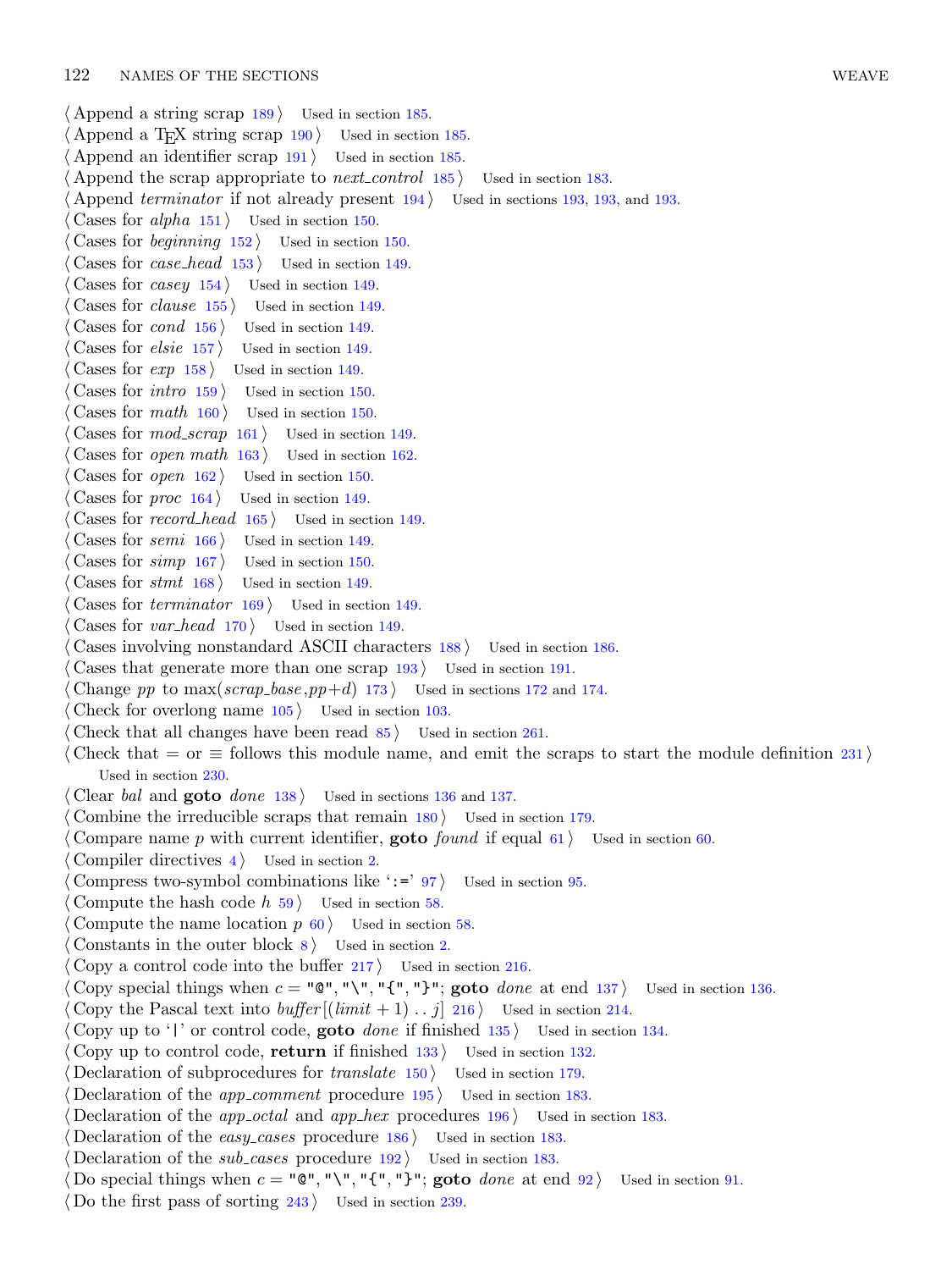$\langle$  Append a string scrap [189](#page-72-0) is Used in section [185.](#page-71-0)  $\langle$  Append a T<sub>E</sub>X string scrap [190](#page-73-0) iused in section [185.](#page-71-0) Append an identifier scrap Used in section [185.](#page-71-0) Append the scrap appropriate to *next\_control* Used in section [183](#page-70-0). Append terminator if not already present Used in sections [193,](#page-74-0) 193, and [193.](#page-74-0) Cases for alpha Used in section [150](#page-61-0). Cases for *beginning* Used in section [150](#page-61-0). Cases for *case\_head* Used in section [149](#page-60-0). Cases for casey Used in section [149.](#page-60-0) Cases for *clause* Used in section [149](#page-60-0). Cases for  $cond \ 156$  $cond \ 156$  Used in section [149](#page-60-0). Cases for  $\text{else}$  [157](#page-62-0) i Used in section [149.](#page-60-0) Cases for  $exp\left(158\right)$  $exp\left(158\right)$  $exp\left(158\right)$  Used in section [149](#page-60-0). Cases for *intro* Used in section [150.](#page-61-0) Cases for math Used in section [150.](#page-61-0) Cases for  $mod\_scrap$  [161](#page-63-0) i Used in section [149.](#page-60-0) Cases for *open math* Used in section [162.](#page-64-0) Cases for *open* Used in section [150.](#page-61-0) Cases for *proc* Used in section [149.](#page-60-0) Cases for record head Used in section [149](#page-60-0). Cases for semi Used in section [149](#page-60-0). Cases for  $simp$  [167](#page-65-0) ii Used in section [150](#page-61-0). Cases for  $s$ tmt [168](#page-65-0) in section [149](#page-60-0). Cases for *terminator* Used in section [149](#page-60-0). Cases for  $var\_head$  [170](#page-66-0) iused in section [149](#page-60-0). Cases involving nonstandard ASCII characters Used in section [186.](#page-71-0) Cases that generate more than one scrap Used in section [191](#page-73-0). Change pp to  $\max(s \text{crap\_base}, pp+d)$  [173](#page-66-0)) Used in sections [172](#page-66-0) and [174.](#page-67-0) Check for overlong name Used in section [103.](#page-36-0) Check that all changes have been read Used in section [261](#page-98-0). Check that = or  $\equiv$  follows this module name, and emit the scraps to start the module definition [231](#page-88-0)) Used in section [230.](#page-87-0) Clear bal and **goto** done Used in sections [136](#page-47-0) and [137.](#page-48-0) Combine the irreducible scraps that remain Used in section [179.](#page-68-0) Compare name p with current identifier, **goto** found if equal Used in section [60](#page-18-0). Compiler directives Used in section [2](#page-1-0). Compress two-symbol combinations like ':=' } Used in section [95.](#page-33-0) Compute the hash code  $h$  [59](#page-17-0) iused in section [58.](#page-17-0) Compute the name location  $p \, 60$  $p \, 60$  ised in section [58](#page-17-0). Constants in the outer block Used in section [2.](#page-1-0) Copy a control code into the buffer ised in section [216](#page-83-0). Copy special things when  $c = "Q", "\," {", "} "$ ; goto *done* at end [137](#page-48-0) ised in section [136](#page-47-0). Copy the Pascal text into  $buffer[(limit + 1) .. j]$  [216](#page-83-0)) Used in section [214.](#page-82-0) Copy up to '|' or control code, **goto** done if finished is Used in section [134.](#page-46-0) Copy up to control code, return if finished Used in section [132.](#page-46-0) Declaration of subprocedures for *translate* Used in section [179.](#page-68-0) Declaration of the *app\_comment* procedure Used in section [183.](#page-70-0) Declaration of the *app\_octal* and *app\_hex* procedures Used in section [183](#page-70-0). Declaration of the *easy cases* procedure Used in section [183](#page-70-0). Declaration of the *sub-cases* procedure Used in section [183](#page-70-0). Do special things when  $c = "\mathbb{Q}"$ , " $\{\cdot\}, "{\cdot} \cdot {\cdot} \}$ "; goto *done* at end [92](#page-31-0)) Used in section [91.](#page-31-0) Do the first pass of sorting Used in section [239](#page-91-0).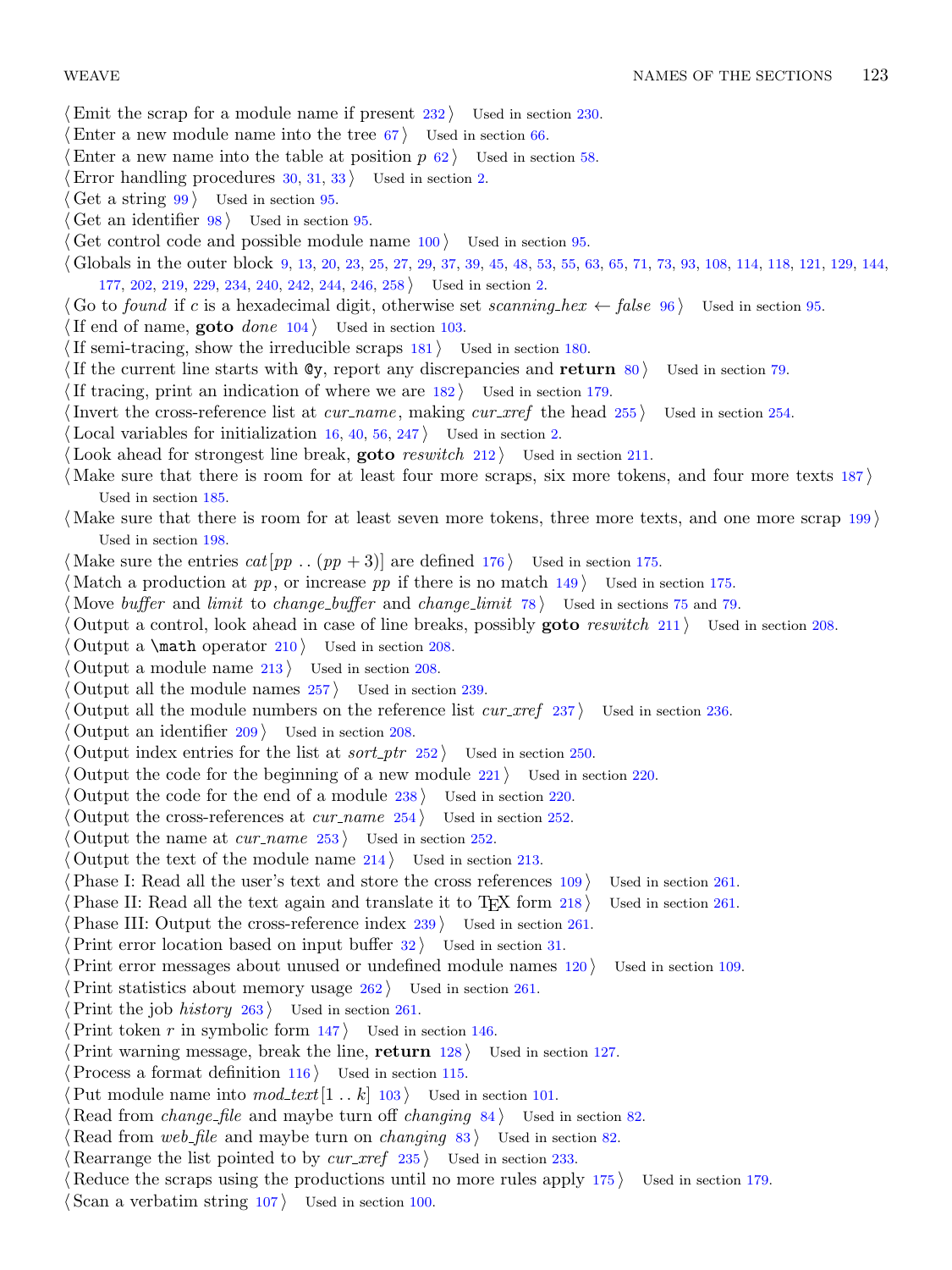- Emit the scrap for a module name if present  $232$  Used in section [230.](#page-87-0)
- Enter a new module name into the tree  $67$  Used in section [66](#page-21-0).
- Enter a new name into the table at position  $p \, 62$  $p \, 62$  Used in section [58.](#page-17-0)
- Error handling procedures  $30, 31, 33$  $30, 31, 33$  $30, 31, 33$  $30, 31, 33$  $30, 31, 33$  Used in section [2](#page-1-0).
- Get a string  $99$  Used in section [95](#page-33-0).
- Get an identifier  $98$  Used in section [95](#page-33-0).
- Get control code and possible module name  $100$  Used in section [95.](#page-33-0)
- h Globals in the outer block [9,](#page-3-0) [13](#page-5-0), [20,](#page-8-0) [23](#page-8-0), [25,](#page-8-0) [27,](#page-9-0) [29](#page-10-0), [37,](#page-12-0) [39](#page-12-0), [45,](#page-14-0) [48,](#page-14-0) [53](#page-16-0), [55,](#page-17-0) [63](#page-19-0), [65,](#page-21-0) [71](#page-23-0), [73](#page-23-0), [93,](#page-32-0) [108,](#page-38-0) [114](#page-40-0), [118](#page-41-0), [121,](#page-42-0) [129,](#page-44-0) [144,](#page-56-0) [177,](#page-67-0) [202,](#page-77-0) [219](#page-84-0), [229](#page-87-0), [234](#page-88-0), [240](#page-91-0), [242,](#page-91-0) [244,](#page-92-0) [246,](#page-92-0) [258](#page-96-0) Used in section [2](#page-1-0).
- Go to found if c is a hexadecimal digit, otherwise set scanning hex  $\leftarrow$  false [96](#page-33-0) iused in section [95.](#page-33-0)
- If end of name, **goto** done  $104$  Used in section [103](#page-36-0).
- If semi-tracing, show the irreducible scraps  $181$  Used in section [180.](#page-69-0)
- If the current line starts with  $\mathbb{Q}y$ , report any discrepancies and return  $80$  Used in section [79.](#page-25-0)
- If tracing, print an indication of where we are  $182$  Used in section [179](#page-68-0).
- Invert the cross-reference list at  $cur_name$ , making  $cur\_xref$  the head  $255$  Used in section [254.](#page-94-0)
- Local variables for initialization  $16, 40, 56, 247$  $16, 40, 56, 247$  $16, 40, 56, 247$  $16, 40, 56, 247$  $16, 40, 56, 247$  $16, 40, 56, 247$  $16, 40, 56, 247$  Used in section [2.](#page-1-0)
- Look ahead for strongest line break, **goto** reswitch  $212$  Used in section [211](#page-81-0).
- (Make sure that there is room for at least four more scraps, six more tokens, and four more texts  $187$ ) Used in section [185.](#page-71-0)
- $\langle$  Make sure that there is room for at least seven more tokens, three more texts, and one more scrap [199](#page-76-0) $\rangle$ Used in section [198.](#page-76-0)
- (Make sure the entries  $cat[pp \dots (pp + 3)]$  are defined [176](#page-67-0)) Used in section [175.](#page-67-0)
- (Match a production at pp, or increase pp if there is no match [149](#page-60-0)) Used in section [175](#page-67-0).
- Move buffer and limit to change-buffer and change-limit [78](#page-24-0) iused in sections [75](#page-24-0) and [79](#page-25-0).
- Output a control, look ahead in case of line breaks, possibly **goto** reswitch  $211$  Used in section [208](#page-80-0).
- Output a  $\mathcal{D}$  operator [210](#page-81-0) iused in section [208.](#page-80-0)
- Output a module name  $213$  Used in section [208.](#page-80-0)
- Output all the module names  $257$  Used in section [239.](#page-91-0)
- Output all the module numbers on the reference list  $cur\_xref$  [237](#page-90-0)) Used in section [236](#page-89-0).
- Output an identifier  $209$  Used in section [208.](#page-80-0)
- Output index entries for the list at *sort\_ptr*  $252$  ised in section [250.](#page-93-0)
- Output the code for the beginning of a new module  $221$  Used in section [220](#page-84-0).
- Output the code for the end of a module  $238$  Used in section [220](#page-84-0).
- Output the cross-references at  $cur_name 254$  $cur_name 254$  Used in section [252](#page-94-0).
- Output the name at  $cur_name$  [253](#page-94-0)) Used in section [252.](#page-94-0)
- Output the text of the module name  $214$  Used in section [213](#page-82-0).
- Phase I: Read all the user's text and store the cross references  $109$  ised in section [261.](#page-98-0)
- Phase II: Read all the text again and translate it to  $T_{\rm F}X$  form [218](#page-84-0)) Used in section [261](#page-98-0).
- Phase III: Output the cross-reference index  $239$  Used in section [261.](#page-98-0)
- Print error location based on input buffer  $32$  Used in section [31.](#page-10-0)
- Print error messages about unused or undefined module names  $120$  Used in section [109](#page-38-0).
- Print statistics about memory usage  $262$  Used in section [261](#page-98-0).
- Print the job history  $263$  Used in section [261.](#page-98-0)
- Print token r in symbolic form  $147$  Used in section [146](#page-57-0).
- Print warning message, break the line, return  $128$  Used in section [127](#page-44-0).
- Process a format definition  $116$  Used in section [115](#page-40-0).
- Put module name into  $mod\_text[1.. k]$  [103](#page-36-0)) Used in section [101.](#page-35-0)
- Read from *change-file* and maybe turn off *changing*  $84$  is Used in section [82](#page-26-0).
- Read from web file and maybe turn on *changing* [83](#page-26-0) is Used in section [82](#page-26-0).
- Rearrange the list pointed to by  $cur\_xref$  [235](#page-89-0)) Used in section [233.](#page-88-0)
- Reduce the scraps using the productions until no more rules apply  $175$  Used in section [179](#page-68-0). Scan a verbatim string  $107$  Used in section [100.](#page-35-0)